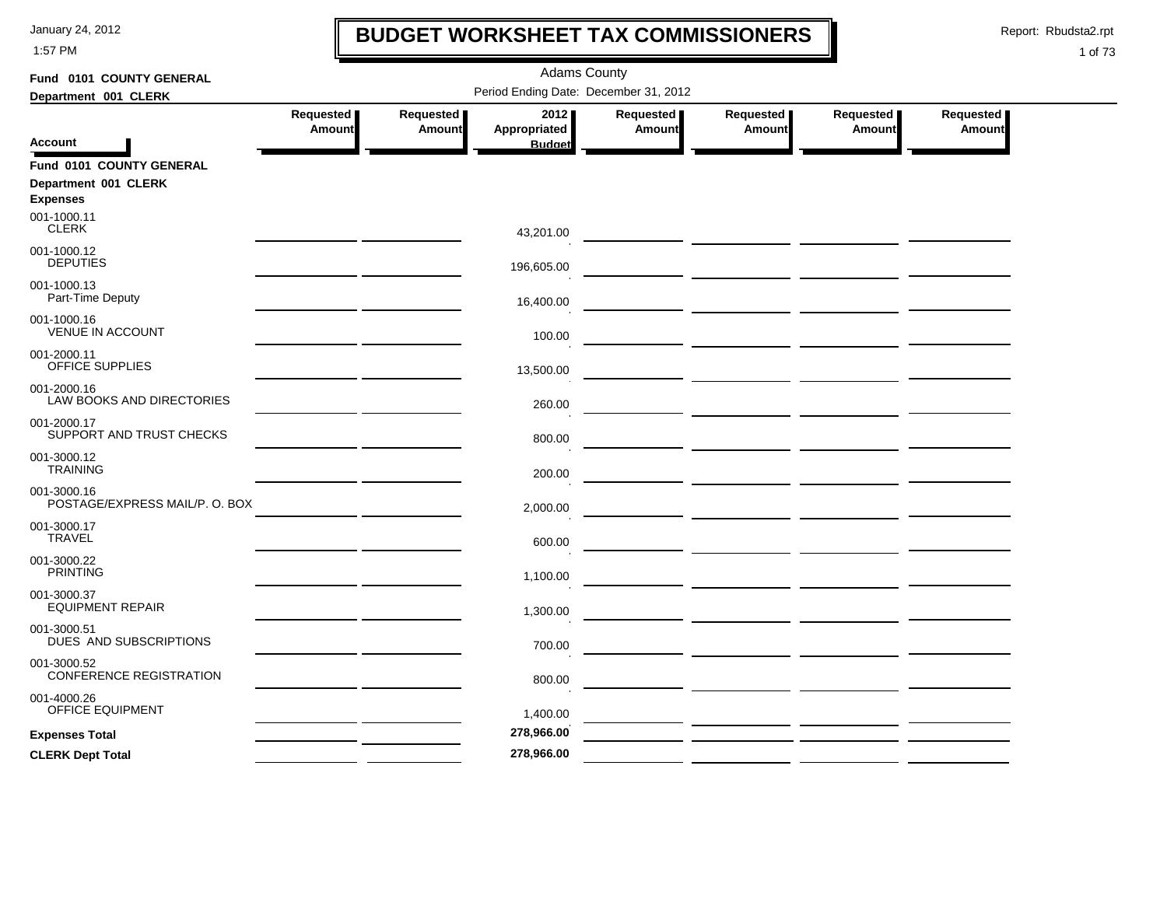1:57 PM

# **BUDGET WORKSHEET TAX COMMISSIONERS**

Report: Rbudsta2.rpt

 $\mathbf l$ 

| Fund 0101 COUNTY GENERAL                      | <b>Adams County</b> |                            |                                       |                     |                                                                                                                       |                            |                     |  |  |
|-----------------------------------------------|---------------------|----------------------------|---------------------------------------|---------------------|-----------------------------------------------------------------------------------------------------------------------|----------------------------|---------------------|--|--|
| Department 001 CLERK                          |                     |                            | Period Ending Date: December 31, 2012 |                     |                                                                                                                       |                            |                     |  |  |
|                                               | Requested<br>Amount | Requested<br><b>Amount</b> | 2012<br>Appropriated                  | Requested<br>Amount | Requested<br><b>Amount</b>                                                                                            | Requested<br><b>Amount</b> | Requested<br>Amount |  |  |
| Account                                       |                     |                            | <b>Budget</b>                         |                     |                                                                                                                       |                            |                     |  |  |
| Fund 0101 COUNTY GENERAL                      |                     |                            |                                       |                     |                                                                                                                       |                            |                     |  |  |
| Department 001 CLERK<br><b>Expenses</b>       |                     |                            |                                       |                     |                                                                                                                       |                            |                     |  |  |
| 001-1000.11<br><b>CLERK</b>                   |                     |                            | 43,201.00                             |                     |                                                                                                                       |                            |                     |  |  |
| 001-1000.12<br><b>DEPUTIES</b>                |                     |                            | 196,605.00                            |                     |                                                                                                                       |                            |                     |  |  |
| 001-1000.13<br>Part-Time Deputy               |                     |                            | 16,400.00                             |                     |                                                                                                                       |                            |                     |  |  |
| 001-1000.16<br><b>VENUE IN ACCOUNT</b>        |                     |                            | 100.00                                |                     |                                                                                                                       |                            |                     |  |  |
| 001-2000.11<br>OFFICE SUPPLIES                |                     |                            | 13,500.00                             |                     | <u> 1999 - Johann Harry Harry Harry Harry Harry Harry Harry Harry Harry Harry Harry Harry Harry Harry Harry Harry</u> |                            |                     |  |  |
| 001-2000.16<br>LAW BOOKS AND DIRECTORIES      |                     |                            | 260.00                                |                     |                                                                                                                       |                            |                     |  |  |
| 001-2000.17<br>SUPPORT AND TRUST CHECKS       |                     |                            | 800.00                                |                     |                                                                                                                       |                            |                     |  |  |
| 001-3000.12<br><b>TRAINING</b>                |                     |                            | 200.00                                |                     | <u> 1990 - John Harry Harry Harry Harry Harry Harry Harry Harry Harry Harry Harry Harry Harry Harry Harry Harry H</u> |                            |                     |  |  |
| 001-3000.16<br>POSTAGE/EXPRESS MAIL/P. O. BOX |                     |                            | 2,000.00                              |                     |                                                                                                                       |                            |                     |  |  |
| 001-3000.17<br><b>TRAVEL</b>                  |                     |                            | 600.00                                |                     |                                                                                                                       |                            |                     |  |  |
| 001-3000.22<br><b>PRINTING</b>                |                     |                            | 1,100.00                              |                     |                                                                                                                       |                            |                     |  |  |
| 001-3000.37<br><b>EQUIPMENT REPAIR</b>        |                     |                            | 1,300.00                              |                     |                                                                                                                       |                            |                     |  |  |
| 001-3000.51<br>DUES AND SUBSCRIPTIONS         |                     |                            | 700.00                                |                     |                                                                                                                       |                            |                     |  |  |
| 001-3000.52<br>CONFERENCE REGISTRATION        |                     |                            | 800.00                                |                     |                                                                                                                       |                            |                     |  |  |
| 001-4000.26<br>OFFICE EQUIPMENT               |                     |                            | 1,400.00                              |                     |                                                                                                                       |                            |                     |  |  |
| <b>Expenses Total</b>                         |                     |                            | 278,966.00                            |                     | the company of the company of the company                                                                             |                            |                     |  |  |
| <b>CLERK Dept Total</b>                       |                     |                            | 278,966.00                            |                     |                                                                                                                       |                            |                     |  |  |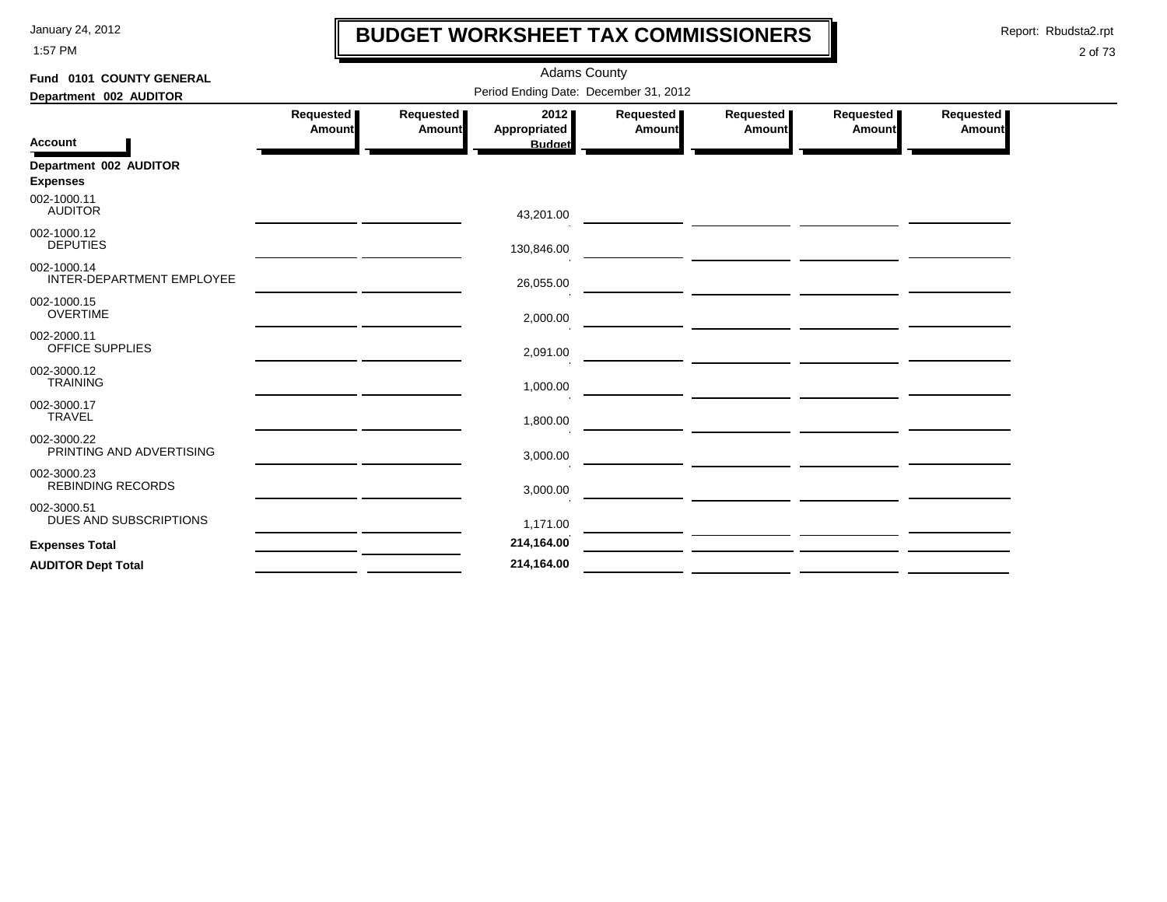1:57 PM

# **BUDGET WORKSHEET TAX COMMISSIONERS**

Report: Rbudsta2.rpt

 $\mathbf l$ 

| Fund 0101 COUNTY GENERAL                 |                            | <b>Adams County</b>                   |                     |                                                                                                                      |                                                    |                     |
|------------------------------------------|----------------------------|---------------------------------------|---------------------|----------------------------------------------------------------------------------------------------------------------|----------------------------------------------------|---------------------|
| Department 002 AUDITOR                   |                            | Period Ending Date: December 31, 2012 |                     |                                                                                                                      |                                                    |                     |
| Requested<br>Amount                      | <b>Requested</b><br>Amount | 2012<br>Appropriated                  | Requested<br>Amount | Requested  <br>Amount                                                                                                | Requested<br>Amount                                | Requested<br>Amount |
| <b>Account</b>                           |                            | <b>Budget</b>                         |                     |                                                                                                                      |                                                    |                     |
| Department 002 AUDITOR                   |                            |                                       |                     |                                                                                                                      |                                                    |                     |
| <b>Expenses</b>                          |                            |                                       |                     |                                                                                                                      |                                                    |                     |
| 002-1000.11<br><b>AUDITOR</b>            |                            | 43,201.00                             |                     |                                                                                                                      |                                                    |                     |
| 002-1000.12<br><b>DEPUTIES</b>           |                            | 130,846.00                            |                     |                                                                                                                      |                                                    |                     |
| 002-1000.14<br>INTER-DEPARTMENT EMPLOYEE |                            | 26,055.00                             |                     |                                                                                                                      | <u> 1989 - John Stein, Amerikaansk politiker (</u> |                     |
| 002-1000.15<br><b>OVERTIME</b>           |                            | 2,000.00                              |                     |                                                                                                                      |                                                    |                     |
| 002-2000.11<br>OFFICE SUPPLIES           |                            | 2,091.00                              |                     |                                                                                                                      |                                                    |                     |
| 002-3000.12<br><b>TRAINING</b>           |                            | 1,000.00                              |                     |                                                                                                                      |                                                    |                     |
| 002-3000.17<br><b>TRAVEL</b>             |                            | 1,800.00                              |                     | <u> Andreas Andreas Andreas Andreas Andreas Andreas Andreas Andreas Andreas Andreas Andreas Andreas Andreas Andr</u> |                                                    |                     |
| 002-3000.22<br>PRINTING AND ADVERTISING  |                            | 3,000.00                              |                     |                                                                                                                      |                                                    |                     |
| 002-3000.23<br><b>REBINDING RECORDS</b>  |                            | 3,000.00                              |                     | <u> Andreas Andreas Andreas Andreas Andreas Andreas Andreas Andreas Andreas Andreas Andreas Andreas Andreas Andr</u> |                                                    |                     |
| 002-3000.51<br>DUES AND SUBSCRIPTIONS    |                            | 1,171.00                              |                     |                                                                                                                      |                                                    |                     |
| <b>Expenses Total</b>                    |                            | 214,164.00                            |                     |                                                                                                                      |                                                    |                     |
| <b>AUDITOR Dept Total</b>                |                            | 214,164.00                            |                     |                                                                                                                      |                                                    |                     |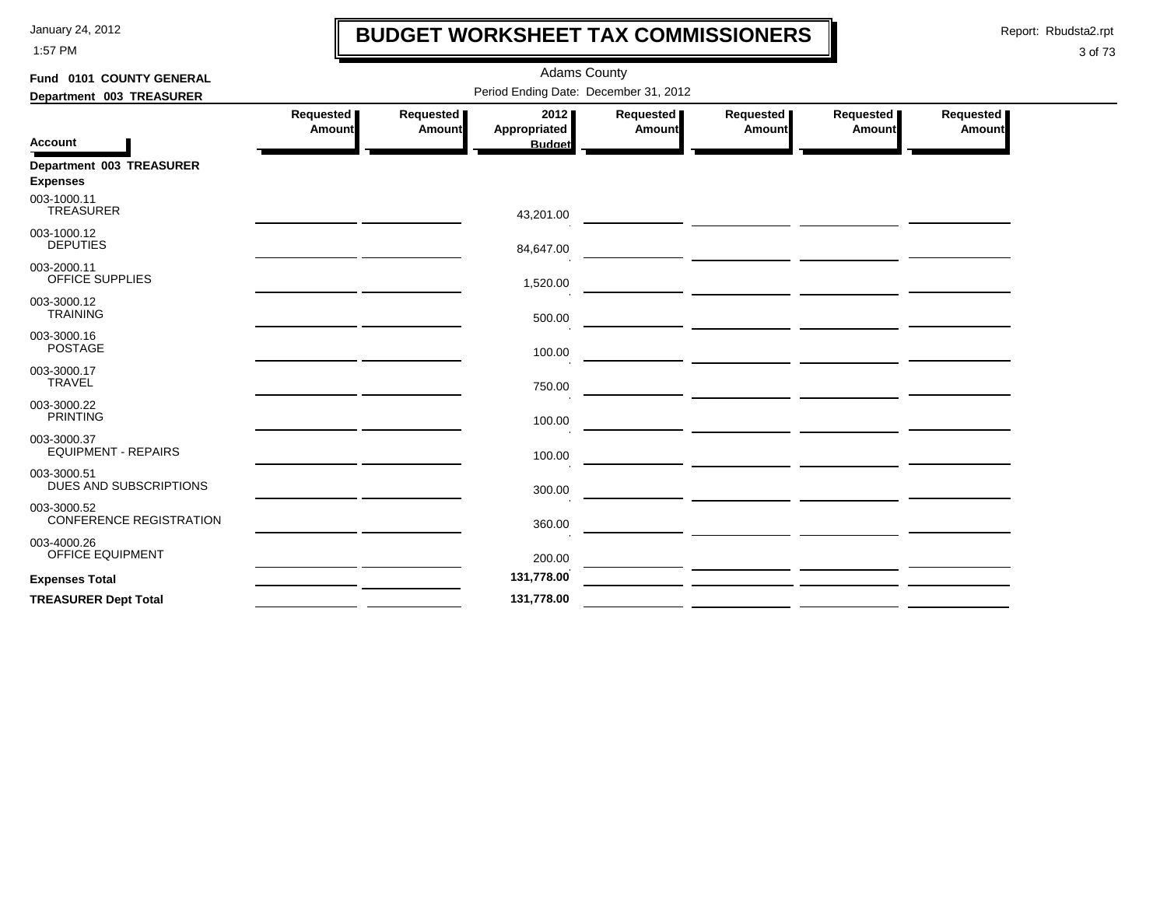1:57 PM

# **BUDGET WORKSHEET TAX COMMISSIONERS**

Report: Rbudsta2.rpt

 $\mathbf l$ 

| Fund 0101 COUNTY GENERAL                      | <b>Adams County</b> |                                       |                     |                                              |                                                                                                                      |                     |  |  |  |  |
|-----------------------------------------------|---------------------|---------------------------------------|---------------------|----------------------------------------------|----------------------------------------------------------------------------------------------------------------------|---------------------|--|--|--|--|
| Department 003 TREASURER                      |                     | Period Ending Date: December 31, 2012 |                     |                                              |                                                                                                                      |                     |  |  |  |  |
| Requested<br>Amount                           | Requested<br>Amount | 2012<br><b>Appropriated</b>           | Requested<br>Amount | Requested<br>Amount                          | Requested<br><b>Amount</b>                                                                                           | Requested<br>Amount |  |  |  |  |
| <b>Account</b>                                |                     | <b>Budget</b>                         |                     |                                              |                                                                                                                      |                     |  |  |  |  |
| Department 003 TREASURER<br><b>Expenses</b>   |                     |                                       |                     |                                              |                                                                                                                      |                     |  |  |  |  |
| 003-1000.11<br><b>TREASURER</b>               |                     | 43,201.00                             |                     | <u> 1989 - Andrea Andrew Maria (b. 1989)</u> |                                                                                                                      |                     |  |  |  |  |
| 003-1000.12<br><b>DEPUTIES</b>                |                     | 84,647.00                             |                     |                                              | — <u>— — — — — — — — — — — — — — — — —</u>                                                                           |                     |  |  |  |  |
| 003-2000.11<br>OFFICE SUPPLIES                |                     | 1,520.00                              |                     | <u> 2000 - Jan Alexander (b. 1989)</u>       |                                                                                                                      |                     |  |  |  |  |
| 003-3000.12<br><b>TRAINING</b>                |                     | 500.00                                |                     |                                              |                                                                                                                      |                     |  |  |  |  |
| 003-3000.16<br><b>POSTAGE</b>                 |                     | 100.00                                |                     |                                              | <u> 1989 - Andrea Stadt Britain, amerikansk politik (</u>                                                            |                     |  |  |  |  |
| 003-3000.17<br><b>TRAVEL</b>                  |                     | 750.00                                |                     |                                              | <u> 1989 - Johann John Stone, mars et al. (</u>                                                                      |                     |  |  |  |  |
| 003-3000.22<br><b>PRINTING</b>                |                     | 100.00                                |                     |                                              |                                                                                                                      |                     |  |  |  |  |
| 003-3000.37<br><b>EQUIPMENT - REPAIRS</b>     |                     | 100.00                                |                     |                                              | <u> 1980 - Jan Sterling von de Sterling von de Sterling von de Sterling von de Sterling von de Sterling von de S</u> |                     |  |  |  |  |
| 003-3000.51<br>DUES AND SUBSCRIPTIONS         |                     | 300.00                                |                     |                                              |                                                                                                                      |                     |  |  |  |  |
| 003-3000.52<br><b>CONFERENCE REGISTRATION</b> |                     | 360.00                                |                     | <u> 1989 - Johann Harry Communication (</u>  |                                                                                                                      |                     |  |  |  |  |
| 003-4000.26<br><b>OFFICE EQUIPMENT</b>        |                     | 200.00                                |                     |                                              |                                                                                                                      |                     |  |  |  |  |
| <b>Expenses Total</b>                         |                     | 131,778.00                            |                     |                                              |                                                                                                                      |                     |  |  |  |  |
| <b>TREASURER Dept Total</b>                   |                     | 131,778.00                            |                     |                                              |                                                                                                                      |                     |  |  |  |  |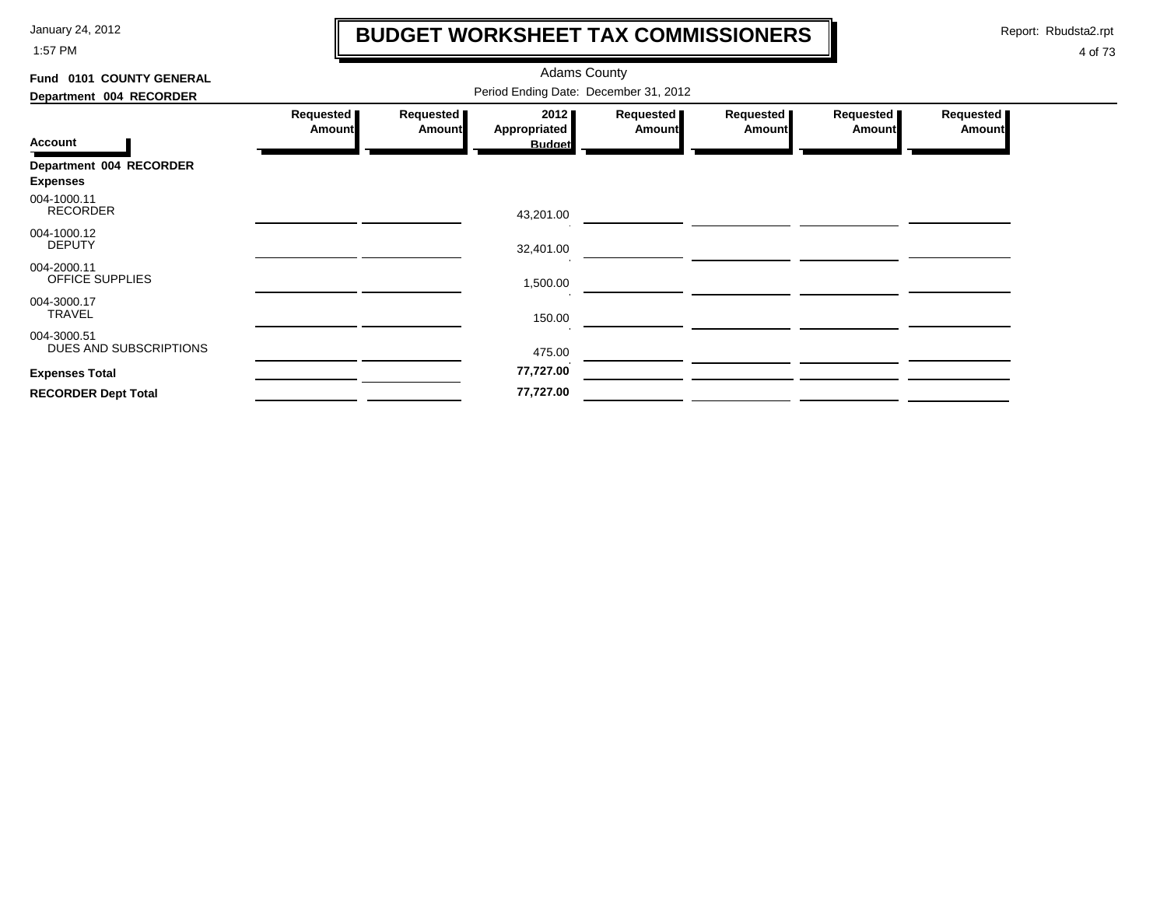1:57 PM

# **BUDGET WORKSHEET TAX COMMISSIONERS**

Report: Rbudsta2.rpt

 $\mathbf \mathbf I$ 

| Fund 0101 COUNTY GENERAL                   |                                       |                            | <b>Adams County</b>  |                     |                            |                            |                     |  |  |
|--------------------------------------------|---------------------------------------|----------------------------|----------------------|---------------------|----------------------------|----------------------------|---------------------|--|--|
| Department 004 RECORDER                    | Period Ending Date: December 31, 2012 |                            |                      |                     |                            |                            |                     |  |  |
|                                            | Requested<br><b>Amount</b>            | Requested<br><b>Amount</b> | 2012<br>Appropriated | Requested<br>Amount | Requested<br><b>Amount</b> | Requested<br><b>Amount</b> | Requested<br>Amount |  |  |
| <b>Account</b>                             |                                       |                            | <b>Budget</b>        |                     |                            |                            |                     |  |  |
| Department 004 RECORDER<br><b>Expenses</b> |                                       |                            |                      |                     |                            |                            |                     |  |  |
| 004-1000.11<br><b>RECORDER</b>             |                                       |                            | 43,201.00            |                     |                            |                            |                     |  |  |
| 004-1000.12<br><b>DEPUTY</b>               |                                       |                            | 32,401.00            |                     |                            |                            |                     |  |  |
| 004-2000.11<br>OFFICE SUPPLIES             |                                       |                            | 1,500.00             |                     |                            |                            |                     |  |  |
| 004-3000.17<br><b>TRAVEL</b>               |                                       |                            | 150.00               |                     |                            |                            |                     |  |  |
| 004-3000.51<br>DUES AND SUBSCRIPTIONS      |                                       |                            | 475.00               |                     |                            |                            |                     |  |  |
| <b>Expenses Total</b>                      |                                       |                            | 77,727.00            |                     |                            |                            |                     |  |  |
| <b>RECORDER Dept Total</b>                 |                                       |                            | 77,727.00            |                     |                            |                            |                     |  |  |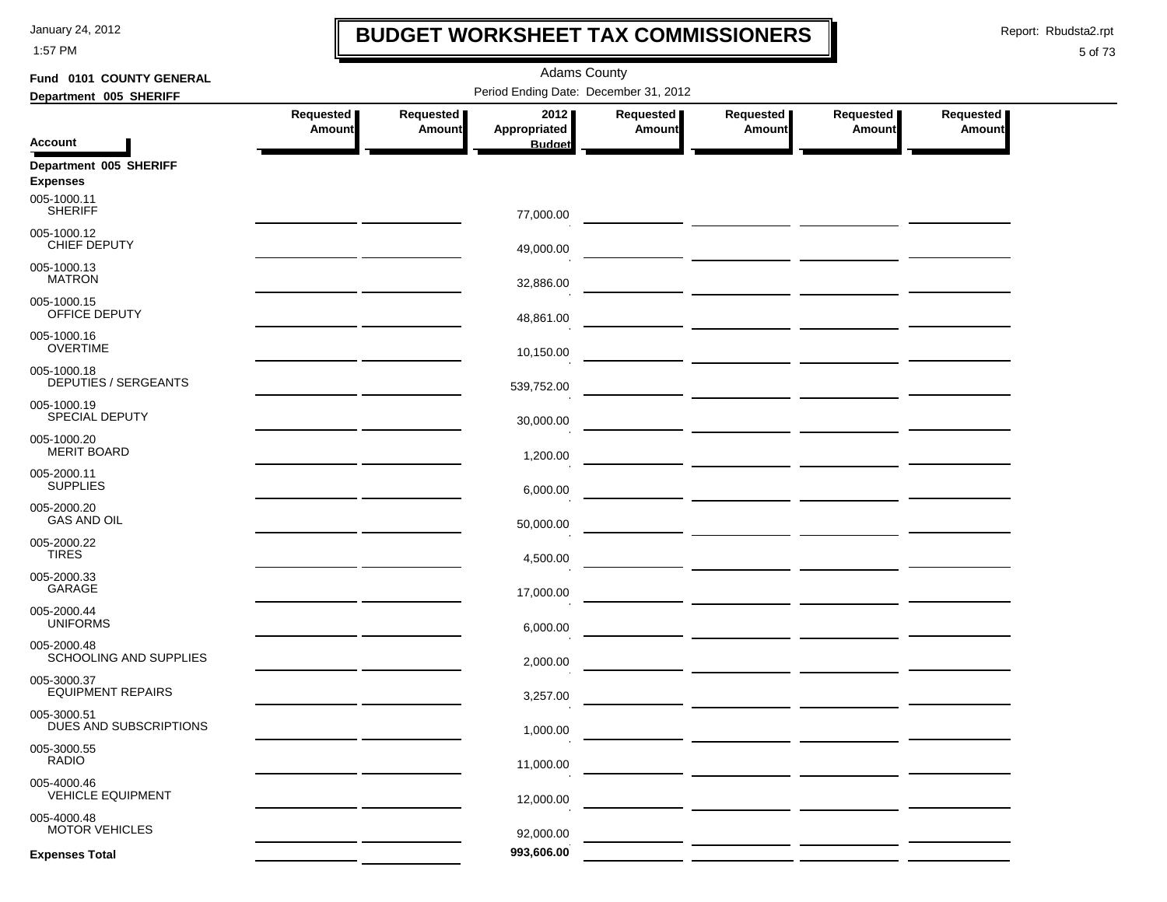1:57 PM

## **BUDGET WORKSHEET TAX COMMISSIONERS**

Report: Rbudsta2.rpt

 $\mathbf I$ 

| Fund 0101 COUNTY GENERAL                   | <b>Adams County</b>        |                                       |                      |                            |                                               |                                |                            |  |  |  |  |
|--------------------------------------------|----------------------------|---------------------------------------|----------------------|----------------------------|-----------------------------------------------|--------------------------------|----------------------------|--|--|--|--|
| Department 005 SHERIFF                     |                            | Period Ending Date: December 31, 2012 |                      |                            |                                               |                                |                            |  |  |  |  |
|                                            | Requested<br><b>Amount</b> | Requested<br>Amount                   | 2012<br>Appropriated | Requested<br><b>Amount</b> | Requested  <br><b>Amount</b>                  | Requested<br><b>Amount</b>     | Requested<br><b>Amount</b> |  |  |  |  |
| <b>Account</b>                             |                            |                                       | <b>Budget</b>        |                            |                                               |                                |                            |  |  |  |  |
| Department 005 SHERIFF<br><b>Expenses</b>  |                            |                                       |                      |                            |                                               |                                |                            |  |  |  |  |
| 005-1000.11<br><b>SHERIFF</b>              |                            |                                       | 77,000.00            |                            |                                               |                                |                            |  |  |  |  |
| 005-1000.12<br>CHIEF DEPUTY                |                            |                                       | 49,000.00            |                            |                                               |                                |                            |  |  |  |  |
| 005-1000.13<br><b>MATRON</b>               |                            |                                       | 32,886.00            |                            |                                               |                                |                            |  |  |  |  |
| 005-1000.15<br>OFFICE DEPUTY               |                            |                                       | 48,861.00            |                            | <u> 1980 - Johann John Stone, mars et al.</u> |                                |                            |  |  |  |  |
| 005-1000.16<br><b>OVERTIME</b>             |                            |                                       | 10,150.00            |                            |                                               |                                |                            |  |  |  |  |
| 005-1000.18<br><b>DEPUTIES / SERGEANTS</b> |                            |                                       | 539,752.00           |                            |                                               |                                |                            |  |  |  |  |
| 005-1000.19<br><b>SPECIAL DEPUTY</b>       |                            |                                       | 30,000.00            |                            |                                               |                                |                            |  |  |  |  |
| 005-1000.20<br><b>MERIT BOARD</b>          |                            |                                       | 1,200.00             |                            |                                               |                                |                            |  |  |  |  |
| 005-2000.11<br><b>SUPPLIES</b>             |                            |                                       | 6,000.00             |                            |                                               |                                |                            |  |  |  |  |
| 005-2000.20<br><b>GAS AND OIL</b>          |                            |                                       | 50,000.00            |                            |                                               |                                |                            |  |  |  |  |
| 005-2000.22<br><b>TIRES</b>                |                            |                                       | 4,500.00             |                            |                                               |                                |                            |  |  |  |  |
| 005-2000.33<br>GARAGE                      |                            |                                       |                      |                            |                                               |                                |                            |  |  |  |  |
| 005-2000.44<br><b>UNIFORMS</b>             |                            |                                       | 17,000.00            |                            |                                               |                                |                            |  |  |  |  |
| 005-2000.48<br>SCHOOLING AND SUPPLIES      |                            |                                       | 6,000.00             |                            |                                               |                                |                            |  |  |  |  |
| 005-3000.37                                |                            |                                       | 2,000.00             |                            |                                               | — <u>— — — — — — — — — —</u> — |                            |  |  |  |  |
| <b>EQUIPMENT REPAIRS</b>                   |                            |                                       | 3,257.00             |                            |                                               |                                |                            |  |  |  |  |
| 005-3000.51<br>DUES AND SUBSCRIPTIONS      |                            |                                       | 1,000.00             |                            |                                               |                                |                            |  |  |  |  |
| 005-3000.55<br><b>RADIO</b>                |                            |                                       | 11,000.00            |                            |                                               |                                |                            |  |  |  |  |
| 005-4000.46<br><b>VEHICLE EQUIPMENT</b>    |                            |                                       | 12,000.00            |                            |                                               |                                |                            |  |  |  |  |
| 005-4000.48<br><b>MOTOR VEHICLES</b>       |                            |                                       | 92,000.00            |                            |                                               |                                |                            |  |  |  |  |
| <b>Expenses Total</b>                      |                            |                                       | 993,606.00           |                            |                                               |                                |                            |  |  |  |  |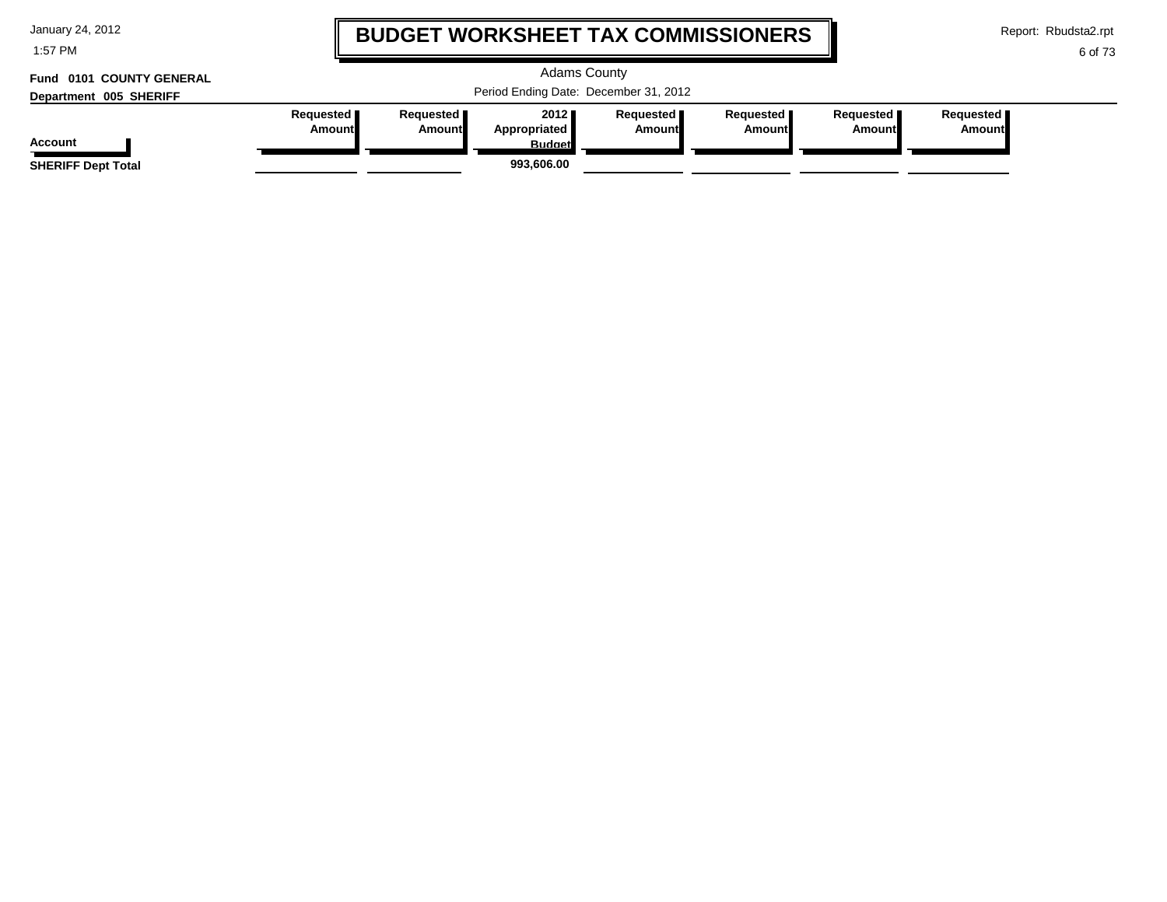1:57 PM

# **BUDGET WORKSHEET TAX COMMISSIONERS**

Report: Rbudsta2.rpt

 $\mathbf l$ 

6 of 73

### **Department 005 SHERIFF Fund 0101 COUNTY GENERAL**

| Fund 0101 COUNTY GENERAL<br>Department 005 SHERIFF |                              |                              |                                                     | <b>Adams County</b><br>Period Ending Date: December 31, 2012 |                       |                              |                                     |
|----------------------------------------------------|------------------------------|------------------------------|-----------------------------------------------------|--------------------------------------------------------------|-----------------------|------------------------------|-------------------------------------|
| <b>Account</b><br><b>SHERIFF Dept Total</b>        | Requested <b>I</b><br>Amount | Requested <b>I</b><br>Amount | 2012<br>Appropriated<br><b>Budget</b><br>993.606.00 | <b>Requested I</b><br><b>Amount</b>                          | Requested I<br>Amount | Requested <b>I</b><br>Amount | Requested <b>I</b><br><b>Amount</b> |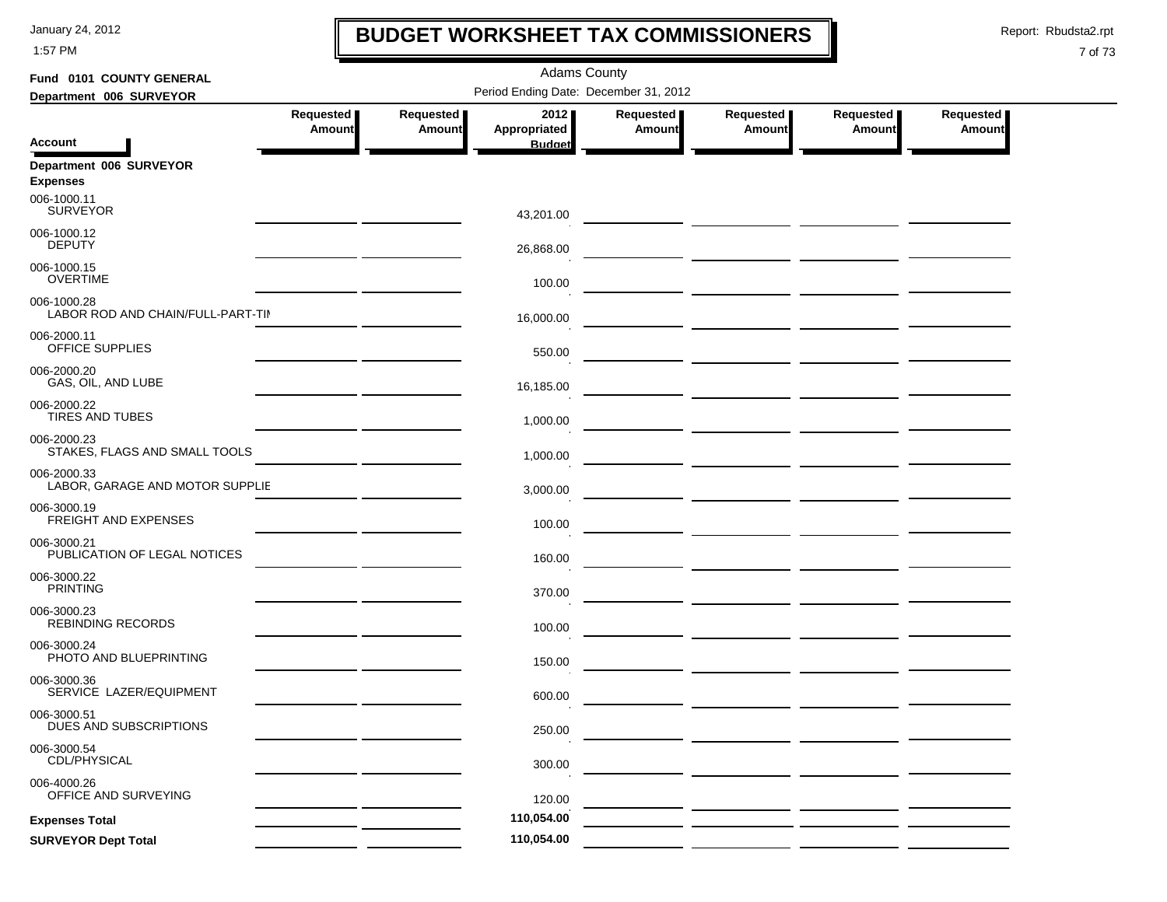1:57 PM

## **BUDGET WORKSHEET TAX COMMISSIONERS**

Report: Rbudsta2.rpt

 $\mathbf l$ 

| Fund 0101 COUNTY GENERAL                         |               |               | <b>Adams County</b>                   |           |                                                             |                           |                  |
|--------------------------------------------------|---------------|---------------|---------------------------------------|-----------|-------------------------------------------------------------|---------------------------|------------------|
| Department 006 SURVEYOR                          |               |               | Period Ending Date: December 31, 2012 |           |                                                             |                           |                  |
|                                                  | Requested     | Requested     | 2012                                  | Requested | Requested                                                   | Requested                 | <b>Requested</b> |
| Account                                          | <b>Amount</b> | <b>Amount</b> | Appropriated<br><b>Budget</b>         | Amount    | <b>Amount</b>                                               | <b>Amount</b>             | <b>Amount</b>    |
| Department 006 SURVEYOR<br><b>Expenses</b>       |               |               |                                       |           |                                                             |                           |                  |
| 006-1000.11<br><b>SURVEYOR</b>                   |               |               | 43,201.00                             |           |                                                             |                           |                  |
| 006-1000.12<br><b>DEPUTY</b>                     |               |               | 26,868.00                             |           |                                                             |                           |                  |
| 006-1000.15<br><b>OVERTIME</b>                   |               |               | 100.00                                |           |                                                             |                           |                  |
| 006-1000.28<br>LABOR ROD AND CHAIN/FULL-PART-TII |               |               | 16,000.00                             |           |                                                             |                           |                  |
| 006-2000.11<br>OFFICE SUPPLIES                   |               |               | 550.00                                |           |                                                             |                           |                  |
| 006-2000.20<br>GAS, OIL, AND LUBE                |               |               | 16,185.00                             |           | <u> The Common State (1999) and the Common State (1999)</u> |                           |                  |
| 006-2000.22<br><b>TIRES AND TUBES</b>            |               |               | 1,000.00                              |           |                                                             |                           |                  |
| 006-2000.23<br>STAKES, FLAGS AND SMALL TOOLS     |               |               | 1,000.00                              |           |                                                             | ___ ______ ______ _______ |                  |
| 006-2000.33<br>LABOR, GARAGE AND MOTOR SUPPLIE   |               |               | 3,000.00                              |           |                                                             |                           |                  |
| 006-3000.19<br>FREIGHT AND EXPENSES              |               |               | 100.00                                |           |                                                             |                           |                  |
| 006-3000.21<br>PUBLICATION OF LEGAL NOTICES      |               |               | 160.00                                |           |                                                             |                           |                  |
| 006-3000.22<br><b>PRINTING</b>                   |               |               | 370.00                                |           |                                                             |                           |                  |
| 006-3000.23<br><b>REBINDING RECORDS</b>          |               |               | 100.00                                |           |                                                             |                           |                  |
| 006-3000.24<br>PHOTO AND BLUEPRINTING            |               |               | 150.00                                |           |                                                             |                           |                  |
| 006-3000.36<br>SERVICE LAZER/EQUIPMENT           |               |               | 600.00                                |           |                                                             |                           |                  |
| 006-3000.51<br>DUES AND SUBSCRIPTIONS            |               |               | 250.00                                |           |                                                             |                           |                  |
| 006-3000.54<br>CDL/PHYSICAL                      |               |               | 300.00                                |           |                                                             |                           |                  |
| 006-4000.26<br>OFFICE AND SURVEYING              |               |               | 120.00                                |           |                                                             |                           |                  |
| <b>Expenses Total</b>                            |               |               | 110,054.00                            |           |                                                             |                           |                  |
| <b>SURVEYOR Dept Total</b>                       |               |               | 110,054.00                            |           |                                                             |                           |                  |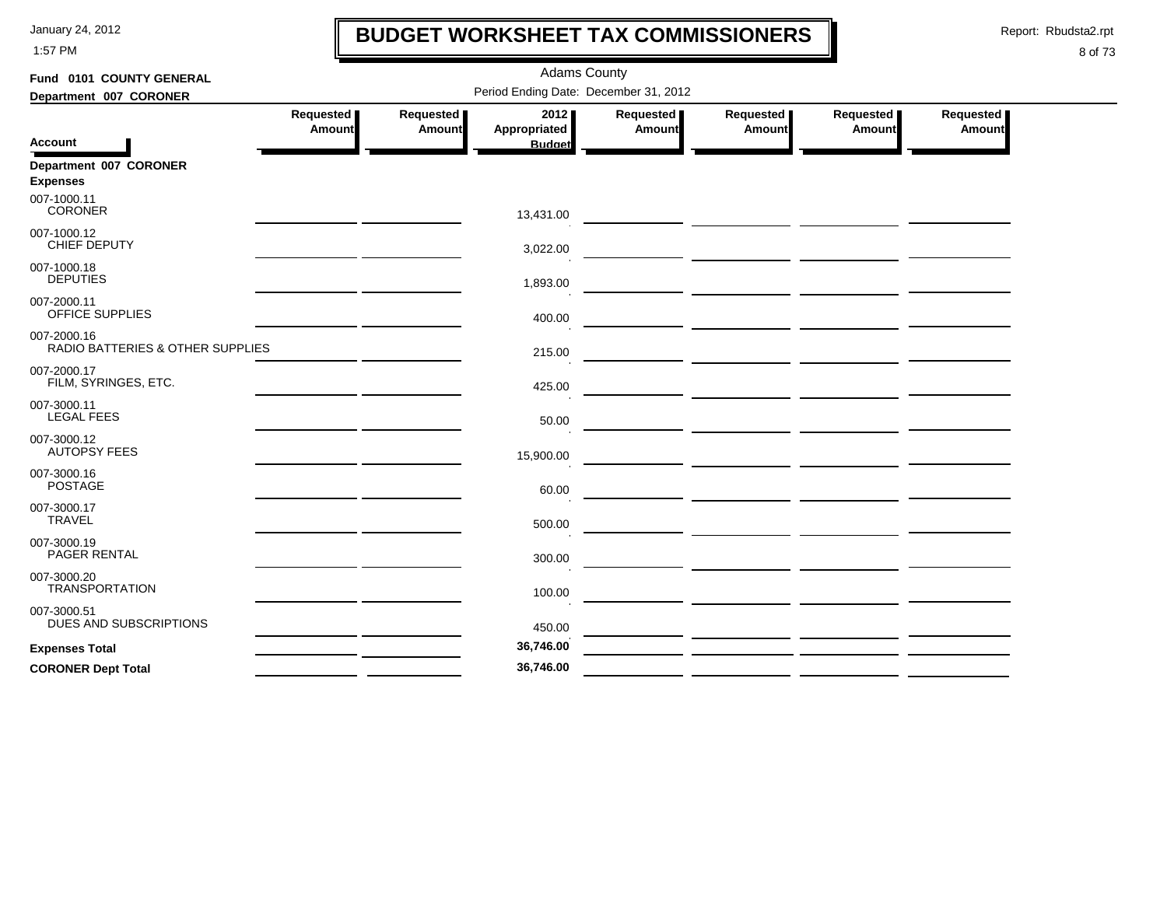1:57 PM

# **BUDGET WORKSHEET TAX COMMISSIONERS**

Report: Rbudsta2.rpt

 $\mathbf l$ 

| Fund 0101 COUNTY GENERAL                        |                     |                     | <b>Adams County</b>                   |                     |                                                                                                                        |                            |                     |
|-------------------------------------------------|---------------------|---------------------|---------------------------------------|---------------------|------------------------------------------------------------------------------------------------------------------------|----------------------------|---------------------|
| Department 007 CORONER                          |                     |                     | Period Ending Date: December 31, 2012 |                     |                                                                                                                        |                            |                     |
| <b>Account</b>                                  | Requested<br>Amount | Requested<br>Amount | 2012<br>Appropriated<br><b>Budget</b> | Requested<br>Amount | Requested<br>Amount                                                                                                    | Requested<br><b>Amount</b> | Requested<br>Amount |
| Department 007 CORONER<br><b>Expenses</b>       |                     |                     |                                       |                     |                                                                                                                        |                            |                     |
| 007-1000.11<br><b>CORONER</b>                   |                     |                     | 13,431.00                             |                     |                                                                                                                        |                            |                     |
| 007-1000.12<br>CHIEF DEPUTY                     |                     |                     | 3,022.00                              |                     |                                                                                                                        |                            |                     |
| 007-1000.18<br><b>DEPUTIES</b>                  |                     |                     | 1,893.00                              |                     | <u> The Common State of the Common State of the Common State of the Common State of the Common State of the Common</u> |                            |                     |
| 007-2000.11<br>OFFICE SUPPLIES                  |                     |                     | 400.00                                |                     | <u> La provincia de la contrada de la contrada de la contrada de la contrada de la contrada de la contrada de la</u>   |                            |                     |
| 007-2000.16<br>RADIO BATTERIES & OTHER SUPPLIES |                     |                     | 215.00                                |                     |                                                                                                                        |                            |                     |
| 007-2000.17<br>FILM, SYRINGES, ETC.             |                     |                     | 425.00                                |                     |                                                                                                                        |                            |                     |
| 007-3000.11<br><b>LEGAL FEES</b>                |                     |                     | 50.00                                 |                     |                                                                                                                        |                            |                     |
| 007-3000.12<br><b>AUTOPSY FEES</b>              |                     |                     | 15,900.00                             |                     |                                                                                                                        |                            |                     |
| 007-3000.16<br><b>POSTAGE</b>                   |                     |                     | 60.00                                 |                     |                                                                                                                        |                            |                     |
| 007-3000.17<br><b>TRAVEL</b>                    |                     |                     | 500.00                                |                     |                                                                                                                        |                            |                     |
| 007-3000.19<br>PAGER RENTAL                     |                     |                     | 300.00                                |                     |                                                                                                                        |                            |                     |
| 007-3000.20<br><b>TRANSPORTATION</b>            |                     |                     | 100.00                                |                     |                                                                                                                        |                            |                     |
| 007-3000.51<br>DUES AND SUBSCRIPTIONS           |                     |                     | 450.00                                |                     |                                                                                                                        |                            |                     |
| <b>Expenses Total</b>                           |                     |                     | 36,746.00                             |                     |                                                                                                                        |                            |                     |
| <b>CORONER Dept Total</b>                       |                     |                     | 36,746.00                             |                     |                                                                                                                        |                            |                     |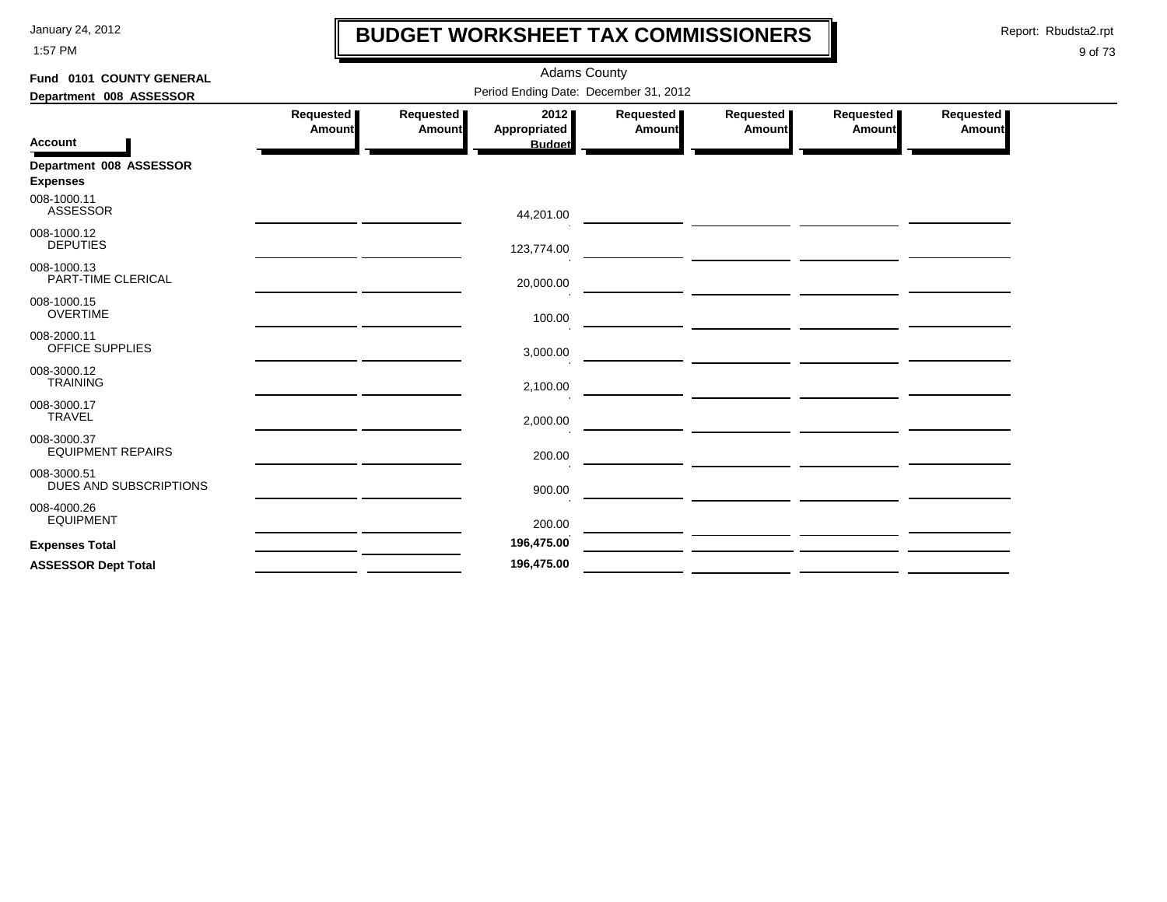1:57 PM

# **BUDGET WORKSHEET TAX COMMISSIONERS**

Report: Rbudsta2.rpt

 $\mathbf l$ 

| Fund 0101 COUNTY GENERAL                   | <b>Adams County</b><br>Period Ending Date: December 31, 2012                       |        |                               |               |                                                                                                                       |        |        |  |  |
|--------------------------------------------|------------------------------------------------------------------------------------|--------|-------------------------------|---------------|-----------------------------------------------------------------------------------------------------------------------|--------|--------|--|--|
| Department 008 ASSESSOR                    | 2012<br>Requested<br>Requested<br>Requested<br>Requested<br>Requested<br>Requested |        |                               |               |                                                                                                                       |        |        |  |  |
| <b>Account</b>                             | Amount                                                                             | Amount | Appropriated<br><b>Budget</b> | <b>Amount</b> | Amount                                                                                                                | Amount | Amount |  |  |
| Department 008 ASSESSOR<br><b>Expenses</b> |                                                                                    |        |                               |               |                                                                                                                       |        |        |  |  |
| 008-1000.11<br><b>ASSESSOR</b>             |                                                                                    |        | 44,201.00                     |               | <u> Andreas Andreas Andreas Andreas Andreas Andreas Andreas Andreas Andreas Andreas Andreas Andreas Andreas Andr</u>  |        |        |  |  |
| 008-1000.12<br><b>DEPUTIES</b>             |                                                                                    |        | 123,774.00                    |               |                                                                                                                       |        |        |  |  |
| 008-1000.13<br>PART-TIME CLERICAL          |                                                                                    |        | 20,000.00                     |               | <u>and the second contract of the second contract of the second contract of the second contract of the second con</u> |        |        |  |  |
| 008-1000.15<br><b>OVERTIME</b>             |                                                                                    |        | 100.00                        |               |                                                                                                                       |        |        |  |  |
| 008-2000.11<br>OFFICE SUPPLIES             |                                                                                    |        | 3,000.00                      |               |                                                                                                                       |        |        |  |  |
| 008-3000.12<br><b>TRAINING</b>             |                                                                                    |        | 2,100.00                      |               |                                                                                                                       |        |        |  |  |
| 008-3000.17<br><b>TRAVEL</b>               |                                                                                    |        | 2,000.00                      |               | <u> 1989 - Johann Barbara, marka a shekara tsa 1989 - An tsa 1989 - An tsa 1989 - An tsa 1989 - An tsa 1989 - An</u>  |        |        |  |  |
| 008-3000.37<br><b>EQUIPMENT REPAIRS</b>    |                                                                                    |        | 200.00                        |               |                                                                                                                       |        |        |  |  |
| 008-3000.51<br>DUES AND SUBSCRIPTIONS      |                                                                                    |        | 900.00                        |               |                                                                                                                       |        |        |  |  |
| 008-4000.26<br><b>EQUIPMENT</b>            |                                                                                    |        | 200.00                        |               |                                                                                                                       |        |        |  |  |
| <b>Expenses Total</b>                      |                                                                                    |        | 196,475.00                    |               |                                                                                                                       |        |        |  |  |
| <b>ASSESSOR Dept Total</b>                 |                                                                                    |        | 196,475.00                    |               |                                                                                                                       |        |        |  |  |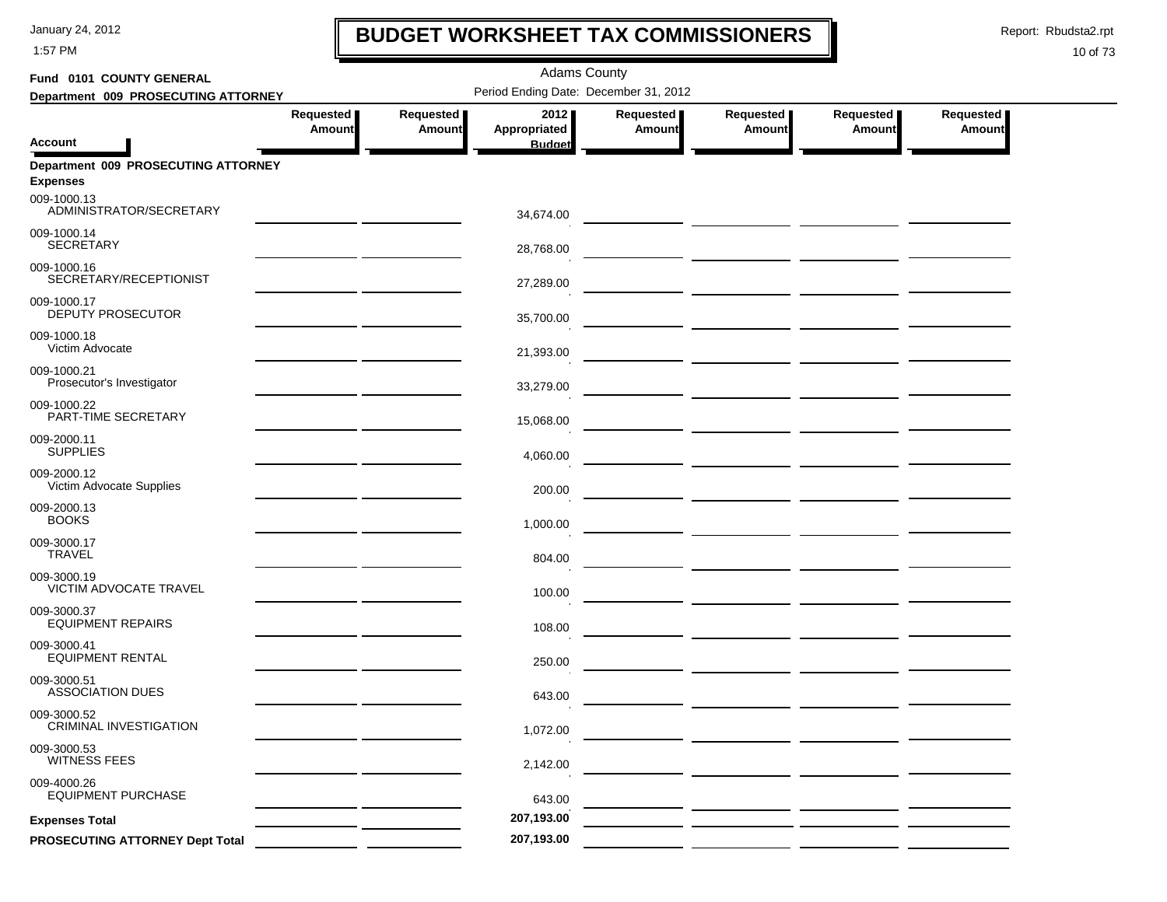1:57 PM

## **BUDGET WORKSHEET TAX COMMISSIONERS**

Report: Rbudsta2.rpt

 $\mathbf l$ 

| Fund 0101 COUNTY GENERAL                               |                            |                     |                                       |                            |                                                                                                                                                                                                                                      |                            |                     |
|--------------------------------------------------------|----------------------------|---------------------|---------------------------------------|----------------------------|--------------------------------------------------------------------------------------------------------------------------------------------------------------------------------------------------------------------------------------|----------------------------|---------------------|
| Department 009 PROSECUTING ATTORNEY                    |                            |                     | Period Ending Date: December 31, 2012 |                            |                                                                                                                                                                                                                                      |                            |                     |
| Account                                                | Requested<br><b>Amount</b> | Requested<br>Amount | 2012<br>Appropriated<br><b>Budget</b> | Requested<br><b>Amount</b> | Requested<br>Amount                                                                                                                                                                                                                  | Requested<br><b>Amount</b> | Requested<br>Amount |
| Department 009 PROSECUTING ATTORNEY<br><b>Expenses</b> |                            |                     |                                       |                            |                                                                                                                                                                                                                                      |                            |                     |
| 009-1000.13<br>ADMINISTRATOR/SECRETARY                 |                            |                     | 34,674.00                             |                            |                                                                                                                                                                                                                                      |                            |                     |
| 009-1000.14<br><b>SECRETARY</b>                        |                            |                     | 28,768.00                             |                            | <u> 1989 - Jan Barbara Santan Barat III (b. 1989)</u>                                                                                                                                                                                |                            |                     |
| 009-1000.16<br>SECRETARY/RECEPTIONIST                  |                            |                     | 27,289.00                             |                            | <u>and the state of the state of the state of the state of the state of the state of the state of the state of the state of the state of the state of the state of the state of the state of the state of the state of the state</u> |                            |                     |
| 009-1000.17<br><b>DEPUTY PROSECUTOR</b>                |                            |                     | 35,700.00                             |                            |                                                                                                                                                                                                                                      |                            |                     |
| 009-1000.18<br>Victim Advocate                         |                            |                     | 21,393.00                             |                            | <u> 1999 - Johann Harry Harry Harry Harry Harry Harry Harry Harry Harry Harry Harry Harry Harry Harry Harry Harry</u>                                                                                                                |                            |                     |
| 009-1000.21<br>Prosecutor's Investigator               |                            |                     | 33,279.00                             |                            |                                                                                                                                                                                                                                      |                            |                     |
| 009-1000.22<br>PART-TIME SECRETARY                     |                            |                     | 15,068.00                             |                            | <u> 1990 - Johann Harry Harry Harry Harry Harry Harry Harry Harry Harry Harry Harry Harry Harry Harry Harry Harry</u>                                                                                                                |                            |                     |
| 009-2000.11<br><b>SUPPLIES</b>                         |                            |                     | 4,060.00                              |                            | <u> 1990 - Johann Harry Harry Harry Harry Harry Harry Harry Harry Harry Harry Harry Harry Harry Harry Harry Harry</u>                                                                                                                |                            |                     |
| 009-2000.12<br>Victim Advocate Supplies                |                            |                     | 200.00                                |                            |                                                                                                                                                                                                                                      |                            |                     |
| 009-2000.13<br><b>BOOKS</b>                            |                            |                     | 1,000.00                              |                            | <u> 1999 - Johann John Harry Harry Harry Harry Harry Harry Harry Harry Harry Harry Harry Harry Harry Harry Harry</u>                                                                                                                 |                            |                     |
| 009-3000.17<br><b>TRAVEL</b>                           |                            |                     | 804.00                                |                            |                                                                                                                                                                                                                                      |                            |                     |
| 009-3000.19<br>VICTIM ADVOCATE TRAVEL                  |                            |                     | 100.00                                |                            |                                                                                                                                                                                                                                      |                            |                     |
| 009-3000.37<br><b>EQUIPMENT REPAIRS</b>                |                            |                     | 108.00                                |                            | <u> 1990 - Johann Harry Barn, mars and de Branch and de Branch and de Branch and de Branch and de Branch and de B</u>                                                                                                                |                            |                     |
| 009-3000.41<br><b>EQUIPMENT RENTAL</b>                 |                            |                     | 250.00                                |                            |                                                                                                                                                                                                                                      |                            |                     |
| 009-3000.51<br><b>ASSOCIATION DUES</b>                 |                            |                     | 643.00                                |                            |                                                                                                                                                                                                                                      |                            |                     |
| 009-3000.52<br>CRIMINAL INVESTIGATION                  |                            |                     | 1,072.00                              |                            |                                                                                                                                                                                                                                      |                            |                     |
| 009-3000.53<br><b>WITNESS FEES</b>                     |                            |                     | 2,142.00                              |                            |                                                                                                                                                                                                                                      |                            |                     |
| 009-4000.26<br><b>EQUIPMENT PURCHASE</b>               |                            |                     | 643.00                                |                            |                                                                                                                                                                                                                                      |                            |                     |
| <b>Expenses Total</b>                                  |                            |                     | 207,193.00                            |                            |                                                                                                                                                                                                                                      |                            |                     |
| PROSECUTING ATTORNEY Dept Total                        |                            |                     | 207,193.00                            |                            |                                                                                                                                                                                                                                      |                            |                     |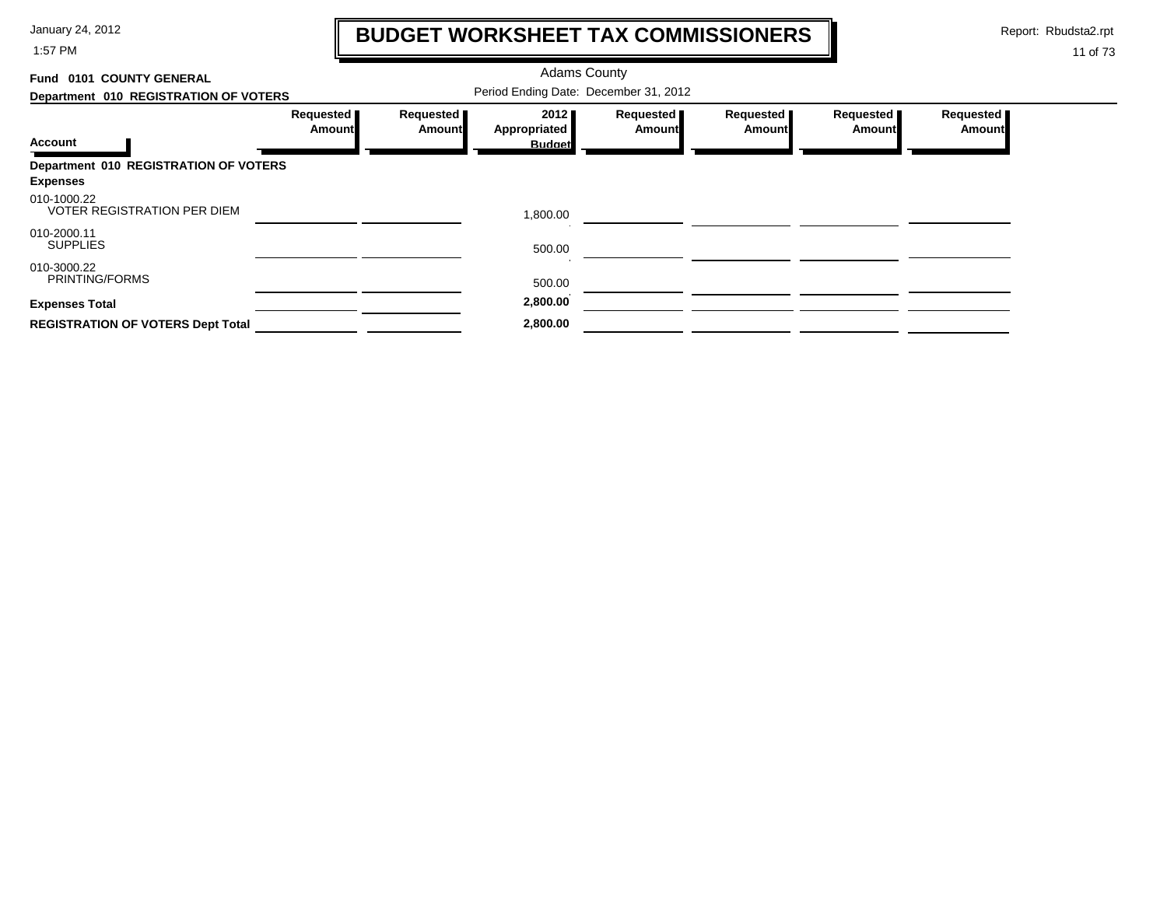1:57 PM

# **BUDGET WORKSHEET TAX COMMISSIONERS**

Report: Rbudsta2.rpt

 $\mathbf \mathbf I$ 

| Fund 0101 COUNTY GENERAL                          |                                       |                            | <b>Adams County</b>  |                            |                     |                       |                            |  |
|---------------------------------------------------|---------------------------------------|----------------------------|----------------------|----------------------------|---------------------|-----------------------|----------------------------|--|
| Department 010 REGISTRATION OF VOTERS             | Period Ending Date: December 31, 2012 |                            |                      |                            |                     |                       |                            |  |
|                                                   | Requested<br><b>Amount</b>            | Requested<br><b>Amount</b> | 2012<br>Appropriated | Requested<br><b>Amount</b> | Requested<br>Amount | Requested  <br>Amount | Requested<br><b>Amount</b> |  |
| <b>Account</b>                                    |                                       |                            | <b>Budget</b>        |                            |                     |                       |                            |  |
| Department 010 REGISTRATION OF VOTERS             |                                       |                            |                      |                            |                     |                       |                            |  |
| <b>Expenses</b>                                   |                                       |                            |                      |                            |                     |                       |                            |  |
| 010-1000.22<br><b>VOTER REGISTRATION PER DIEM</b> |                                       |                            | 1,800.00             |                            |                     |                       |                            |  |
| 010-2000.11<br><b>SUPPLIES</b>                    |                                       |                            | 500.00               |                            |                     |                       |                            |  |
| 010-3000.22<br>PRINTING/FORMS                     |                                       |                            | 500.00               |                            |                     |                       |                            |  |
| <b>Expenses Total</b>                             |                                       |                            | 2,800.00             |                            |                     |                       |                            |  |
| <b>REGISTRATION OF VOTERS Dept Total</b>          |                                       |                            | 2,800.00             |                            |                     |                       |                            |  |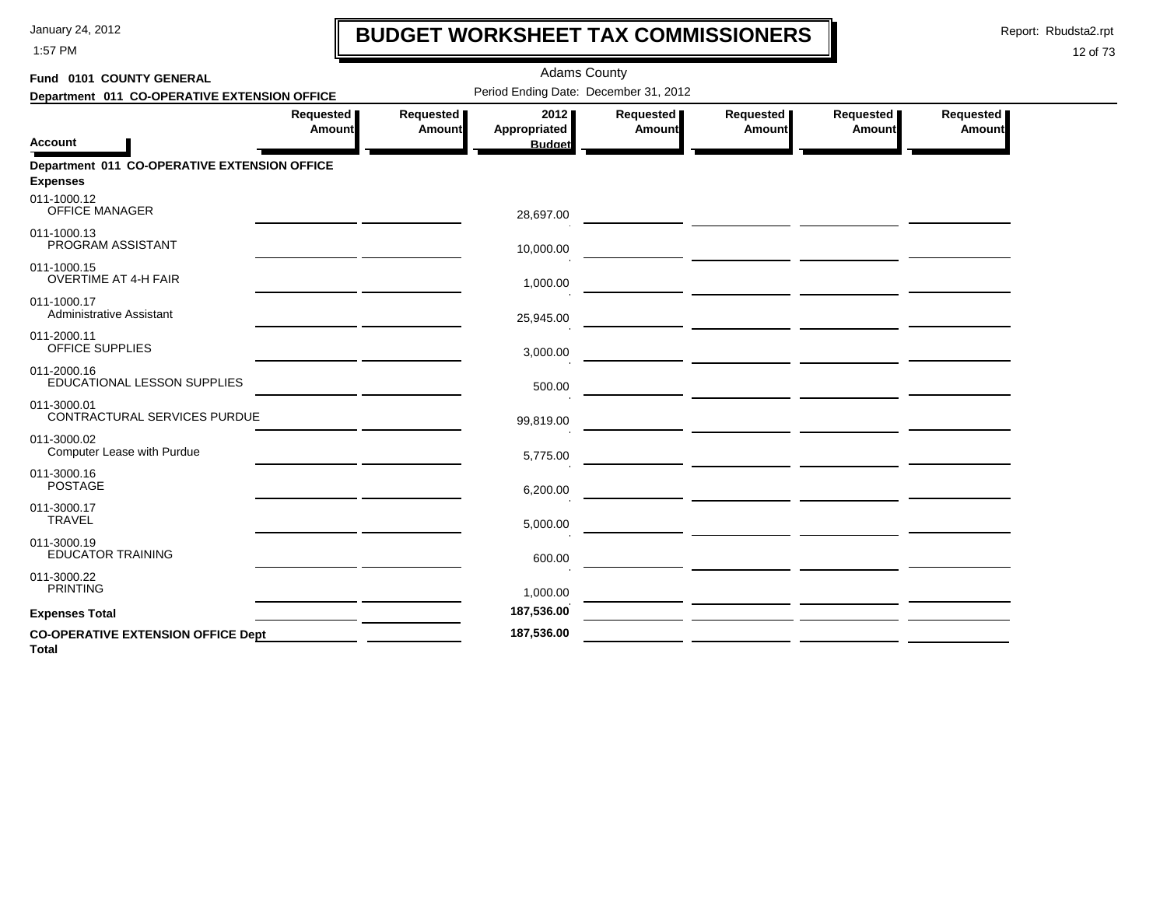1:57 PM

# **BUDGET WORKSHEET TAX COMMISSIONERS**

Report: Rbudsta2.rpt

 $\mathbf l$ 

| Fund 0101 COUNTY GENERAL                                  | <b>Adams County</b><br>Period Ending Date: December 31, 2012 |                     |                                       |                     |                     |                     |                     |  |  |  |
|-----------------------------------------------------------|--------------------------------------------------------------|---------------------|---------------------------------------|---------------------|---------------------|---------------------|---------------------|--|--|--|
| Department 011 CO-OPERATIVE EXTENSION OFFICE              |                                                              |                     |                                       |                     |                     |                     |                     |  |  |  |
| <b>Account</b>                                            | Requested<br><b>Amount</b>                                   | Requested<br>Amount | 2012<br>Appropriated<br><b>Budget</b> | Requested<br>Amount | Requested<br>Amount | Requested<br>Amount | Requested<br>Amount |  |  |  |
| Department 011 CO-OPERATIVE EXTENSION OFFICE              |                                                              |                     |                                       |                     |                     |                     |                     |  |  |  |
| <b>Expenses</b>                                           |                                                              |                     |                                       |                     |                     |                     |                     |  |  |  |
| 011-1000.12<br><b>OFFICE MANAGER</b>                      |                                                              |                     | 28,697.00                             |                     |                     |                     |                     |  |  |  |
| 011-1000.13<br>PROGRAM ASSISTANT                          |                                                              |                     | 10,000.00                             |                     |                     |                     |                     |  |  |  |
| 011-1000.15<br><b>OVERTIME AT 4-H FAIR</b>                |                                                              |                     | 1,000.00                              |                     |                     |                     |                     |  |  |  |
| 011-1000.17<br><b>Administrative Assistant</b>            |                                                              |                     | 25,945.00                             |                     |                     |                     |                     |  |  |  |
| 011-2000.11<br>OFFICE SUPPLIES                            |                                                              |                     | 3,000.00                              |                     |                     |                     |                     |  |  |  |
| 011-2000.16<br>EDUCATIONAL LESSON SUPPLIES                |                                                              |                     | 500.00                                |                     |                     |                     |                     |  |  |  |
| 011-3000.01<br>CONTRACTURAL SERVICES PURDUE               |                                                              |                     | 99,819.00                             |                     |                     |                     |                     |  |  |  |
| 011-3000.02<br>Computer Lease with Purdue                 |                                                              |                     | 5,775.00                              |                     |                     |                     |                     |  |  |  |
| 011-3000.16<br><b>POSTAGE</b>                             |                                                              |                     | 6,200.00                              |                     |                     |                     |                     |  |  |  |
| 011-3000.17<br><b>TRAVEL</b>                              |                                                              |                     | 5,000.00                              |                     |                     |                     |                     |  |  |  |
| 011-3000.19<br><b>EDUCATOR TRAINING</b>                   |                                                              |                     | 600.00                                |                     |                     |                     |                     |  |  |  |
| 011-3000.22<br><b>PRINTING</b>                            |                                                              |                     | 1,000.00                              |                     |                     |                     |                     |  |  |  |
| <b>Expenses Total</b>                                     |                                                              |                     | 187,536.00                            |                     |                     |                     |                     |  |  |  |
| <b>CO-OPERATIVE EXTENSION OFFICE Dept</b><br><b>Total</b> |                                                              |                     | 187,536.00                            |                     |                     |                     |                     |  |  |  |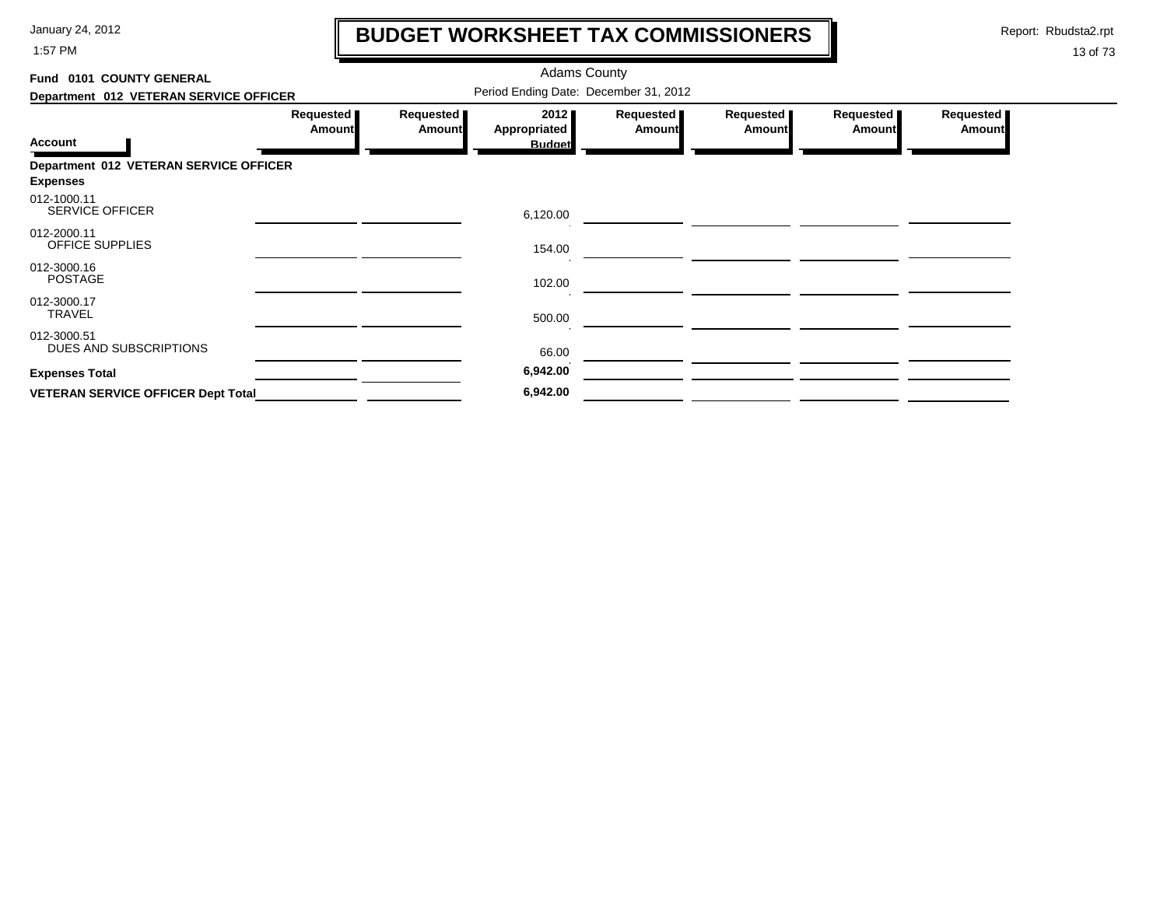1:57 PM

# **BUDGET WORKSHEET TAX COMMISSIONERS**

Report: Rbudsta2.rpt

 $\mathbf \mathbf I$ 

| Fund 0101 COUNTY GENERAL                  |                            |                            | <b>Adams County</b>                   |                     |                     |                            |                     |
|-------------------------------------------|----------------------------|----------------------------|---------------------------------------|---------------------|---------------------|----------------------------|---------------------|
| Department 012 VETERAN SERVICE OFFICER    |                            |                            | Period Ending Date: December 31, 2012 |                     |                     |                            |                     |
| <b>Account</b>                            | Requested<br><b>Amount</b> | Requested<br><b>Amount</b> | 2012<br>Appropriated<br><b>Budget</b> | Requested<br>Amount | Requested<br>Amount | Requested<br><b>Amount</b> | Requested<br>Amount |
| Department 012 VETERAN SERVICE OFFICER    |                            |                            |                                       |                     |                     |                            |                     |
| <b>Expenses</b>                           |                            |                            |                                       |                     |                     |                            |                     |
| 012-1000.11<br><b>SERVICE OFFICER</b>     |                            |                            | 6,120.00                              |                     |                     |                            |                     |
| 012-2000.11<br>OFFICE SUPPLIES            |                            |                            | 154.00                                |                     |                     |                            |                     |
| 012-3000.16<br><b>POSTAGE</b>             |                            |                            | 102.00                                |                     |                     |                            |                     |
| 012-3000.17<br>TRAVEL                     |                            |                            | 500.00                                |                     |                     |                            |                     |
| 012-3000.51<br>DUES AND SUBSCRIPTIONS     |                            |                            | 66.00                                 |                     |                     |                            |                     |
| <b>Expenses Total</b>                     |                            |                            | 6,942.00                              |                     |                     |                            |                     |
| <b>VETERAN SERVICE OFFICER Dept Total</b> |                            |                            | 6,942.00                              |                     |                     |                            |                     |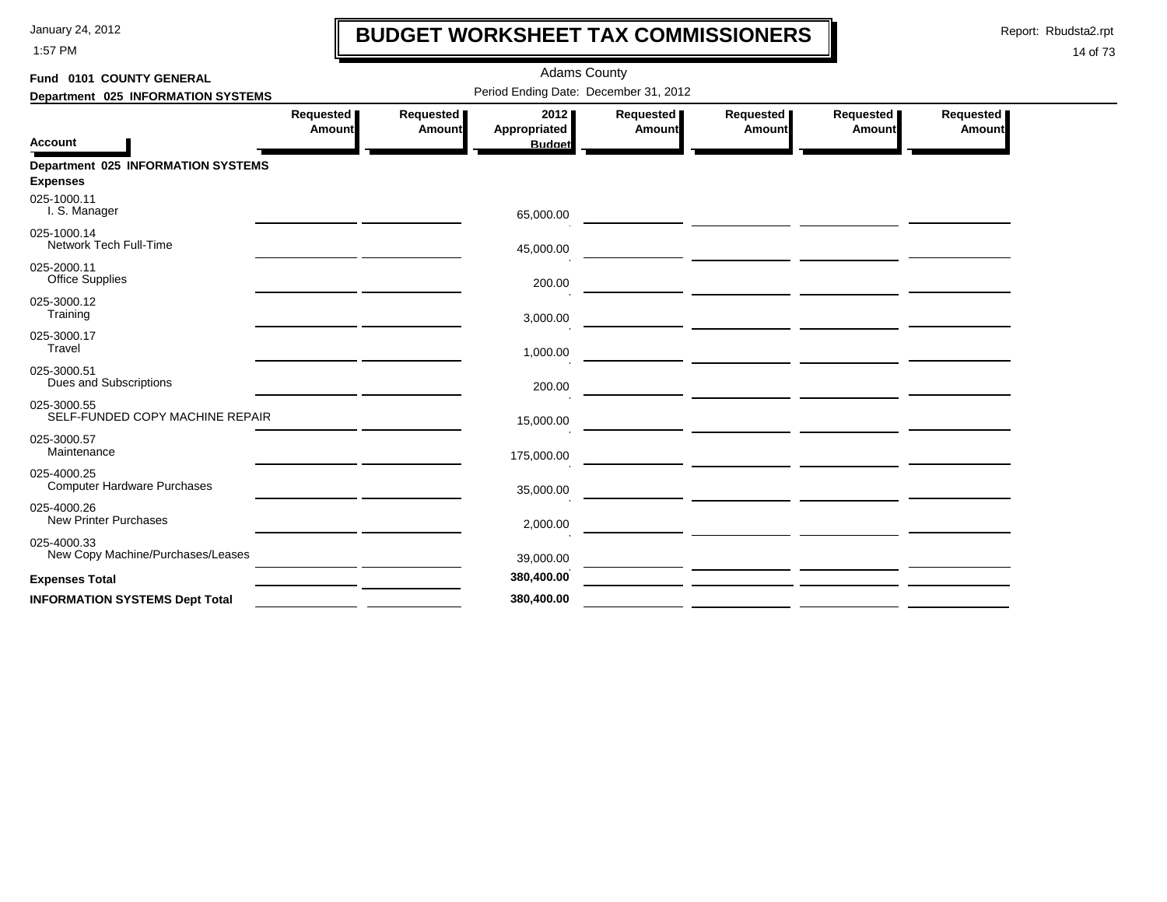1:57 PM

# **BUDGET WORKSHEET TAX COMMISSIONERS**

Report: Rbudsta2.rpt

 $\mathbf l$ 

| Fund 0101 COUNTY GENERAL                                     |                       |                     | <b>Adams County</b>                   |                     |                     |                     |                     |
|--------------------------------------------------------------|-----------------------|---------------------|---------------------------------------|---------------------|---------------------|---------------------|---------------------|
| Department 025 INFORMATION SYSTEMS                           |                       |                     | Period Ending Date: December 31, 2012 |                     |                     |                     |                     |
| <b>Account</b>                                               | Requested  <br>Amount | Requested<br>Amount | 2012<br>Appropriated<br><b>Budget</b> | Requested<br>Amount | Requested<br>Amount | Requested<br>Amount | Requested<br>Amount |
| <b>Department 025 INFORMATION SYSTEMS</b><br><b>Expenses</b> |                       |                     |                                       |                     |                     |                     |                     |
| 025-1000.11<br>I. S. Manager                                 |                       |                     | 65,000.00                             |                     |                     |                     |                     |
| 025-1000.14<br>Network Tech Full-Time                        |                       |                     | 45,000.00                             |                     |                     |                     |                     |
| 025-2000.11<br><b>Office Supplies</b>                        |                       |                     | 200.00                                |                     |                     |                     |                     |
| 025-3000.12<br>Training                                      |                       |                     | 3,000.00                              |                     |                     |                     |                     |
| 025-3000.17<br>Travel                                        |                       |                     | 1,000.00                              |                     |                     |                     |                     |
| 025-3000.51<br>Dues and Subscriptions                        |                       |                     | 200.00                                |                     |                     |                     |                     |
| 025-3000.55<br>SELF-FUNDED COPY MACHINE REPAIR               |                       |                     | 15,000.00                             |                     |                     |                     |                     |
| 025-3000.57<br>Maintenance                                   |                       |                     | 175,000.00                            |                     |                     |                     |                     |
| 025-4000.25<br><b>Computer Hardware Purchases</b>            |                       |                     | 35,000.00                             |                     |                     |                     |                     |
| 025-4000.26<br><b>New Printer Purchases</b>                  |                       |                     | 2,000.00                              |                     |                     |                     |                     |
| 025-4000.33<br>New Copy Machine/Purchases/Leases             |                       |                     | 39,000.00                             |                     |                     |                     |                     |
| <b>Expenses Total</b>                                        |                       |                     | 380,400.00                            |                     |                     |                     |                     |
| <b>INFORMATION SYSTEMS Dept Total</b>                        |                       |                     | 380,400.00                            |                     |                     |                     |                     |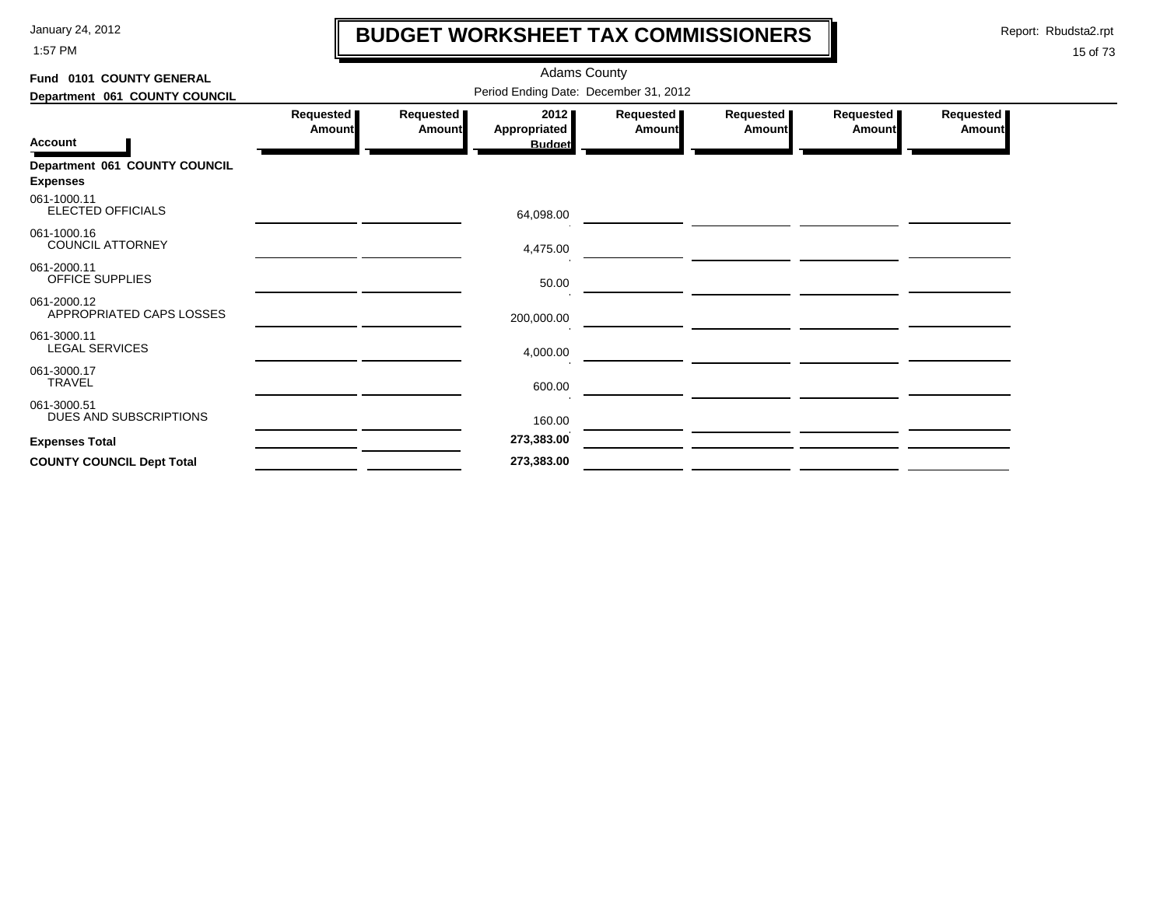1:57 PM

# **BUDGET WORKSHEET TAX COMMISSIONERS**

Report: Rbudsta2.rpt

 $\mathbf l$ 

| Fund 0101 COUNTY GENERAL                         | <b>Adams County</b>                   |                     |                                       |                            |                            |                            |                            |  |  |  |
|--------------------------------------------------|---------------------------------------|---------------------|---------------------------------------|----------------------------|----------------------------|----------------------------|----------------------------|--|--|--|
| Department 061 COUNTY COUNCIL                    | Period Ending Date: December 31, 2012 |                     |                                       |                            |                            |                            |                            |  |  |  |
| <b>Account</b>                                   | Requested<br><b>Amount</b>            | Requested<br>Amount | 2012<br>Appropriated<br><b>Budget</b> | Requested<br><b>Amount</b> | Requested<br><b>Amount</b> | Requested<br><b>Amount</b> | Requested<br><b>Amount</b> |  |  |  |
| Department 061 COUNTY COUNCIL<br><b>Expenses</b> |                                       |                     |                                       |                            |                            |                            |                            |  |  |  |
| 061-1000.11<br><b>ELECTED OFFICIALS</b>          |                                       |                     | 64,098.00                             |                            |                            |                            |                            |  |  |  |
| 061-1000.16<br><b>COUNCIL ATTORNEY</b>           |                                       |                     | 4,475.00                              |                            |                            |                            |                            |  |  |  |
| 061-2000.11<br>OFFICE SUPPLIES                   |                                       |                     | 50.00                                 |                            |                            |                            |                            |  |  |  |
| 061-2000.12<br>APPROPRIATED CAPS LOSSES          |                                       |                     | 200,000.00                            |                            |                            |                            |                            |  |  |  |
| 061-3000.11<br><b>LEGAL SERVICES</b>             |                                       |                     | 4,000.00                              |                            |                            |                            |                            |  |  |  |
| 061-3000.17<br><b>TRAVEL</b>                     |                                       |                     | 600.00                                |                            |                            |                            |                            |  |  |  |
| 061-3000.51<br>DUES AND SUBSCRIPTIONS            |                                       |                     | 160.00                                |                            |                            |                            |                            |  |  |  |
| <b>Expenses Total</b>                            |                                       |                     | 273,383.00                            |                            |                            |                            |                            |  |  |  |
| <b>COUNTY COUNCIL Dept Total</b>                 |                                       |                     | 273,383.00                            |                            |                            |                            |                            |  |  |  |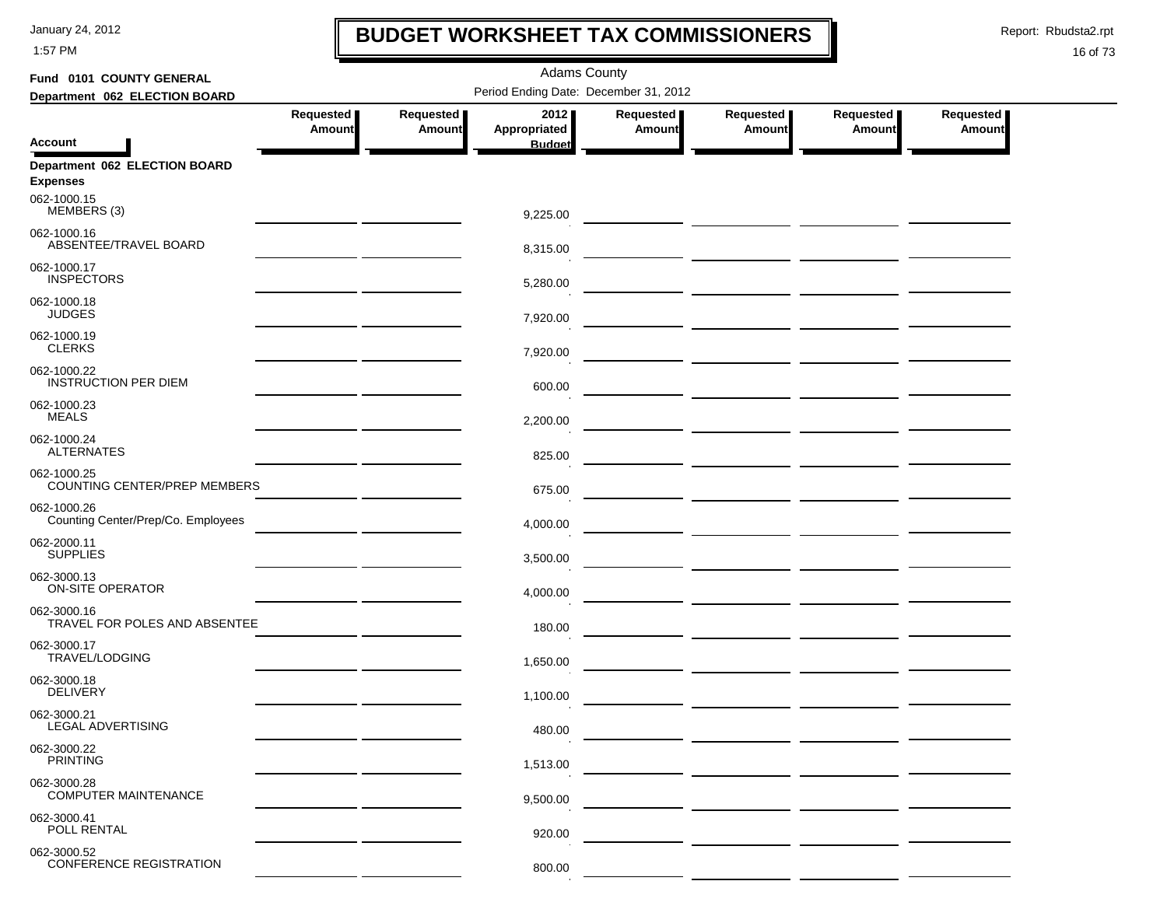1:57 PM

# **BUDGET WORKSHEET TAX COMMISSIONERS**

Report: Rbudsta2.rpt

 $\mathbf \mathbf I$ 

#### 16 of 73

| Fund 0101 COUNTY GENERAL                          | <b>Adams County</b>                   |                            |                      |                            |                                                                                                                            |                            |                            |  |  |  |
|---------------------------------------------------|---------------------------------------|----------------------------|----------------------|----------------------------|----------------------------------------------------------------------------------------------------------------------------|----------------------------|----------------------------|--|--|--|
| Department 062 ELECTION BOARD                     | Period Ending Date: December 31, 2012 |                            |                      |                            |                                                                                                                            |                            |                            |  |  |  |
|                                                   | Requested<br><b>Amount</b>            | Requested<br><b>Amount</b> | 2012<br>Appropriated | Requested<br><b>Amount</b> | Requested<br><b>Amount</b>                                                                                                 | Requested<br><b>Amount</b> | Requested<br><b>Amount</b> |  |  |  |
| <b>Account</b>                                    |                                       |                            | <b>Budget</b>        |                            |                                                                                                                            |                            |                            |  |  |  |
| Department 062 ELECTION BOARD<br><b>Expenses</b>  |                                       |                            |                      |                            |                                                                                                                            |                            |                            |  |  |  |
| 062-1000.15<br>MEMBERS (3)                        |                                       |                            | 9,225.00             |                            |                                                                                                                            |                            |                            |  |  |  |
| 062-1000.16<br>ABSENTEE/TRAVEL BOARD              |                                       |                            | 8,315.00             |                            |                                                                                                                            |                            |                            |  |  |  |
| 062-1000.17<br><b>INSPECTORS</b>                  |                                       |                            | 5,280.00             |                            | <u> 1990 - Johann Harry Harry Harry Harry Harry Harry Harry Harry Harry Harry Harry Harry Harry Harry Harry Harry</u>      |                            |                            |  |  |  |
| 062-1000.18<br><b>JUDGES</b>                      |                                       |                            | 7,920.00             |                            |                                                                                                                            |                            |                            |  |  |  |
| 062-1000.19<br><b>CLERKS</b>                      |                                       |                            | 7,920.00             |                            | <u> The Common State Common State Common Sta</u>                                                                           |                            |                            |  |  |  |
| 062-1000.22<br><b>INSTRUCTION PER DIEM</b>        |                                       |                            | 600.00               |                            |                                                                                                                            |                            |                            |  |  |  |
| 062-1000.23<br><b>MEALS</b>                       |                                       |                            | 2,200.00             |                            |                                                                                                                            |                            |                            |  |  |  |
| 062-1000.24<br><b>ALTERNATES</b>                  |                                       |                            | 825.00               |                            |                                                                                                                            |                            |                            |  |  |  |
| 062-1000.25<br>COUNTING CENTER/PREP MEMBERS       |                                       |                            | 675.00               |                            | — <u>— — — — — — — — — — — — —</u>                                                                                         |                            |                            |  |  |  |
| 062-1000.26<br>Counting Center/Prep/Co. Employees |                                       |                            | 4,000.00             |                            |                                                                                                                            |                            |                            |  |  |  |
| 062-2000.11<br><b>SUPPLIES</b>                    |                                       |                            | 3,500.00             |                            |                                                                                                                            |                            |                            |  |  |  |
| 062-3000.13<br>ON-SITE OPERATOR                   |                                       |                            | 4,000.00             |                            |                                                                                                                            |                            |                            |  |  |  |
| 062-3000.16<br>TRAVEL FOR POLES AND ABSENTEE      |                                       |                            | 180.00               |                            |                                                                                                                            |                            |                            |  |  |  |
| 062-3000.17<br>TRAVEL/LODGING                     |                                       |                            | 1,650.00             |                            |                                                                                                                            |                            |                            |  |  |  |
| 062-3000.18<br><b>DELIVERY</b>                    |                                       |                            | 1,100.00             |                            | <u>and</u> the contract of the contract of the contract of the contract of the contract of the contract of the contract of |                            |                            |  |  |  |
| 062-3000.21<br>LEGAL ADVERTISING                  |                                       |                            | 480.00               |                            |                                                                                                                            |                            |                            |  |  |  |
| 062-3000.22<br><b>PRINTING</b>                    |                                       |                            | 1,513.00             |                            |                                                                                                                            |                            |                            |  |  |  |
| 062-3000.28<br><b>COMPUTER MAINTENANCE</b>        |                                       |                            | 9,500.00             |                            |                                                                                                                            |                            |                            |  |  |  |
| 062-3000.41<br>POLL RENTAL                        |                                       |                            | 920.00               |                            |                                                                                                                            |                            |                            |  |  |  |
| 062-3000.52<br><b>CONFERENCE REGISTRATION</b>     |                                       |                            | 800.00               |                            |                                                                                                                            |                            |                            |  |  |  |

 $\mathbf{r}$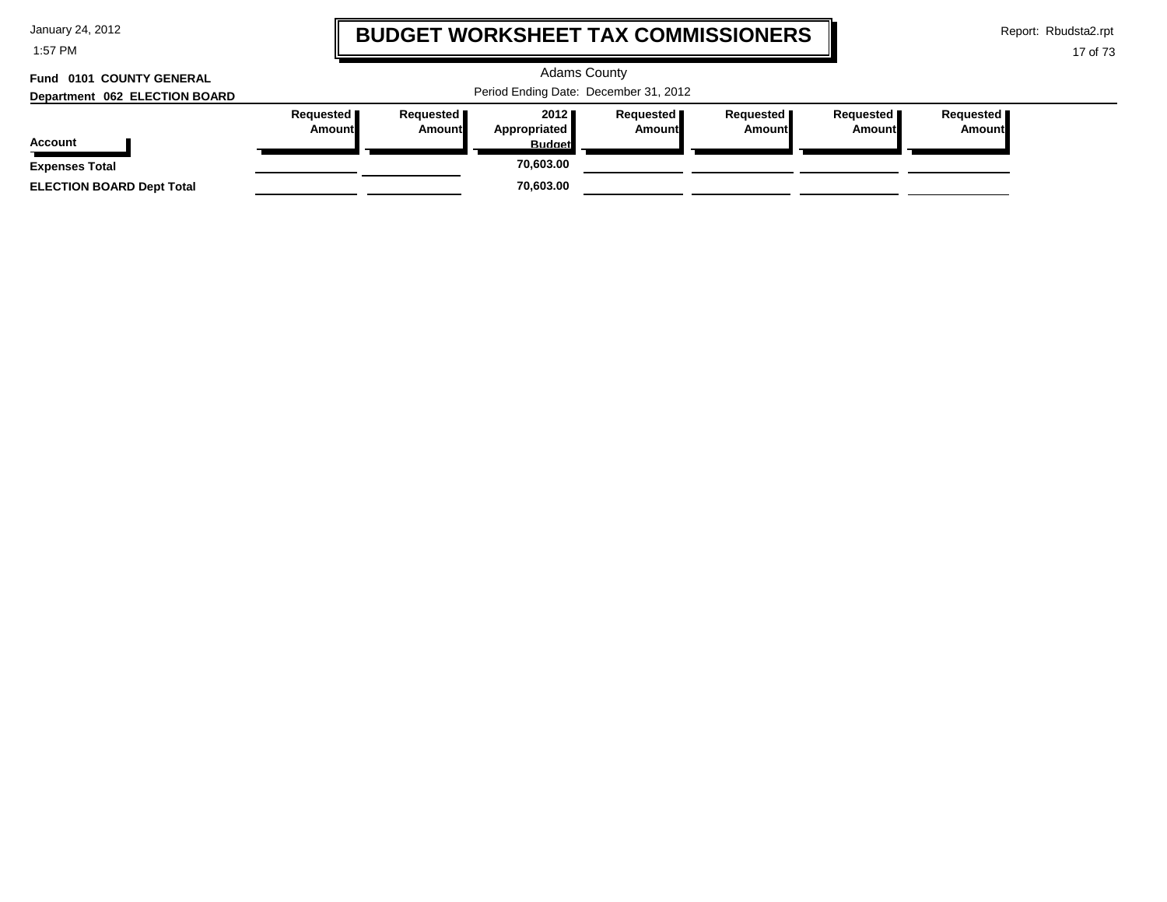1:57 PM

# **BUDGET WORKSHEET TAX COMMISSIONERS**

Report: Rbudsta2.rpt

 $\mathbf \mathbf I$ 

| 0101 COUNTY GENERAL<br>Fund      |                                       |                                     |                                              | <b>Adams County</b>          |                              |                              |                       |  |
|----------------------------------|---------------------------------------|-------------------------------------|----------------------------------------------|------------------------------|------------------------------|------------------------------|-----------------------|--|
| Department 062 ELECTION BOARD    | Period Ending Date: December 31, 2012 |                                     |                                              |                              |                              |                              |                       |  |
| <b>Account</b>                   | Requested <b>II</b><br>Amount         | Requested <b>I</b><br><b>Amount</b> | 2012<br><b>Appropriated</b><br><b>Budget</b> | Requested <b>I</b><br>Amount | Requested <b>I</b><br>Amount | <b>Requested I</b><br>Amount | Requested I<br>Amount |  |
| <b>Expenses Total</b>            |                                       |                                     | 70.603.00                                    |                              |                              |                              |                       |  |
| <b>ELECTION BOARD Dept Total</b> |                                       |                                     | 70,603.00                                    |                              |                              |                              |                       |  |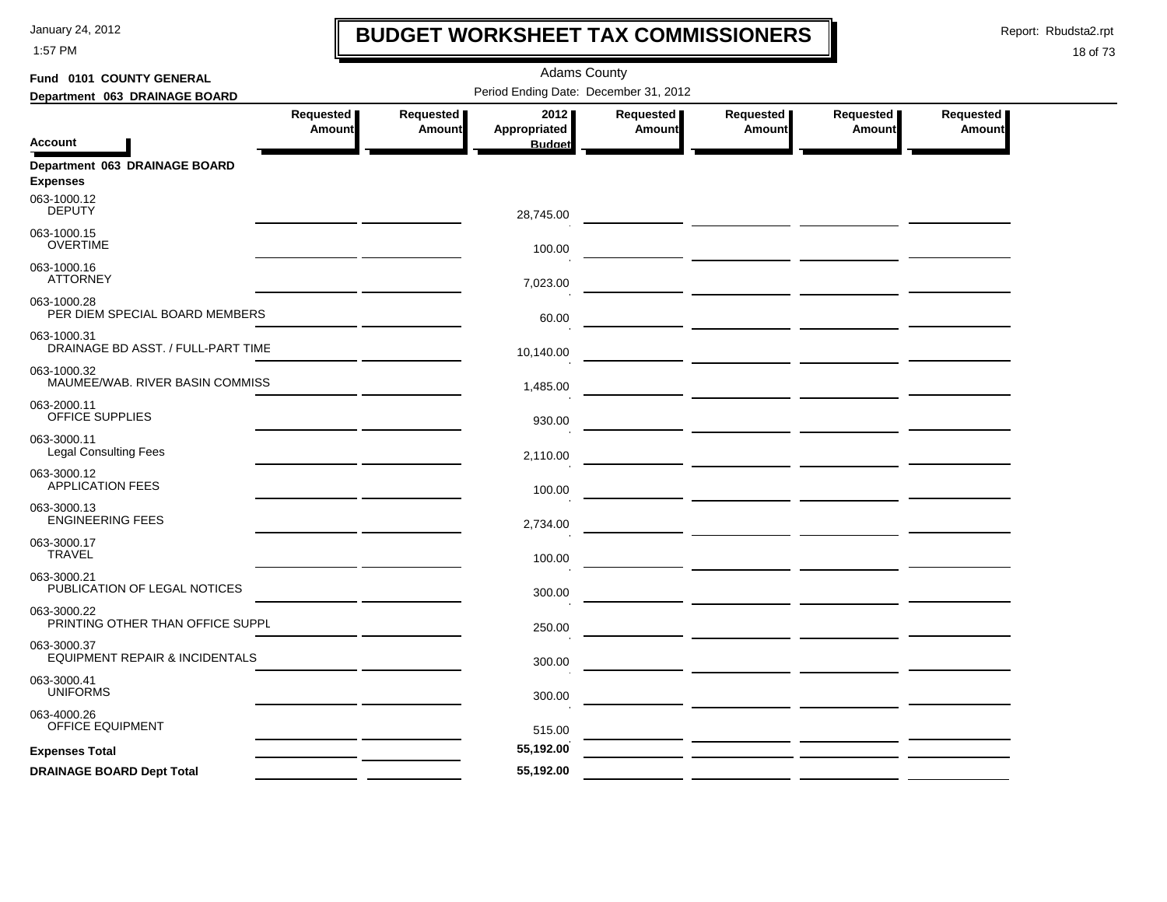1:57 PM

# **BUDGET WORKSHEET TAX COMMISSIONERS**

Report: Rbudsta2.rpt

 $\mathbf l$ 

| Fund 0101 COUNTY GENERAL                                 |                                   |                            | <b>Adams County</b>                   |                            |                                                                                                                       |                            |                     |
|----------------------------------------------------------|-----------------------------------|----------------------------|---------------------------------------|----------------------------|-----------------------------------------------------------------------------------------------------------------------|----------------------------|---------------------|
| Department 063 DRAINAGE BOARD                            |                                   |                            | Period Ending Date: December 31, 2012 |                            |                                                                                                                       |                            |                     |
| Account                                                  | <b>Requested</b><br><b>Amount</b> | Requested<br><b>Amount</b> | 2012<br>Appropriated<br><b>Budget</b> | Requested<br><b>Amount</b> | Requested<br>Amount                                                                                                   | Requested<br><b>Amount</b> | Requested<br>Amount |
| Department 063 DRAINAGE BOARD                            |                                   |                            |                                       |                            |                                                                                                                       |                            |                     |
| <b>Expenses</b>                                          |                                   |                            |                                       |                            |                                                                                                                       |                            |                     |
| 063-1000.12<br><b>DEPUTY</b>                             |                                   |                            | 28,745.00                             |                            | <u> 1980 - Johann Barbara, martxa a shekara 1980 - An tsaran 1980 - An tsaran 1980 - An tsaran 1980 - An tsaran 1</u> |                            |                     |
| 063-1000.15<br><b>OVERTIME</b>                           |                                   |                            | 100.00                                |                            | <u> 1989 - Andrea Andrew Maria (b. 1989)</u>                                                                          |                            |                     |
| 063-1000.16<br><b>ATTORNEY</b>                           |                                   |                            | 7,023.00                              |                            |                                                                                                                       |                            |                     |
| 063-1000.28<br>PER DIEM SPECIAL BOARD MEMBERS            |                                   |                            | 60.00                                 |                            |                                                                                                                       |                            |                     |
| 063-1000.31<br>DRAINAGE BD ASST. / FULL-PART TIME        |                                   |                            | 10,140.00                             |                            |                                                                                                                       |                            |                     |
| 063-1000.32<br>MAUMEE/WAB. RIVER BASIN COMMISS           |                                   |                            | 1,485.00                              |                            |                                                                                                                       |                            |                     |
| 063-2000.11<br>OFFICE SUPPLIES                           |                                   |                            | 930.00                                |                            | <u> Alban a shekara ta 1999 a shekara ta 1999 a shekara ta 1999 a shekara ta 1991 a shekara ta 1991 a shekara t</u>   |                            |                     |
| 063-3000.11<br><b>Legal Consulting Fees</b>              |                                   |                            | 2,110.00                              |                            |                                                                                                                       |                            |                     |
| 063-3000.12<br><b>APPLICATION FEES</b>                   |                                   |                            | 100.00                                |                            |                                                                                                                       |                            |                     |
| 063-3000.13<br><b>ENGINEERING FEES</b>                   |                                   |                            | 2,734.00                              |                            |                                                                                                                       |                            |                     |
| 063-3000.17<br><b>TRAVEL</b>                             |                                   |                            | 100.00                                |                            |                                                                                                                       |                            |                     |
| 063-3000.21<br>PUBLICATION OF LEGAL NOTICES              |                                   |                            | 300.00                                |                            |                                                                                                                       |                            |                     |
| 063-3000.22<br>PRINTING OTHER THAN OFFICE SUPPL          |                                   |                            | 250.00                                |                            |                                                                                                                       |                            |                     |
| 063-3000.37<br><b>EQUIPMENT REPAIR &amp; INCIDENTALS</b> |                                   |                            | 300.00                                |                            |                                                                                                                       |                            |                     |
| 063-3000.41<br><b>UNIFORMS</b>                           |                                   |                            | 300.00                                |                            | <u> 1989 - Johann Marie Barn, mars an t-Amerikaansk kommunister (</u>                                                 |                            |                     |
| 063-4000.26<br>OFFICE EQUIPMENT                          |                                   |                            | 515.00                                |                            |                                                                                                                       |                            |                     |
| <b>Expenses Total</b>                                    |                                   |                            | 55,192.00                             |                            |                                                                                                                       |                            |                     |
| <b>DRAINAGE BOARD Dept Total</b>                         |                                   |                            | 55,192.00                             |                            |                                                                                                                       |                            |                     |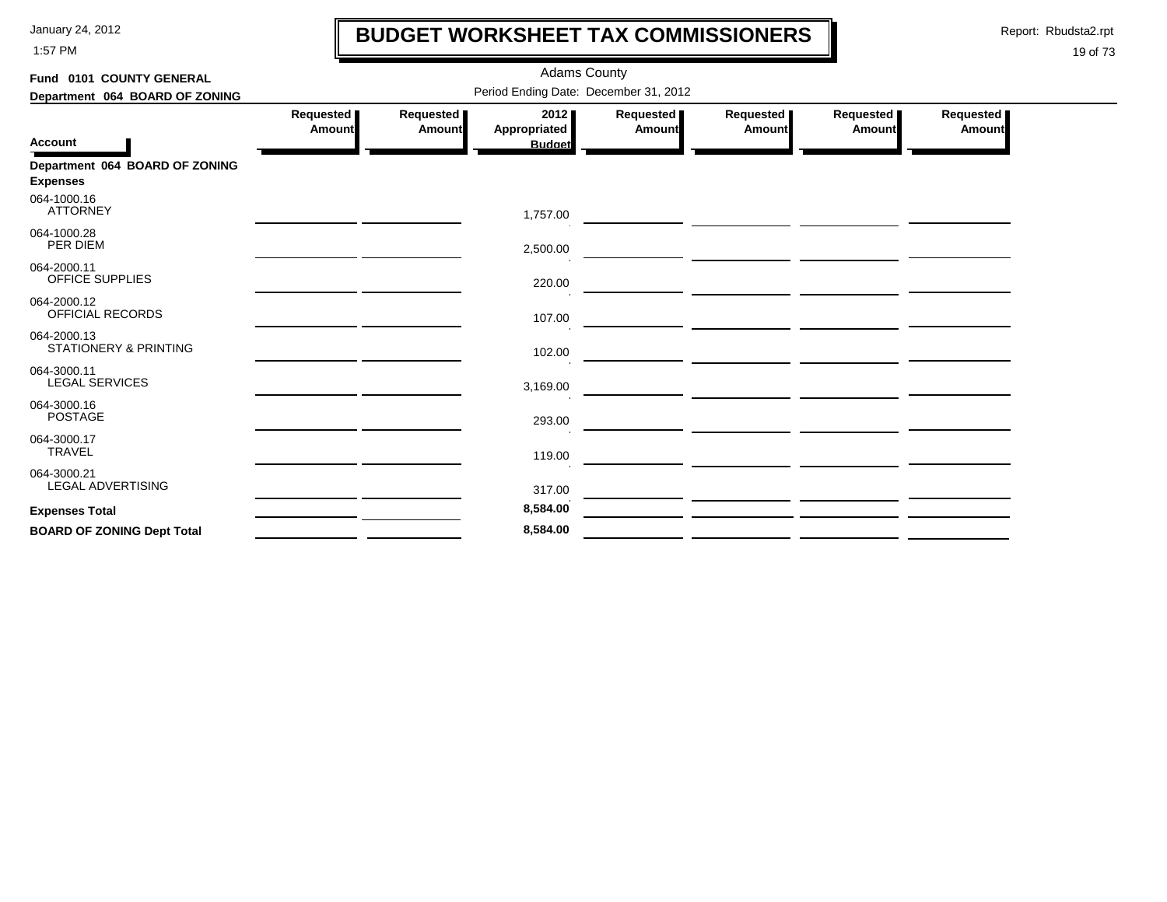1:57 PM

# **BUDGET WORKSHEET TAX COMMISSIONERS**

Report: Rbudsta2.rpt

 $\mathbf l$ 

| Fund 0101 COUNTY GENERAL                          |                            |                                       |                             |                            |                                                                                                                       |                       |                            |  |  |  |  |
|---------------------------------------------------|----------------------------|---------------------------------------|-----------------------------|----------------------------|-----------------------------------------------------------------------------------------------------------------------|-----------------------|----------------------------|--|--|--|--|
| Department 064 BOARD OF ZONING                    |                            | Period Ending Date: December 31, 2012 |                             |                            |                                                                                                                       |                       |                            |  |  |  |  |
|                                                   | Requested<br><b>Amount</b> | Requested<br>Amount                   | 2012<br><b>Appropriated</b> | Requested<br><b>Amount</b> | Requested<br><b>Amount</b>                                                                                            | Requested  <br>Amount | Requested<br><b>Amount</b> |  |  |  |  |
| <b>Account</b>                                    |                            |                                       | <b>Budget</b>               |                            |                                                                                                                       |                       |                            |  |  |  |  |
| Department 064 BOARD OF ZONING<br><b>Expenses</b> |                            |                                       |                             |                            |                                                                                                                       |                       |                            |  |  |  |  |
| 064-1000.16<br><b>ATTORNEY</b>                    |                            |                                       | 1,757.00                    |                            |                                                                                                                       |                       |                            |  |  |  |  |
| 064-1000.28<br>PER DIEM                           |                            |                                       | 2,500.00                    |                            | <u> 1980 - Johann Barbara, markazi ya kutoka mwaka wa 1980 - Andrea Markazi ya Kisara kutoka mwaka wa 1980 - Andr</u> |                       |                            |  |  |  |  |
| 064-2000.11<br><b>OFFICE SUPPLIES</b>             |                            |                                       | 220.00                      |                            | the contract of the contract of the contract of the contract of the contract of the contract of the contract of       |                       |                            |  |  |  |  |
| 064-2000.12<br>OFFICIAL RECORDS                   |                            |                                       | 107.00                      |                            |                                                                                                                       |                       |                            |  |  |  |  |
| 064-2000.13<br><b>STATIONERY &amp; PRINTING</b>   |                            |                                       | 102.00                      |                            |                                                                                                                       |                       |                            |  |  |  |  |
| 064-3000.11<br><b>LEGAL SERVICES</b>              |                            |                                       | 3,169.00                    |                            |                                                                                                                       |                       |                            |  |  |  |  |
| 064-3000.16<br><b>POSTAGE</b>                     |                            |                                       | 293.00                      |                            |                                                                                                                       |                       |                            |  |  |  |  |
| 064-3000.17<br><b>TRAVEL</b>                      |                            |                                       | 119.00                      |                            |                                                                                                                       |                       |                            |  |  |  |  |
| 064-3000.21<br><b>LEGAL ADVERTISING</b>           |                            |                                       | 317.00                      |                            |                                                                                                                       |                       |                            |  |  |  |  |
| <b>Expenses Total</b>                             |                            |                                       | 8,584.00                    |                            |                                                                                                                       |                       |                            |  |  |  |  |
| <b>BOARD OF ZONING Dept Total</b>                 |                            |                                       | 8,584.00                    |                            |                                                                                                                       |                       |                            |  |  |  |  |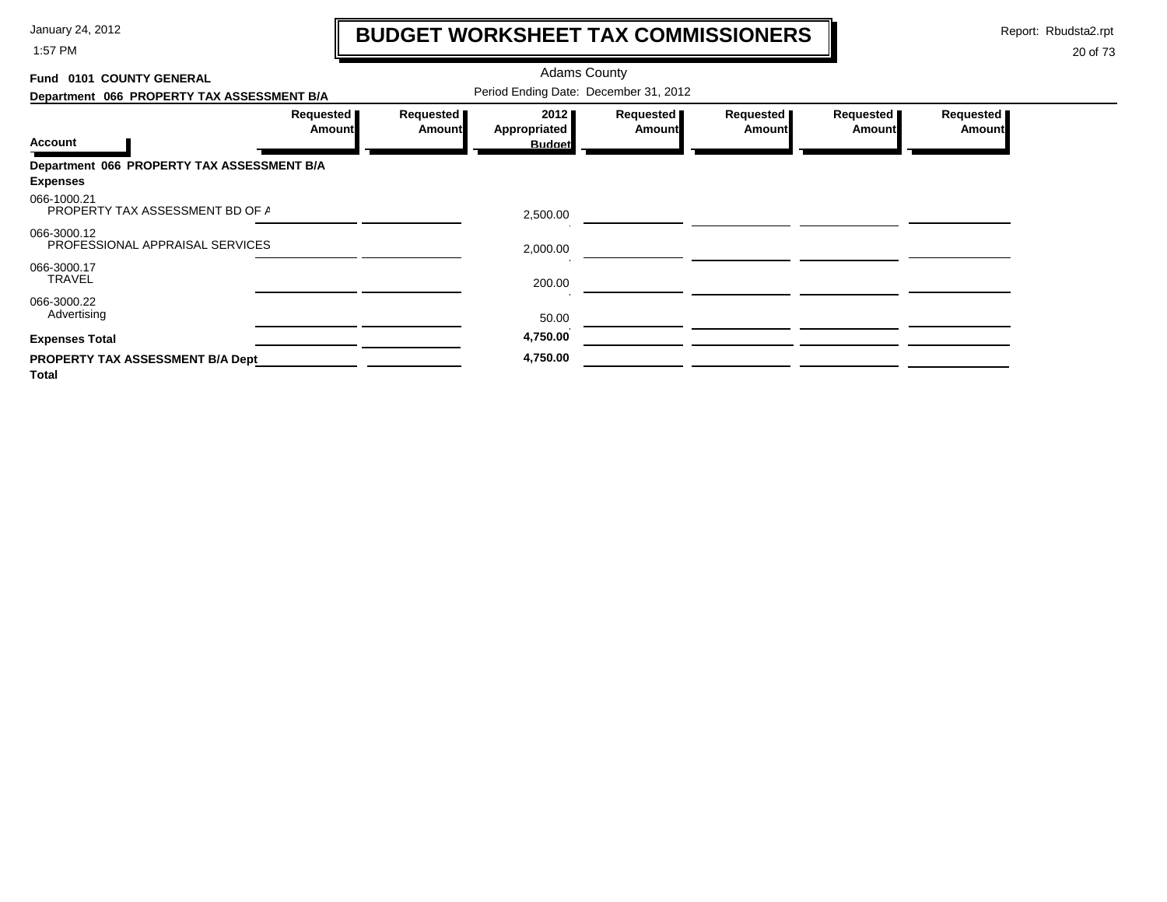1:57 PM

# **BUDGET WORKSHEET TAX COMMISSIONERS**

Report: Rbudsta2.rpt

 $\mathbf l$ 

| 0101 COUNTY GENERAL<br>Fund                    |                            |                            | <b>Adams County</b>                   |                            |                            |                     |                     |
|------------------------------------------------|----------------------------|----------------------------|---------------------------------------|----------------------------|----------------------------|---------------------|---------------------|
| Department 066 PROPERTY TAX ASSESSMENT B/A     |                            |                            | Period Ending Date: December 31, 2012 |                            |                            |                     |                     |
|                                                | Requested<br><b>Amount</b> | Requested<br><b>Amount</b> | 2012<br><b>Appropriated</b>           | Requested<br><b>Amount</b> | Requested<br><b>Amount</b> | Requested<br>Amount | Requested<br>Amount |
| <b>Account</b>                                 |                            |                            | <b>Budget</b>                         |                            |                            |                     |                     |
| Department 066 PROPERTY TAX ASSESSMENT B/A     |                            |                            |                                       |                            |                            |                     |                     |
| <b>Expenses</b>                                |                            |                            |                                       |                            |                            |                     |                     |
| 066-1000.21<br>PROPERTY TAX ASSESSMENT BD OF A |                            |                            | 2,500.00                              |                            |                            |                     |                     |
| 066-3000.12<br>PROFESSIONAL APPRAISAL SERVICES |                            |                            | 2,000.00                              |                            |                            |                     |                     |
| 066-3000.17<br><b>TRAVEL</b>                   |                            |                            | 200.00                                |                            |                            |                     |                     |
| 066-3000.22<br>Advertising                     |                            |                            | 50.00                                 |                            |                            |                     |                     |
| <b>Expenses Total</b>                          |                            |                            | 4,750.00                              |                            |                            |                     |                     |
| PROPERTY TAX ASSESSMENT B/A Dept               |                            |                            | 4,750.00                              |                            |                            |                     |                     |
| <b>Total</b>                                   |                            |                            |                                       |                            |                            |                     |                     |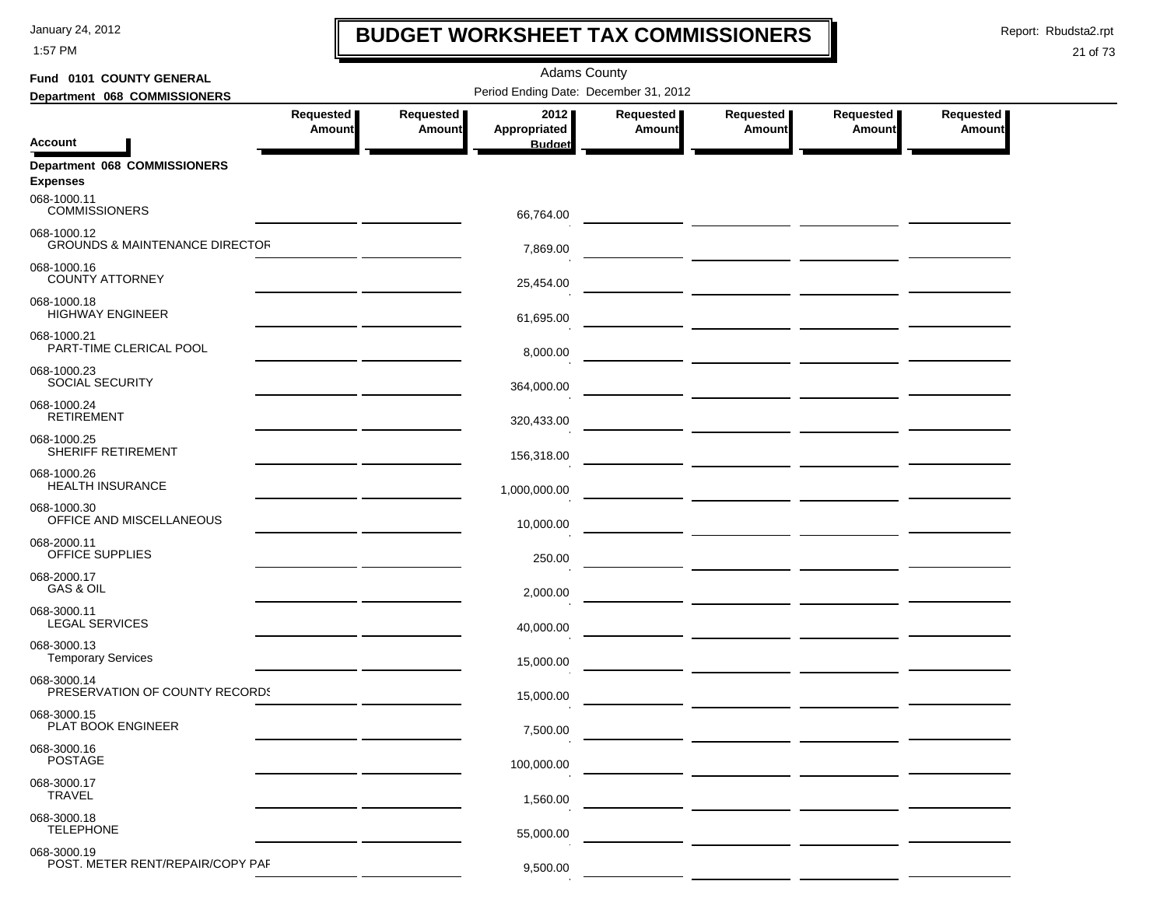1:57 PM

## **BUDGET WORKSHEET TAX COMMISSIONERS**

Report: Rbudsta2.rpt

 $\mathbf I$ 

| Fund 0101 COUNTY GENERAL                                 | <b>Adams County</b> |                            |                                       |                     |                                                                                                                       |                     |                     |  |  |  |
|----------------------------------------------------------|---------------------|----------------------------|---------------------------------------|---------------------|-----------------------------------------------------------------------------------------------------------------------|---------------------|---------------------|--|--|--|
| Department 068 COMMISSIONERS                             |                     |                            | Period Ending Date: December 31, 2012 |                     |                                                                                                                       |                     |                     |  |  |  |
|                                                          | Requested<br>Amount | Requested<br><b>Amount</b> | 2012<br>Appropriated                  | Requested<br>Amount | Requested<br>Amount                                                                                                   | Requested<br>Amount | Requested<br>Amount |  |  |  |
| Account                                                  |                     |                            | <b>Budget</b>                         |                     |                                                                                                                       |                     |                     |  |  |  |
| <b>Department 068 COMMISSIONERS</b><br><b>Expenses</b>   |                     |                            |                                       |                     |                                                                                                                       |                     |                     |  |  |  |
| 068-1000.11<br><b>COMMISSIONERS</b>                      |                     |                            | 66,764.00                             |                     |                                                                                                                       |                     |                     |  |  |  |
| 068-1000.12<br><b>GROUNDS &amp; MAINTENANCE DIRECTOR</b> |                     |                            | 7,869.00                              |                     |                                                                                                                       |                     |                     |  |  |  |
| 068-1000.16<br><b>COUNTY ATTORNEY</b>                    |                     |                            | 25,454.00                             |                     |                                                                                                                       |                     |                     |  |  |  |
| 068-1000.18<br><b>HIGHWAY ENGINEER</b>                   |                     |                            | 61,695.00                             |                     |                                                                                                                       |                     |                     |  |  |  |
| 068-1000.21<br>PART-TIME CLERICAL POOL                   |                     |                            | 8,000.00                              |                     |                                                                                                                       |                     |                     |  |  |  |
| 068-1000.23<br>SOCIAL SECURITY                           |                     |                            | 364,000.00                            |                     |                                                                                                                       |                     |                     |  |  |  |
| 068-1000.24<br><b>RETIREMENT</b>                         |                     |                            | 320,433.00                            |                     |                                                                                                                       |                     |                     |  |  |  |
| 068-1000.25<br><b>SHERIFF RETIREMENT</b>                 |                     |                            | 156,318.00                            |                     |                                                                                                                       |                     |                     |  |  |  |
| 068-1000.26<br><b>HEALTH INSURANCE</b>                   |                     |                            | 1,000,000.00                          |                     |                                                                                                                       |                     |                     |  |  |  |
| 068-1000.30<br>OFFICE AND MISCELLANEOUS                  |                     |                            | 10,000.00                             |                     |                                                                                                                       |                     |                     |  |  |  |
| 068-2000.11<br>OFFICE SUPPLIES                           |                     |                            | 250.00                                |                     |                                                                                                                       |                     |                     |  |  |  |
| 068-2000.17<br>GAS & OIL                                 |                     |                            | 2,000.00                              |                     |                                                                                                                       |                     |                     |  |  |  |
| 068-3000.11<br><b>LEGAL SERVICES</b>                     |                     |                            | 40,000.00                             |                     |                                                                                                                       |                     |                     |  |  |  |
| 068-3000.13<br><b>Temporary Services</b>                 |                     |                            | 15,000.00                             |                     | <u> 1990 - Johann Harry Harry Harry Harry Harry Harry Harry Harry Harry Harry Harry Harry Harry Harry Harry Harry</u> |                     |                     |  |  |  |
| 068-3000.14<br>PRESERVATION OF COUNTY RECORDS            |                     |                            | 15,000.00                             |                     |                                                                                                                       |                     |                     |  |  |  |
| 068-3000.15<br>PLAT BOOK ENGINEER                        |                     |                            | 7,500.00                              |                     |                                                                                                                       |                     |                     |  |  |  |
| 068-3000.16<br>POSTAGE                                   |                     |                            | 100,000.00                            |                     |                                                                                                                       |                     |                     |  |  |  |
| 068-3000.17<br><b>TRAVEL</b>                             |                     |                            | 1,560.00                              |                     |                                                                                                                       |                     |                     |  |  |  |
| 068-3000.18<br><b>TELEPHONE</b>                          |                     |                            | 55,000.00                             |                     |                                                                                                                       |                     |                     |  |  |  |
| 068-3000.19<br>POST. METER RENT/REPAIR/COPY PAF          |                     |                            | 9,500.00                              |                     |                                                                                                                       |                     |                     |  |  |  |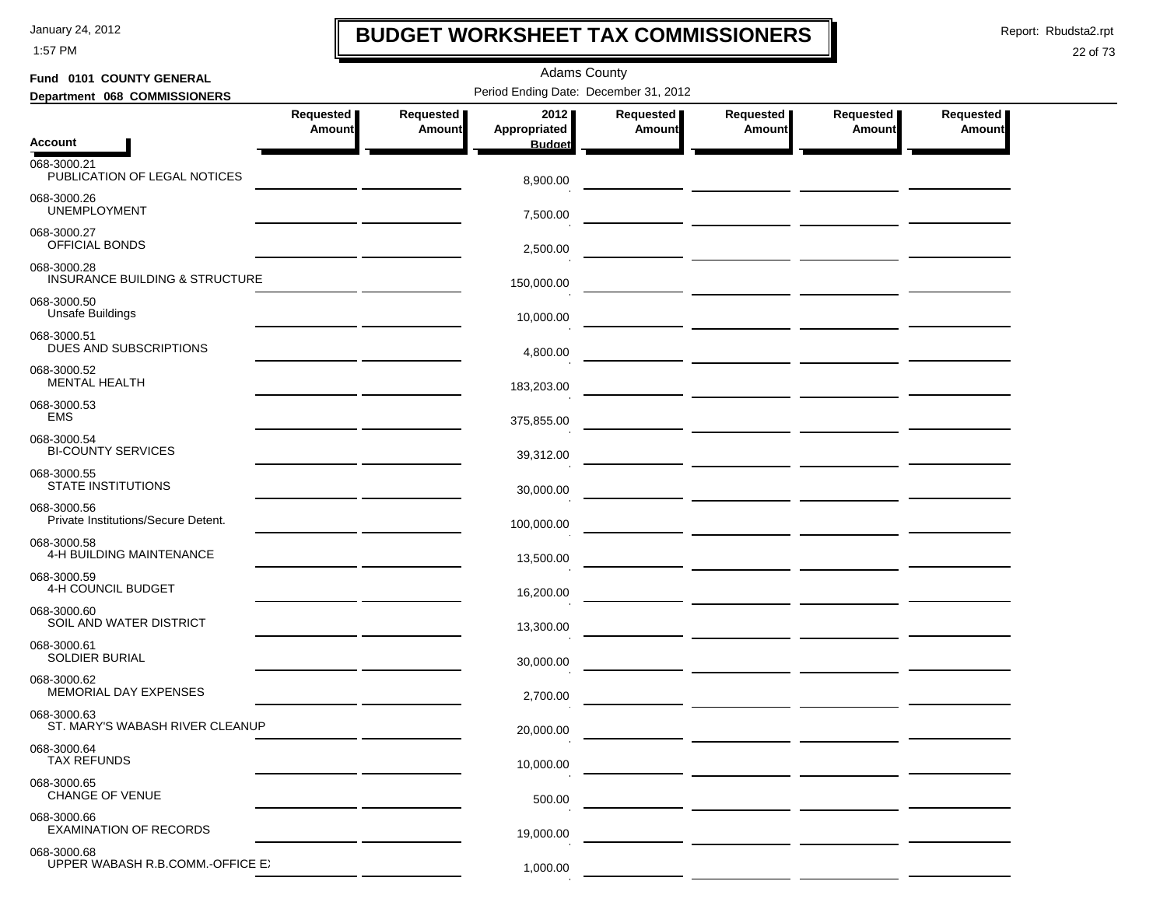1:57 PM

## **BUDGET WORKSHEET TAX COMMISSIONERS**

Report: Rbudsta2.rpt

 $\mathbf I$ 

| Fund 0101 COUNTY GENERAL                                      | <b>Adams County</b>                            |                                       |                      |                            |                                      |                            |                            |  |  |  |  |
|---------------------------------------------------------------|------------------------------------------------|---------------------------------------|----------------------|----------------------------|--------------------------------------|----------------------------|----------------------------|--|--|--|--|
| Department 068 COMMISSIONERS                                  |                                                | Period Ending Date: December 31, 2012 |                      |                            |                                      |                            |                            |  |  |  |  |
|                                                               | Requested<br>Amount                            | Requested<br><b>Amount</b>            | 2012<br>Appropriated | Requested<br><b>Amount</b> | Requested<br><b>Amount</b>           | Requested<br><b>Amount</b> | Requested<br><b>Amount</b> |  |  |  |  |
| <b>Account</b><br>068-3000.21<br>PUBLICATION OF LEGAL NOTICES |                                                |                                       | <b>Budget</b>        |                            |                                      |                            |                            |  |  |  |  |
| 068-3000.26<br><b>UNEMPLOYMENT</b>                            |                                                |                                       | 8,900.00             |                            |                                      |                            |                            |  |  |  |  |
| 068-3000.27<br>OFFICIAL BONDS                                 |                                                |                                       | 7,500.00<br>2,500.00 |                            |                                      |                            |                            |  |  |  |  |
| 068-3000.28<br><b>INSURANCE BUILDING &amp; STRUCTURE</b>      |                                                |                                       | 150,000.00           |                            |                                      |                            |                            |  |  |  |  |
| 068-3000.50<br><b>Unsafe Buildings</b>                        |                                                |                                       | 10,000.00            |                            |                                      |                            |                            |  |  |  |  |
| 068-3000.51<br>DUES AND SUBSCRIPTIONS                         |                                                |                                       | 4,800.00             |                            |                                      |                            |                            |  |  |  |  |
| 068-3000.52<br><b>MENTAL HEALTH</b>                           |                                                |                                       | 183,203.00           |                            |                                      |                            |                            |  |  |  |  |
| 068-3000.53<br><b>EMS</b>                                     |                                                |                                       | 375,855.00           |                            |                                      |                            |                            |  |  |  |  |
| 068-3000.54<br><b>BI-COUNTY SERVICES</b>                      | <u>and the state of the state of the state</u> |                                       | 39,312.00            |                            | — <u>— — — — — — — — — — — — — —</u> |                            |                            |  |  |  |  |
| 068-3000.55<br><b>STATE INSTITUTIONS</b>                      |                                                |                                       | 30,000.00            |                            |                                      |                            |                            |  |  |  |  |
| 068-3000.56<br>Private Institutions/Secure Detent.            |                                                |                                       | 100,000.00           |                            |                                      |                            |                            |  |  |  |  |
| 068-3000.58<br>4-H BUILDING MAINTENANCE                       |                                                |                                       | 13,500.00            |                            |                                      |                            |                            |  |  |  |  |
| 068-3000.59<br>4-H COUNCIL BUDGET                             |                                                |                                       | 16,200.00            |                            |                                      |                            |                            |  |  |  |  |
| 068-3000.60<br>SOIL AND WATER DISTRICT<br>068-3000.61         |                                                |                                       | 13,300.00            |                            |                                      |                            |                            |  |  |  |  |
| SOLDIER BURIAL<br>068-3000.62                                 |                                                |                                       | 30,000.00            |                            |                                      |                            |                            |  |  |  |  |
| MEMORIAL DAY EXPENSES<br>068-3000.63                          |                                                |                                       | 2,700.00             |                            |                                      |                            |                            |  |  |  |  |
| ST. MARY'S WABASH RIVER CLEANUP<br>068-3000.64                |                                                |                                       | 20,000.00            |                            |                                      |                            |                            |  |  |  |  |
| <b>TAX REFUNDS</b><br>068-3000.65                             |                                                |                                       | 10,000.00            |                            |                                      |                            |                            |  |  |  |  |
| <b>CHANGE OF VENUE</b><br>068-3000.66                         |                                                |                                       | 500.00               |                            |                                      |                            |                            |  |  |  |  |
| <b>EXAMINATION OF RECORDS</b><br>068-3000.68                  |                                                |                                       | 19,000.00            |                            |                                      |                            |                            |  |  |  |  |
| UPPER WABASH R.B.COMM.-OFFICE E.                              |                                                |                                       | 1,000.00             |                            |                                      |                            |                            |  |  |  |  |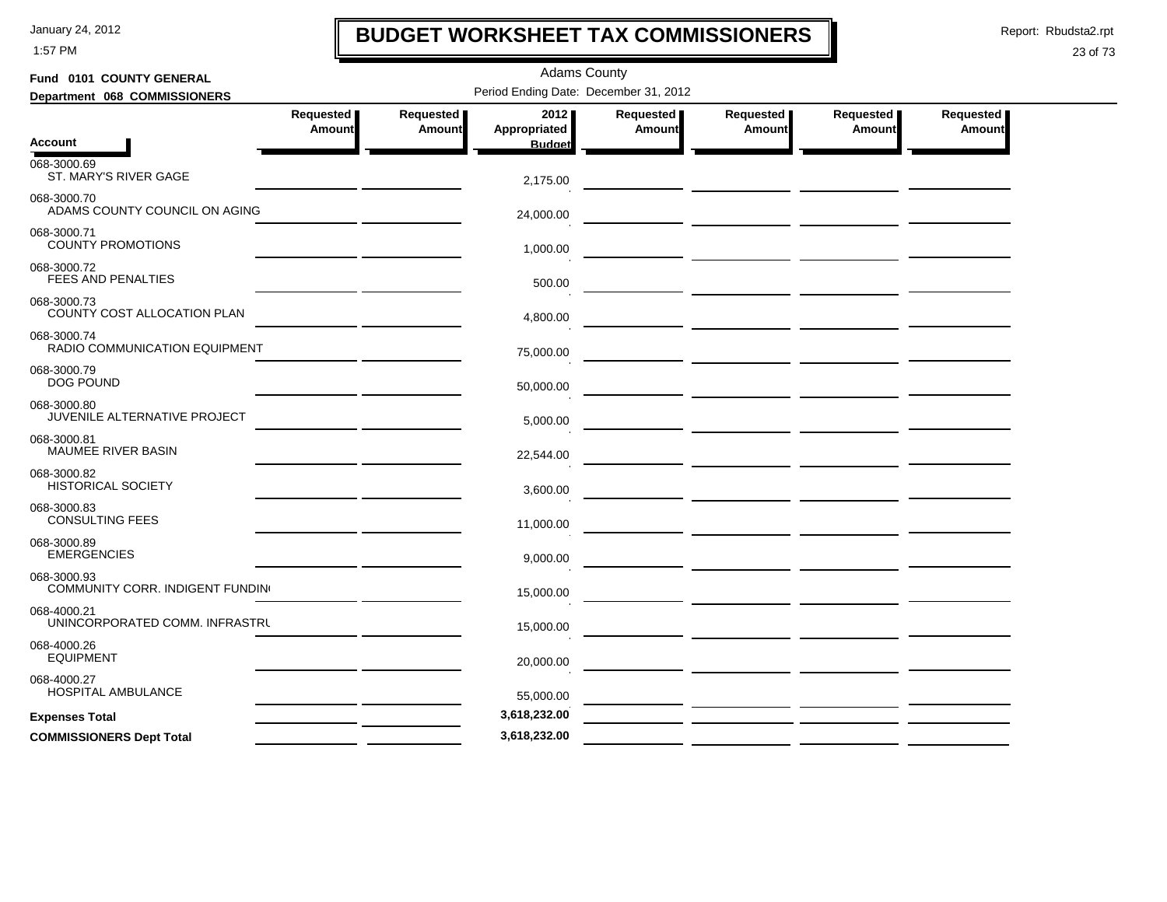1:57 PM

# **BUDGET WORKSHEET TAX COMMISSIONERS**

Report: Rbudsta2.rpt

 $\mathbf l$ 

| Fund 0101 COUNTY GENERAL                        |                     |                     | <b>Adams County</b>                   |                     |                                      |                     |                     |
|-------------------------------------------------|---------------------|---------------------|---------------------------------------|---------------------|--------------------------------------|---------------------|---------------------|
| Department 068 COMMISSIONERS                    |                     |                     | Period Ending Date: December 31, 2012 |                     |                                      |                     |                     |
|                                                 | Requested<br>Amount | Requested<br>Amount | 2012<br>Appropriated                  | Requested<br>Amount | Requested<br><b>Amount</b>           | Requested<br>Amount | Requested<br>Amount |
| <b>Account</b>                                  |                     |                     | <b>Budget</b>                         |                     |                                      |                     |                     |
| 068-3000.69<br>ST. MARY'S RIVER GAGE            |                     |                     | 2,175.00                              |                     | — <u>— — — — — — — — — — — — — —</u> |                     |                     |
| 068-3000.70<br>ADAMS COUNTY COUNCIL ON AGING    |                     |                     | 24,000.00                             |                     |                                      |                     |                     |
| 068-3000.71<br><b>COUNTY PROMOTIONS</b>         |                     |                     | 1,000.00                              |                     |                                      |                     |                     |
| 068-3000.72<br><b>FEES AND PENALTIES</b>        |                     |                     | 500.00                                |                     |                                      |                     |                     |
| 068-3000.73<br>COUNTY COST ALLOCATION PLAN      |                     |                     | 4,800.00                              |                     |                                      |                     |                     |
| 068-3000.74<br>RADIO COMMUNICATION EQUIPMENT    |                     |                     | 75,000.00                             |                     |                                      |                     |                     |
| 068-3000.79<br><b>DOG POUND</b>                 |                     |                     | 50,000.00                             |                     |                                      |                     |                     |
| 068-3000.80<br>JUVENILE ALTERNATIVE PROJECT     |                     |                     | 5,000.00                              |                     |                                      |                     |                     |
| 068-3000.81<br>MAUMEE RIVER BASIN               |                     |                     | 22,544.00                             |                     |                                      |                     |                     |
| 068-3000.82<br><b>HISTORICAL SOCIETY</b>        |                     |                     | 3,600.00                              |                     |                                      |                     |                     |
| 068-3000.83<br><b>CONSULTING FEES</b>           |                     |                     | 11,000.00                             |                     |                                      |                     |                     |
| 068-3000.89<br><b>EMERGENCIES</b>               |                     |                     | 9.000.00                              |                     |                                      |                     |                     |
| 068-3000.93<br>COMMUNITY CORR. INDIGENT FUNDING |                     |                     | 15,000.00                             |                     |                                      |                     |                     |
| 068-4000.21<br>UNINCORPORATED COMM. INFRASTRU   |                     |                     | 15,000.00                             |                     |                                      |                     |                     |
| 068-4000.26<br><b>EQUIPMENT</b>                 |                     |                     | 20,000.00                             |                     |                                      |                     |                     |
| 068-4000.27<br><b>HOSPITAL AMBULANCE</b>        |                     |                     | 55,000.00                             |                     |                                      |                     |                     |
| <b>Expenses Total</b>                           |                     |                     | 3,618,232.00                          |                     |                                      |                     |                     |
| <b>COMMISSIONERS Dept Total</b>                 |                     |                     | 3,618,232.00                          |                     |                                      |                     |                     |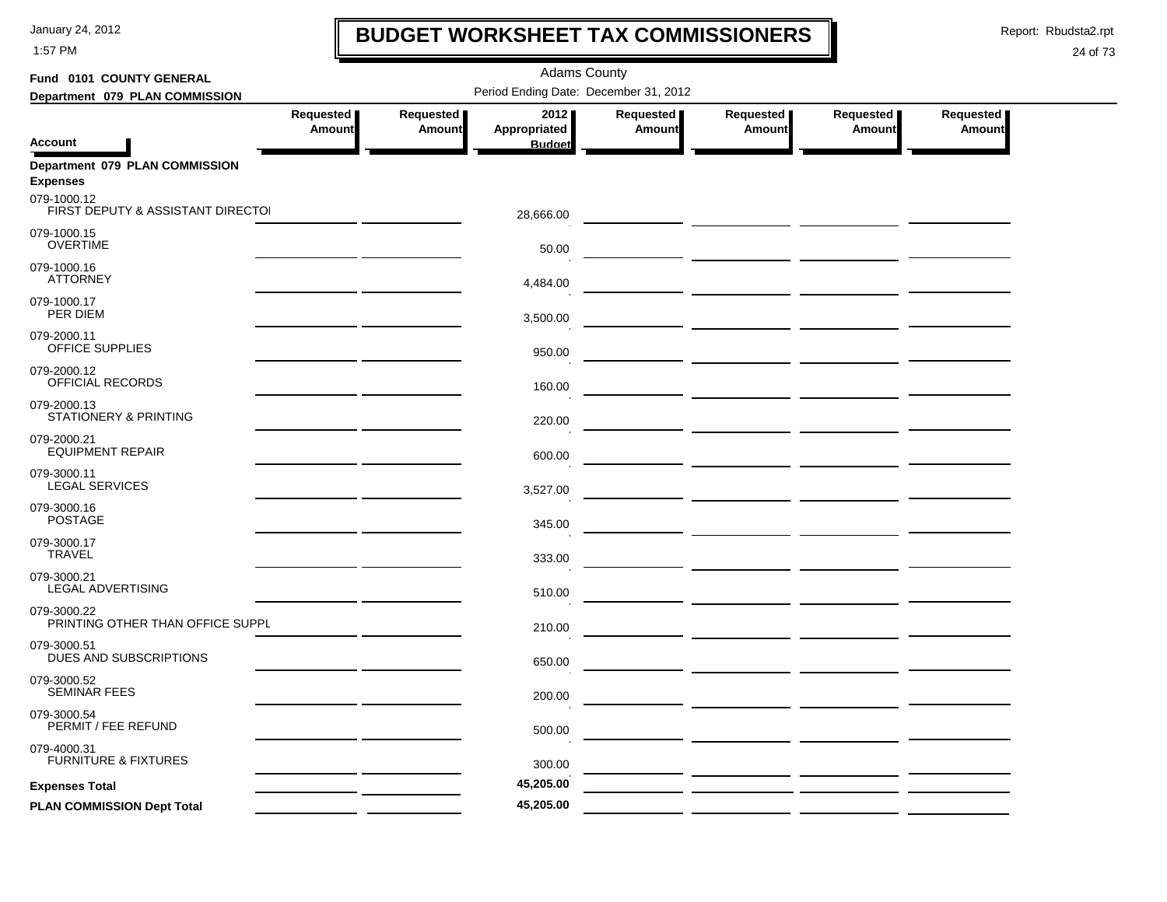1:57 PM

## **BUDGET WORKSHEET TAX COMMISSIONERS**

Report: Rbudsta2.rpt

 $\mathbf l$ 

| Fund 0101 COUNTY GENERAL                          |                     |                            | <b>Adams County</b>                   |                     |                     |                     |                            |
|---------------------------------------------------|---------------------|----------------------------|---------------------------------------|---------------------|---------------------|---------------------|----------------------------|
| Department 079 PLAN COMMISSION                    |                     |                            | Period Ending Date: December 31, 2012 |                     |                     |                     |                            |
| <b>Account</b>                                    | Requested<br>Amount | Requested<br><b>Amount</b> | 2012<br>Appropriated<br><b>Budget</b> | Requested<br>Amount | Requested<br>Amount | Requested<br>Amount | Requested<br><b>Amount</b> |
| Department 079 PLAN COMMISSION<br><b>Expenses</b> |                     |                            |                                       |                     |                     |                     |                            |
| 079-1000.12<br>FIRST DEPUTY & ASSISTANT DIRECTO   |                     |                            | 28,666.00                             |                     |                     |                     |                            |
| 079-1000.15<br><b>OVERTIME</b>                    |                     |                            | 50.00                                 |                     |                     |                     |                            |
| 079-1000.16<br><b>ATTORNEY</b>                    |                     |                            | 4,484.00                              |                     |                     |                     |                            |
| 079-1000.17<br>PER DIEM                           |                     |                            | 3,500.00                              |                     |                     |                     |                            |
| 079-2000.11<br>OFFICE SUPPLIES                    |                     |                            | 950.00                                |                     |                     |                     |                            |
| 079-2000.12<br>OFFICIAL RECORDS                   |                     |                            | 160.00                                |                     |                     |                     |                            |
| 079-2000.13<br>STATIONERY & PRINTING              |                     |                            | 220.00                                |                     |                     |                     |                            |
| 079-2000.21<br><b>EQUIPMENT REPAIR</b>            |                     |                            | 600.00                                |                     |                     |                     |                            |
| 079-3000.11<br><b>LEGAL SERVICES</b>              |                     |                            | 3,527.00                              |                     |                     |                     |                            |
| 079-3000.16<br><b>POSTAGE</b>                     |                     |                            | 345.00                                |                     |                     |                     |                            |
| 079-3000.17<br><b>TRAVEL</b>                      |                     |                            | 333.00                                |                     |                     |                     |                            |
| 079-3000.21<br>LEGAL ADVERTISING                  |                     |                            | 510.00                                |                     |                     |                     |                            |
| 079-3000.22<br>PRINTING OTHER THAN OFFICE SUPPL   |                     |                            | 210.00                                |                     |                     |                     |                            |
| 079-3000.51<br>DUES AND SUBSCRIPTIONS             |                     |                            | 650.00                                |                     |                     |                     |                            |
| 079-3000.52<br><b>SEMINAR FEES</b>                |                     |                            | 200.00                                |                     |                     |                     |                            |
| 079-3000.54<br>PERMIT / FEE REFUND                |                     |                            | 500.00                                |                     |                     |                     |                            |
| 079-4000.31<br><b>FURNITURE &amp; FIXTURES</b>    |                     |                            | 300.00                                |                     |                     |                     |                            |
| <b>Expenses Total</b>                             |                     |                            | 45,205.00                             |                     |                     |                     |                            |
| PLAN COMMISSION Dept Total                        |                     |                            | 45,205.00                             |                     |                     |                     |                            |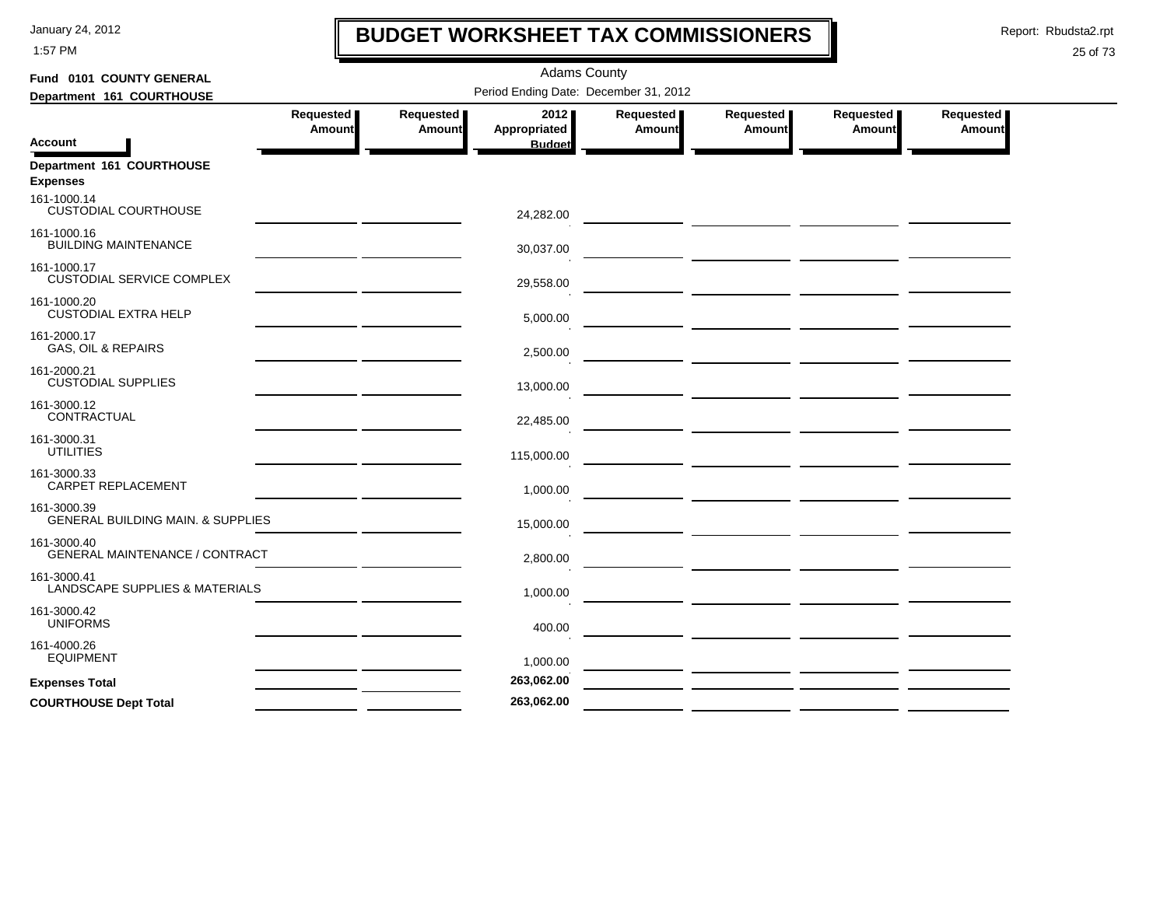1:57 PM

# **BUDGET WORKSHEET TAX COMMISSIONERS**

Report: Rbudsta2.rpt

 $\mathbf l$ 

| Fund 0101 COUNTY GENERAL                                    |                     |                              | <b>Adams County</b>                   |                     |                     |                       |                     |
|-------------------------------------------------------------|---------------------|------------------------------|---------------------------------------|---------------------|---------------------|-----------------------|---------------------|
| Department 161 COURTHOUSE                                   |                     |                              | Period Ending Date: December 31, 2012 |                     |                     |                       |                     |
|                                                             | Requested<br>Amount | Requested  <br><b>Amount</b> | 2012<br>Appropriated                  | Requested<br>Amount | Requested<br>Amount | Requested  <br>Amount | Requested<br>Amount |
| <b>Account</b>                                              |                     |                              | <b>Budget</b>                         |                     |                     |                       |                     |
| Department 161 COURTHOUSE<br><b>Expenses</b>                |                     |                              |                                       |                     |                     |                       |                     |
| 161-1000.14<br><b>CUSTODIAL COURTHOUSE</b>                  |                     |                              | 24,282.00                             |                     |                     |                       |                     |
| 161-1000.16<br><b>BUILDING MAINTENANCE</b>                  |                     |                              | 30,037.00                             |                     |                     |                       |                     |
| 161-1000.17<br><b>CUSTODIAL SERVICE COMPLEX</b>             |                     |                              | 29,558.00                             |                     |                     |                       |                     |
| 161-1000.20<br><b>CUSTODIAL EXTRA HELP</b>                  |                     |                              | 5,000.00                              |                     |                     |                       |                     |
| 161-2000.17<br><b>GAS, OIL &amp; REPAIRS</b>                |                     |                              | 2,500.00                              |                     |                     |                       |                     |
| 161-2000.21<br><b>CUSTODIAL SUPPLIES</b>                    |                     |                              | 13,000.00                             |                     |                     |                       |                     |
| 161-3000.12<br>CONTRACTUAL                                  |                     |                              | 22,485.00                             |                     |                     |                       |                     |
| 161-3000.31<br><b>UTILITIES</b>                             |                     |                              | 115,000.00                            |                     |                     |                       |                     |
| 161-3000.33<br>CARPET REPLACEMENT                           |                     |                              | 1,000.00                              |                     |                     |                       |                     |
| 161-3000.39<br><b>GENERAL BUILDING MAIN. &amp; SUPPLIES</b> |                     |                              | 15,000.00                             |                     |                     |                       |                     |
| 161-3000.40<br><b>GENERAL MAINTENANCE / CONTRACT</b>        |                     |                              | 2,800.00                              |                     |                     |                       |                     |
| 161-3000.41<br>LANDSCAPE SUPPLIES & MATERIALS               |                     |                              | 1,000.00                              |                     |                     |                       |                     |
| 161-3000.42<br><b>UNIFORMS</b>                              |                     |                              | 400.00                                |                     |                     |                       |                     |
| 161-4000.26<br><b>EQUIPMENT</b>                             |                     |                              | 1,000.00                              |                     |                     |                       |                     |
| <b>Expenses Total</b>                                       |                     |                              | 263,062.00                            |                     |                     |                       |                     |
| <b>COURTHOUSE Dept Total</b>                                |                     |                              | 263,062.00                            |                     |                     |                       |                     |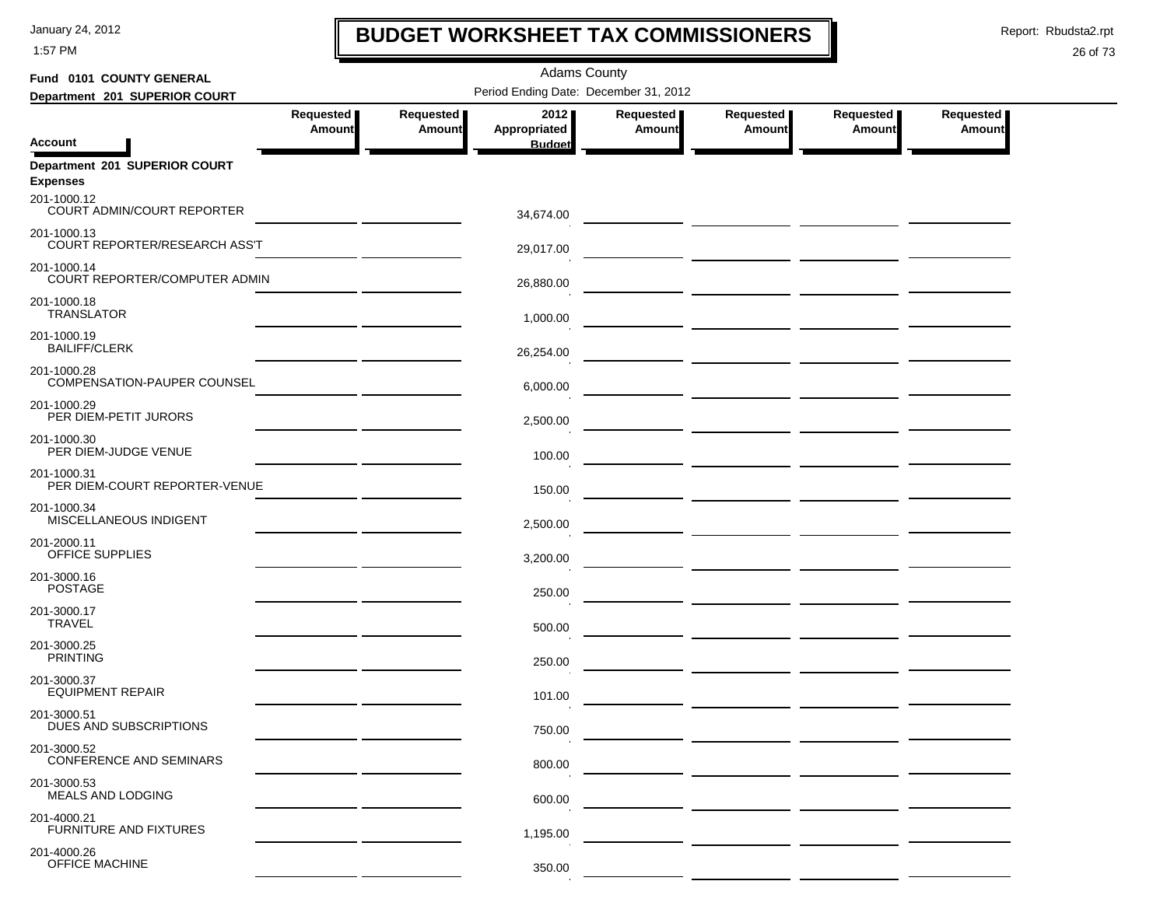1:57 PM

# **BUDGET WORKSHEET TAX COMMISSIONERS**

Report: Rbudsta2.rpt

 $\mathbf I$ 

| Fund 0101 COUNTY GENERAL                                        |                            |                            | <b>Adams County</b>                   |                            |                                                                                                                            |                              |                            |
|-----------------------------------------------------------------|----------------------------|----------------------------|---------------------------------------|----------------------------|----------------------------------------------------------------------------------------------------------------------------|------------------------------|----------------------------|
| Department 201 SUPERIOR COURT                                   |                            |                            | Period Ending Date: December 31, 2012 |                            |                                                                                                                            |                              |                            |
|                                                                 | Requested<br><b>Amount</b> | Requested<br><b>Amount</b> | 2012<br>Appropriated                  | Requested<br><b>Amount</b> | Requested<br><b>Amount</b>                                                                                                 | Requested  <br><b>Amount</b> | Requested<br><b>Amount</b> |
| <b>Account</b>                                                  |                            |                            | <b>Budget</b>                         |                            |                                                                                                                            |                              |                            |
| Department 201 SUPERIOR COURT<br><b>Expenses</b><br>201-1000.12 |                            |                            |                                       |                            |                                                                                                                            |                              |                            |
| COURT ADMIN/COURT REPORTER                                      |                            |                            | 34,674.00                             |                            |                                                                                                                            |                              |                            |
| 201-1000.13<br>COURT REPORTER/RESEARCH ASS'T                    |                            |                            | 29,017.00                             |                            | <u> 1980 - Andrea Andrew Maria (h. 1975).</u>                                                                              |                              |                            |
| 201-1000.14<br>COURT REPORTER/COMPUTER ADMIN                    |                            |                            | 26,880.00                             |                            | <u> The Common State Common State Common State Common State Common State Common State Common State Common State Common</u> |                              |                            |
| 201-1000.18<br><b>TRANSLATOR</b>                                |                            |                            | 1,000.00                              |                            |                                                                                                                            |                              |                            |
| 201-1000.19<br><b>BAILIFF/CLERK</b>                             |                            |                            | 26,254.00                             |                            |                                                                                                                            |                              |                            |
| 201-1000.28<br>COMPENSATION-PAUPER COUNSEL                      |                            |                            | 6,000.00                              |                            |                                                                                                                            |                              |                            |
| 201-1000.29<br>PER DIEM-PETIT JURORS                            |                            |                            | 2,500.00                              |                            | <u> 1990 - Johann John Harry Barn, mars and de la partie de la partie de la partie de la partie de la partie de l</u>      |                              |                            |
| 201-1000.30<br>PER DIEM-JUDGE VENUE                             |                            |                            | 100.00                                |                            |                                                                                                                            |                              |                            |
| 201-1000.31<br>PER DIEM-COURT REPORTER-VENUE                    |                            |                            | 150.00                                |                            |                                                                                                                            |                              |                            |
| 201-1000.34<br>MISCELLANEOUS INDIGENT                           |                            |                            | 2,500.00                              |                            |                                                                                                                            |                              |                            |
| 201-2000.11<br>OFFICE SUPPLIES                                  |                            |                            | 3,200.00                              |                            |                                                                                                                            |                              |                            |
| 201-3000.16<br><b>POSTAGE</b>                                   |                            |                            | 250.00                                |                            | <u> 1999 - Johann Harry Harry Harry Harry Harry Harry Harry Harry Harry Harry Harry Harry Harry Harry Harry Harry</u>      |                              |                            |
| 201-3000.17<br><b>TRAVEL</b>                                    |                            |                            | 500.00                                |                            |                                                                                                                            |                              |                            |
| 201-3000.25<br><b>PRINTING</b>                                  |                            |                            | 250.00                                |                            |                                                                                                                            |                              |                            |
| 201-3000.37<br><b>EQUIPMENT REPAIR</b>                          |                            |                            | 101.00                                |                            |                                                                                                                            |                              |                            |
| 201-3000.51<br>DUES AND SUBSCRIPTIONS                           |                            |                            | 750.00                                |                            |                                                                                                                            |                              |                            |
| 201-3000.52<br><b>CONFERENCE AND SEMINARS</b>                   |                            |                            | 800.00                                |                            |                                                                                                                            |                              |                            |
| 201-3000.53<br>MEALS AND LODGING                                |                            |                            | 600.00                                |                            |                                                                                                                            |                              |                            |
| 201-4000.21<br>FURNITURE AND FIXTURES                           |                            |                            | 1,195.00                              |                            |                                                                                                                            |                              |                            |
| 201-4000.26<br>OFFICE MACHINE                                   |                            |                            | 350.00                                |                            |                                                                                                                            |                              |                            |
|                                                                 |                            |                            |                                       |                            |                                                                                                                            |                              |                            |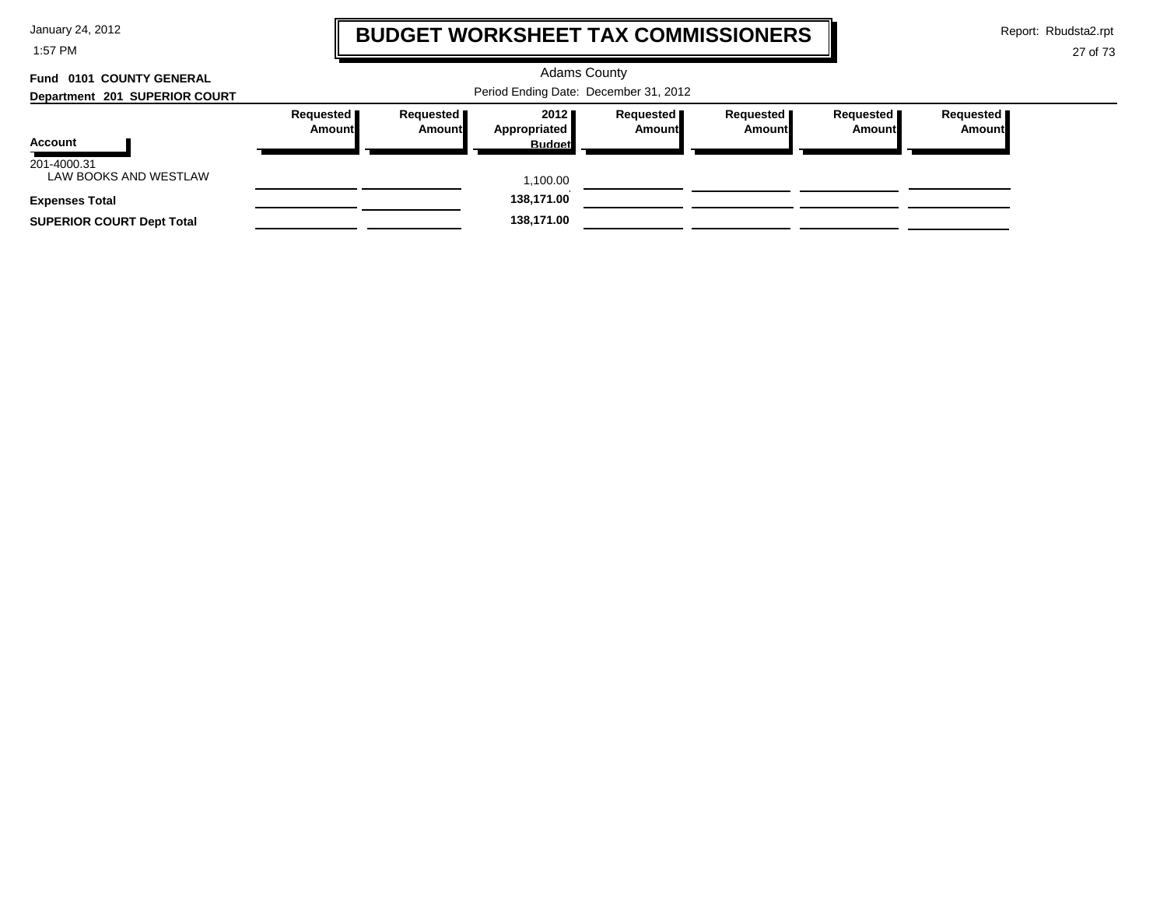1:57 PM

## **BUDGET WORKSHEET TAX COMMISSIONERS**

Report: Rbudsta2.rpt

 $\mathbf l$ 

| Fund 0101 COUNTY GENERAL         |                              |                       | <b>Adams County</b>                     |                       |                              |                       |                     |
|----------------------------------|------------------------------|-----------------------|-----------------------------------------|-----------------------|------------------------------|-----------------------|---------------------|
| Department 201 SUPERIOR COURT    |                              |                       | Period Ending Date: December 31, 2012   |                       |                              |                       |                     |
| Account<br>201-4000.31           | Requested <b>I</b><br>Amount | Requested  <br>Amount | 2012 ■<br>Appropriated<br><b>Budget</b> | Requested  <br>Amount | Requested <b>I</b><br>Amount | Requested  <br>Amount | Requested<br>Amount |
| LAW BOOKS AND WESTLAW            |                              |                       | 1,100.00                                |                       |                              |                       |                     |
| <b>Expenses Total</b>            |                              |                       | 138,171.00                              |                       |                              |                       |                     |
| <b>SUPERIOR COURT Dept Total</b> |                              |                       | 138,171.00                              |                       |                              |                       |                     |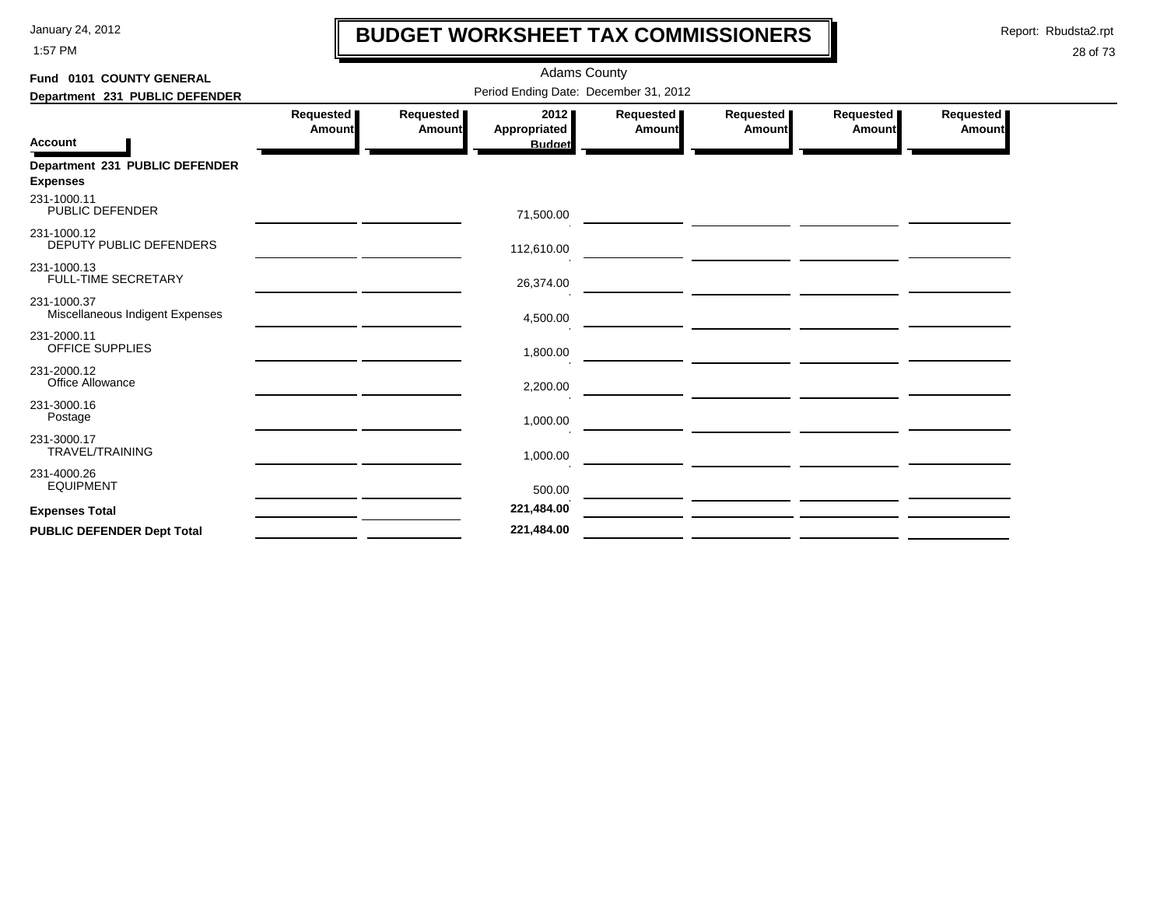1:57 PM

## **BUDGET WORKSHEET TAX COMMISSIONERS**

Report: Rbudsta2.rpt

 $\mathbf l$ 

| Fund 0101 COUNTY GENERAL                          |                     |                            | <b>Adams County</b>                   |                            |                                                               |                            |                            |
|---------------------------------------------------|---------------------|----------------------------|---------------------------------------|----------------------------|---------------------------------------------------------------|----------------------------|----------------------------|
| Department 231 PUBLIC DEFENDER                    |                     |                            | Period Ending Date: December 31, 2012 |                            |                                                               |                            |                            |
| <b>Account</b>                                    | Requested<br>Amount | Requested<br><b>Amount</b> | 2012<br>Appropriated<br><b>Budget</b> | Requested<br><b>Amount</b> | Requested<br><b>Amount</b>                                    | Requested<br><b>Amount</b> | Requested<br><b>Amount</b> |
| Department 231 PUBLIC DEFENDER<br><b>Expenses</b> |                     |                            |                                       |                            |                                                               |                            |                            |
| 231-1000.11<br>PUBLIC DEFENDER                    |                     |                            | 71,500.00                             |                            | <u> 1989 - Johann Marie Barn, mars an t-Amerikaansk konst</u> |                            |                            |
| 231-1000.12<br>DEPUTY PUBLIC DEFENDERS            |                     |                            | 112,610.00                            |                            |                                                               |                            |                            |
| 231-1000.13<br>FULL-TIME SECRETARY                |                     |                            | 26,374.00                             |                            |                                                               |                            |                            |
| 231-1000.37<br>Miscellaneous Indigent Expenses    |                     |                            | 4,500.00                              |                            |                                                               |                            |                            |
| 231-2000.11<br>OFFICE SUPPLIES                    |                     |                            | 1,800.00                              |                            |                                                               |                            |                            |
| 231-2000.12<br>Office Allowance                   |                     |                            | 2,200.00                              |                            |                                                               |                            |                            |
| 231-3000.16<br>Postage                            |                     |                            | 1,000.00                              |                            |                                                               |                            |                            |
| 231-3000.17<br><b>TRAVEL/TRAINING</b>             |                     |                            | 1,000.00                              |                            |                                                               |                            |                            |
| 231-4000.26<br><b>EQUIPMENT</b>                   |                     |                            | 500.00                                |                            |                                                               |                            |                            |
| <b>Expenses Total</b>                             |                     |                            | 221,484.00                            |                            |                                                               |                            |                            |
| <b>PUBLIC DEFENDER Dept Total</b>                 |                     |                            | 221,484.00                            |                            |                                                               |                            |                            |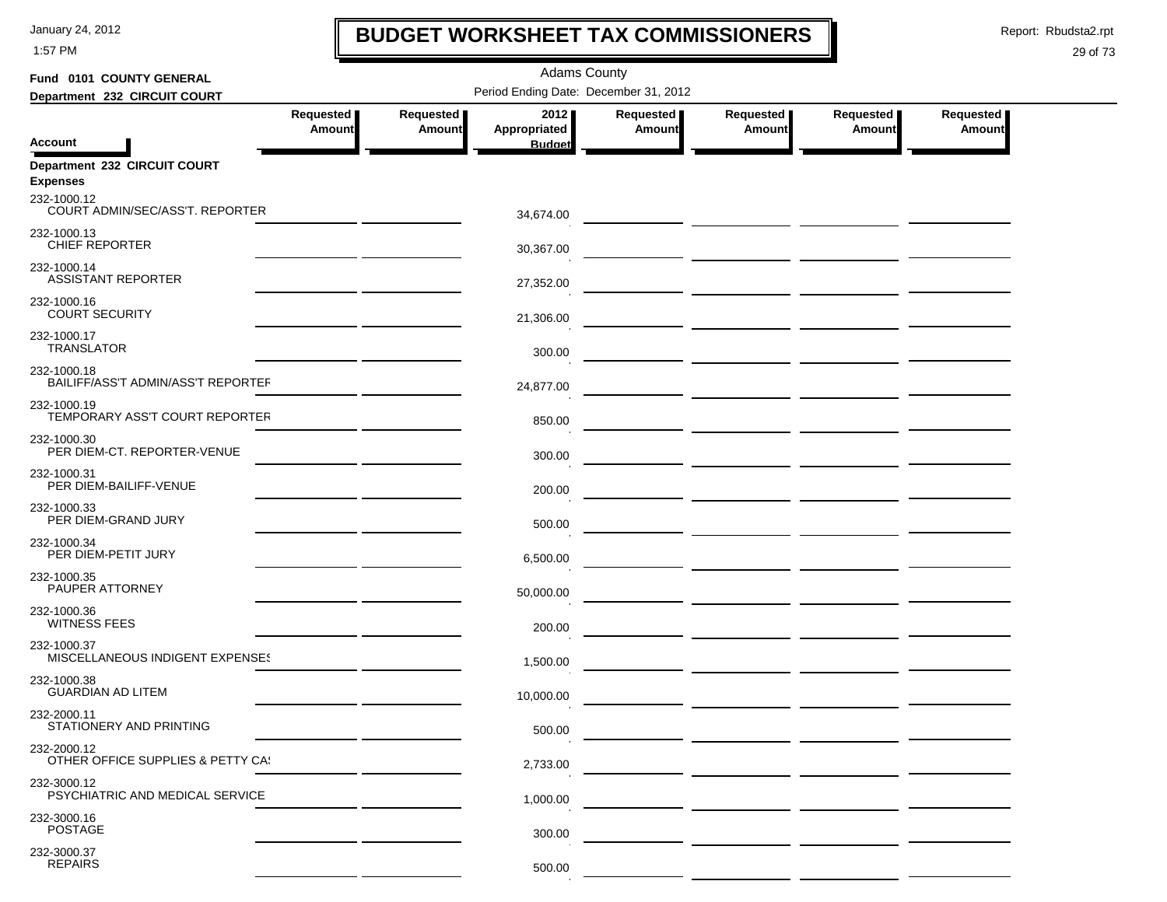1:57 PM

## **BUDGET WORKSHEET TAX COMMISSIONERS**

Report: Rbudsta2.rpt

 $\mathbf I$ 

### 29 of 73

| Fund 0101 COUNTY GENERAL                          |                            |                            | <b>Adams County</b>                   |                            |                                                          |                            |                     |  |
|---------------------------------------------------|----------------------------|----------------------------|---------------------------------------|----------------------------|----------------------------------------------------------|----------------------------|---------------------|--|
| Department 232 CIRCUIT COURT                      |                            |                            | Period Ending Date: December 31, 2012 |                            |                                                          |                            |                     |  |
|                                                   | Requested<br><b>Amount</b> | Requested<br><b>Amount</b> | 2012<br>Appropriated                  | Requested<br><b>Amount</b> | Requested<br>Amount                                      | Requested<br><b>Amount</b> | Requested<br>Amount |  |
| <b>Account</b>                                    |                            |                            | <b>Budget</b>                         |                            |                                                          |                            |                     |  |
| Department 232 CIRCUIT COURT<br><b>Expenses</b>   |                            |                            |                                       |                            |                                                          |                            |                     |  |
| 232-1000.12<br>COURT ADMIN/SEC/ASS'T. REPORTER    |                            |                            | 34,674.00                             |                            |                                                          |                            |                     |  |
| 232-1000.13<br><b>CHIEF REPORTER</b>              |                            |                            | 30,367.00                             |                            |                                                          |                            |                     |  |
| 232-1000.14<br><b>ASSISTANT REPORTER</b>          |                            |                            | 27,352.00                             |                            |                                                          |                            |                     |  |
| 232-1000.16<br><b>COURT SECURITY</b>              |                            |                            | 21,306.00                             |                            |                                                          |                            |                     |  |
| 232-1000.17<br><b>TRANSLATOR</b>                  |                            |                            | 300.00                                |                            |                                                          |                            |                     |  |
| 232-1000.18<br>BAILIFF/ASS'T ADMIN/ASS'T REPORTEF |                            |                            | 24,877.00                             |                            | — <u>— ——————</u> <u>———————</u>                         |                            |                     |  |
| 232-1000.19<br>TEMPORARY ASS'T COURT REPORTER     |                            |                            | 850.00                                |                            |                                                          |                            |                     |  |
| 232-1000.30<br>PER DIEM-CT. REPORTER-VENUE        |                            |                            | 300.00                                |                            |                                                          |                            |                     |  |
| 232-1000.31<br>PER DIEM-BAILIFF-VENUE             |                            |                            | 200.00                                |                            |                                                          |                            |                     |  |
| 232-1000.33<br>PER DIEM-GRAND JURY                |                            |                            | 500.00                                |                            |                                                          |                            |                     |  |
| 232-1000.34<br>PER DIEM-PETIT JURY                |                            |                            | 6,500.00                              |                            |                                                          |                            |                     |  |
| 232-1000.35<br>PAUPER ATTORNEY                    |                            |                            | 50,000.00                             |                            |                                                          |                            |                     |  |
| 232-1000.36<br><b>WITNESS FEES</b>                |                            |                            | 200.00                                |                            | <u> The Common State (1999)</u>                          |                            |                     |  |
| 232-1000.37<br>MISCELLANEOUS INDIGENT EXPENSES    |                            |                            | 1,500.00                              |                            | — <u>— — — — — — — — — — — —</u>                         |                            |                     |  |
| 232-1000.38<br><b>GUARDIAN AD LITEM</b>           |                            |                            | 10,000.00                             |                            | <u>and the second contract of the second contract of</u> |                            |                     |  |
| 232-2000.11<br>STATIONERY AND PRINTING            |                            |                            | 500.00                                |                            |                                                          |                            |                     |  |
| 232-2000.12<br>OTHER OFFICE SUPPLIES & PETTY CA!  |                            |                            | 2,733.00                              |                            |                                                          |                            |                     |  |
| 232-3000.12<br>PSYCHIATRIC AND MEDICAL SERVICE    |                            |                            | 1,000.00                              |                            |                                                          |                            |                     |  |
| 232-3000.16<br><b>POSTAGE</b>                     |                            |                            | 300.00                                |                            |                                                          |                            |                     |  |
| 232-3000.37<br><b>REPAIRS</b>                     |                            |                            | 500.00                                |                            |                                                          |                            |                     |  |

 $\mathcal{L}_{\mathcal{A}}$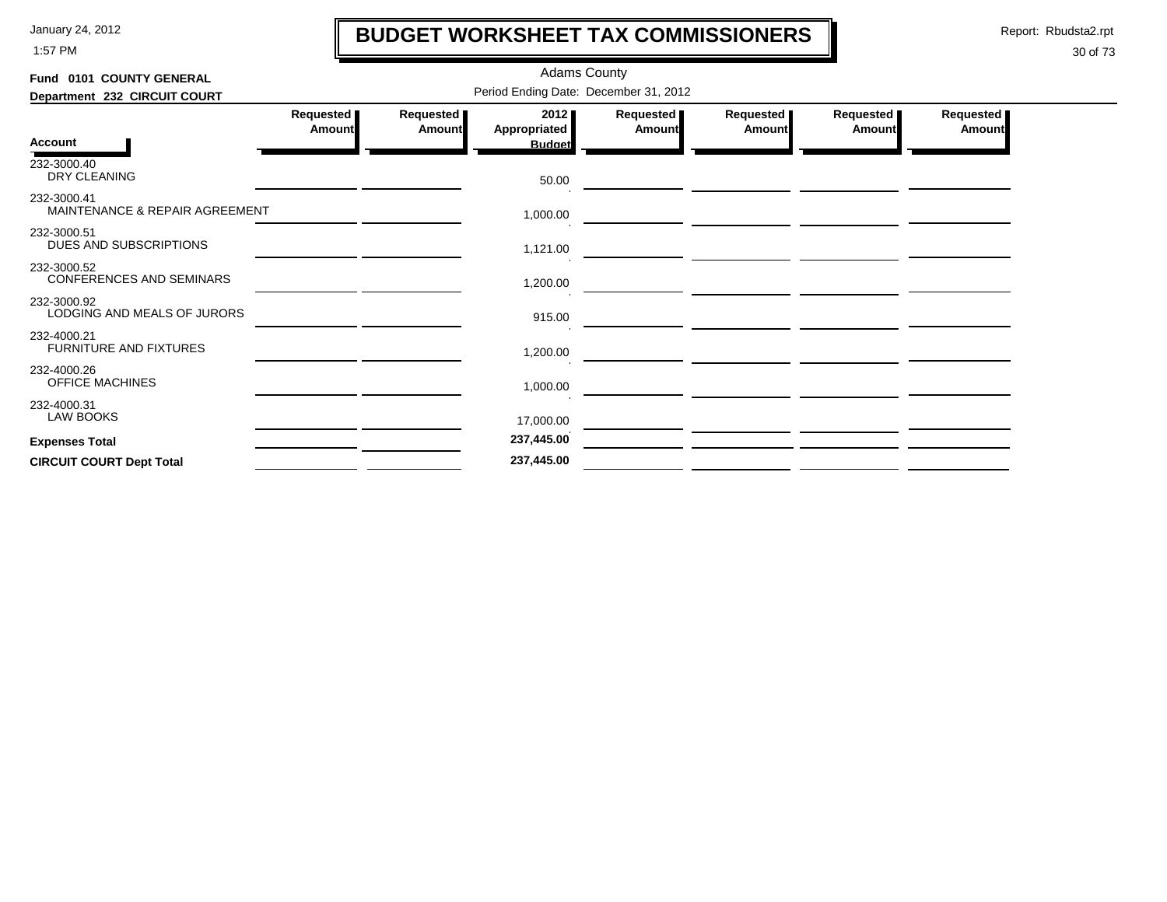1:57 PM

# **BUDGET WORKSHEET TAX COMMISSIONERS**

Report: Rbudsta2.rpt

 $\mathbf l$ 

| Fund 0101 COUNTY GENERAL                       |                                       |                     | <b>Adams County</b>                   |                              |                                                                                                                       |                            |                     |  |  |  |  |
|------------------------------------------------|---------------------------------------|---------------------|---------------------------------------|------------------------------|-----------------------------------------------------------------------------------------------------------------------|----------------------------|---------------------|--|--|--|--|
| Department 232 CIRCUIT COURT                   | Period Ending Date: December 31, 2012 |                     |                                       |                              |                                                                                                                       |                            |                     |  |  |  |  |
| Account                                        | <b>Requested</b><br>Amount            | Requested<br>Amount | 2012<br>Appropriated<br><b>Budget</b> | <b>Requested</b> ■<br>Amount | Requested<br>Amount                                                                                                   | <b>Requested</b><br>Amount | Requested<br>Amount |  |  |  |  |
| 232-3000.40<br>DRY CLEANING                    |                                       |                     | 50.00                                 |                              |                                                                                                                       |                            |                     |  |  |  |  |
| 232-3000.41<br>MAINTENANCE & REPAIR AGREEMENT  |                                       |                     | 1,000.00                              |                              |                                                                                                                       |                            |                     |  |  |  |  |
| 232-3000.51<br>DUES AND SUBSCRIPTIONS          |                                       |                     | 1,121.00                              |                              |                                                                                                                       |                            |                     |  |  |  |  |
| 232-3000.52<br><b>CONFERENCES AND SEMINARS</b> |                                       |                     | 1,200.00                              |                              |                                                                                                                       |                            |                     |  |  |  |  |
| 232-3000.92<br>LODGING AND MEALS OF JURORS     |                                       |                     | 915.00                                |                              | <u> 1980 - Johann Barbara, markazi ya kutoka mwaka wa 1980 - Andrea mwaka wa 1980 - Andrea mwaka wa 1980 - Andrea</u> |                            |                     |  |  |  |  |
| 232-4000.21<br>FURNITURE AND FIXTURES          |                                       |                     | 1,200.00                              |                              |                                                                                                                       |                            |                     |  |  |  |  |
| 232-4000.26<br><b>OFFICE MACHINES</b>          |                                       |                     | 1,000.00                              |                              |                                                                                                                       |                            |                     |  |  |  |  |
| 232-4000.31<br><b>LAW BOOKS</b>                |                                       |                     | 17,000.00                             |                              |                                                                                                                       |                            |                     |  |  |  |  |
| <b>Expenses Total</b>                          |                                       |                     | 237,445.00                            |                              |                                                                                                                       |                            |                     |  |  |  |  |
| <b>CIRCUIT COURT Dept Total</b>                |                                       |                     | 237,445.00                            |                              |                                                                                                                       |                            |                     |  |  |  |  |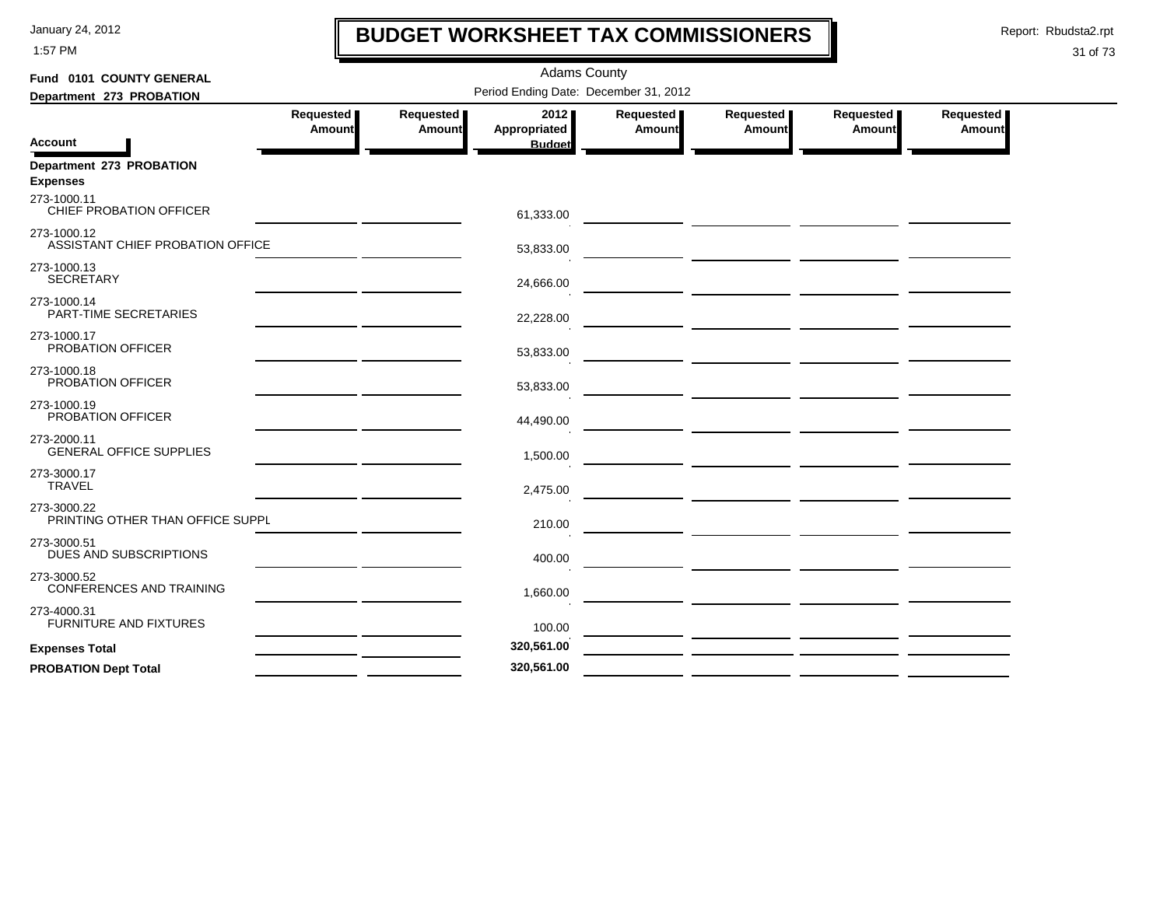1:57 PM

# **BUDGET WORKSHEET TAX COMMISSIONERS**

Report: Rbudsta2.rpt

 $\mathbf l$ 

| Fund 0101 COUNTY GENERAL                        |                     |                     | <b>Adams County</b>                   |                     |                            |                       |                            |
|-------------------------------------------------|---------------------|---------------------|---------------------------------------|---------------------|----------------------------|-----------------------|----------------------------|
| Department 273 PROBATION                        |                     |                     | Period Ending Date: December 31, 2012 |                     |                            |                       |                            |
|                                                 | Requested<br>Amount | Requested<br>Amount | 2012<br><b>Appropriated</b>           | Requested<br>Amount | Requested<br><b>Amount</b> | Requested  <br>Amount | <b>Requested</b><br>Amount |
| <b>Account</b>                                  |                     |                     | <b>Budget</b>                         |                     |                            |                       |                            |
| Department 273 PROBATION<br><b>Expenses</b>     |                     |                     |                                       |                     |                            |                       |                            |
| 273-1000.11<br>CHIEF PROBATION OFFICER          |                     |                     | 61,333.00                             |                     |                            |                       |                            |
| 273-1000.12<br>ASSISTANT CHIEF PROBATION OFFICE |                     |                     | 53,833.00                             |                     |                            |                       |                            |
| 273-1000.13<br><b>SECRETARY</b>                 |                     |                     | 24,666.00                             |                     |                            |                       |                            |
| 273-1000.14<br>PART-TIME SECRETARIES            |                     |                     | 22,228.00                             |                     |                            |                       |                            |
| 273-1000.17<br>PROBATION OFFICER                |                     |                     | 53,833.00                             |                     |                            |                       |                            |
| 273-1000.18<br>PROBATION OFFICER                |                     |                     | 53,833.00                             |                     |                            |                       |                            |
| 273-1000.19<br>PROBATION OFFICER                |                     |                     | 44,490.00                             |                     |                            |                       |                            |
| 273-2000.11<br><b>GENERAL OFFICE SUPPLIES</b>   |                     |                     | 1,500.00                              |                     |                            |                       |                            |
| 273-3000.17<br><b>TRAVEL</b>                    |                     |                     | 2,475.00                              |                     |                            |                       |                            |
| 273-3000.22<br>PRINTING OTHER THAN OFFICE SUPPL |                     |                     | 210.00                                |                     |                            |                       |                            |
| 273-3000.51<br>DUES AND SUBSCRIPTIONS           |                     |                     | 400.00                                |                     |                            |                       |                            |
| 273-3000.52<br>CONFERENCES AND TRAINING         |                     |                     | 1,660.00                              |                     |                            |                       |                            |
| 273-4000.31<br><b>FURNITURE AND FIXTURES</b>    |                     |                     | 100.00                                |                     |                            |                       |                            |
| <b>Expenses Total</b>                           |                     |                     | 320,561.00                            |                     |                            |                       |                            |
| <b>PROBATION Dept Total</b>                     |                     |                     | 320,561.00                            |                     |                            |                       |                            |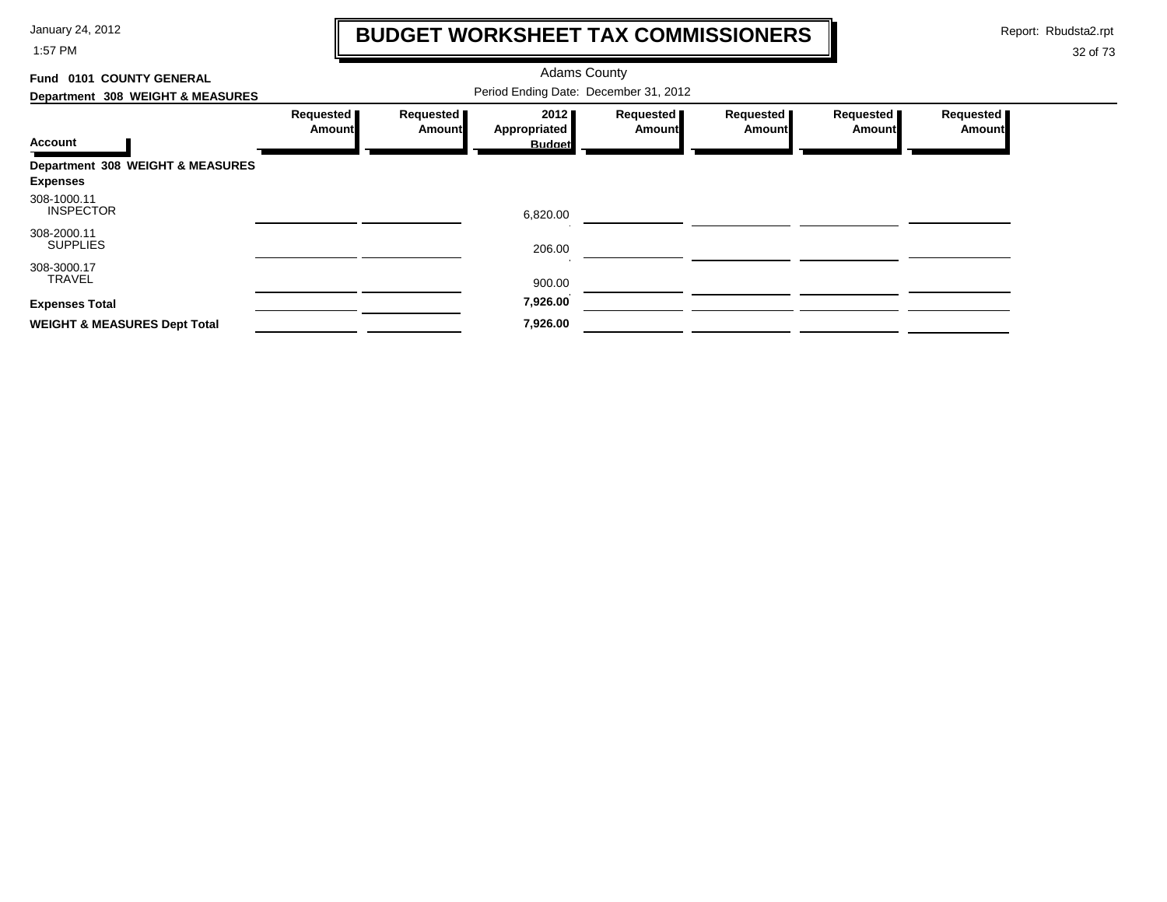1:57 PM

# **BUDGET WORKSHEET TAX COMMISSIONERS**

Report: Rbudsta2.rpt

 $\mathbf \mathbf I$ 

| 0101 COUNTY GENERAL<br>Fund             |                     |                                       | <b>Adams County</b>  |                            |                       |                            |                            |  |
|-----------------------------------------|---------------------|---------------------------------------|----------------------|----------------------------|-----------------------|----------------------------|----------------------------|--|
| Department 308 WEIGHT & MEASURES        |                     | Period Ending Date: December 31, 2012 |                      |                            |                       |                            |                            |  |
|                                         | Requested<br>Amount | Requested<br>Amount                   | 2012<br>Appropriated | Requested<br><b>Amount</b> | Requested  <br>Amount | Requested<br><b>Amount</b> | Requested<br><b>Amount</b> |  |
| <b>Account</b>                          |                     |                                       | <b>Budget</b>        |                            |                       |                            |                            |  |
| Department 308 WEIGHT & MEASURES        |                     |                                       |                      |                            |                       |                            |                            |  |
| <b>Expenses</b>                         |                     |                                       |                      |                            |                       |                            |                            |  |
| 308-1000.11<br><b>INSPECTOR</b>         |                     |                                       | 6,820.00             |                            |                       |                            |                            |  |
| 308-2000.11<br><b>SUPPLIES</b>          |                     |                                       | 206.00               |                            |                       |                            |                            |  |
| 308-3000.17<br><b>TRAVEL</b>            |                     |                                       | 900.00               |                            |                       |                            |                            |  |
| <b>Expenses Total</b>                   |                     |                                       | 7,926.00             |                            |                       |                            |                            |  |
| <b>WEIGHT &amp; MEASURES Dept Total</b> |                     |                                       | 7,926.00             |                            |                       |                            |                            |  |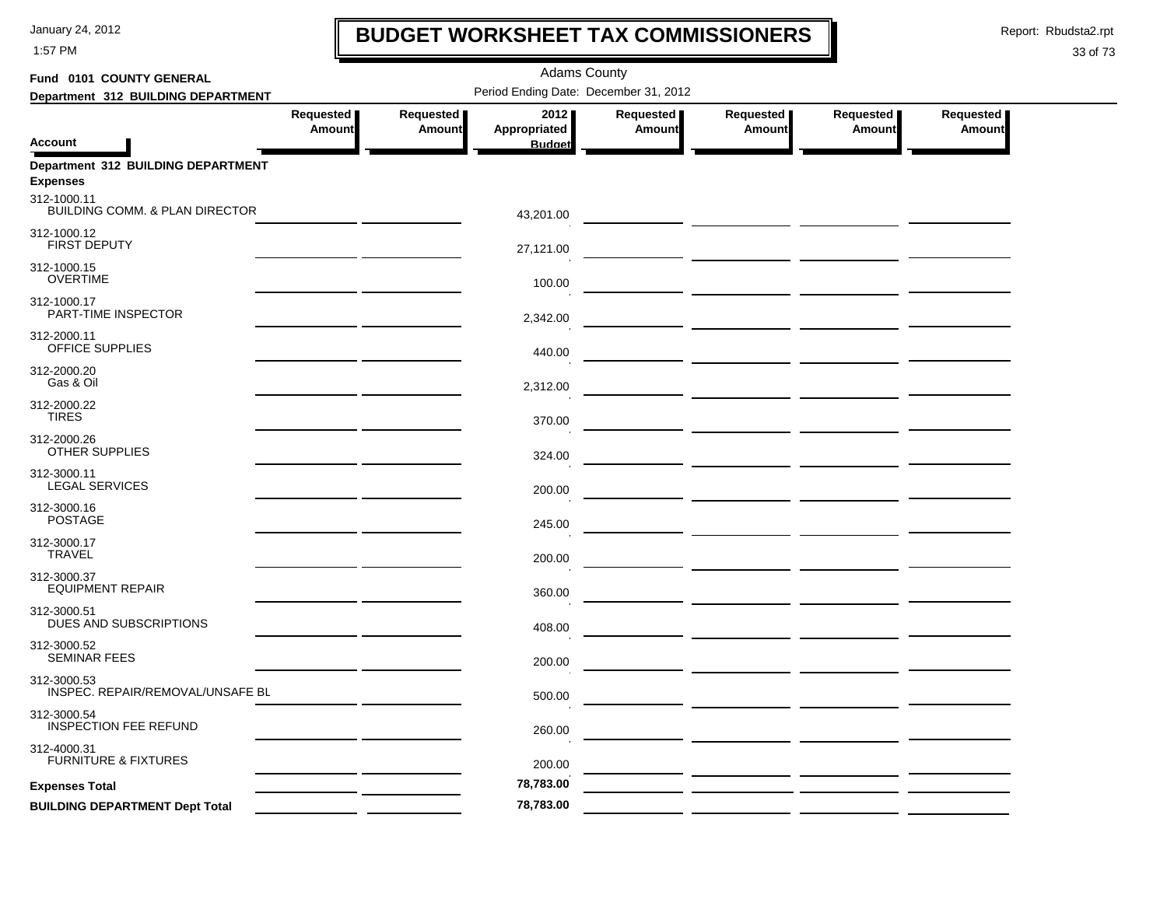1:57 PM

## **BUDGET WORKSHEET TAX COMMISSIONERS**

Report: Rbudsta2.rpt

 $\mathbf l$ 

| Fund 0101 COUNTY GENERAL                                 |                            |                            | <b>Adams County</b>                   |                     |                                                                                                                      |                            |                            |
|----------------------------------------------------------|----------------------------|----------------------------|---------------------------------------|---------------------|----------------------------------------------------------------------------------------------------------------------|----------------------------|----------------------------|
| Department 312 BUILDING DEPARTMENT                       |                            |                            | Period Ending Date: December 31, 2012 |                     |                                                                                                                      |                            |                            |
| <b>Account</b>                                           | Requested<br><b>Amount</b> | Requested<br><b>Amount</b> | 2012<br>Appropriated<br><b>Budget</b> | Requested<br>Amount | Requested<br>Amount                                                                                                  | Requested<br><b>Amount</b> | Requested<br><b>Amount</b> |
| Department 312 BUILDING DEPARTMENT<br><b>Expenses</b>    |                            |                            |                                       |                     |                                                                                                                      |                            |                            |
| 312-1000.11<br><b>BUILDING COMM. &amp; PLAN DIRECTOR</b> |                            |                            | 43,201.00                             |                     |                                                                                                                      |                            |                            |
| 312-1000.12<br>FIRST DEPUTY                              |                            |                            | 27,121.00                             |                     |                                                                                                                      |                            |                            |
| 312-1000.15<br><b>OVERTIME</b>                           |                            |                            | 100.00                                |                     |                                                                                                                      |                            |                            |
| 312-1000.17<br>PART-TIME INSPECTOR                       |                            |                            | 2,342.00                              |                     |                                                                                                                      |                            |                            |
| 312-2000.11<br>OFFICE SUPPLIES                           |                            |                            | 440.00                                |                     |                                                                                                                      |                            |                            |
| 312-2000.20<br>Gas & Oil                                 |                            |                            | 2,312.00                              |                     |                                                                                                                      |                            |                            |
| 312-2000.22<br><b>TIRES</b>                              |                            |                            | 370.00                                |                     |                                                                                                                      |                            |                            |
| 312-2000.26<br><b>OTHER SUPPLIES</b>                     |                            |                            | 324.00                                |                     |                                                                                                                      |                            |                            |
| 312-3000.11<br><b>LEGAL SERVICES</b>                     |                            |                            | 200.00                                |                     |                                                                                                                      |                            |                            |
| 312-3000.16<br><b>POSTAGE</b>                            |                            |                            | 245.00                                |                     |                                                                                                                      |                            |                            |
| 312-3000.17<br><b>TRAVEL</b>                             |                            |                            | 200.00                                |                     |                                                                                                                      |                            |                            |
| 312-3000.37<br><b>EQUIPMENT REPAIR</b>                   |                            |                            | 360.00                                |                     |                                                                                                                      |                            |                            |
| 312-3000.51<br>DUES AND SUBSCRIPTIONS                    |                            |                            | 408.00                                |                     |                                                                                                                      |                            |                            |
| 312-3000.52<br><b>SEMINAR FEES</b>                       |                            |                            | 200.00                                |                     |                                                                                                                      |                            |                            |
| 312-3000.53<br>INSPEC. REPAIR/REMOVAL/UNSAFE BL          |                            |                            | 500.00                                |                     | <u> La Carlo Carlo de la Carlo de la Carlo de la Carlo de la Carlo de la Carlo de la Carlo de la Carlo de la Car</u> |                            |                            |
| 312-3000.54<br><b>INSPECTION FEE REFUND</b>              |                            |                            | 260.00                                |                     |                                                                                                                      |                            |                            |
| 312-4000.31<br><b>FURNITURE &amp; FIXTURES</b>           |                            |                            | 200.00                                |                     |                                                                                                                      |                            |                            |
| <b>Expenses Total</b>                                    |                            |                            | 78,783.00                             |                     |                                                                                                                      |                            |                            |
| <b>BUILDING DEPARTMENT Dept Total</b>                    |                            |                            | 78,783.00                             |                     |                                                                                                                      |                            |                            |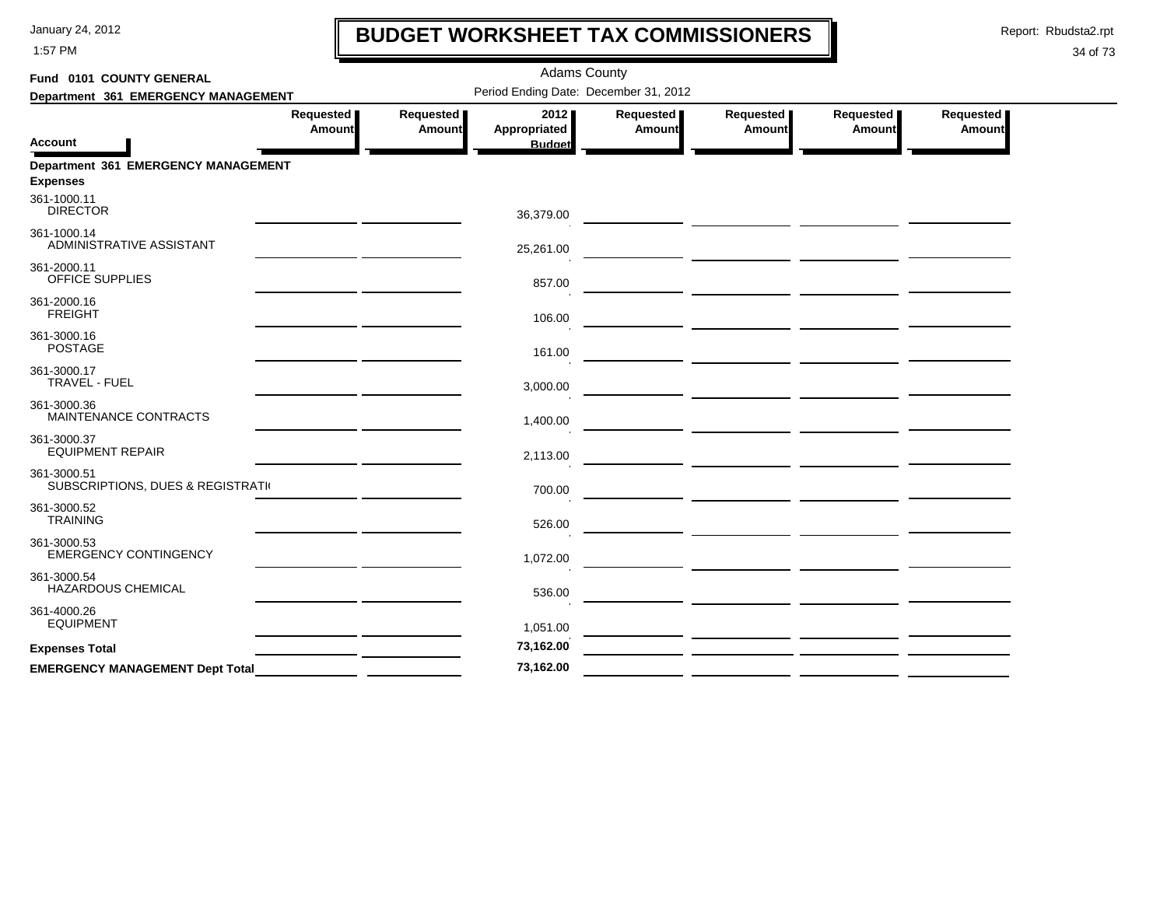1:57 PM

# **BUDGET WORKSHEET TAX COMMISSIONERS**

Report: Rbudsta2.rpt

 $\mathbf l$ 

| Fund 0101 COUNTY GENERAL                               |                     |                            | <b>Adams County</b>                          |                     |                                                         |                     |                            |
|--------------------------------------------------------|---------------------|----------------------------|----------------------------------------------|---------------------|---------------------------------------------------------|---------------------|----------------------------|
| Department 361 EMERGENCY MANAGEMENT                    |                     |                            | Period Ending Date: December 31, 2012        |                     |                                                         |                     |                            |
| <b>Account</b>                                         | Requested<br>Amount | Requested<br><b>Amount</b> | 2012<br><b>Appropriated</b><br><b>Budget</b> | Requested<br>Amount | Requested<br>Amount                                     | Requested<br>Amount | Requested<br><b>Amount</b> |
| Department 361 EMERGENCY MANAGEMENT<br><b>Expenses</b> |                     |                            |                                              |                     |                                                         |                     |                            |
| 361-1000.11<br><b>DIRECTOR</b>                         |                     |                            | 36,379.00                                    |                     |                                                         |                     |                            |
| 361-1000.14<br>ADMINISTRATIVE ASSISTANT                |                     |                            | 25,261.00                                    |                     |                                                         |                     |                            |
| 361-2000.11<br>OFFICE SUPPLIES                         |                     |                            | 857.00                                       |                     |                                                         |                     |                            |
| 361-2000.16<br><b>FREIGHT</b>                          |                     |                            | 106.00                                       |                     | <u> 1989 - Johann Barbara, martxa eta inperioaren 1</u> |                     |                            |
| 361-3000.16<br><b>POSTAGE</b>                          |                     |                            | 161.00                                       |                     |                                                         |                     |                            |
| 361-3000.17<br>TRAVEL - FUEL                           |                     |                            | 3,000.00                                     |                     |                                                         |                     |                            |
| 361-3000.36<br>MAINTENANCE CONTRACTS                   |                     |                            | 1,400.00                                     |                     |                                                         |                     |                            |
| 361-3000.37<br><b>EQUIPMENT REPAIR</b>                 |                     |                            | 2,113.00                                     |                     |                                                         |                     |                            |
| 361-3000.51<br>SUBSCRIPTIONS, DUES & REGISTRATI        |                     |                            | 700.00                                       |                     |                                                         |                     |                            |
| 361-3000.52<br><b>TRAINING</b>                         |                     |                            | 526.00                                       |                     |                                                         |                     |                            |
| 361-3000.53<br><b>EMERGENCY CONTINGENCY</b>            |                     |                            | 1,072.00                                     |                     |                                                         |                     |                            |
| 361-3000.54<br>HAZARDOUS CHEMICAL                      |                     |                            | 536.00                                       |                     |                                                         |                     |                            |
| 361-4000.26<br><b>EQUIPMENT</b>                        |                     |                            | 1,051.00                                     |                     |                                                         |                     |                            |
| <b>Expenses Total</b>                                  |                     |                            | 73,162.00                                    |                     |                                                         |                     |                            |
| <b>EMERGENCY MANAGEMENT Dept Total</b>                 |                     |                            | 73,162.00                                    |                     |                                                         |                     |                            |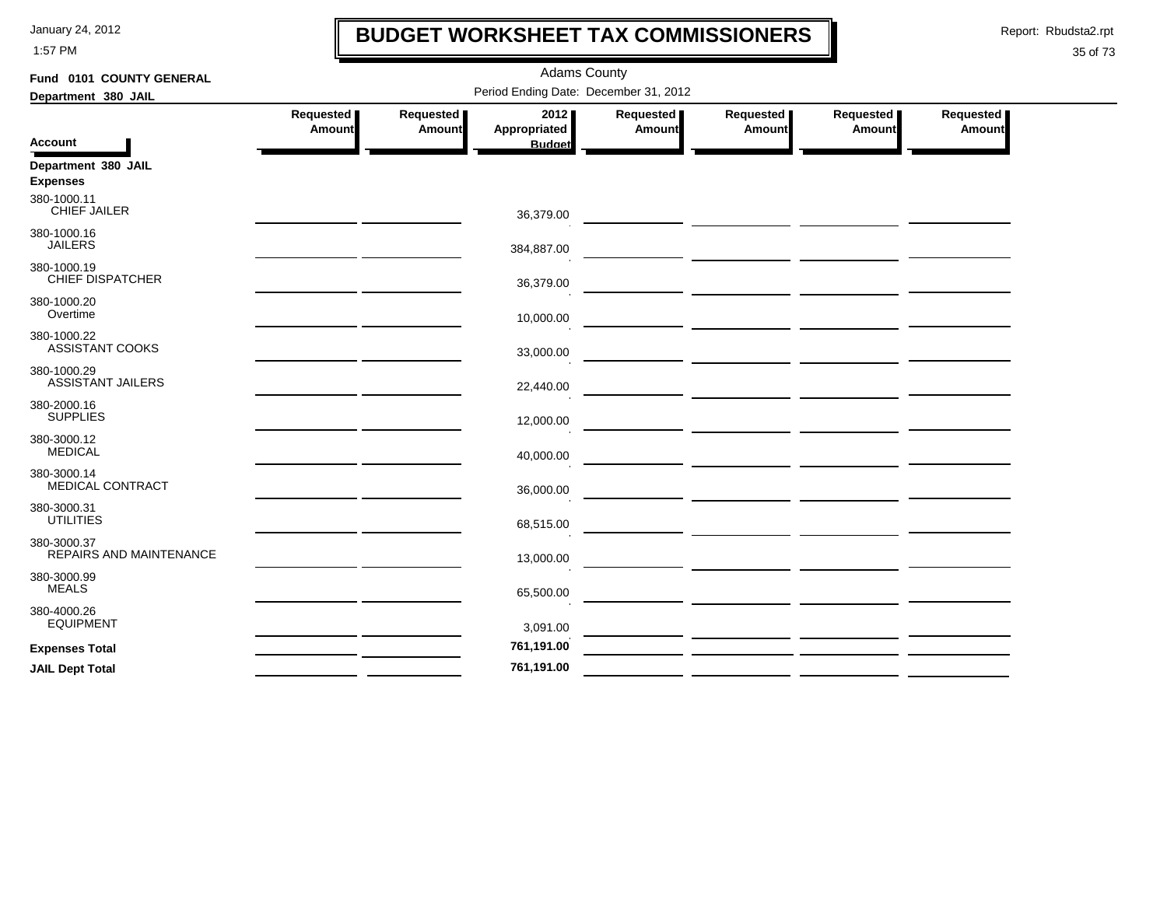1:57 PM

## **BUDGET WORKSHEET TAX COMMISSIONERS**

Report: Rbudsta2.rpt

 $\mathbf l$ 

| Fund 0101 COUNTY GENERAL                |                                                                                                                       |                              | <b>Adams County</b>                   |                     |                                                                                                                                                                                                                                      |                     |                     |
|-----------------------------------------|-----------------------------------------------------------------------------------------------------------------------|------------------------------|---------------------------------------|---------------------|--------------------------------------------------------------------------------------------------------------------------------------------------------------------------------------------------------------------------------------|---------------------|---------------------|
| Department 380 JAIL                     |                                                                                                                       |                              | Period Ending Date: December 31, 2012 |                     |                                                                                                                                                                                                                                      |                     |                     |
|                                         | Requested<br>Amount                                                                                                   | Requested  <br><b>Amount</b> | 2012<br><b>Appropriated</b>           | Requested<br>Amount | Requested<br><b>Amount</b>                                                                                                                                                                                                           | Requested<br>Amount | Requested<br>Amount |
| <b>Account</b>                          |                                                                                                                       |                              | <b>Budget</b>                         |                     |                                                                                                                                                                                                                                      |                     |                     |
| Department 380 JAIL<br><b>Expenses</b>  |                                                                                                                       |                              |                                       |                     |                                                                                                                                                                                                                                      |                     |                     |
| 380-1000.11<br><b>CHIEF JAILER</b>      |                                                                                                                       |                              | 36,379.00                             |                     |                                                                                                                                                                                                                                      |                     |                     |
| 380-1000.16<br><b>JAILERS</b>           |                                                                                                                       |                              | 384,887.00                            |                     | <u> The Common Section of the Common Section of the Common Section of the Common Section of the Common Section of</u>                                                                                                                |                     |                     |
| 380-1000.19<br><b>CHIEF DISPATCHER</b>  |                                                                                                                       |                              | 36,379.00                             |                     | <u> 1990 - Johann John Harry Harry Harry Harry Harry Harry Harry Harry Harry Harry Harry Harry Harry Harry Harry</u>                                                                                                                 |                     |                     |
| 380-1000.20<br>Overtime                 |                                                                                                                       |                              | 10,000.00                             |                     |                                                                                                                                                                                                                                      |                     |                     |
| 380-1000.22<br>ASSISTANT COOKS          |                                                                                                                       |                              | 33,000.00                             |                     | <u> The Communication of the Communication of the Communication of the Communication of the Communication of the Communication of the Communication of the Communication of the Communication of the Communication of the Commun</u> |                     |                     |
| 380-1000.29<br><b>ASSISTANT JAILERS</b> |                                                                                                                       |                              | 22,440.00                             |                     |                                                                                                                                                                                                                                      |                     |                     |
| 380-2000.16<br><b>SUPPLIES</b>          |                                                                                                                       |                              | 12,000.00                             |                     |                                                                                                                                                                                                                                      |                     |                     |
| 380-3000.12<br><b>MEDICAL</b>           |                                                                                                                       |                              | 40,000.00                             |                     |                                                                                                                                                                                                                                      |                     |                     |
| 380-3000.14<br><b>MEDICAL CONTRACT</b>  |                                                                                                                       |                              | 36,000.00                             |                     |                                                                                                                                                                                                                                      |                     |                     |
| 380-3000.31<br><b>UTILITIES</b>         | <u> 1989 - John Harry Harry Harry Harry Harry Harry Harry Harry Harry Harry Harry Harry Harry Harry Harry Harry H</u> |                              | 68,515.00                             |                     |                                                                                                                                                                                                                                      |                     |                     |
| 380-3000.37<br>REPAIRS AND MAINTENANCE  |                                                                                                                       |                              | 13,000.00                             |                     |                                                                                                                                                                                                                                      |                     |                     |
| 380-3000.99<br><b>MEALS</b>             |                                                                                                                       |                              | 65,500.00                             |                     |                                                                                                                                                                                                                                      |                     |                     |
| 380-4000.26<br><b>EQUIPMENT</b>         |                                                                                                                       |                              | 3,091.00                              |                     |                                                                                                                                                                                                                                      |                     |                     |
| <b>Expenses Total</b>                   |                                                                                                                       |                              | 761,191.00                            |                     |                                                                                                                                                                                                                                      |                     |                     |
| <b>JAIL Dept Total</b>                  |                                                                                                                       |                              | 761,191.00                            |                     |                                                                                                                                                                                                                                      |                     |                     |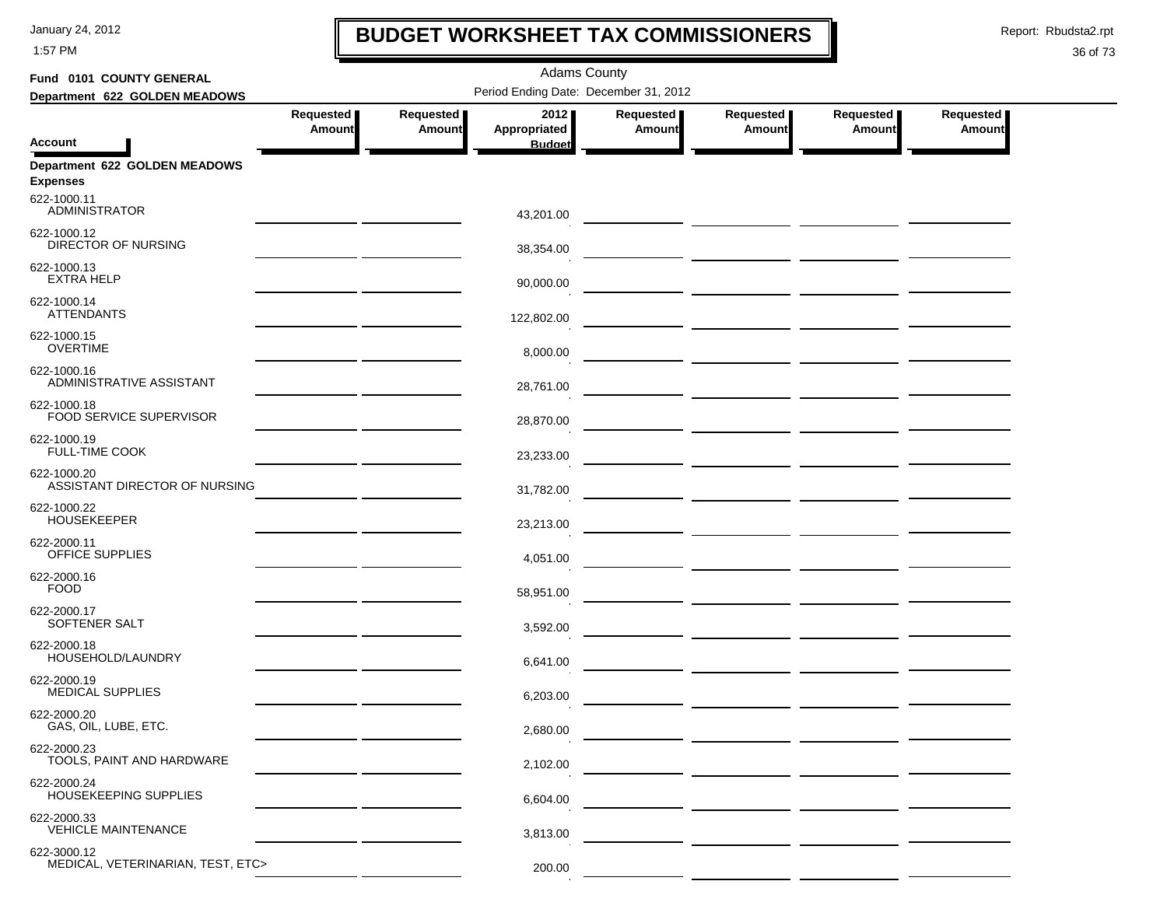1:57 PM

## **BUDGET WORKSHEET TAX COMMISSIONERS**

Report: Rbudsta2.rpt

 $\mathbf I$ 

### 36 of 73

| Fund 0101 COUNTY GENERAL                         |                            |                            | <b>Adams County</b>                   |                     |                                                                                                                      |                     |                            |
|--------------------------------------------------|----------------------------|----------------------------|---------------------------------------|---------------------|----------------------------------------------------------------------------------------------------------------------|---------------------|----------------------------|
| Department 622 GOLDEN MEADOWS                    |                            |                            | Period Ending Date: December 31, 2012 |                     |                                                                                                                      |                     |                            |
|                                                  | Requested<br><b>Amount</b> | Requested<br><b>Amount</b> | 2012<br>Appropriated                  | Requested<br>Amount | Requested<br>Amount                                                                                                  | Requested<br>Amount | Requested<br><b>Amount</b> |
| <b>Account</b>                                   |                            |                            | <b>Budget</b>                         |                     |                                                                                                                      |                     |                            |
| Department 622 GOLDEN MEADOWS<br><b>Expenses</b> |                            |                            |                                       |                     |                                                                                                                      |                     |                            |
| 622-1000.11<br><b>ADMINISTRATOR</b>              |                            |                            | 43,201.00                             |                     |                                                                                                                      |                     |                            |
| 622-1000.12<br>DIRECTOR OF NURSING               |                            |                            | 38,354.00                             |                     |                                                                                                                      |                     |                            |
| 622-1000.13<br><b>EXTRA HELP</b>                 |                            |                            | 90,000.00                             |                     |                                                                                                                      |                     |                            |
| 622-1000.14<br><b>ATTENDANTS</b>                 |                            |                            | 122,802.00                            |                     | <u> 1989 - Johann Harry Communication (b. 1989)</u>                                                                  |                     |                            |
| 622-1000.15<br><b>OVERTIME</b>                   |                            |                            | 8,000.00                              |                     | <u> 1980 - John Stone, mars et al. (</u>                                                                             |                     |                            |
| 622-1000.16<br>ADMINISTRATIVE ASSISTANT          |                            |                            | 28,761.00                             |                     |                                                                                                                      |                     |                            |
| 622-1000.18<br>FOOD SERVICE SUPERVISOR           |                            |                            | 28,870.00                             |                     |                                                                                                                      |                     |                            |
| 622-1000.19<br><b>FULL-TIME COOK</b>             |                            |                            | 23,233.00                             |                     | — <u>— — — — — — — — — — — — — —</u>                                                                                 |                     |                            |
| 622-1000.20<br>ASSISTANT DIRECTOR OF NURSING     |                            |                            | 31,782.00                             |                     |                                                                                                                      |                     |                            |
| 622-1000.22<br><b>HOUSEKEEPER</b>                |                            |                            | 23,213.00                             |                     |                                                                                                                      |                     |                            |
| 622-2000.11<br>OFFICE SUPPLIES                   |                            |                            | 4,051.00                              |                     |                                                                                                                      |                     |                            |
| 622-2000.16<br><b>FOOD</b>                       |                            |                            | 58,951.00                             |                     |                                                                                                                      |                     |                            |
| 622-2000.17<br>SOFTENER SALT                     |                            |                            | 3,592.00                              |                     |                                                                                                                      |                     |                            |
| 622-2000.18<br>HOUSEHOLD/LAUNDRY                 |                            |                            | 6,641.00                              |                     | <u> 1990 - Johann John Harry Harry Harry Harry Harry Harry Harry Harry Harry Harry Harry Harry Harry Harry Harry</u> |                     |                            |
| 622-2000.19<br><b>MEDICAL SUPPLIES</b>           |                            |                            | 6,203.00                              |                     |                                                                                                                      |                     |                            |
| 622-2000.20<br>GAS, OIL, LUBE, ETC.              |                            |                            | 2,680.00                              |                     |                                                                                                                      |                     |                            |
| 622-2000.23<br>TOOLS, PAINT AND HARDWARE         |                            |                            | 2,102.00                              |                     |                                                                                                                      |                     |                            |
| 622-2000.24<br>HOUSEKEEPING SUPPLIES             |                            |                            | 6,604.00                              |                     |                                                                                                                      |                     |                            |
| 622-2000.33<br><b>VEHICLE MAINTENANCE</b>        |                            |                            | 3,813.00                              |                     |                                                                                                                      |                     |                            |
| 622-3000.12<br>MEDICAL, VETERINARIAN, TEST, ETC> |                            |                            | 200.00                                |                     |                                                                                                                      |                     |                            |

 $\mathbf{r}$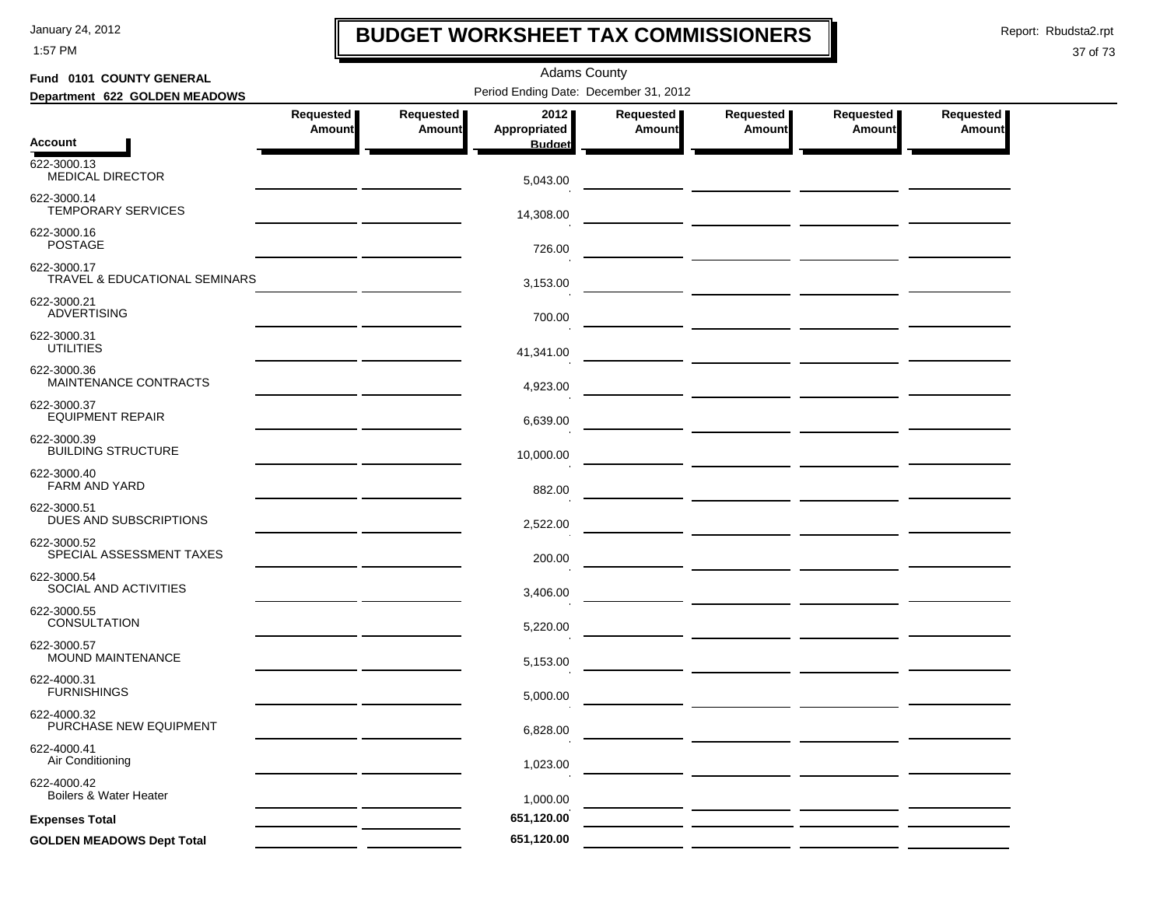1:57 PM

### **BUDGET WORKSHEET TAX COMMISSIONERS**

Report: Rbudsta2.rpt

 $\mathbf l$ 

| Fund 0101 COUNTY GENERAL                     |                                                 |                            | <b>Adams County</b>                   |                     |                             |                     |                              |
|----------------------------------------------|-------------------------------------------------|----------------------------|---------------------------------------|---------------------|-----------------------------|---------------------|------------------------------|
| Department 622 GOLDEN MEADOWS                |                                                 |                            | Period Ending Date: December 31, 2012 |                     |                             |                     |                              |
|                                              | Requested<br><b>Amount</b>                      | Requested<br><b>Amount</b> | 2012<br>Appropriated                  | Requested<br>Amount | Requested<br><b>Amount</b>  | Requested<br>Amount | Requested  <br><b>Amount</b> |
| <b>Account</b>                               |                                                 |                            | <b>Budget</b>                         |                     |                             |                     |                              |
| 622-3000.13<br><b>MEDICAL DIRECTOR</b>       |                                                 |                            | 5,043.00                              |                     |                             |                     |                              |
| 622-3000.14<br><b>TEMPORARY SERVICES</b>     |                                                 |                            | 14,308.00                             |                     |                             |                     |                              |
| 622-3000.16<br><b>POSTAGE</b>                |                                                 |                            | 726.00                                |                     |                             |                     |                              |
| 622-3000.17<br>TRAVEL & EDUCATIONAL SEMINARS |                                                 |                            | 3,153.00                              |                     |                             |                     |                              |
| 622-3000.21<br><b>ADVERTISING</b>            |                                                 |                            | 700.00                                |                     |                             |                     |                              |
| 622-3000.31<br><b>UTILITIES</b>              |                                                 |                            | 41,341.00                             |                     |                             |                     |                              |
| 622-3000.36<br>MAINTENANCE CONTRACTS         | the contract of the contract of the contract of |                            | 4,923.00                              |                     |                             |                     |                              |
| 622-3000.37<br><b>EQUIPMENT REPAIR</b>       |                                                 |                            | 6,639.00                              |                     | — <u>— ———— —————</u> ————— |                     |                              |
| 622-3000.39<br><b>BUILDING STRUCTURE</b>     |                                                 |                            | 10,000.00                             |                     |                             |                     |                              |
| 622-3000.40<br><b>FARM AND YARD</b>          |                                                 |                            | 882.00                                |                     |                             |                     |                              |
| 622-3000.51<br>DUES AND SUBSCRIPTIONS        |                                                 |                            | 2,522.00                              |                     |                             |                     |                              |
| 622-3000.52<br>SPECIAL ASSESSMENT TAXES      |                                                 |                            | 200.00                                |                     |                             |                     |                              |
| 622-3000.54<br>SOCIAL AND ACTIVITIES         |                                                 |                            | 3,406.00                              |                     |                             |                     |                              |
| 622-3000.55<br>CONSULTATION                  |                                                 |                            | 5,220.00                              |                     |                             |                     |                              |
| 622-3000.57<br>MOUND MAINTENANCE             |                                                 |                            | 5,153.00                              |                     |                             |                     |                              |
| 622-4000.31<br><b>FURNISHINGS</b>            |                                                 |                            | 5.000.00                              |                     |                             |                     |                              |
| 622-4000.32<br>PURCHASE NEW EQUIPMENT        |                                                 |                            | 6,828.00                              |                     |                             |                     |                              |
| 622-4000.41<br>Air Conditioning              |                                                 |                            | 1,023.00                              |                     |                             |                     |                              |
| 622-4000.42<br>Boilers & Water Heater        |                                                 |                            | 1,000.00                              |                     |                             |                     |                              |
| <b>Expenses Total</b>                        |                                                 |                            | 651,120.00                            |                     |                             |                     |                              |
| <b>GOLDEN MEADOWS Dept Total</b>             |                                                 |                            | 651,120.00                            |                     |                             |                     |                              |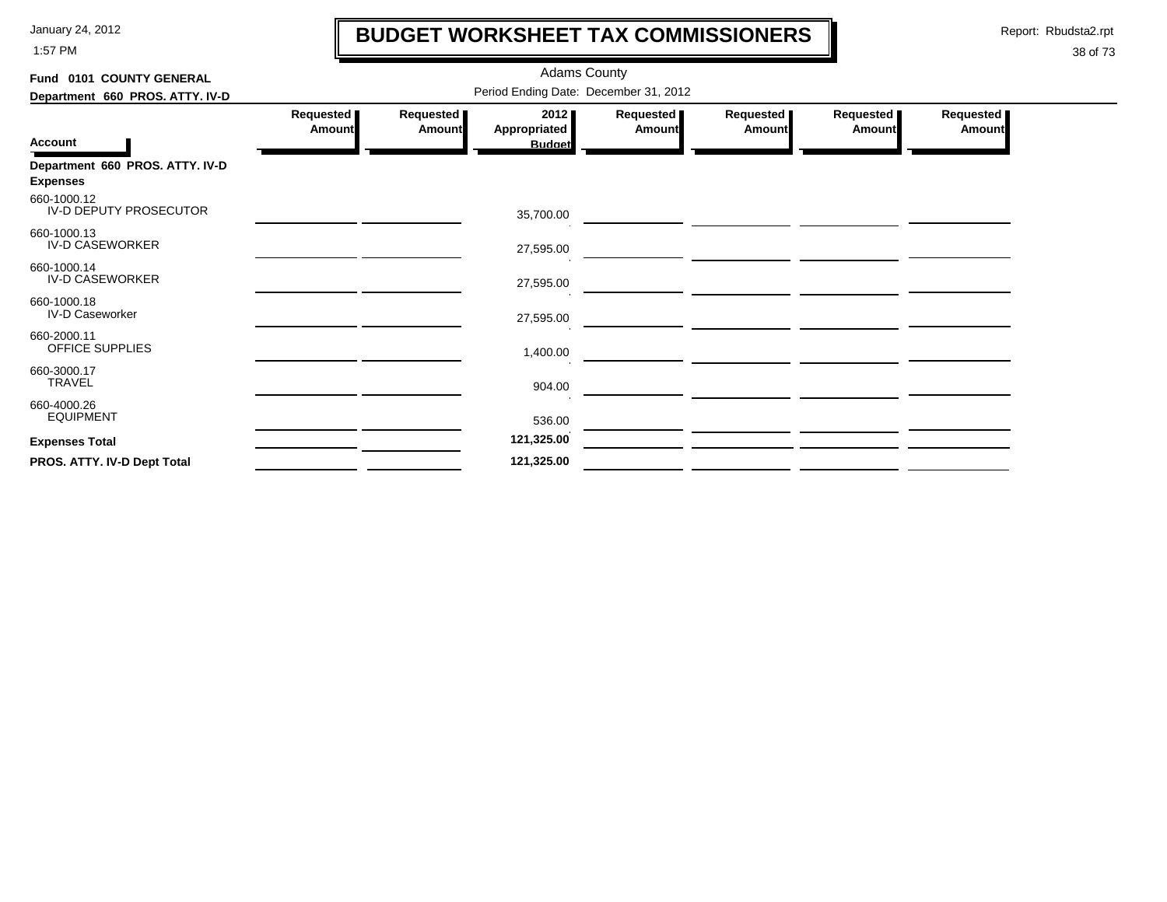1:57 PM

### **BUDGET WORKSHEET TAX COMMISSIONERS**

Report: Rbudsta2.rpt

 $\mathbf l$ 

| Fund 0101 COUNTY GENERAL                           |                                       | <b>Adams County</b> |                                              |                     |                     |                     |                     |  |  |  |  |
|----------------------------------------------------|---------------------------------------|---------------------|----------------------------------------------|---------------------|---------------------|---------------------|---------------------|--|--|--|--|
| Department 660 PROS. ATTY. IV-D                    | Period Ending Date: December 31, 2012 |                     |                                              |                     |                     |                     |                     |  |  |  |  |
| <b>Account</b>                                     | Requested<br><b>Amount</b>            | Requested<br>Amount | 2012<br><b>Appropriated</b><br><b>Budget</b> | Requested<br>Amount | Requested<br>Amount | Requested<br>Amount | Requested<br>Amount |  |  |  |  |
| Department 660 PROS. ATTY. IV-D<br><b>Expenses</b> |                                       |                     |                                              |                     |                     |                     |                     |  |  |  |  |
| 660-1000.12<br>IV-D DEPUTY PROSECUTOR              |                                       |                     | 35,700.00                                    |                     |                     |                     |                     |  |  |  |  |
| 660-1000.13<br><b>IV-D CASEWORKER</b>              |                                       |                     | 27,595.00                                    |                     |                     |                     |                     |  |  |  |  |
| 660-1000.14<br><b>IV-D CASEWORKER</b>              |                                       |                     | 27,595.00                                    |                     |                     |                     |                     |  |  |  |  |
| 660-1000.18<br><b>IV-D Caseworker</b>              |                                       |                     | 27,595.00                                    |                     |                     |                     |                     |  |  |  |  |
| 660-2000.11<br>OFFICE SUPPLIES                     |                                       |                     | 1,400.00                                     |                     |                     |                     |                     |  |  |  |  |
| 660-3000.17<br><b>TRAVEL</b>                       |                                       |                     | 904.00                                       |                     |                     |                     |                     |  |  |  |  |
| 660-4000.26<br><b>EQUIPMENT</b>                    |                                       |                     | 536.00                                       |                     |                     |                     |                     |  |  |  |  |
| <b>Expenses Total</b>                              |                                       |                     | 121,325.00                                   |                     |                     |                     |                     |  |  |  |  |
| PROS. ATTY. IV-D Dept Total                        |                                       |                     | 121,325.00                                   |                     |                     |                     |                     |  |  |  |  |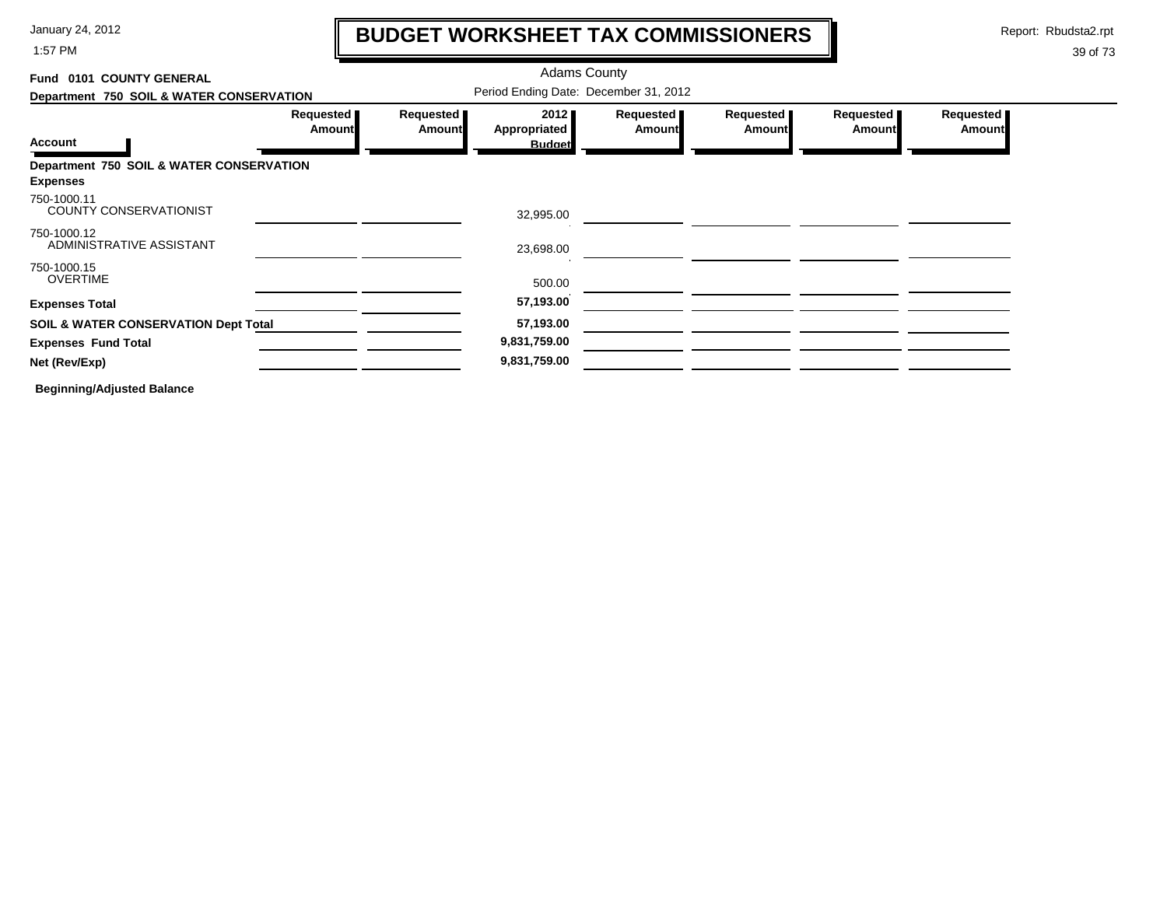1:57 PM

### **BUDGET WORKSHEET TAX COMMISSIONERS**

Report: Rbudsta2.rpt

 $\mathbf l$ 

#### 39 of 73

| Fund 0101 COUNTY GENERAL                        |                     |                                       |                      |                            |                            |                            |                            |
|-------------------------------------------------|---------------------|---------------------------------------|----------------------|----------------------------|----------------------------|----------------------------|----------------------------|
| Department 750 SOIL & WATER CONSERVATION        |                     | Period Ending Date: December 31, 2012 |                      |                            |                            |                            |                            |
|                                                 | Requested<br>Amount | Requested<br>Amount                   | 2012<br>Appropriated | Requested<br><b>Amount</b> | Requested<br><b>Amount</b> | Requested<br><b>Amount</b> | Requested<br><b>Amount</b> |
| <b>Account</b>                                  |                     |                                       | <b>Budget</b>        |                            |                            |                            |                            |
| Department 750 SOIL & WATER CONSERVATION        |                     |                                       |                      |                            |                            |                            |                            |
| <b>Expenses</b>                                 |                     |                                       |                      |                            |                            |                            |                            |
| 750-1000.11<br><b>COUNTY CONSERVATIONIST</b>    |                     |                                       | 32,995.00            |                            |                            |                            |                            |
| 750-1000.12<br>ADMINISTRATIVE ASSISTANT         |                     |                                       | 23,698.00            |                            |                            |                            |                            |
| 750-1000.15                                     |                     |                                       |                      |                            |                            |                            |                            |
| <b>OVERTIME</b>                                 |                     |                                       | 500.00               |                            |                            |                            |                            |
| <b>Expenses Total</b>                           |                     |                                       | 57,193.00            |                            |                            |                            |                            |
| <b>SOIL &amp; WATER CONSERVATION Dept Total</b> |                     |                                       | 57,193.00            |                            |                            |                            |                            |
| <b>Expenses Fund Total</b>                      |                     |                                       | 9,831,759.00         |                            |                            |                            |                            |
| Net (Rev/Exp)                                   |                     |                                       | 9,831,759.00         |                            |                            |                            |                            |
|                                                 |                     |                                       |                      |                            |                            |                            |                            |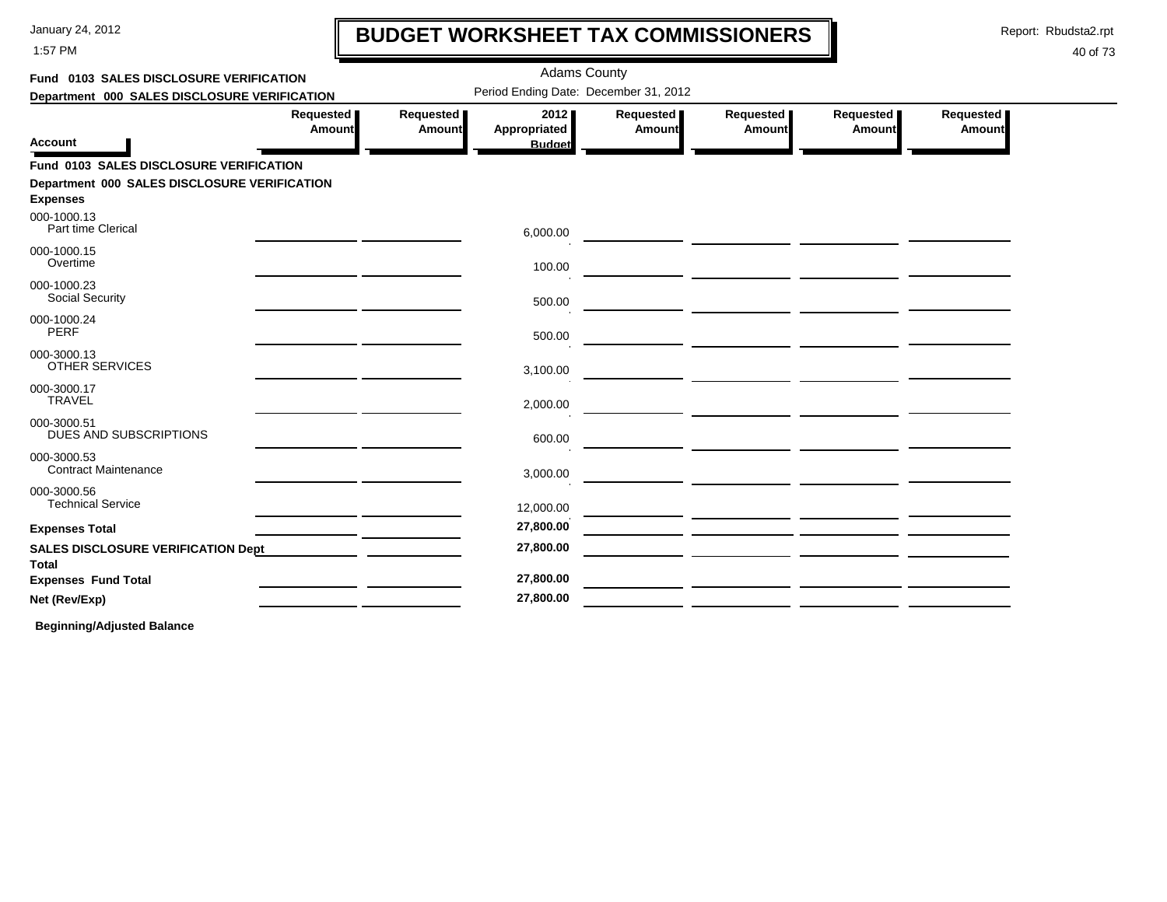1:57 PM

# **BUDGET WORKSHEET TAX COMMISSIONERS**

Report: Rbudsta2.rpt

 $\mathbf l$ 

#### 40 of 73

| Fund 0103 SALES DISCLOSURE VERIFICATION                         |                     |                     |                                       | <b>Adams County</b>                   |                                                             |                     |                     |  |
|-----------------------------------------------------------------|---------------------|---------------------|---------------------------------------|---------------------------------------|-------------------------------------------------------------|---------------------|---------------------|--|
| Department 000 SALES DISCLOSURE VERIFICATION                    |                     |                     |                                       | Period Ending Date: December 31, 2012 |                                                             |                     |                     |  |
| <b>Account</b>                                                  | Requested<br>Amount | Requested<br>Amount | 2012<br>Appropriated<br><b>Budget</b> | Requested<br>Amount                   | Requested<br>Amount                                         | Requested<br>Amount | Requested<br>Amount |  |
| Fund 0103 SALES DISCLOSURE VERIFICATION                         |                     |                     |                                       |                                       |                                                             |                     |                     |  |
| Department 000 SALES DISCLOSURE VERIFICATION<br><b>Expenses</b> |                     |                     |                                       |                                       |                                                             |                     |                     |  |
| 000-1000.13<br>Part time Clerical                               |                     |                     | 6,000.00                              |                                       |                                                             |                     |                     |  |
| 000-1000.15<br>Overtime                                         |                     |                     | 100.00                                |                                       |                                                             |                     |                     |  |
| 000-1000.23<br><b>Social Security</b>                           |                     |                     | 500.00                                |                                       | <u> 2002 - Johann Stein, mars et al. (2003)</u>             |                     |                     |  |
| 000-1000.24<br>PERF                                             |                     |                     | 500.00                                |                                       |                                                             |                     |                     |  |
| 000-3000.13<br><b>OTHER SERVICES</b>                            |                     |                     | 3,100.00                              |                                       |                                                             |                     |                     |  |
| 000-3000.17<br><b>TRAVEL</b>                                    |                     |                     | 2,000.00                              |                                       |                                                             |                     |                     |  |
| 000-3000.51<br>DUES AND SUBSCRIPTIONS                           |                     |                     | 600.00                                |                                       |                                                             |                     |                     |  |
| 000-3000.53<br><b>Contract Maintenance</b>                      |                     |                     | 3,000.00                              |                                       |                                                             |                     |                     |  |
| 000-3000.56<br><b>Technical Service</b>                         |                     |                     | 12,000.00                             |                                       |                                                             |                     |                     |  |
| <b>Expenses Total</b>                                           |                     |                     | 27,800.00                             |                                       | <u> 1989 - Johann Stoff, Amerikaansk politiker († 1908)</u> |                     |                     |  |
| <b>SALES DISCLOSURE VERIFICATION Dept</b><br>Total              |                     |                     | 27,800.00                             |                                       |                                                             |                     |                     |  |
| <b>Expenses Fund Total</b>                                      |                     |                     | 27,800.00                             |                                       |                                                             |                     |                     |  |
| Net (Rev/Exp)                                                   |                     |                     | 27,800.00                             |                                       |                                                             |                     |                     |  |
|                                                                 |                     |                     |                                       |                                       |                                                             |                     |                     |  |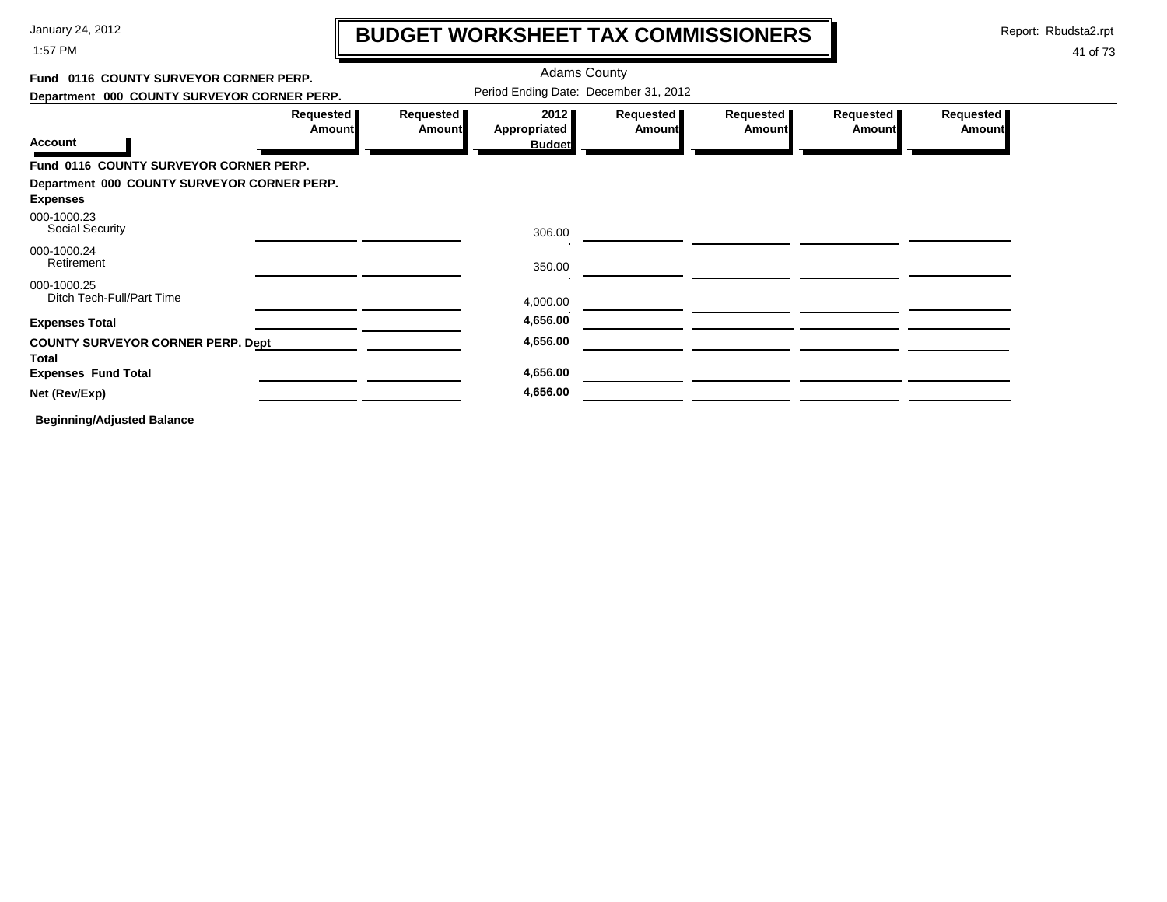1:57 PM

# **BUDGET WORKSHEET TAX COMMISSIONERS**

Report: Rbudsta2.rpt

 $\mathbf l$ 

| Fund 0116 COUNTY SURVEYOR CORNER PERP.                         |                            |                            | <b>Adams County</b>                   |                            |                     |                            |                            |
|----------------------------------------------------------------|----------------------------|----------------------------|---------------------------------------|----------------------------|---------------------|----------------------------|----------------------------|
| Department 000 COUNTY SURVEYOR CORNER PERP.                    |                            |                            | Period Ending Date: December 31, 2012 |                            |                     |                            |                            |
| <b>Account</b>                                                 | Requested<br><b>Amount</b> | Requested<br><b>Amount</b> | 2012<br>Appropriated<br><b>Budget</b> | Requested<br><b>Amount</b> | Requested<br>Amount | Requested<br><b>Amount</b> | Requested<br><b>Amount</b> |
| Fund 0116 COUNTY SURVEYOR CORNER PERP.                         |                            |                            |                                       |                            |                     |                            |                            |
| Department 000 COUNTY SURVEYOR CORNER PERP.<br><b>Expenses</b> |                            |                            |                                       |                            |                     |                            |                            |
| 000-1000.23<br><b>Social Security</b>                          |                            |                            | 306.00                                |                            |                     |                            |                            |
| 000-1000.24<br>Retirement                                      |                            |                            | 350.00                                |                            |                     |                            |                            |
| 000-1000.25<br>Ditch Tech-Full/Part Time                       |                            |                            | 4,000.00                              |                            |                     |                            |                            |
| <b>Expenses Total</b>                                          |                            |                            | 4,656.00                              |                            |                     |                            |                            |
| <b>COUNTY SURVEYOR CORNER PERP. Dept</b><br><b>Total</b>       |                            |                            | 4,656.00                              |                            |                     |                            |                            |
| <b>Expenses Fund Total</b>                                     |                            |                            | 4,656.00                              |                            |                     |                            |                            |
| Net (Rev/Exp)                                                  |                            |                            | 4,656.00                              |                            |                     |                            |                            |
| <b>Beginning/Adjusted Balance</b>                              |                            |                            |                                       |                            |                     |                            |                            |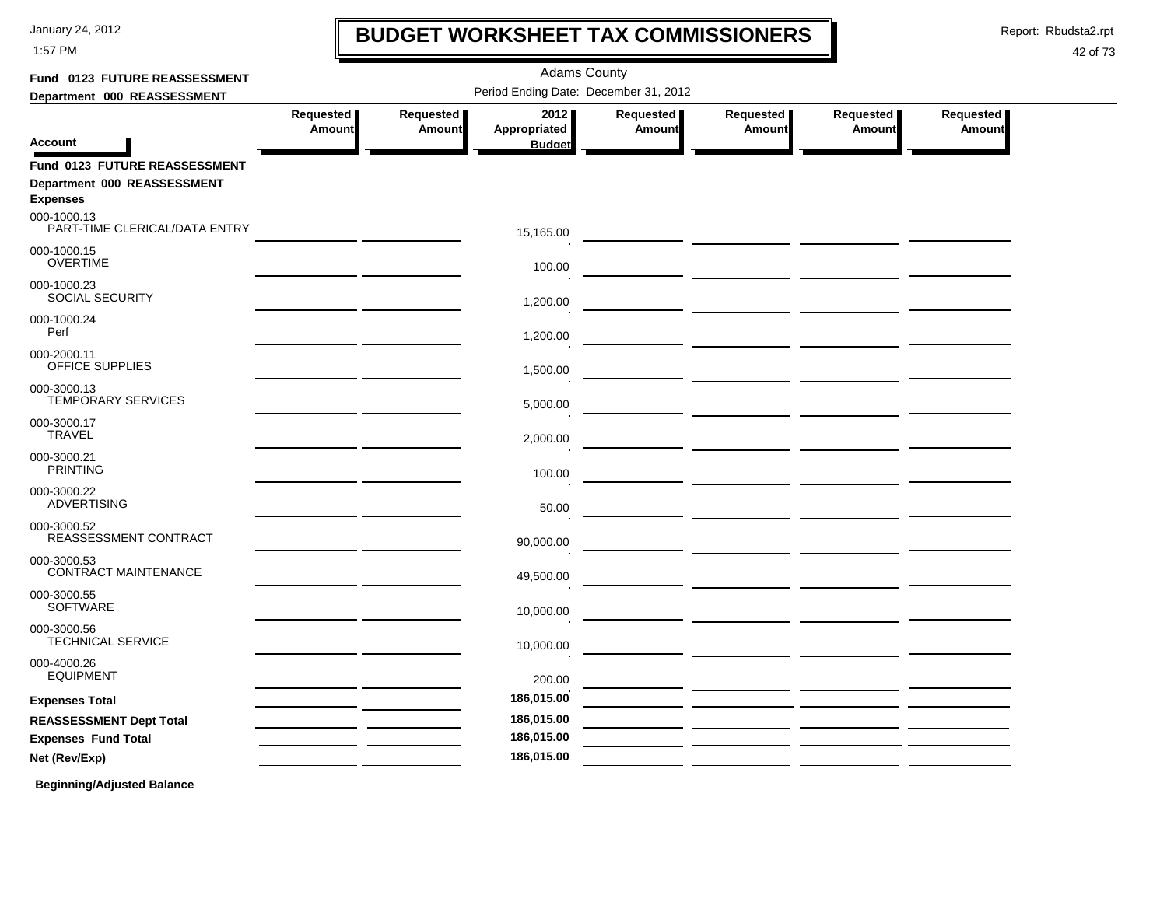1:57 PM

### **BUDGET WORKSHEET TAX COMMISSIONERS**

Report: Rbudsta2.rpt

 $\mathbf l$ 

| Fund 0123 FUTURE REASSESSMENT                                                   |                            |                     | <b>Adams County</b>                   |                     |                                                                                                                       |                            |                            |
|---------------------------------------------------------------------------------|----------------------------|---------------------|---------------------------------------|---------------------|-----------------------------------------------------------------------------------------------------------------------|----------------------------|----------------------------|
| Department 000 REASSESSMENT                                                     |                            |                     | Period Ending Date: December 31, 2012 |                     |                                                                                                                       |                            |                            |
| <b>Account</b>                                                                  | Requested<br><b>Amount</b> | Requested<br>Amount | 2012<br>Appropriated<br><b>Budget</b> | Requested<br>Amount | Requested<br>Amount                                                                                                   | Requested<br><b>Amount</b> | Requested<br><b>Amount</b> |
| Fund 0123 FUTURE REASSESSMENT<br>Department 000 REASSESSMENT<br><b>Expenses</b> |                            |                     |                                       |                     |                                                                                                                       |                            |                            |
| 000-1000.13<br>PART-TIME CLERICAL/DATA ENTRY                                    |                            |                     | 15,165.00                             |                     |                                                                                                                       |                            |                            |
| 000-1000.15<br><b>OVERTIME</b>                                                  |                            |                     | 100.00                                |                     |                                                                                                                       |                            |                            |
| 000-1000.23<br><b>SOCIAL SECURITY</b>                                           |                            |                     | 1,200.00                              |                     |                                                                                                                       |                            |                            |
| 000-1000.24<br>Perf                                                             |                            |                     | 1,200.00                              |                     |                                                                                                                       |                            |                            |
| 000-2000.11<br>OFFICE SUPPLIES                                                  |                            |                     | 1,500.00                              |                     |                                                                                                                       |                            |                            |
| 000-3000.13<br><b>TEMPORARY SERVICES</b>                                        |                            |                     | 5,000.00                              |                     |                                                                                                                       |                            |                            |
| 000-3000.17<br><b>TRAVEL</b>                                                    |                            |                     | 2,000.00                              |                     | <u> 1999 - Johann Harry Harry Harry Harry Harry Harry Harry Harry Harry Harry Harry Harry Harry Harry Harry Harry</u> |                            |                            |
| 000-3000.21<br><b>PRINTING</b>                                                  |                            |                     | 100.00                                |                     | — <u>— — — — — — — — — —</u> —                                                                                        |                            |                            |
| 000-3000.22<br><b>ADVERTISING</b>                                               |                            |                     | 50.00                                 |                     |                                                                                                                       |                            |                            |
| 000-3000.52<br>REASSESSMENT CONTRACT                                            |                            |                     | 90,000.00                             |                     |                                                                                                                       |                            |                            |
| 000-3000.53<br><b>CONTRACT MAINTENANCE</b>                                      |                            |                     | 49,500.00                             |                     |                                                                                                                       |                            |                            |
| 000-3000.55<br><b>SOFTWARE</b>                                                  |                            |                     | 10,000.00                             |                     |                                                                                                                       |                            |                            |
| 000-3000.56<br><b>TECHNICAL SERVICE</b>                                         |                            |                     | 10,000.00                             |                     |                                                                                                                       |                            |                            |
| 000-4000.26<br><b>EQUIPMENT</b>                                                 |                            |                     | 200.00                                |                     |                                                                                                                       |                            |                            |
| <b>Expenses Total</b>                                                           |                            |                     | 186,015.00                            |                     |                                                                                                                       |                            |                            |
| <b>REASSESSMENT Dept Total</b>                                                  |                            |                     | 186,015.00                            |                     |                                                                                                                       |                            |                            |
| <b>Expenses Fund Total</b>                                                      |                            |                     | 186,015.00                            |                     |                                                                                                                       |                            |                            |
| Net (Rev/Exp)                                                                   |                            |                     | 186,015.00                            |                     |                                                                                                                       |                            |                            |
| <b>Beginning/Adjusted Balance</b>                                               |                            |                     |                                       |                     |                                                                                                                       |                            |                            |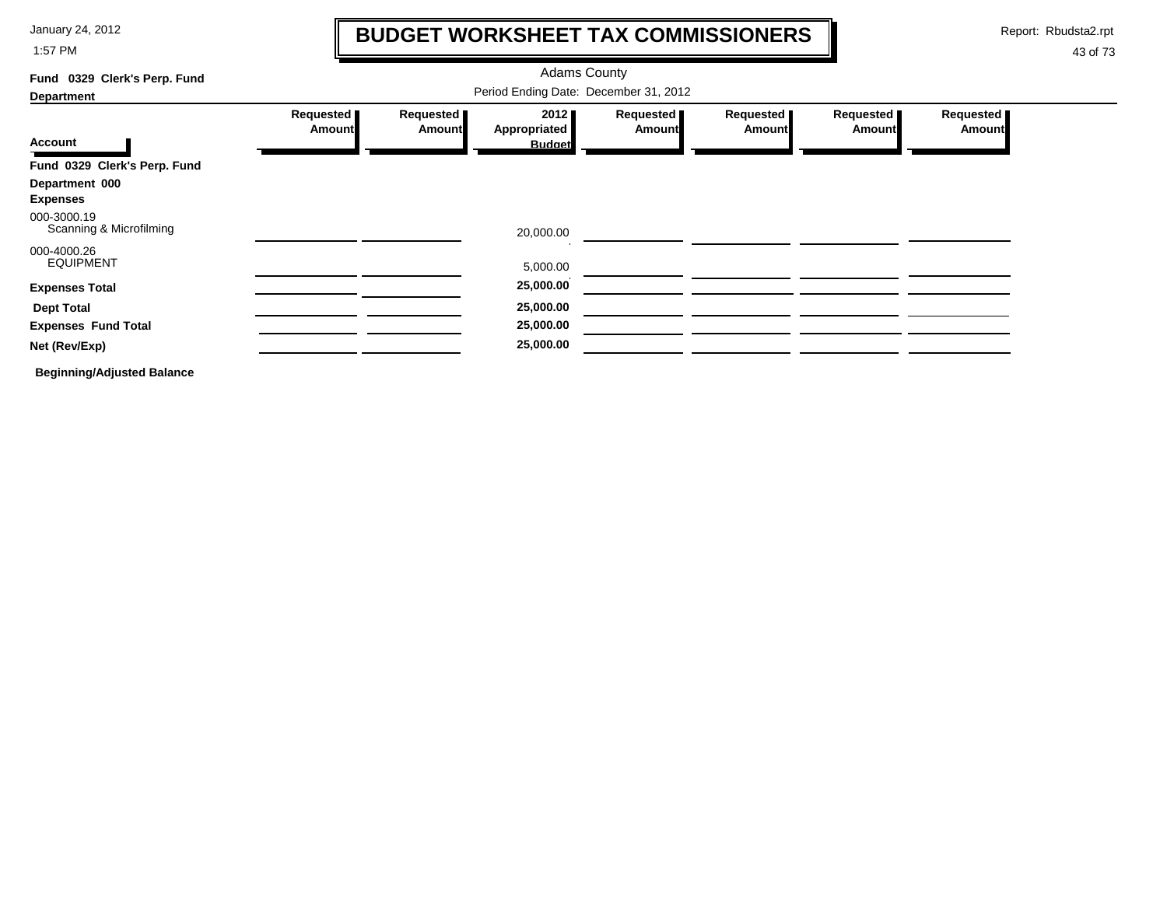1:57 PM

### **BUDGET WORKSHEET TAX COMMISSIONERS**

Report: Rbudsta2.rpt

 $\mathbf I$ 

| Fund 0329 Clerk's Perp. Fund           |                                       |                              | <b>Adams County</b>  |                              |                            |                     |                            |  |  |  |
|----------------------------------------|---------------------------------------|------------------------------|----------------------|------------------------------|----------------------------|---------------------|----------------------------|--|--|--|
| <b>Department</b>                      | Period Ending Date: December 31, 2012 |                              |                      |                              |                            |                     |                            |  |  |  |
|                                        | Requested<br><b>Amount</b>            | Requested  <br><b>Amount</b> | 2012<br>Appropriated | Requested  <br><b>Amount</b> | Requested<br><b>Amount</b> | Requested<br>Amount | Requested<br><b>Amount</b> |  |  |  |
| <b>Account</b>                         |                                       |                              | <b>Budget</b>        |                              |                            |                     |                            |  |  |  |
| Fund 0329 Clerk's Perp. Fund           |                                       |                              |                      |                              |                            |                     |                            |  |  |  |
| Department 000<br><b>Expenses</b>      |                                       |                              |                      |                              |                            |                     |                            |  |  |  |
| 000-3000.19<br>Scanning & Microfilming |                                       |                              | 20,000.00            |                              |                            |                     |                            |  |  |  |
| 000-4000.26<br><b>EQUIPMENT</b>        |                                       |                              | 5,000.00             |                              |                            |                     |                            |  |  |  |
| <b>Expenses Total</b>                  |                                       |                              | 25,000.00            |                              |                            |                     |                            |  |  |  |
| <b>Dept Total</b>                      |                                       |                              | 25,000.00            |                              |                            |                     |                            |  |  |  |
| <b>Expenses Fund Total</b>             |                                       |                              | 25,000.00            |                              |                            |                     |                            |  |  |  |
| Net (Rev/Exp)                          |                                       |                              | 25,000.00            |                              |                            |                     |                            |  |  |  |
| <b>Beginning/Adjusted Balance</b>      |                                       |                              |                      |                              |                            |                     |                            |  |  |  |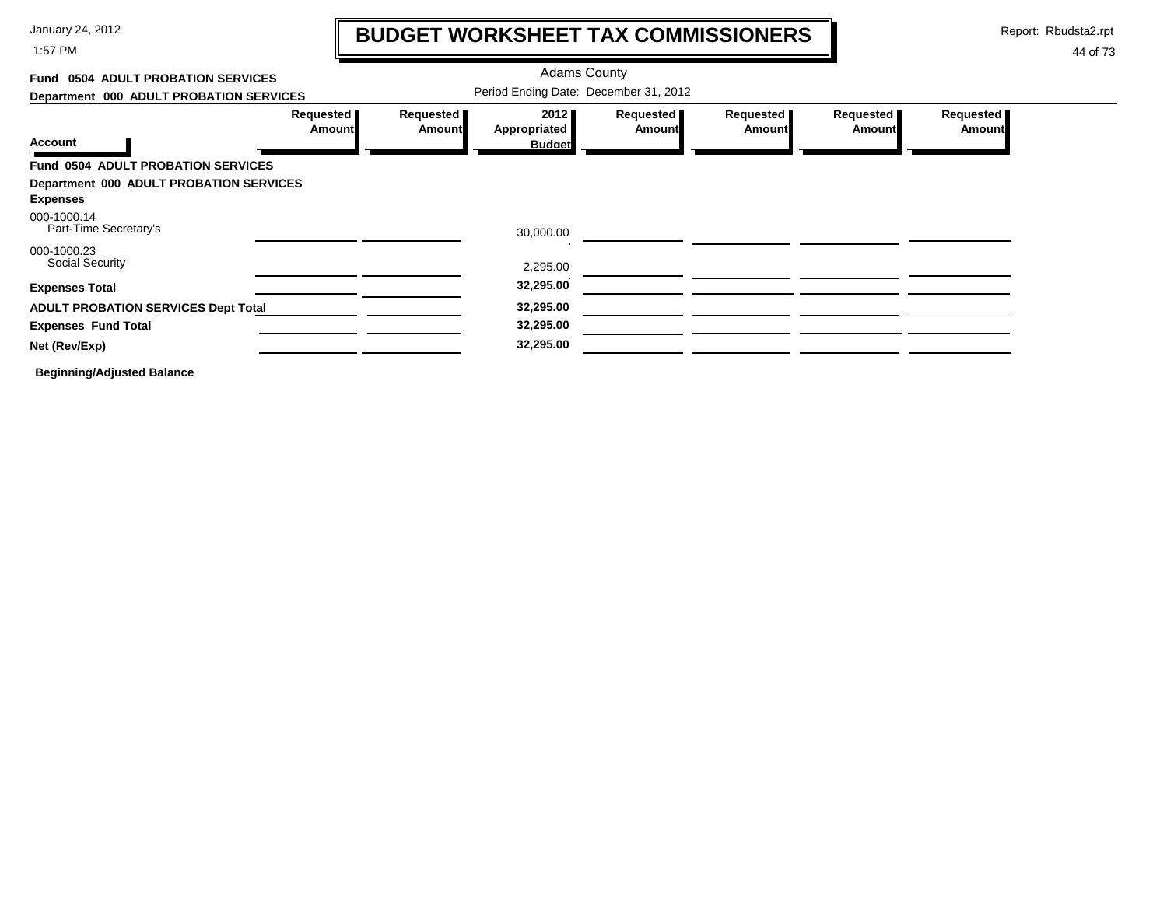1:57 PM

# **BUDGET WORKSHEET TAX COMMISSIONERS**

Report: Rbudsta2.rpt

 $\mathbf \mathbf I$ 

| <b>0504 ADULT PROBATION SERVICES</b><br>Fund |                            |                     | <b>Adams County</b>                   |                            |                     |                     |                            |
|----------------------------------------------|----------------------------|---------------------|---------------------------------------|----------------------------|---------------------|---------------------|----------------------------|
| Department 000 ADULT PROBATION SERVICES      |                            |                     | Period Ending Date: December 31, 2012 |                            |                     |                     |                            |
|                                              | Requested<br><b>Amount</b> | Requested<br>Amount | 2012<br>Appropriated                  | Requested<br><b>Amount</b> | Requested<br>Amount | Requested<br>Amount | Requested<br><b>Amount</b> |
| <b>Account</b>                               |                            |                     | <b>Budget</b>                         |                            |                     |                     |                            |
| <b>Fund 0504 ADULT PROBATION SERVICES</b>    |                            |                     |                                       |                            |                     |                     |                            |
| Department 000 ADULT PROBATION SERVICES      |                            |                     |                                       |                            |                     |                     |                            |
| <b>Expenses</b>                              |                            |                     |                                       |                            |                     |                     |                            |
| 000-1000.14<br>Part-Time Secretary's         |                            |                     | 30,000.00                             |                            |                     |                     |                            |
| 000-1000.23<br>Social Security               |                            |                     | 2,295.00                              |                            |                     |                     |                            |
| <b>Expenses Total</b>                        |                            |                     | 32,295.00                             |                            |                     |                     |                            |
| <b>ADULT PROBATION SERVICES Dept Total</b>   |                            |                     | 32,295.00                             |                            |                     |                     |                            |
| <b>Expenses Fund Total</b>                   |                            |                     | 32,295.00                             |                            |                     |                     |                            |
| Net (Rev/Exp)                                |                            |                     | 32,295.00                             |                            |                     |                     |                            |
| <b>Beginning/Adjusted Balance</b>            |                            |                     |                                       |                            |                     |                     |                            |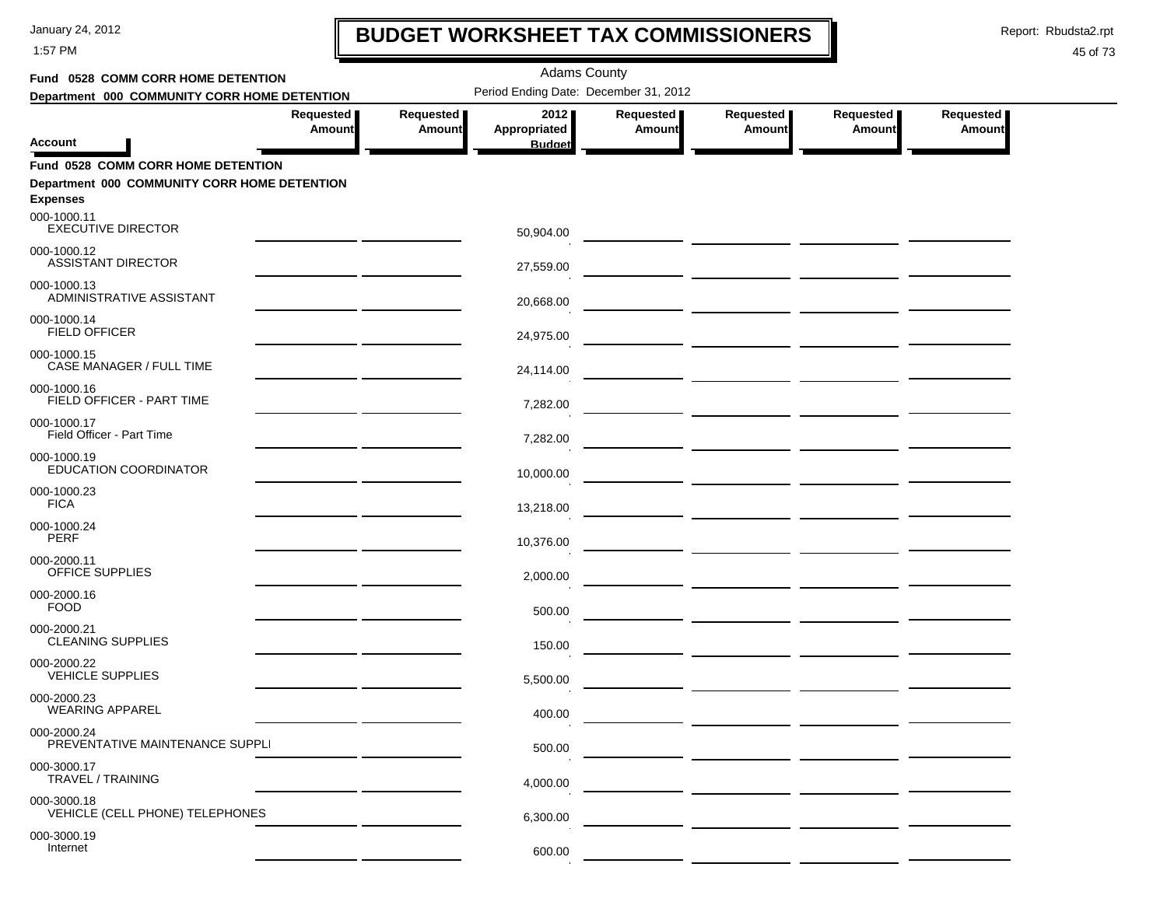1:57 PM

# **BUDGET WORKSHEET TAX COMMISSIONERS**

Report: Rbudsta2.rpt

 $\mathbf I$ 

| Fund 0528 COMM CORR HOME DETENTION                                                                           |                              |                              | <b>Adams County</b>                   |                     |                                                                                                                                                                                                                                      |                              |                            |  |
|--------------------------------------------------------------------------------------------------------------|------------------------------|------------------------------|---------------------------------------|---------------------|--------------------------------------------------------------------------------------------------------------------------------------------------------------------------------------------------------------------------------------|------------------------------|----------------------------|--|
| Department 000 COMMUNITY CORR HOME DETENTION                                                                 |                              |                              | Period Ending Date: December 31, 2012 |                     |                                                                                                                                                                                                                                      |                              |                            |  |
| Account                                                                                                      | Requested  <br><b>Amount</b> | Requested  <br><b>Amount</b> | 2012<br>Appropriated<br><b>Budget</b> | Requested<br>Amount | Requested<br><b>Amount</b>                                                                                                                                                                                                           | Requested  <br><b>Amount</b> | Requested<br><b>Amount</b> |  |
|                                                                                                              |                              |                              |                                       |                     |                                                                                                                                                                                                                                      |                              |                            |  |
| <b>Fund 0528 COMM CORR HOME DETENTION</b><br>Department 000 COMMUNITY CORR HOME DETENTION<br><b>Expenses</b> |                              |                              |                                       |                     |                                                                                                                                                                                                                                      |                              |                            |  |
| 000-1000.11<br><b>EXECUTIVE DIRECTOR</b>                                                                     |                              |                              | 50,904.00                             |                     | <u> 1990 - Johann Harry Barn, mars and de Branch and de Branch and de Branch and de Branch and de Branch and de Br</u>                                                                                                               |                              |                            |  |
| 000-1000.12<br><b>ASSISTANT DIRECTOR</b>                                                                     |                              |                              | 27,559.00                             |                     | <u> 1999 - Johann Harry Harry Harry Harry Harry Harry Harry Harry Harry Harry Harry Harry Harry Harry Harry Harry</u>                                                                                                                |                              |                            |  |
| 000-1000.13<br>ADMINISTRATIVE ASSISTANT                                                                      |                              |                              | 20,668.00                             |                     | <u> La Carlo de la Carlo de la Carlo de la Carlo de la Carlo de la Carlo de la Carlo de la Carlo de la Carlo de l</u>                                                                                                                |                              |                            |  |
| 000-1000.14<br><b>FIELD OFFICER</b>                                                                          |                              |                              | 24,975.00                             |                     |                                                                                                                                                                                                                                      |                              |                            |  |
| 000-1000.15<br>CASE MANAGER / FULL TIME                                                                      |                              |                              | 24,114.00                             |                     |                                                                                                                                                                                                                                      |                              |                            |  |
| 000-1000.16<br>FIELD OFFICER - PART TIME                                                                     |                              |                              | 7,282.00                              |                     |                                                                                                                                                                                                                                      |                              |                            |  |
| 000-1000.17<br>Field Officer - Part Time                                                                     |                              |                              | 7,282.00                              |                     | <u> Liston de la componenta de la componenta de la componenta de la componenta de la componenta de la componenta d</u>                                                                                                               |                              |                            |  |
| 000-1000.19<br>EDUCATION COORDINATOR                                                                         |                              |                              | 10,000.00                             |                     | <u>  El antiga de la contrada de la contrada de la contrada de la contrada de la contrada de la contrada de la c</u>                                                                                                                 |                              |                            |  |
| 000-1000.23<br><b>FICA</b>                                                                                   |                              |                              | 13,218.00                             |                     | <u> The Common School (1999)</u>                                                                                                                                                                                                     |                              |                            |  |
| 000-1000.24<br><b>PERF</b>                                                                                   |                              |                              | 10,376.00                             |                     |                                                                                                                                                                                                                                      |                              |                            |  |
| 000-2000.11<br>OFFICE SUPPLIES                                                                               |                              |                              | 2,000.00                              |                     | <u> 1990 - John Harry Harry Harry House (</u>                                                                                                                                                                                        |                              |                            |  |
| 000-2000.16<br><b>FOOD</b>                                                                                   |                              |                              | 500.00                                |                     |                                                                                                                                                                                                                                      |                              |                            |  |
| 000-2000.21<br><b>CLEANING SUPPLIES</b>                                                                      |                              |                              | 150.00                                |                     | <u> 1999 - Johann John Stone, mars et al. (</u>                                                                                                                                                                                      |                              |                            |  |
| 000-2000.22<br><b>VEHICLE SUPPLIES</b>                                                                       |                              |                              | 5,500.00                              |                     | <u> The Common State of the Common State of the Common State of the Common State of the Common State of the Common State of the Common State of the Common State of the Common State of the Common State of the Common State of </u> |                              |                            |  |
| 000-2000.23<br><b>WEARING APPAREL</b>                                                                        |                              |                              | 400.00                                |                     |                                                                                                                                                                                                                                      |                              |                            |  |
| 000-2000.24<br>PREVENTATIVE MAINTENANCE SUPPLI                                                               |                              |                              | 500.00                                |                     |                                                                                                                                                                                                                                      |                              |                            |  |
| 000-3000.17<br>TRAVEL / TRAINING                                                                             |                              |                              | 4,000.00                              |                     |                                                                                                                                                                                                                                      |                              |                            |  |
| 000-3000.18<br>VEHICLE (CELL PHONE) TELEPHONES                                                               |                              |                              | 6,300.00                              |                     |                                                                                                                                                                                                                                      |                              |                            |  |
| 000-3000.19<br>Internet                                                                                      |                              |                              | 600.00                                |                     |                                                                                                                                                                                                                                      |                              |                            |  |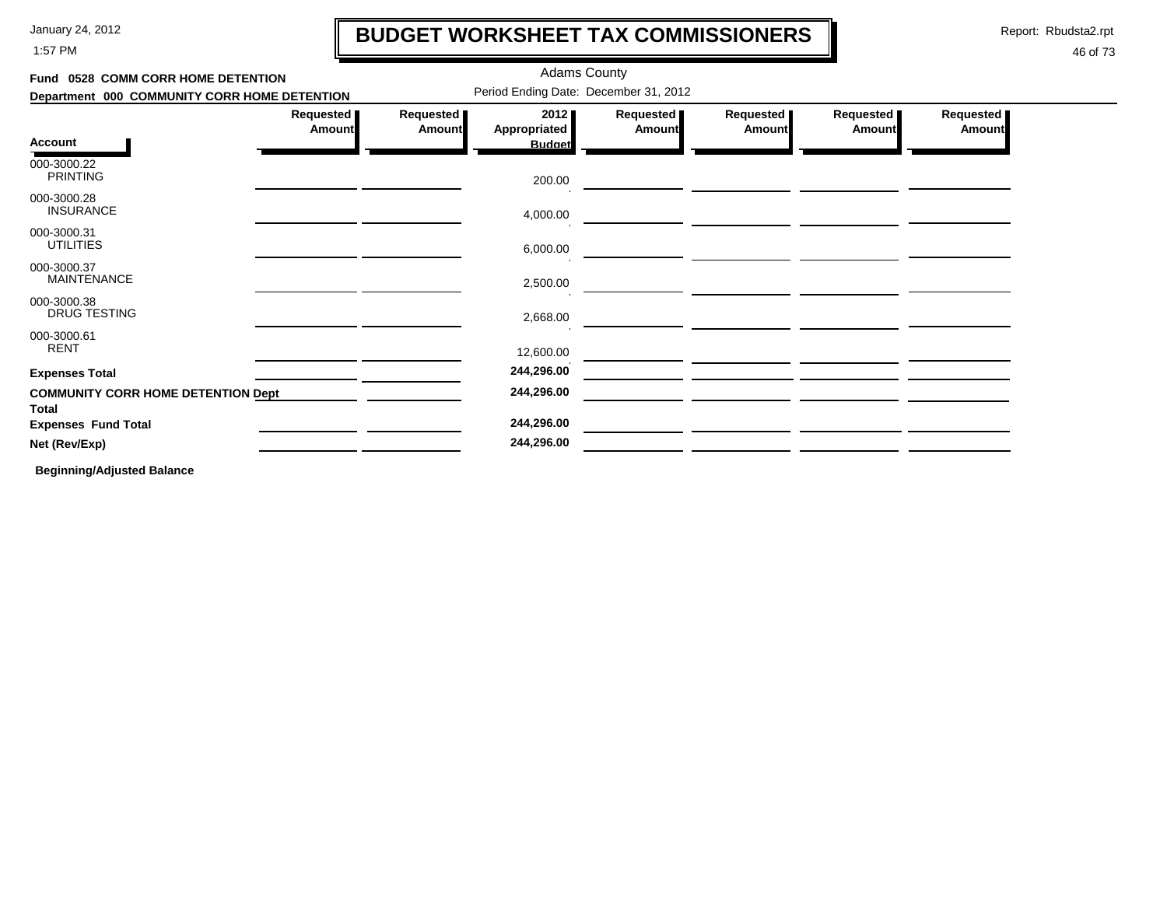1:57 PM

### **BUDGET WORKSHEET TAX COMMISSIONERS**

Report: Rbudsta2.rpt

 $\mathbf l$ 

#### 46 of 73

| Fund 0528 COMM CORR HOME DETENTION                        |                            |                     | <b>Adams County</b>                   |                     |                            |                              |                     |
|-----------------------------------------------------------|----------------------------|---------------------|---------------------------------------|---------------------|----------------------------|------------------------------|---------------------|
| Department 000 COMMUNITY CORR HOME DETENTION              |                            |                     | Period Ending Date: December 31, 2012 |                     |                            |                              |                     |
|                                                           | Requested<br><b>Amount</b> | Requested<br>Amount | 2012<br><b>Appropriated</b>           | Requested<br>Amount | Requested<br><b>Amount</b> | Requested  <br><b>Amount</b> | Requested<br>Amount |
| <b>Account</b>                                            |                            |                     | <b>Budget</b>                         |                     |                            |                              |                     |
| 000-3000.22<br><b>PRINTING</b>                            |                            |                     | 200.00                                |                     |                            |                              |                     |
| 000-3000.28<br><b>INSURANCE</b>                           |                            |                     | 4,000.00                              |                     |                            |                              |                     |
| 000-3000.31<br><b>UTILITIES</b>                           |                            |                     | 6,000.00                              |                     |                            |                              |                     |
| 000-3000.37<br><b>MAINTENANCE</b>                         |                            |                     | 2,500.00                              |                     |                            |                              |                     |
| 000-3000.38<br><b>DRUG TESTING</b>                        |                            |                     | 2,668.00                              |                     |                            |                              |                     |
| 000-3000.61<br><b>RENT</b>                                |                            |                     | 12,600.00                             |                     |                            |                              |                     |
| <b>Expenses Total</b>                                     |                            |                     | 244,296.00                            |                     |                            |                              |                     |
| <b>COMMUNITY CORR HOME DETENTION Dept</b><br><b>Total</b> |                            |                     | 244,296.00                            |                     |                            |                              |                     |
| <b>Expenses Fund Total</b>                                |                            |                     | 244,296.00                            |                     |                            |                              |                     |
| Net (Rev/Exp)                                             |                            |                     | 244,296.00                            |                     |                            |                              |                     |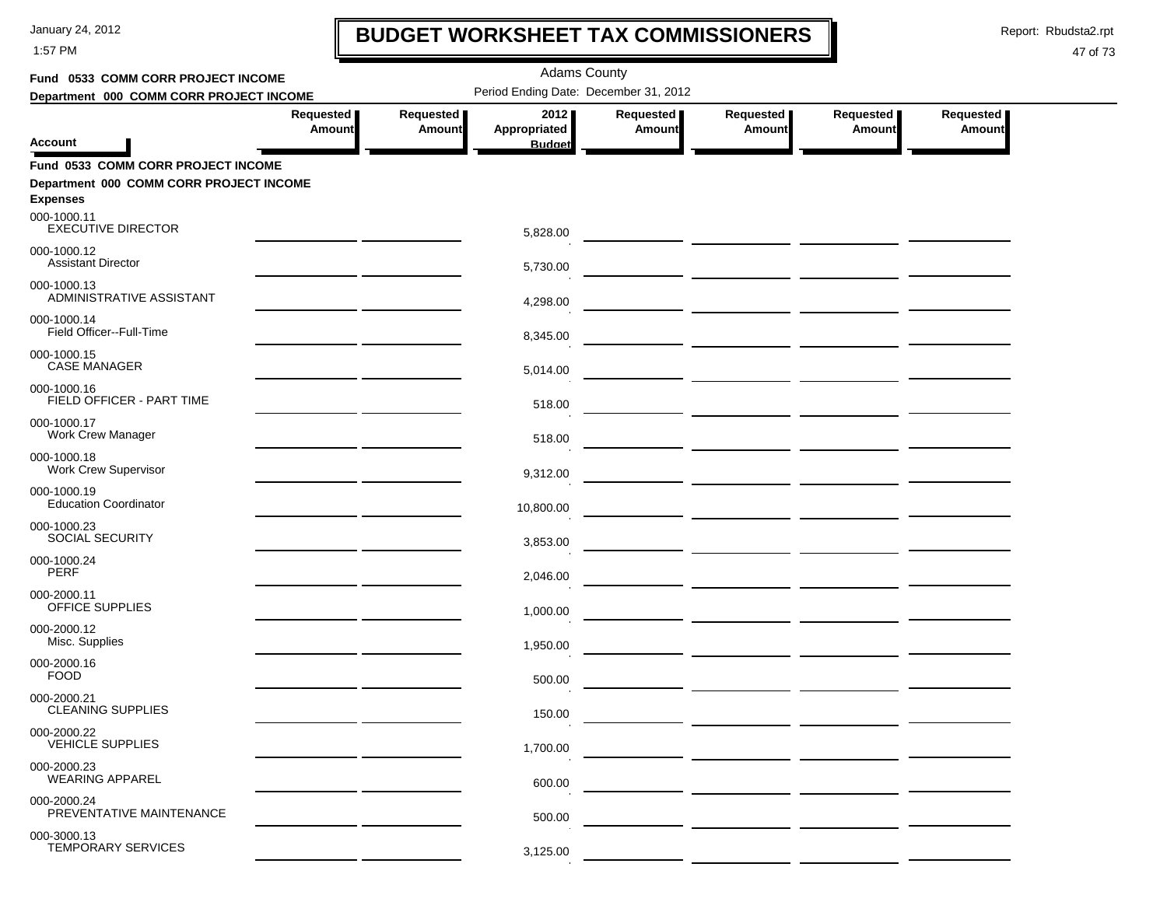1:57 PM

## **BUDGET WORKSHEET TAX COMMISSIONERS**

Report: Rbudsta2.rpt

 $\mathbf I$ 

| Fund 0533 COMM CORR PROJECT INCOME                         |                                                |                            | <b>Adams County</b>                   |                            |                                                                                                                       |                            |                            |  |
|------------------------------------------------------------|------------------------------------------------|----------------------------|---------------------------------------|----------------------------|-----------------------------------------------------------------------------------------------------------------------|----------------------------|----------------------------|--|
| Department 000 COMM CORR PROJECT INCOME                    |                                                |                            | Period Ending Date: December 31, 2012 |                            |                                                                                                                       |                            |                            |  |
| <b>Account</b>                                             | Requested<br><b>Amount</b>                     | Requested<br><b>Amount</b> | 2012<br>Appropriated<br><b>Budget</b> | Requested<br><b>Amount</b> | Requested<br><b>Amount</b>                                                                                            | Requested<br><b>Amount</b> | Requested<br><b>Amount</b> |  |
| Fund 0533 COMM CORR PROJECT INCOME                         |                                                |                            |                                       |                            |                                                                                                                       |                            |                            |  |
| Department 000 COMM CORR PROJECT INCOME<br><b>Expenses</b> |                                                |                            |                                       |                            |                                                                                                                       |                            |                            |  |
| 000-1000.11<br><b>EXECUTIVE DIRECTOR</b>                   |                                                |                            | 5,828.00                              |                            |                                                                                                                       |                            |                            |  |
| 000-1000.12<br><b>Assistant Director</b>                   |                                                |                            | 5,730.00                              |                            |                                                                                                                       |                            |                            |  |
| 000-1000.13<br>ADMINISTRATIVE ASSISTANT                    |                                                |                            | 4,298.00                              |                            | <u> The Common Section of the Common Section of the Common Section of the Common Section of the Common Section of</u> |                            |                            |  |
| 000-1000.14<br>Field Officer--Full-Time                    |                                                |                            | 8,345.00                              |                            |                                                                                                                       |                            |                            |  |
| 000-1000.15<br><b>CASE MANAGER</b>                         |                                                |                            | 5,014.00                              |                            |                                                                                                                       |                            |                            |  |
| 000-1000.16<br>FIELD OFFICER - PART TIME                   |                                                |                            | 518.00                                |                            |                                                                                                                       |                            |                            |  |
| 000-1000.17<br><b>Work Crew Manager</b>                    |                                                |                            | 518.00                                |                            |                                                                                                                       |                            |                            |  |
| 000-1000.18<br><b>Work Crew Supervisor</b>                 | <u>and the state of the state of the state</u> |                            | 9,312.00                              |                            |                                                                                                                       |                            |                            |  |
| 000-1000.19<br><b>Education Coordinator</b>                |                                                |                            | 10,800.00                             |                            |                                                                                                                       |                            |                            |  |
| 000-1000.23<br>SOCIAL SECURITY                             | the contract of the contract of the            |                            | 3,853.00                              |                            |                                                                                                                       |                            |                            |  |
| 000-1000.24<br><b>PERF</b>                                 |                                                |                            | 2,046.00                              |                            |                                                                                                                       |                            |                            |  |
| 000-2000.11<br>OFFICE SUPPLIES                             |                                                |                            | 1,000.00                              |                            |                                                                                                                       |                            |                            |  |
| 000-2000.12<br>Misc. Supplies                              |                                                |                            | 1,950.00                              |                            |                                                                                                                       |                            |                            |  |
| 000-2000.16<br><b>FOOD</b>                                 |                                                |                            | 500.00                                |                            |                                                                                                                       |                            |                            |  |
| 000-2000.21<br><b>CLEANING SUPPLIES</b>                    |                                                |                            | 150.00                                |                            |                                                                                                                       |                            |                            |  |
| 000-2000.22<br><b>VEHICLE SUPPLIES</b>                     |                                                |                            | 1,700.00                              |                            |                                                                                                                       |                            |                            |  |
| 000-2000.23<br><b>WEARING APPAREL</b>                      |                                                |                            | 600.00                                |                            |                                                                                                                       |                            |                            |  |
| 000-2000.24<br>PREVENTATIVE MAINTENANCE                    |                                                |                            | 500.00                                |                            |                                                                                                                       |                            |                            |  |
| 000-3000.13<br><b>TEMPORARY SERVICES</b>                   |                                                |                            | 3,125.00                              |                            |                                                                                                                       |                            |                            |  |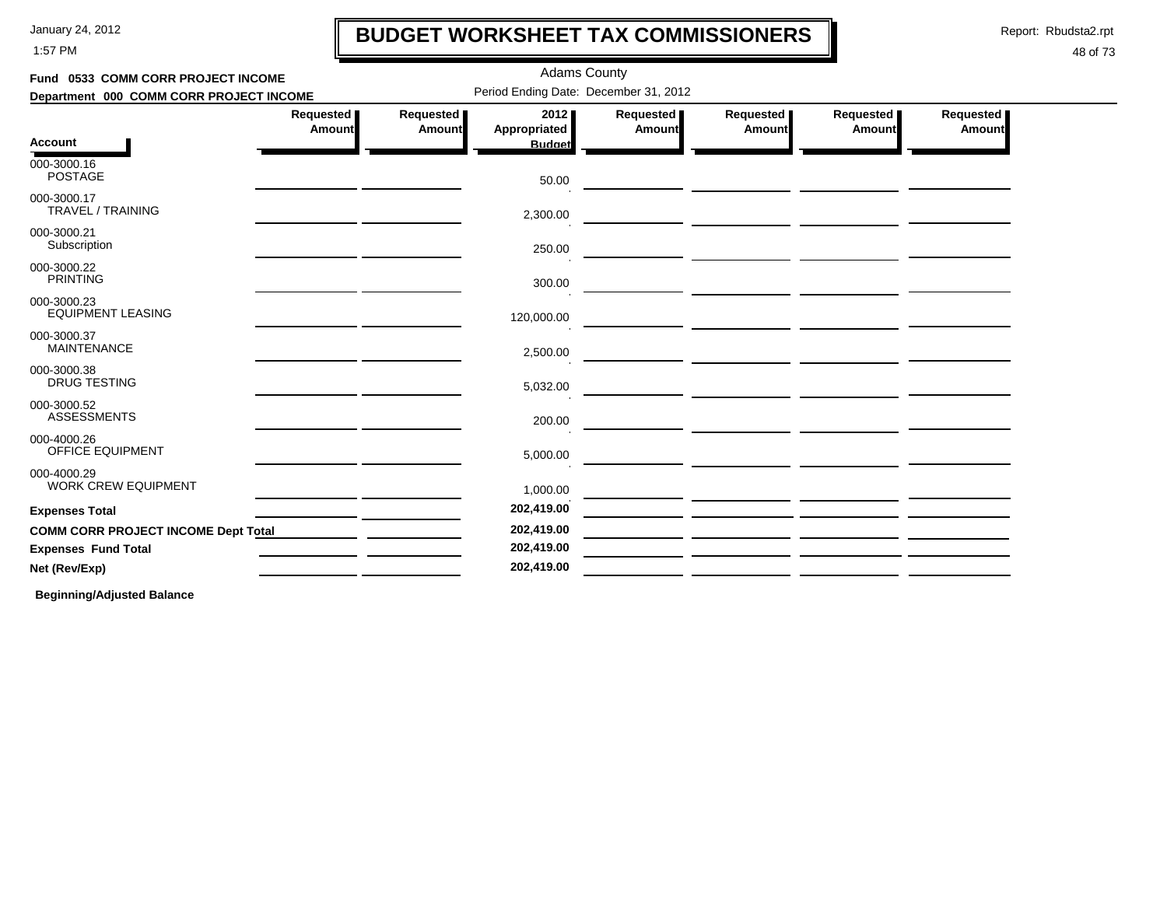1:57 PM

### **BUDGET WORKSHEET TAX COMMISSIONERS**

Report: Rbudsta2.rpt

 $\mathbf l$ 

#### 48 of 73

| Fund 0533 COMM CORR PROJECT INCOME         |                            |                     | <b>Adams County</b>                   |                     |                                                                                                                         |                                                                                                                                                                                                                                      |                            |
|--------------------------------------------|----------------------------|---------------------|---------------------------------------|---------------------|-------------------------------------------------------------------------------------------------------------------------|--------------------------------------------------------------------------------------------------------------------------------------------------------------------------------------------------------------------------------------|----------------------------|
| Department 000 COMM CORR PROJECT INCOME    |                            |                     | Period Ending Date: December 31, 2012 |                     |                                                                                                                         |                                                                                                                                                                                                                                      |                            |
|                                            | Requested<br><b>Amount</b> | Requested<br>Amount | 2012<br>Appropriated                  | Requested<br>Amount | Requested<br>Amount                                                                                                     | Requested<br>Amount                                                                                                                                                                                                                  | Requested<br><b>Amount</b> |
| <b>Account</b>                             |                            |                     | <b>Budget</b>                         |                     |                                                                                                                         |                                                                                                                                                                                                                                      |                            |
| 000-3000.16<br><b>POSTAGE</b>              |                            |                     | 50.00                                 |                     | <u> The Common State of the Common State of the Common State of the Common State of the Common State of the Common</u>  |                                                                                                                                                                                                                                      |                            |
| 000-3000.17<br>TRAVEL / TRAINING           |                            |                     | 2,300.00                              |                     |                                                                                                                         |                                                                                                                                                                                                                                      |                            |
| 000-3000.21<br>Subscription                |                            |                     | 250.00                                |                     |                                                                                                                         |                                                                                                                                                                                                                                      |                            |
| 000-3000.22<br><b>PRINTING</b>             |                            |                     | 300.00                                |                     |                                                                                                                         |                                                                                                                                                                                                                                      |                            |
| 000-3000.23<br><b>EQUIPMENT LEASING</b>    |                            |                     | 120,000.00                            |                     |                                                                                                                         | <u> 1990 - Johann John Harry Harry Harry Harry Harry Harry Harry Harry Harry Harry Harry Harry Harry Harry Harry Harry Harry Harry Harry Harry Harry Harry Harry Harry Harry Harry Harry Harry Harry Harry Harry Harry Harry Har</u> |                            |
| 000-3000.37<br><b>MAINTENANCE</b>          |                            |                     | 2,500.00                              |                     | <u> 1980 - Johann Barbara, markazi ya kutoka mwaka wa 1980 - Amerika mwaka wa 1980 - Amerika mwaka wa 1980 - Amer</u>   |                                                                                                                                                                                                                                      |                            |
| 000-3000.38<br><b>DRUG TESTING</b>         |                            |                     | 5,032.00                              |                     | <u> 1980 - Jan Barnett, mars ann an t-Amhair ann an t-A</u>                                                             |                                                                                                                                                                                                                                      |                            |
| 000-3000.52<br><b>ASSESSMENTS</b>          |                            |                     | 200.00                                |                     |                                                                                                                         |                                                                                                                                                                                                                                      |                            |
| 000-4000.26<br><b>OFFICE EQUIPMENT</b>     |                            |                     | 5,000.00                              |                     | <u> The Communication of the Communication of the Communication of the Communication of the Communication of the Co</u> |                                                                                                                                                                                                                                      |                            |
| 000-4000.29<br><b>WORK CREW EQUIPMENT</b>  |                            |                     | 1,000.00                              |                     |                                                                                                                         |                                                                                                                                                                                                                                      |                            |
| <b>Expenses Total</b>                      |                            |                     | 202,419.00                            |                     |                                                                                                                         |                                                                                                                                                                                                                                      |                            |
| <b>COMM CORR PROJECT INCOME Dept Total</b> |                            |                     | 202,419.00                            |                     |                                                                                                                         |                                                                                                                                                                                                                                      |                            |
| <b>Expenses Fund Total</b>                 |                            |                     | 202,419.00                            |                     |                                                                                                                         |                                                                                                                                                                                                                                      |                            |
| Net (Rev/Exp)                              |                            |                     | 202,419.00                            |                     |                                                                                                                         |                                                                                                                                                                                                                                      |                            |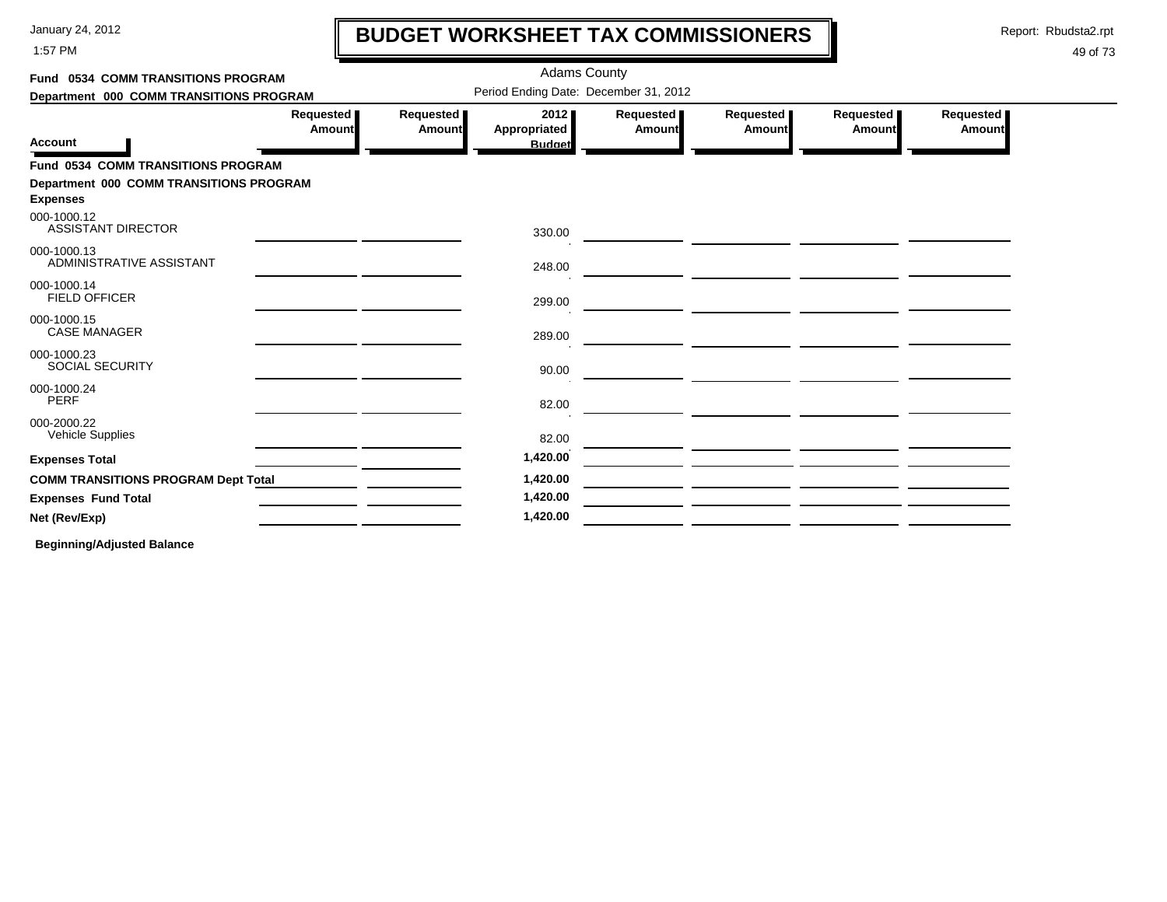1:57 PM

# **BUDGET WORKSHEET TAX COMMISSIONERS**

Report: Rbudsta2.rpt

 $\mathbf l$ 

#### 49 of 73

| <b>Fund 0534 COMM TRANSITIONS PROGRAM</b>                  |                     |                                       | <b>Adams County</b>                   |                            |                     |                     |                     |  |
|------------------------------------------------------------|---------------------|---------------------------------------|---------------------------------------|----------------------------|---------------------|---------------------|---------------------|--|
| Department 000 COMM TRANSITIONS PROGRAM                    |                     | Period Ending Date: December 31, 2012 |                                       |                            |                     |                     |                     |  |
| <b>Account</b>                                             | Requested<br>Amount | Requested<br>Amount                   | 2012<br>Appropriated<br><b>Budget</b> | Requested<br><b>Amount</b> | Requested<br>Amount | Requested<br>Amount | Requested<br>Amount |  |
| <b>Fund 0534 COMM TRANSITIONS PROGRAM</b>                  |                     |                                       |                                       |                            |                     |                     |                     |  |
| Department 000 COMM TRANSITIONS PROGRAM<br><b>Expenses</b> |                     |                                       |                                       |                            |                     |                     |                     |  |
| 000-1000.12<br><b>ASSISTANT DIRECTOR</b>                   |                     |                                       | 330.00                                |                            |                     |                     |                     |  |
| 000-1000.13<br>ADMINISTRATIVE ASSISTANT                    |                     |                                       | 248.00                                |                            |                     |                     |                     |  |
| 000-1000.14<br><b>FIELD OFFICER</b>                        |                     |                                       | 299.00                                |                            |                     |                     |                     |  |
| 000-1000.15<br><b>CASE MANAGER</b>                         |                     |                                       | 289.00                                |                            |                     |                     |                     |  |
| 000-1000.23<br><b>SOCIAL SECURITY</b>                      |                     |                                       | 90.00                                 |                            |                     |                     |                     |  |
| 000-1000.24<br><b>PERF</b>                                 |                     |                                       | 82.00                                 |                            |                     |                     |                     |  |
| 000-2000.22<br>Vehicle Supplies                            |                     |                                       | 82.00                                 |                            |                     |                     |                     |  |
| <b>Expenses Total</b>                                      |                     |                                       | 1,420.00                              |                            |                     |                     |                     |  |
| <b>COMM TRANSITIONS PROGRAM Dept Total</b>                 |                     |                                       | 1,420.00                              |                            |                     |                     |                     |  |
| <b>Expenses Fund Total</b>                                 |                     |                                       | 1,420.00                              |                            |                     |                     |                     |  |
| Net (Rev/Exp)                                              |                     |                                       | 1,420.00                              |                            |                     |                     |                     |  |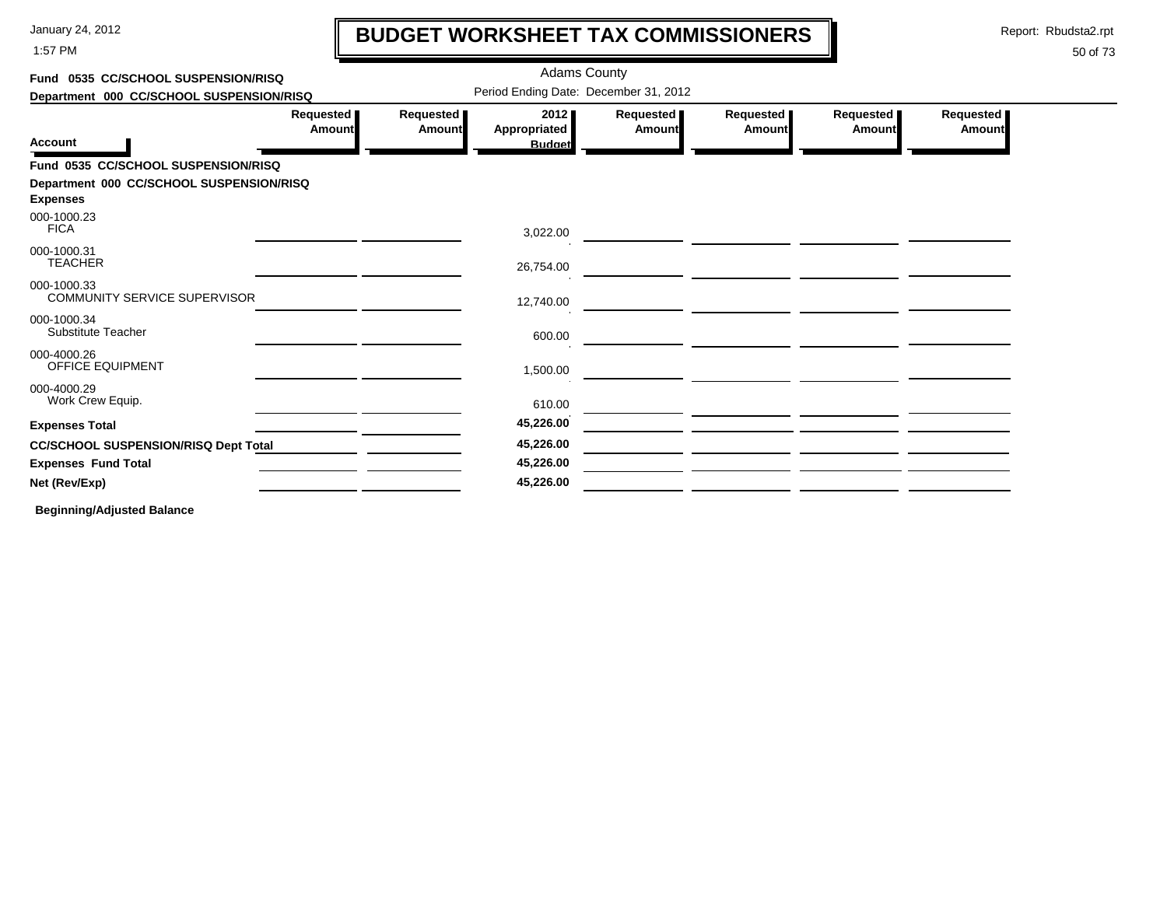1:57 PM

# **BUDGET WORKSHEET TAX COMMISSIONERS**

Report: Rbudsta2.rpt

 $\mathbf l$ 

#### 50 of 73

| Fund 0535 CC/SCHOOL SUSPENSION/RISQ         |                            |                            | <b>Adams County</b>                   |                              |                       |                            |                     |
|---------------------------------------------|----------------------------|----------------------------|---------------------------------------|------------------------------|-----------------------|----------------------------|---------------------|
| Department 000 CC/SCHOOL SUSPENSION/RISQ    |                            |                            | Period Ending Date: December 31, 2012 |                              |                       |                            |                     |
| <b>Account</b>                              | Requested<br><b>Amount</b> | Requested<br><b>Amount</b> | 2012<br>Appropriated<br><b>Budget</b> | Requested  <br><b>Amount</b> | Requested  <br>Amount | Requested<br><b>Amount</b> | Requested<br>Amount |
| Fund 0535 CC/SCHOOL SUSPENSION/RISQ         |                            |                            |                                       |                              |                       |                            |                     |
| Department 000 CC/SCHOOL SUSPENSION/RISQ    |                            |                            |                                       |                              |                       |                            |                     |
| <b>Expenses</b>                             |                            |                            |                                       |                              |                       |                            |                     |
| 000-1000.23<br><b>FICA</b>                  |                            |                            | 3,022.00                              |                              |                       |                            |                     |
| 000-1000.31<br><b>TEACHER</b>               |                            |                            | 26,754.00                             |                              |                       |                            |                     |
| 000-1000.33<br>COMMUNITY SERVICE SUPERVISOR |                            |                            | 12,740.00                             |                              |                       |                            |                     |
| 000-1000.34<br>Substitute Teacher           |                            |                            | 600.00                                |                              |                       |                            |                     |
| 000-4000.26<br>OFFICE EQUIPMENT             |                            |                            | 1,500.00                              |                              |                       |                            |                     |
| 000-4000.29<br>Work Crew Equip.             |                            |                            | 610.00                                |                              |                       |                            |                     |
| <b>Expenses Total</b>                       |                            |                            | 45,226.00                             |                              |                       |                            |                     |
| <b>CC/SCHOOL SUSPENSION/RISQ Dept Total</b> |                            |                            | 45,226.00                             |                              |                       |                            |                     |
| <b>Expenses Fund Total</b>                  |                            |                            | 45,226.00                             |                              |                       |                            |                     |
| Net (Rev/Exp)                               |                            |                            | 45,226.00                             |                              |                       |                            |                     |
|                                             |                            |                            |                                       |                              |                       |                            |                     |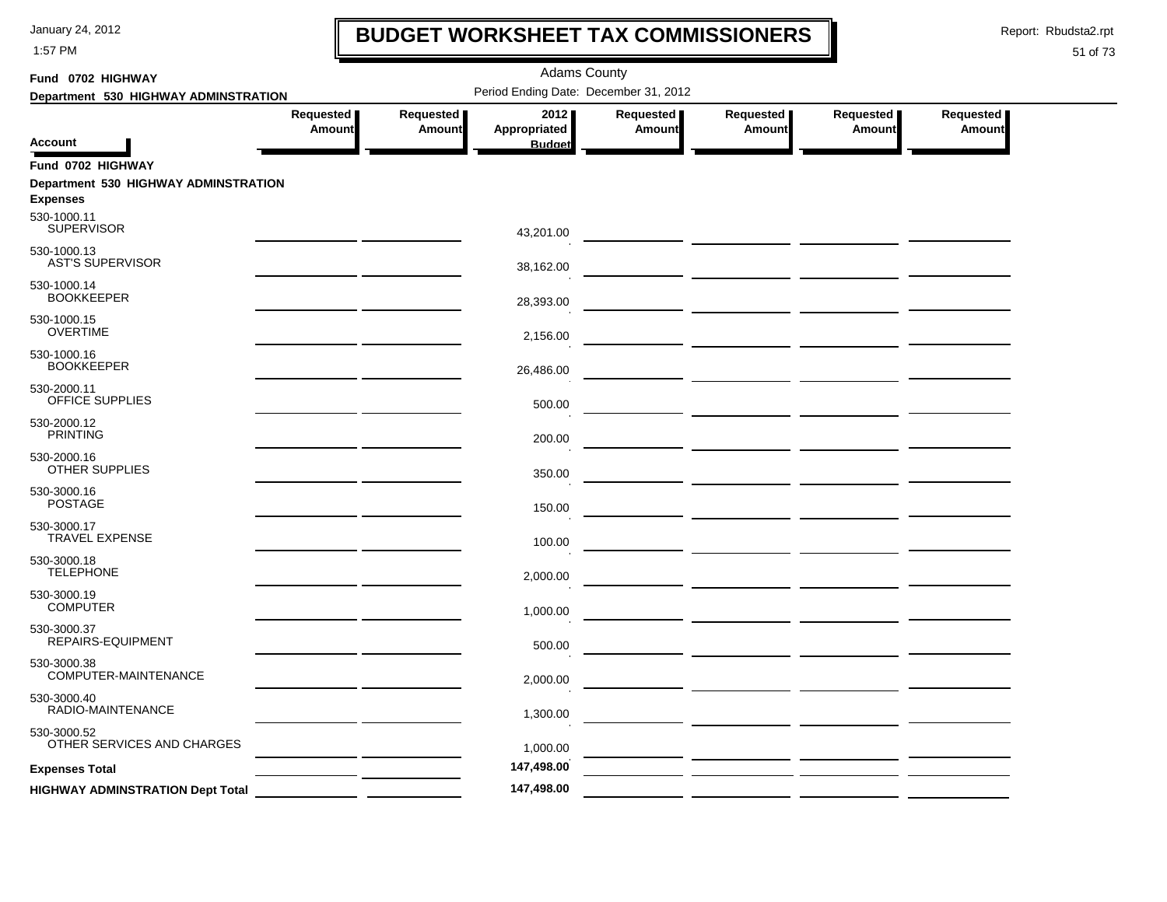1:57 PM

### **BUDGET WORKSHEET TAX COMMISSIONERS**

Report: Rbudsta2.rpt

 $\mathbf l$ 

| Fund 0702 HIGHWAY                       |                       | <b>Adams County</b> |                                       |                     |                                                 |                     |                     |  |  |  |  |
|-----------------------------------------|-----------------------|---------------------|---------------------------------------|---------------------|-------------------------------------------------|---------------------|---------------------|--|--|--|--|
| Department 530 HIGHWAY ADMINSTRATION    |                       |                     | Period Ending Date: December 31, 2012 |                     |                                                 |                     |                     |  |  |  |  |
| <b>Account</b>                          | Requested  <br>Amount | Requested<br>Amount | 2012<br>Appropriated<br><b>Budget</b> | Requested<br>Amount | Requested<br>Amount                             | Requested<br>Amount | Requested<br>Amount |  |  |  |  |
| Fund 0702 HIGHWAY                       |                       |                     |                                       |                     |                                                 |                     |                     |  |  |  |  |
| Department 530 HIGHWAY ADMINSTRATION    |                       |                     |                                       |                     |                                                 |                     |                     |  |  |  |  |
| <b>Expenses</b>                         |                       |                     |                                       |                     |                                                 |                     |                     |  |  |  |  |
| 530-1000.11<br><b>SUPERVISOR</b>        |                       |                     |                                       |                     |                                                 |                     |                     |  |  |  |  |
| 530-1000.13                             |                       |                     | 43,201.00                             |                     |                                                 |                     |                     |  |  |  |  |
| <b>AST'S SUPERVISOR</b>                 |                       |                     | 38,162.00                             |                     |                                                 |                     |                     |  |  |  |  |
| 530-1000.14                             |                       |                     |                                       |                     |                                                 |                     |                     |  |  |  |  |
| <b>BOOKKEEPER</b>                       |                       |                     | 28,393.00                             |                     |                                                 |                     |                     |  |  |  |  |
| 530-1000.15<br><b>OVERTIME</b>          |                       |                     | 2,156.00                              |                     |                                                 |                     |                     |  |  |  |  |
| 530-1000.16                             |                       |                     |                                       |                     |                                                 |                     |                     |  |  |  |  |
| <b>BOOKKEEPER</b>                       |                       |                     | 26,486.00                             |                     |                                                 |                     |                     |  |  |  |  |
| 530-2000.11                             |                       |                     |                                       |                     |                                                 |                     |                     |  |  |  |  |
| OFFICE SUPPLIES                         |                       |                     | 500.00                                |                     |                                                 |                     |                     |  |  |  |  |
| 530-2000.12<br><b>PRINTING</b>          |                       |                     | 200.00                                |                     |                                                 |                     |                     |  |  |  |  |
| 530-2000.16                             |                       |                     |                                       |                     |                                                 |                     |                     |  |  |  |  |
| OTHER SUPPLIES                          |                       |                     | 350.00                                |                     |                                                 |                     |                     |  |  |  |  |
| 530-3000.16                             |                       |                     |                                       |                     |                                                 |                     |                     |  |  |  |  |
| <b>POSTAGE</b>                          |                       |                     | 150.00                                |                     |                                                 |                     |                     |  |  |  |  |
| 530-3000.17<br><b>TRAVEL EXPENSE</b>    |                       |                     | 100.00                                |                     |                                                 |                     |                     |  |  |  |  |
| 530-3000.18                             |                       |                     |                                       |                     | <u> 1989 - Johann John Stone, mars et al. (</u> |                     |                     |  |  |  |  |
| <b>TELEPHONE</b>                        |                       |                     | 2,000.00                              |                     |                                                 |                     |                     |  |  |  |  |
| 530-3000.19                             |                       |                     |                                       |                     |                                                 |                     |                     |  |  |  |  |
| <b>COMPUTER</b>                         |                       |                     | 1,000.00                              |                     |                                                 |                     |                     |  |  |  |  |
| 530-3000.37<br>REPAIRS-EQUIPMENT        |                       |                     | 500.00                                |                     |                                                 |                     |                     |  |  |  |  |
| 530-3000.38                             |                       |                     |                                       |                     |                                                 |                     |                     |  |  |  |  |
| COMPUTER-MAINTENANCE                    |                       |                     | 2,000.00                              |                     |                                                 |                     |                     |  |  |  |  |
| 530-3000.40<br>RADIO-MAINTENANCE        |                       |                     | 1,300.00                              |                     |                                                 |                     |                     |  |  |  |  |
| 530-3000.52                             |                       |                     |                                       |                     |                                                 |                     |                     |  |  |  |  |
| OTHER SERVICES AND CHARGES              |                       |                     | 1,000.00                              |                     |                                                 |                     |                     |  |  |  |  |
| <b>Expenses Total</b>                   |                       |                     | 147,498.00                            |                     |                                                 |                     |                     |  |  |  |  |
| <b>HIGHWAY ADMINSTRATION Dept Total</b> |                       |                     | 147,498.00                            |                     |                                                 |                     |                     |  |  |  |  |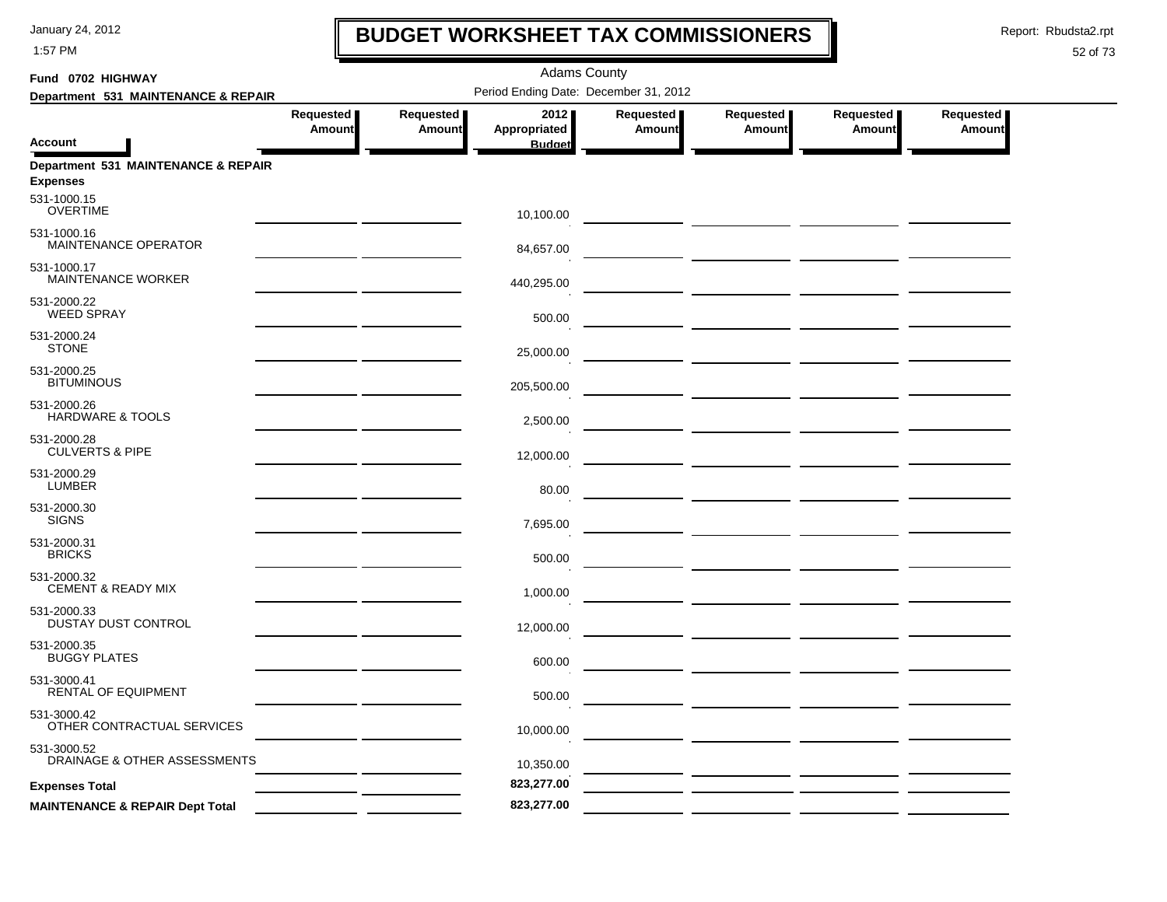1:57 PM

### **BUDGET WORKSHEET TAX COMMISSIONERS**

Report: Rbudsta2.rpt

 $\mathbf l$ 

| Fund 0702 HIGHWAY                                      |                            |                            | <b>Adams County</b>                   |                            |                            |                            |                            |
|--------------------------------------------------------|----------------------------|----------------------------|---------------------------------------|----------------------------|----------------------------|----------------------------|----------------------------|
| Department 531 MAINTENANCE & REPAIR                    |                            |                            | Period Ending Date: December 31, 2012 |                            |                            |                            |                            |
| <b>Account</b>                                         | Requested<br><b>Amount</b> | Requested<br><b>Amount</b> | 2012<br>Appropriated<br><b>Budget</b> | Requested<br><b>Amount</b> | Requested<br><b>Amount</b> | Requested<br><b>Amount</b> | Requested<br><b>Amount</b> |
| Department 531 MAINTENANCE & REPAIR<br><b>Expenses</b> |                            |                            |                                       |                            |                            |                            |                            |
| 531-1000.15<br><b>OVERTIME</b>                         |                            |                            | 10,100.00                             |                            |                            |                            |                            |
| 531-1000.16<br>MAINTENANCE OPERATOR                    |                            |                            | 84,657.00                             |                            |                            |                            |                            |
| 531-1000.17<br><b>MAINTENANCE WORKER</b>               |                            |                            | 440,295.00                            |                            |                            |                            |                            |
| 531-2000.22<br><b>WEED SPRAY</b>                       |                            |                            | 500.00                                |                            |                            |                            |                            |
| 531-2000.24<br><b>STONE</b>                            |                            |                            | 25,000.00                             |                            |                            |                            |                            |
| 531-2000.25<br><b>BITUMINOUS</b>                       |                            |                            | 205,500.00                            |                            |                            |                            |                            |
| 531-2000.26<br><b>HARDWARE &amp; TOOLS</b>             |                            |                            | 2,500.00                              |                            |                            |                            |                            |
| 531-2000.28<br><b>CULVERTS &amp; PIPE</b>              |                            |                            | 12,000.00                             |                            |                            |                            |                            |
| 531-2000.29<br><b>LUMBER</b>                           |                            |                            | 80.00                                 |                            |                            |                            |                            |
| 531-2000.30<br><b>SIGNS</b>                            |                            |                            | 7,695.00                              |                            |                            |                            |                            |
| 531-2000.31<br><b>BRICKS</b>                           |                            |                            | 500.00                                |                            |                            |                            |                            |
| 531-2000.32<br>CEMENT & READY MIX                      |                            |                            | 1,000.00                              |                            |                            |                            |                            |
| 531-2000.33<br>DUSTAY DUST CONTROL                     |                            |                            | 12,000.00                             |                            |                            |                            |                            |
| 531-2000.35<br><b>BUGGY PLATES</b>                     |                            |                            | 600.00                                |                            |                            |                            |                            |
| 531-3000.41<br>RENTAL OF EQUIPMENT                     |                            |                            | 500.00                                |                            |                            |                            |                            |
| 531-3000.42<br>OTHER CONTRACTUAL SERVICES              |                            |                            | 10,000.00                             |                            |                            |                            |                            |
| 531-3000.52<br>DRAINAGE & OTHER ASSESSMENTS            |                            |                            | 10,350.00                             |                            |                            |                            |                            |
| <b>Expenses Total</b>                                  |                            |                            | 823,277.00                            |                            |                            |                            |                            |
| <b>MAINTENANCE &amp; REPAIR Dept Total</b>             |                            |                            | 823,277.00                            |                            |                            |                            |                            |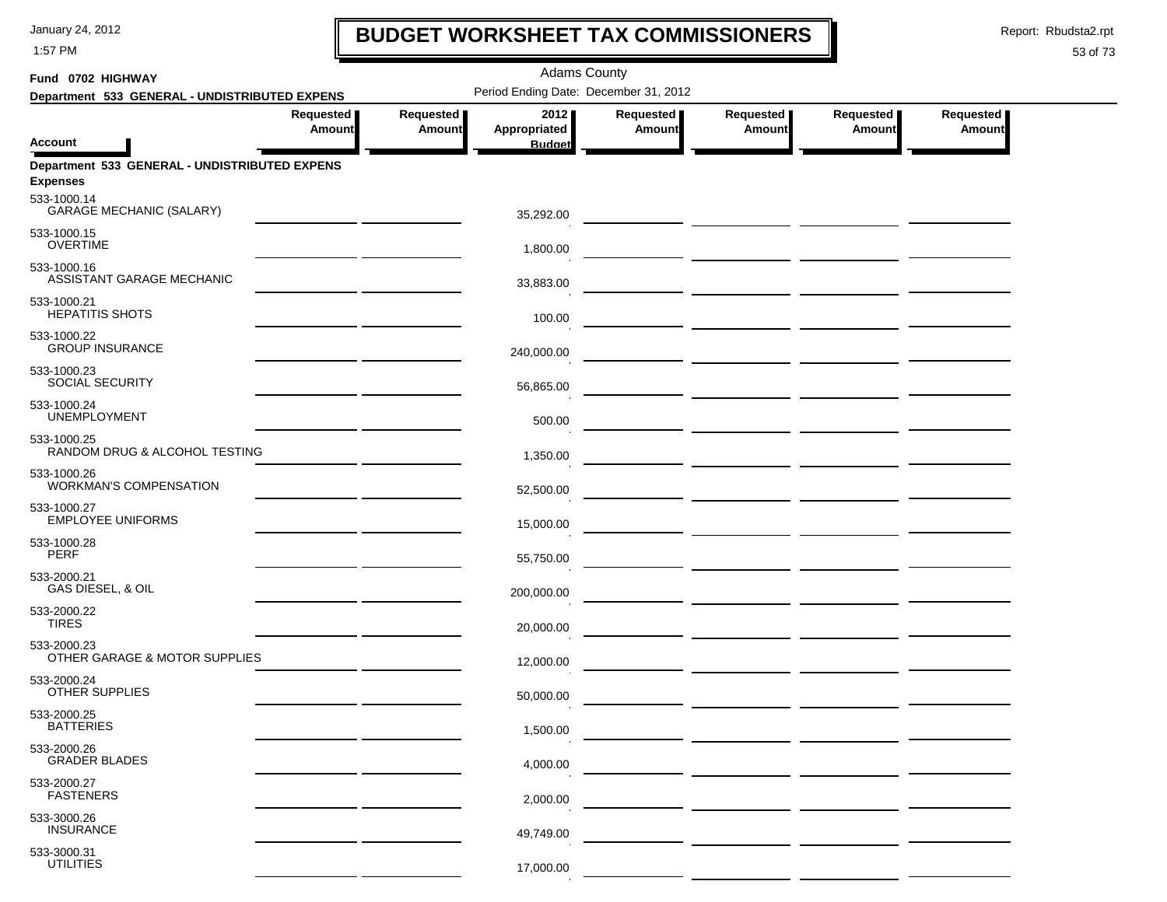1:57 PM

### **BUDGET WORKSHEET TAX COMMISSIONERS**

Report: Rbudsta2.rpt

 $\mathbf \mathbf I$ 

| Fund 0702 HIGHWAY                                                |                            |                            | <b>Adams County</b>                   |                            |                                                                                                                        |                                              |                     |  |
|------------------------------------------------------------------|----------------------------|----------------------------|---------------------------------------|----------------------------|------------------------------------------------------------------------------------------------------------------------|----------------------------------------------|---------------------|--|
| Department 533 GENERAL - UNDISTRIBUTED EXPENS                    |                            |                            | Period Ending Date: December 31, 2012 |                            |                                                                                                                        |                                              |                     |  |
|                                                                  | Requested<br><b>Amount</b> | Requested<br><b>Amount</b> | 2012<br>Appropriated                  | Requested<br><b>Amount</b> | Requested  <br>Amount                                                                                                  | Requested<br><b>Amount</b>                   | Requested<br>Amount |  |
| Account                                                          |                            |                            | <b>Budget</b>                         |                            |                                                                                                                        |                                              |                     |  |
| Department 533 GENERAL - UNDISTRIBUTED EXPENS<br><b>Expenses</b> |                            |                            |                                       |                            |                                                                                                                        |                                              |                     |  |
| 533-1000.14<br><b>GARAGE MECHANIC (SALARY)</b>                   |                            |                            | 35,292.00                             |                            |                                                                                                                        |                                              |                     |  |
| 533-1000.15<br><b>OVERTIME</b>                                   |                            |                            | 1,800.00                              |                            |                                                                                                                        |                                              |                     |  |
| 533-1000.16<br>ASSISTANT GARAGE MECHANIC                         |                            |                            | 33,883.00                             |                            |                                                                                                                        |                                              |                     |  |
| 533-1000.21<br><b>HEPATITIS SHOTS</b>                            |                            |                            | 100.00                                |                            |                                                                                                                        |                                              |                     |  |
| 533-1000.22<br><b>GROUP INSURANCE</b>                            |                            |                            | 240,000.00                            |                            |                                                                                                                        |                                              |                     |  |
| 533-1000.23<br>SOCIAL SECURITY                                   |                            |                            | 56,865.00                             |                            |                                                                                                                        |                                              |                     |  |
| 533-1000.24<br><b>UNEMPLOYMENT</b>                               |                            |                            | 500.00                                |                            |                                                                                                                        |                                              |                     |  |
| 533-1000.25<br>RANDOM DRUG & ALCOHOL TESTING                     |                            |                            | 1,350.00                              |                            |                                                                                                                        |                                              |                     |  |
| 533-1000.26<br><b>WORKMAN'S COMPENSATION</b>                     |                            |                            | 52,500.00                             |                            |                                                                                                                        |                                              |                     |  |
| 533-1000.27<br><b>EMPLOYEE UNIFORMS</b>                          |                            |                            | 15,000.00                             |                            |                                                                                                                        |                                              |                     |  |
| 533-1000.28<br><b>PERF</b>                                       |                            |                            | 55,750.00                             |                            |                                                                                                                        |                                              |                     |  |
| 533-2000.21<br>GAS DIESEL, & OIL                                 |                            |                            | 200,000.00                            |                            |                                                                                                                        |                                              |                     |  |
| 533-2000.22<br><b>TIRES</b>                                      |                            |                            | 20,000.00                             |                            |                                                                                                                        | — <u>— — — — — — — — — — — — — — — — — —</u> |                     |  |
| 533-2000.23<br>OTHER GARAGE & MOTOR SUPPLIES                     |                            |                            | 12,000.00                             |                            | <u> — _ _ _ _ _ _ _ _ _ _ _ _ _ _</u>                                                                                  |                                              |                     |  |
| 533-2000.24<br>OTHER SUPPLIES                                    |                            |                            | 50,000.00                             |                            | <u> La Carlo Carlo Carlo Carlo Carlo Carlo Carlo Carlo Carlo Carlo Carlo Carlo Carlo Carlo Carlo Carlo Carlo Carlo</u> |                                              |                     |  |
| 533-2000.25<br><b>BATTERIES</b>                                  |                            |                            | 1,500.00                              |                            |                                                                                                                        |                                              |                     |  |
| 533-2000.26<br><b>GRADER BLADES</b>                              |                            |                            | 4,000.00                              |                            |                                                                                                                        |                                              |                     |  |
| 533-2000.27<br><b>FASTENERS</b>                                  |                            |                            | 2,000.00                              |                            |                                                                                                                        |                                              |                     |  |
| 533-3000.26<br><b>INSURANCE</b>                                  |                            |                            | 49,749.00                             |                            |                                                                                                                        |                                              |                     |  |
| 533-3000.31<br><b>UTILITIES</b>                                  |                            |                            | 17,000.00                             |                            |                                                                                                                        |                                              |                     |  |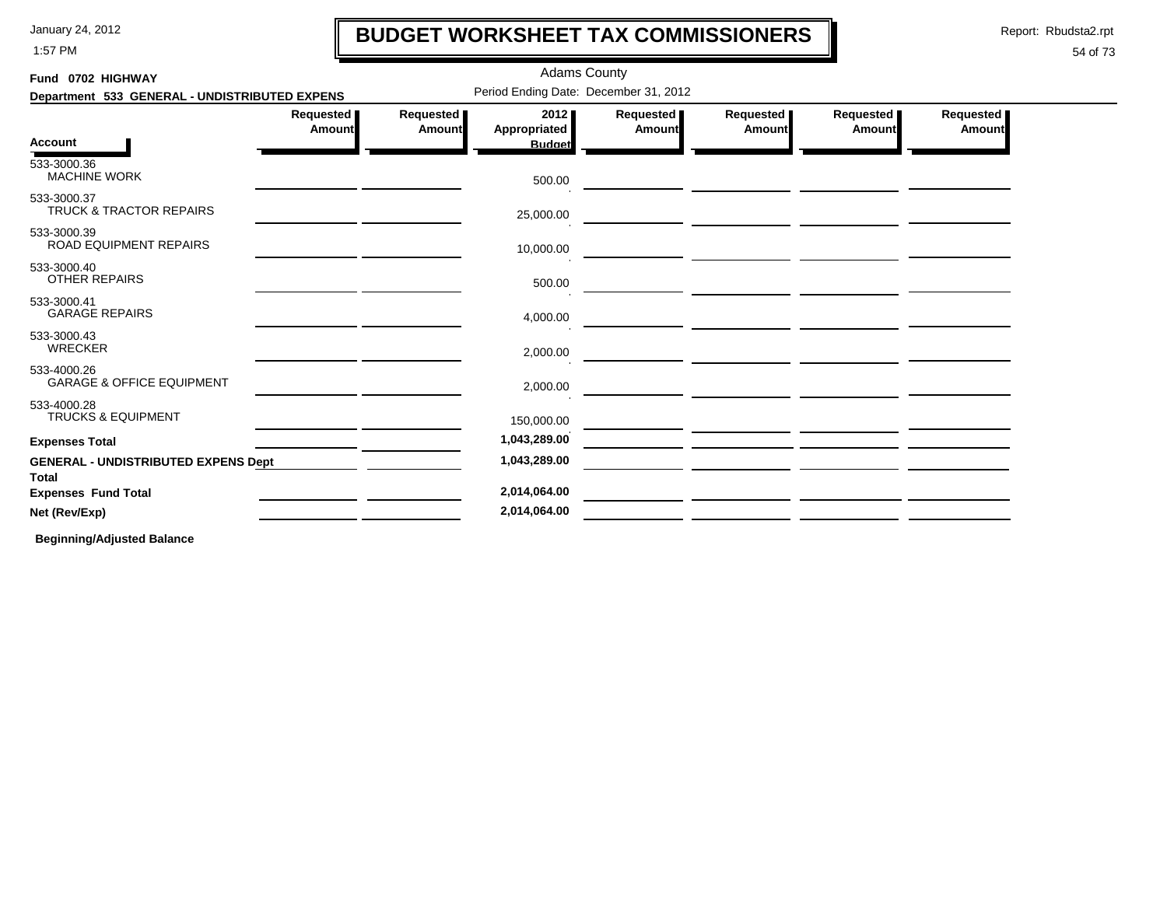1:57 PM

### **BUDGET WORKSHEET TAX COMMISSIONERS**

Report: Rbudsta2.rpt

I

### 54 of 73

| Fund 0702 HIGHWAY                                          |                            |                              | <b>Adams County</b>                   |                     |                                                                                                                        |                     |                     |
|------------------------------------------------------------|----------------------------|------------------------------|---------------------------------------|---------------------|------------------------------------------------------------------------------------------------------------------------|---------------------|---------------------|
| Department 533 GENERAL - UNDISTRIBUTED EXPENS              |                            |                              | Period Ending Date: December 31, 2012 |                     |                                                                                                                        |                     |                     |
|                                                            | Requested<br><b>Amount</b> | Requested  <br><b>Amount</b> | 2012<br>Appropriated                  | Requested<br>Amount | Requested<br>Amount                                                                                                    | Requested<br>Amount | Requested<br>Amount |
| <b>Account</b>                                             |                            |                              | <b>Budget</b>                         |                     |                                                                                                                        |                     |                     |
| 533-3000.36<br><b>MACHINE WORK</b>                         |                            |                              | 500.00                                |                     |                                                                                                                        |                     |                     |
| 533-3000.37<br>TRUCK & TRACTOR REPAIRS                     |                            |                              | 25,000.00                             |                     | <u> 1989 - Andrea State Barbara, poeta esperanto-</u>                                                                  |                     |                     |
| 533-3000.39<br>ROAD EQUIPMENT REPAIRS                      |                            |                              | 10,000.00                             |                     | <u> 1980 - Johann Barbara, marka a shekara tsara 1980 - An tsara 1980 - An tsara 1980 - An tsara 1980 - An tsara</u>   |                     |                     |
| 533-3000.40<br>OTHER REPAIRS                               |                            |                              | 500.00                                |                     | <u> 1989 - Johann John Stone, mars et al. 1989 - Anna ann an t-Amhain ann an t-Amhain ann an t-Amhain ann an t-Amh</u> |                     |                     |
| 533-3000.41<br><b>GARAGE REPAIRS</b>                       |                            |                              | 4,000.00                              |                     |                                                                                                                        |                     |                     |
| 533-3000.43<br><b>WRECKER</b>                              |                            |                              | 2,000.00                              |                     |                                                                                                                        |                     |                     |
| 533-4000.26<br><b>GARAGE &amp; OFFICE EQUIPMENT</b>        |                            |                              | 2,000.00                              |                     |                                                                                                                        |                     |                     |
| 533-4000.28<br><b>TRUCKS &amp; EQUIPMENT</b>               |                            |                              | 150,000.00                            |                     |                                                                                                                        |                     |                     |
| <b>Expenses Total</b>                                      |                            |                              | 1,043,289.00                          |                     |                                                                                                                        |                     |                     |
| <b>GENERAL - UNDISTRIBUTED EXPENS Dept</b><br><b>Total</b> |                            |                              | 1,043,289.00                          |                     |                                                                                                                        |                     |                     |
| <b>Expenses Fund Total</b>                                 |                            |                              | 2,014,064.00                          |                     |                                                                                                                        |                     |                     |
| Net (Rev/Exp)                                              |                            |                              | 2,014,064.00                          |                     |                                                                                                                        |                     |                     |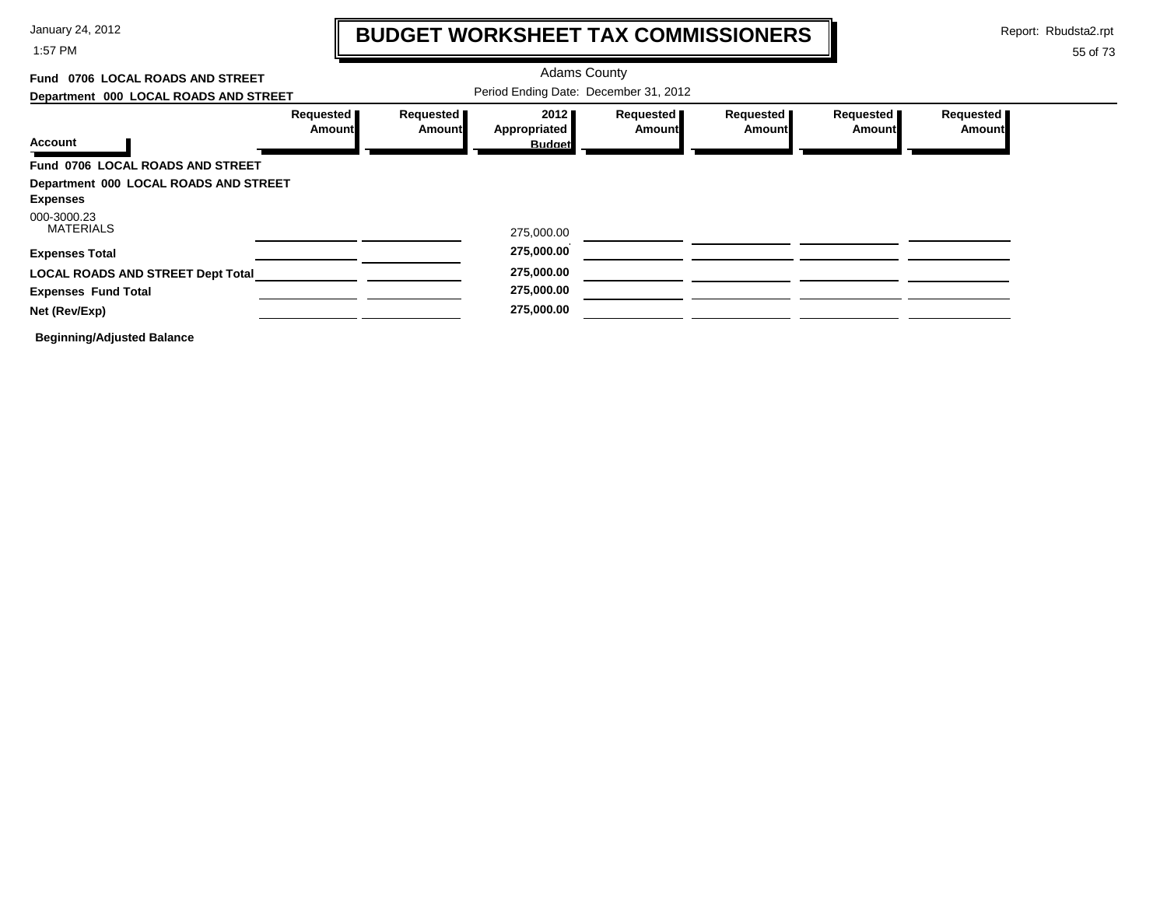1:57 PM

# **BUDGET WORKSHEET TAX COMMISSIONERS**

Report: Rbudsta2.rpt

 $\mathbf l$ 

| 0706 LOCAL ROADS AND STREET<br>Fund      |                              |                     | <b>Adams County</b>                   |                            |                            |                            |                            |
|------------------------------------------|------------------------------|---------------------|---------------------------------------|----------------------------|----------------------------|----------------------------|----------------------------|
| Department 000 LOCAL ROADS AND STREET    |                              |                     | Period Ending Date: December 31, 2012 |                            |                            |                            |                            |
|                                          | Requested <b>I</b><br>Amount | Requested<br>Amount | 2012<br>Appropriated                  | Requested<br><b>Amount</b> | Requested<br><b>Amount</b> | Requested<br><b>Amount</b> | Requested<br><b>Amount</b> |
| Account                                  |                              |                     | <b>Budget</b>                         |                            |                            |                            |                            |
| Fund 0706 LOCAL ROADS AND STREET         |                              |                     |                                       |                            |                            |                            |                            |
| Department 000 LOCAL ROADS AND STREET    |                              |                     |                                       |                            |                            |                            |                            |
| <b>Expenses</b><br>000-3000.23           |                              |                     |                                       |                            |                            |                            |                            |
| <b>MATERIALS</b>                         |                              |                     | 275,000.00                            |                            |                            |                            |                            |
| <b>Expenses Total</b>                    |                              |                     | 275,000.00                            |                            |                            |                            |                            |
| <b>LOCAL ROADS AND STREET Dept Total</b> |                              |                     | 275,000.00                            |                            |                            |                            |                            |
| <b>Expenses Fund Total</b>               |                              |                     | 275,000.00                            |                            |                            |                            |                            |
| Net (Rev/Exp)                            |                              |                     | 275,000.00                            |                            |                            |                            |                            |
| <b>Beginning/Adjusted Balance</b>        |                              |                     |                                       |                            |                            |                            |                            |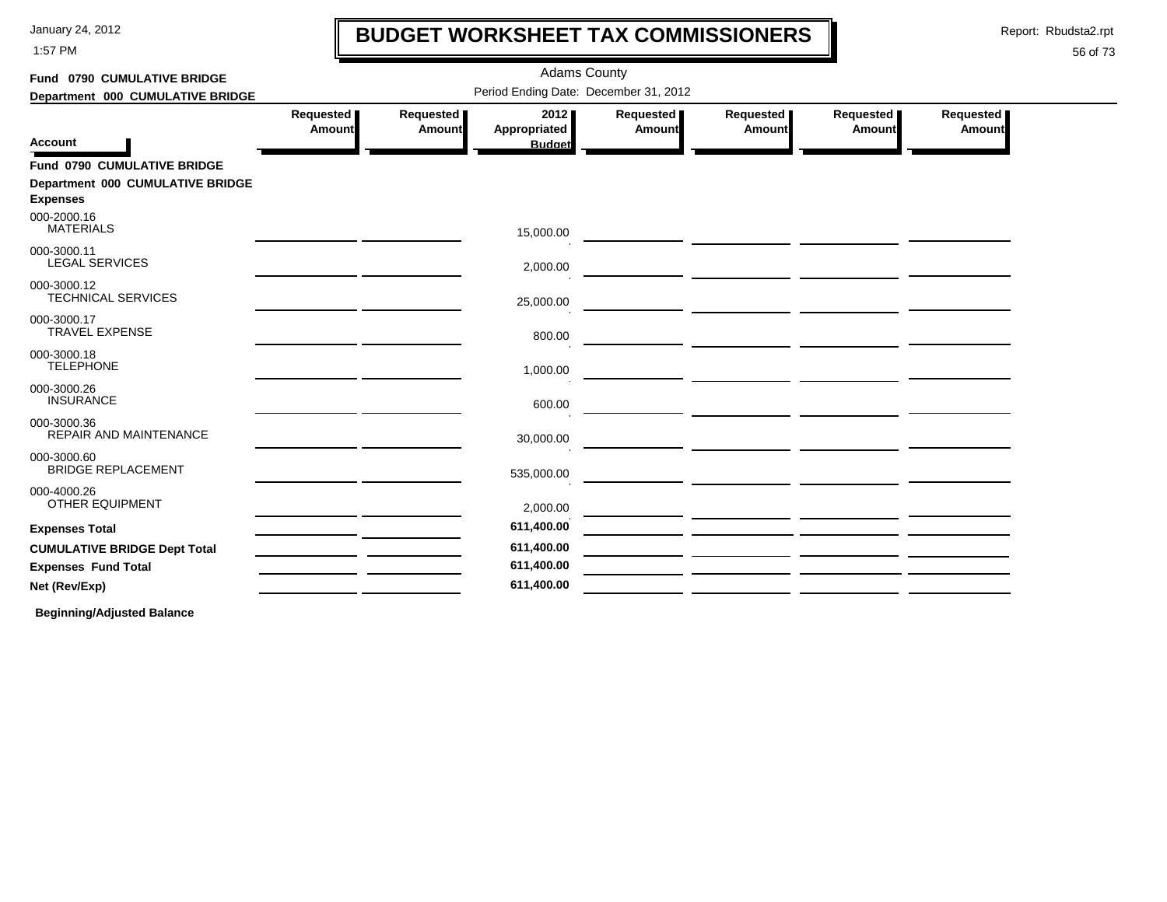1:57 PM

### **BUDGET WORKSHEET TAX COMMISSIONERS**

Report: Rbudsta2.rpt

 $\mathbf l$ 

#### 56 of 73

| Fund 0790 CUMULATIVE BRIDGE                         | <b>Adams County</b> |                            |                                       |                       |                                                                                                                                                                                                         |                            |                     |  |  |  |
|-----------------------------------------------------|---------------------|----------------------------|---------------------------------------|-----------------------|---------------------------------------------------------------------------------------------------------------------------------------------------------------------------------------------------------|----------------------------|---------------------|--|--|--|
| Department 000 CUMULATIVE BRIDGE                    |                     |                            | Period Ending Date: December 31, 2012 |                       |                                                                                                                                                                                                         |                            |                     |  |  |  |
| <b>Account</b>                                      | Requested<br>Amount | Requested<br><b>Amount</b> | 2012<br>Appropriated<br><b>Budget</b> | Requested  <br>Amount | Requested<br>Amount                                                                                                                                                                                     | Requested<br><b>Amount</b> | Requested<br>Amount |  |  |  |
| Fund 0790 CUMULATIVE BRIDGE                         |                     |                            |                                       |                       |                                                                                                                                                                                                         |                            |                     |  |  |  |
| Department 000 CUMULATIVE BRIDGE<br><b>Expenses</b> |                     |                            |                                       |                       |                                                                                                                                                                                                         |                            |                     |  |  |  |
| 000-2000.16<br><b>MATERIALS</b>                     |                     |                            | 15,000.00                             |                       |                                                                                                                                                                                                         |                            |                     |  |  |  |
| 000-3000.11<br><b>LEGAL SERVICES</b>                |                     |                            | 2,000.00                              |                       |                                                                                                                                                                                                         |                            |                     |  |  |  |
| 000-3000.12<br><b>TECHNICAL SERVICES</b>            |                     |                            | 25,000.00                             |                       |                                                                                                                                                                                                         |                            |                     |  |  |  |
| 000-3000.17<br><b>TRAVEL EXPENSE</b>                |                     |                            | 800.00                                |                       | <u>and the second contract of the second contract of the second contract of the second contract of the second con</u>                                                                                   |                            |                     |  |  |  |
| 000-3000.18<br><b>TELEPHONE</b>                     |                     |                            | 1,000.00                              |                       |                                                                                                                                                                                                         |                            |                     |  |  |  |
| 000-3000.26<br><b>INSURANCE</b>                     |                     |                            | 600.00                                |                       | the contract of the contract of the contract of the contract of the contract of<br><u> 2002 - Jan Samuel Barbara, politik eta politik eta politik eta politik eta politik eta politik eta politik e</u> |                            |                     |  |  |  |
| 000-3000.36<br>REPAIR AND MAINTENANCE               |                     |                            | 30,000.00                             |                       | <u> Andrew Harrison (</u>                                                                                                                                                                               |                            |                     |  |  |  |
| 000-3000.60<br><b>BRIDGE REPLACEMENT</b>            |                     |                            | 535,000.00                            |                       | and the contract of the contract of the contract of the contract of the contract of the                                                                                                                 |                            |                     |  |  |  |
| 000-4000.26<br><b>OTHER EQUIPMENT</b>               |                     |                            | 2,000.00                              |                       |                                                                                                                                                                                                         |                            |                     |  |  |  |
| <b>Expenses Total</b>                               |                     |                            | 611,400.00                            |                       |                                                                                                                                                                                                         |                            |                     |  |  |  |
| <b>CUMULATIVE BRIDGE Dept Total</b>                 |                     |                            | 611,400.00                            |                       |                                                                                                                                                                                                         |                            |                     |  |  |  |
| <b>Expenses Fund Total</b>                          |                     |                            | 611,400.00                            |                       |                                                                                                                                                                                                         |                            |                     |  |  |  |
| Net (Rev/Exp)                                       |                     |                            | 611,400.00                            |                       |                                                                                                                                                                                                         |                            |                     |  |  |  |
|                                                     |                     |                            |                                       |                       |                                                                                                                                                                                                         |                            |                     |  |  |  |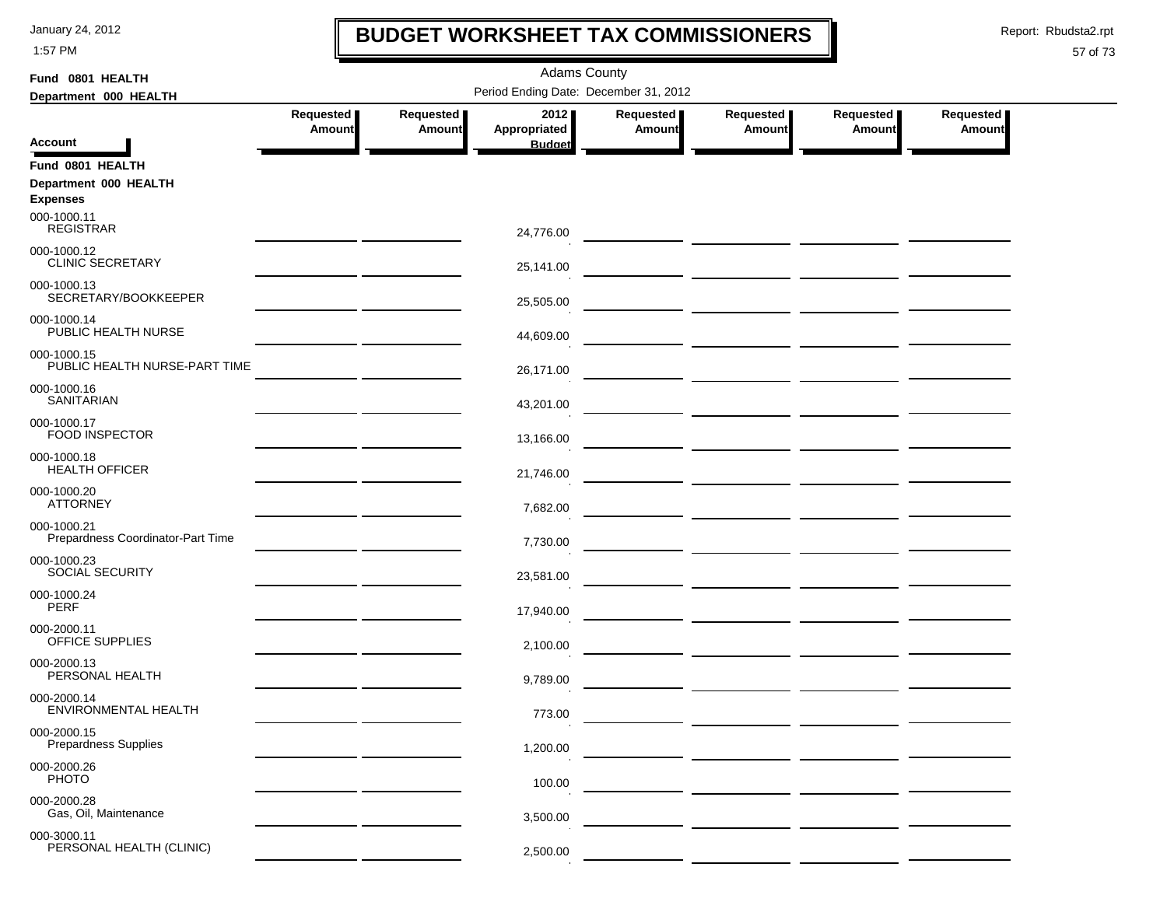1:57 PM

### **BUDGET WORKSHEET TAX COMMISSIONERS**

Report: Rbudsta2.rpt

 $\mathbf I$ 

| Fund 0801 HEALTH                                 |                                                |                                       | <b>Adams County</b>  |                            |                              |                                       |                     |  |  |  |
|--------------------------------------------------|------------------------------------------------|---------------------------------------|----------------------|----------------------------|------------------------------|---------------------------------------|---------------------|--|--|--|
| Department 000 HEALTH                            |                                                | Period Ending Date: December 31, 2012 |                      |                            |                              |                                       |                     |  |  |  |
|                                                  | Requested<br><b>Amount</b>                     | Requested<br><b>Amount</b>            | 2012<br>Appropriated | Requested<br><b>Amount</b> | Requested  <br><b>Amount</b> | Requested  <br><b>Amount</b>          | Requested<br>Amount |  |  |  |
| <b>Account</b>                                   |                                                |                                       | <b>Budget</b>        |                            |                              |                                       |                     |  |  |  |
| Fund 0801 HEALTH                                 |                                                |                                       |                      |                            |                              |                                       |                     |  |  |  |
| Department 000 HEALTH                            |                                                |                                       |                      |                            |                              |                                       |                     |  |  |  |
| <b>Expenses</b><br>000-1000.11                   |                                                |                                       |                      |                            |                              |                                       |                     |  |  |  |
| <b>REGISTRAR</b>                                 |                                                |                                       | 24,776.00            |                            |                              |                                       |                     |  |  |  |
| 000-1000.12<br><b>CLINIC SECRETARY</b>           |                                                |                                       | 25,141.00            |                            |                              |                                       |                     |  |  |  |
| 000-1000.13<br>SECRETARY/BOOKKEEPER              |                                                |                                       | 25,505.00            |                            |                              |                                       |                     |  |  |  |
| 000-1000.14<br>PUBLIC HEALTH NURSE               |                                                |                                       | 44,609.00            |                            |                              |                                       |                     |  |  |  |
| 000-1000.15<br>PUBLIC HEALTH NURSE-PART TIME     |                                                |                                       | 26,171.00            |                            |                              |                                       |                     |  |  |  |
| 000-1000.16<br><b>SANITARIAN</b>                 |                                                |                                       | 43,201.00            |                            |                              |                                       |                     |  |  |  |
| 000-1000.17<br><b>FOOD INSPECTOR</b>             |                                                |                                       | 13,166.00            |                            |                              |                                       |                     |  |  |  |
| 000-1000.18<br><b>HEALTH OFFICER</b>             |                                                |                                       | 21,746.00            |                            |                              |                                       |                     |  |  |  |
| 000-1000.20<br><b>ATTORNEY</b>                   | <u> 1989 - Johann John Stone, markin san</u>   |                                       | 7,682.00             |                            |                              |                                       |                     |  |  |  |
| 000-1000.21<br>Prepardness Coordinator-Part Time | <u> 1999 - Jan Albert III, martin bir sahi</u> |                                       | 7,730.00             |                            |                              |                                       |                     |  |  |  |
| 000-1000.23<br>SOCIAL SECURITY                   | the control of the control of the control of   |                                       | 23,581.00            |                            |                              | — <u>— —————</u> <u>——————</u> —————— |                     |  |  |  |
| 000-1000.24<br><b>PERF</b>                       |                                                |                                       | 17,940.00            |                            |                              |                                       |                     |  |  |  |
| 000-2000.11<br>OFFICE SUPPLIES                   |                                                |                                       | 2,100.00             |                            |                              |                                       |                     |  |  |  |
| 000-2000.13<br>PERSONAL HEALTH                   |                                                |                                       | 9,789.00             |                            |                              |                                       |                     |  |  |  |
| 000-2000.14<br>ENVIRONMENTAL HEALTH              |                                                |                                       | 773.00               |                            |                              |                                       |                     |  |  |  |
| 000-2000.15<br><b>Prepardness Supplies</b>       |                                                |                                       | 1,200.00             |                            |                              |                                       |                     |  |  |  |
| 000-2000.26<br><b>PHOTO</b>                      |                                                |                                       | 100.00               |                            |                              |                                       |                     |  |  |  |
| 000-2000.28<br>Gas, Oil, Maintenance             |                                                |                                       | 3,500.00             |                            |                              |                                       |                     |  |  |  |
| 000-3000.11<br>PERSONAL HEALTH (CLINIC)          |                                                |                                       | 2,500.00             |                            |                              |                                       |                     |  |  |  |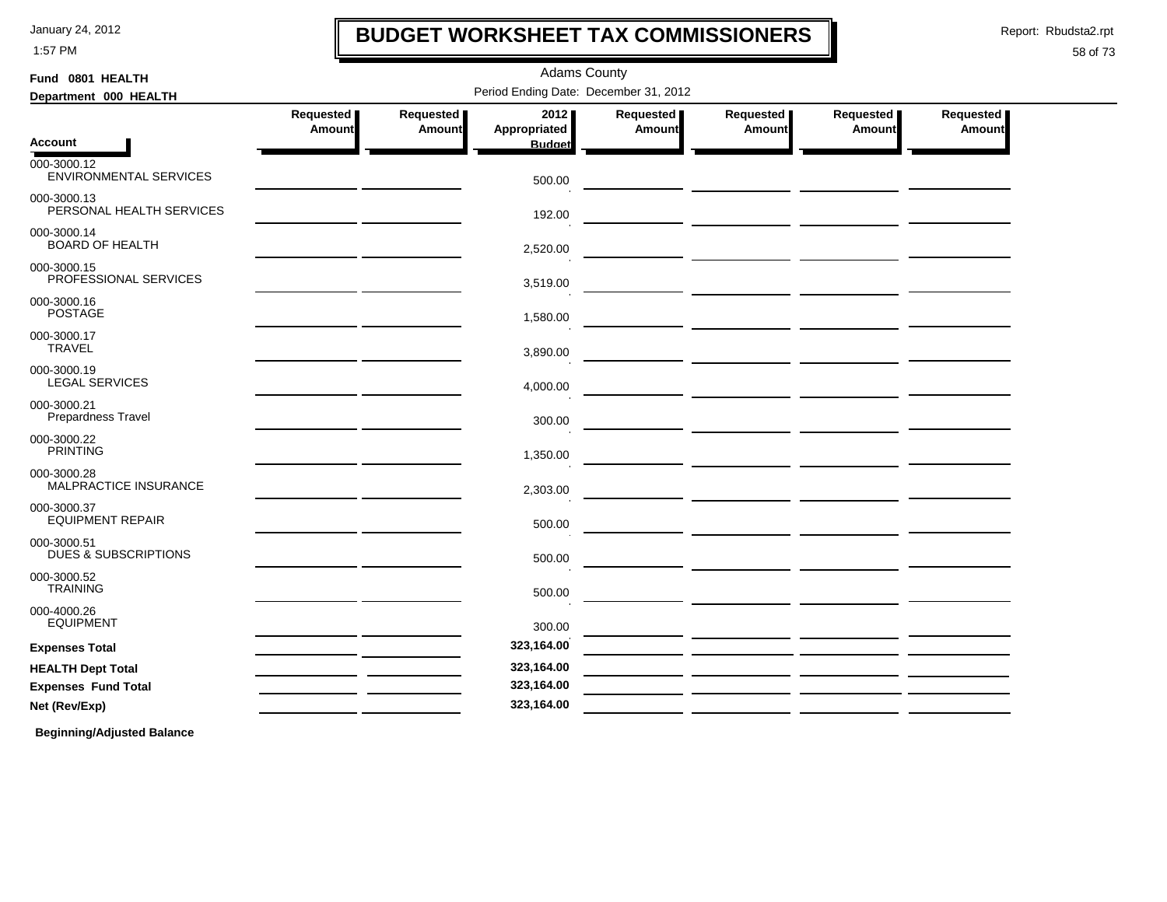1:57 PM

### **BUDGET WORKSHEET TAX COMMISSIONERS**

Report: Rbudsta2.rpt

I

### 58 of 73

| Fund 0801 HEALTH                               | <b>Adams County</b>        |                     |                                       |                     |                     |                       |                            |  |  |  |
|------------------------------------------------|----------------------------|---------------------|---------------------------------------|---------------------|---------------------|-----------------------|----------------------------|--|--|--|
| Department 000 HEALTH                          |                            |                     | Period Ending Date: December 31, 2012 |                     |                     |                       |                            |  |  |  |
|                                                | Requested<br><b>Amount</b> | Requested<br>Amount | 2012<br>Appropriated                  | Requested<br>Amount | Requested<br>Amount | Requested  <br>Amount | <b>Requested</b><br>Amount |  |  |  |
| <b>Account</b>                                 |                            |                     | <b>Budget</b>                         |                     |                     |                       |                            |  |  |  |
| 000-3000.12<br>ENVIRONMENTAL SERVICES          |                            |                     | 500.00                                |                     |                     |                       |                            |  |  |  |
| 000-3000.13<br>PERSONAL HEALTH SERVICES        |                            |                     | 192.00                                |                     |                     |                       |                            |  |  |  |
| 000-3000.14<br><b>BOARD OF HEALTH</b>          |                            |                     | 2,520.00                              |                     |                     |                       |                            |  |  |  |
| 000-3000.15<br>PROFESSIONAL SERVICES           |                            |                     | 3,519.00                              |                     |                     |                       |                            |  |  |  |
| 000-3000.16<br><b>POSTAGE</b>                  |                            |                     | 1,580.00                              |                     |                     |                       |                            |  |  |  |
| 000-3000.17<br><b>TRAVEL</b>                   |                            |                     | 3,890.00                              |                     |                     |                       |                            |  |  |  |
| 000-3000.19<br><b>LEGAL SERVICES</b>           |                            |                     | 4,000.00                              |                     |                     |                       |                            |  |  |  |
| 000-3000.21<br>Prepardness Travel              |                            |                     | 300.00                                |                     |                     |                       |                            |  |  |  |
| 000-3000.22<br><b>PRINTING</b>                 |                            |                     | 1,350.00                              |                     |                     |                       |                            |  |  |  |
| 000-3000.28<br>MALPRACTICE INSURANCE           |                            |                     | 2,303.00                              |                     |                     |                       |                            |  |  |  |
| 000-3000.37<br><b>EQUIPMENT REPAIR</b>         |                            |                     | 500.00                                |                     |                     |                       |                            |  |  |  |
| 000-3000.51<br><b>DUES &amp; SUBSCRIPTIONS</b> |                            |                     | 500.00                                |                     |                     |                       |                            |  |  |  |
| 000-3000.52<br><b>TRAINING</b>                 |                            |                     | 500.00                                |                     |                     |                       |                            |  |  |  |
| 000-4000.26<br><b>EQUIPMENT</b>                |                            |                     | 300.00                                |                     |                     |                       |                            |  |  |  |
| <b>Expenses Total</b>                          |                            |                     | 323,164.00                            |                     |                     |                       |                            |  |  |  |
| <b>HEALTH Dept Total</b>                       |                            |                     | 323,164.00                            |                     |                     |                       |                            |  |  |  |
| <b>Expenses Fund Total</b>                     |                            |                     | 323,164.00                            |                     |                     |                       |                            |  |  |  |
| Net (Rev/Exp)                                  |                            |                     | 323,164.00                            |                     |                     |                       |                            |  |  |  |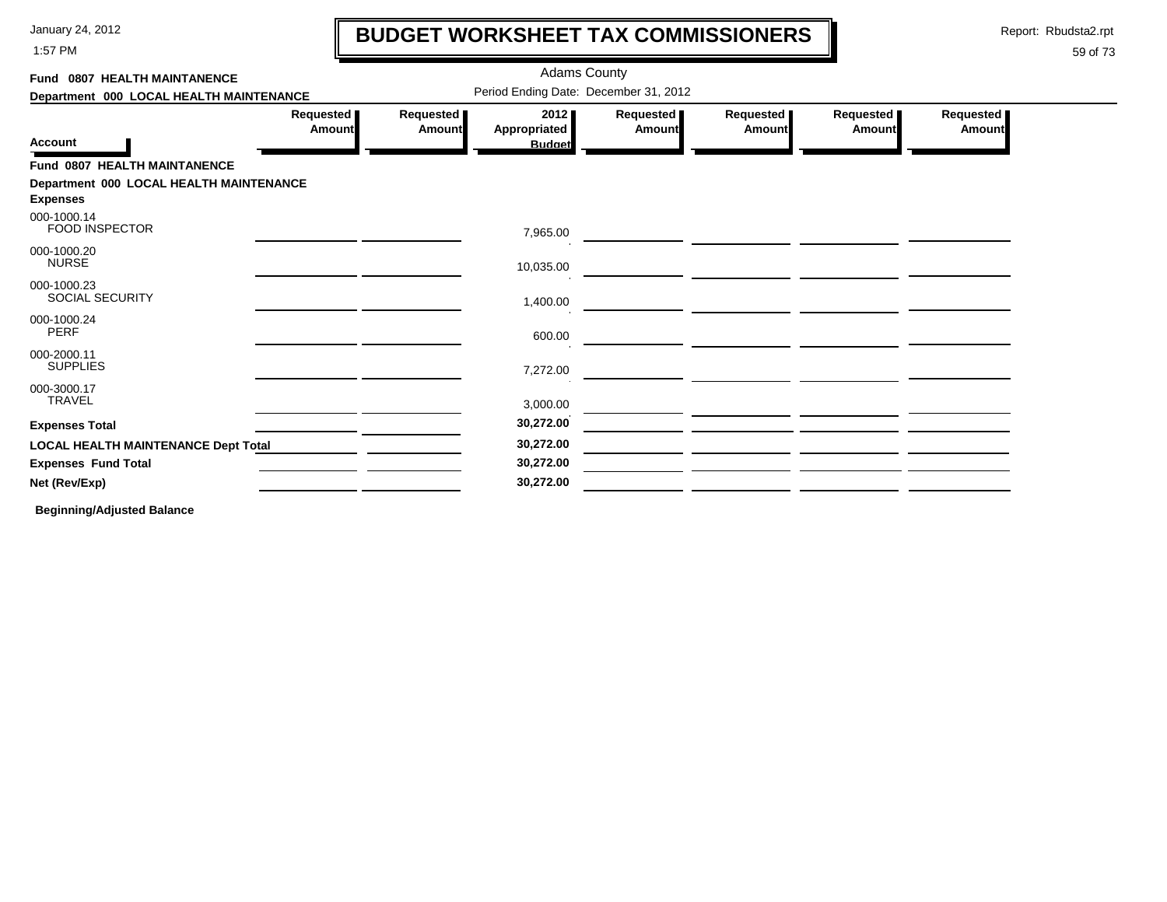1:57 PM

# **BUDGET WORKSHEET TAX COMMISSIONERS**

Report: Rbudsta2.rpt

 $\mathbf l$ 

### 59 of 73

| Fund 0807 HEALTH MAINTANENCE               |                       |                            | <b>Adams County</b>                          |                              |                       |                     |                            |
|--------------------------------------------|-----------------------|----------------------------|----------------------------------------------|------------------------------|-----------------------|---------------------|----------------------------|
| Department 000 LOCAL HEALTH MAINTENANCE    |                       |                            | Period Ending Date: December 31, 2012        |                              |                       |                     |                            |
| <b>Account</b>                             | Requested  <br>Amount | Requested<br><b>Amount</b> | 2012<br><b>Appropriated</b><br><b>Budget</b> | Requested  <br><b>Amount</b> | Requested  <br>Amount | Requested<br>Amount | Requested<br><b>Amount</b> |
| Fund 0807 HEALTH MAINTANENCE               |                       |                            |                                              |                              |                       |                     |                            |
| Department 000 LOCAL HEALTH MAINTENANCE    |                       |                            |                                              |                              |                       |                     |                            |
| <b>Expenses</b>                            |                       |                            |                                              |                              |                       |                     |                            |
| 000-1000.14<br>FOOD INSPECTOR              |                       |                            | 7,965.00                                     |                              |                       |                     |                            |
| 000-1000.20<br><b>NURSE</b>                |                       |                            | 10,035.00                                    |                              |                       |                     |                            |
| 000-1000.23<br><b>SOCIAL SECURITY</b>      |                       |                            | 1,400.00                                     |                              |                       |                     |                            |
| 000-1000.24<br><b>PERF</b>                 |                       |                            | 600.00                                       |                              |                       |                     |                            |
| 000-2000.11<br><b>SUPPLIES</b>             |                       |                            | 7,272.00                                     |                              |                       |                     |                            |
| 000-3000.17<br><b>TRAVEL</b>               |                       |                            | 3,000.00                                     |                              |                       |                     |                            |
| <b>Expenses Total</b>                      |                       |                            | 30,272.00                                    |                              |                       |                     |                            |
| <b>LOCAL HEALTH MAINTENANCE Dept Total</b> |                       |                            | 30,272.00                                    |                              |                       |                     |                            |
| <b>Expenses Fund Total</b>                 |                       |                            | 30,272.00                                    |                              |                       |                     |                            |
| Net (Rev/Exp)                              |                       |                            | 30,272.00                                    |                              |                       |                     |                            |
|                                            |                       |                            |                                              |                              |                       |                     |                            |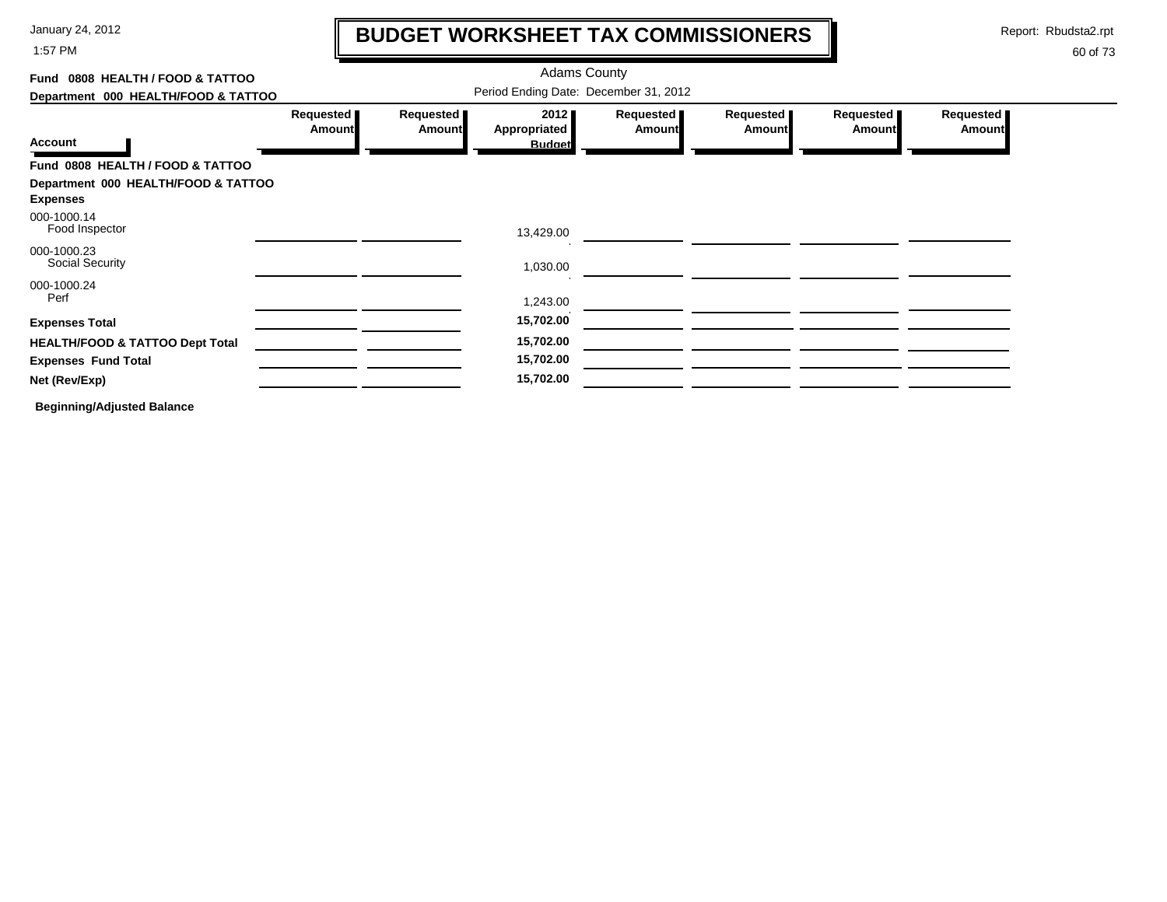1:57 PM

## **BUDGET WORKSHEET TAX COMMISSIONERS**

Report: Rbudsta2.rpt

 $\mathbf l$ 

| Fund 0808 HEALTH / FOOD & TATTOO                       |                                       | <b>Adams County</b>        |                                              |                            |                     |                            |                            |  |  |  |
|--------------------------------------------------------|---------------------------------------|----------------------------|----------------------------------------------|----------------------------|---------------------|----------------------------|----------------------------|--|--|--|
| Department 000 HEALTH/FOOD & TATTOO                    | Period Ending Date: December 31, 2012 |                            |                                              |                            |                     |                            |                            |  |  |  |
| <b>Account</b>                                         | Requested<br><b>Amount</b>            | Requested<br><b>Amount</b> | 2012<br><b>Appropriated</b><br><b>Budget</b> | Requested<br><b>Amount</b> | Requested<br>Amount | Requested<br><b>Amount</b> | Requested<br><b>Amount</b> |  |  |  |
| Fund 0808 HEALTH / FOOD & TATTOO                       |                                       |                            |                                              |                            |                     |                            |                            |  |  |  |
| Department 000 HEALTH/FOOD & TATTOO<br><b>Expenses</b> |                                       |                            |                                              |                            |                     |                            |                            |  |  |  |
| 000-1000.14<br>Food Inspector                          |                                       |                            | 13,429.00                                    |                            |                     |                            |                            |  |  |  |
| 000-1000.23<br><b>Social Security</b>                  |                                       |                            | 1,030.00                                     |                            |                     |                            |                            |  |  |  |
| 000-1000.24<br>Perf                                    |                                       |                            | 1,243.00                                     |                            |                     |                            |                            |  |  |  |
| <b>Expenses Total</b>                                  |                                       |                            | 15,702.00                                    |                            |                     |                            |                            |  |  |  |
| <b>HEALTH/FOOD &amp; TATTOO Dept Total</b>             |                                       |                            | 15,702.00                                    |                            |                     |                            |                            |  |  |  |
| <b>Expenses Fund Total</b>                             |                                       |                            | 15,702.00                                    |                            |                     |                            |                            |  |  |  |
| Net (Rev/Exp)                                          |                                       |                            | 15,702.00                                    |                            |                     |                            |                            |  |  |  |
| <b>Beginning/Adjusted Balance</b>                      |                                       |                            |                                              |                            |                     |                            |                            |  |  |  |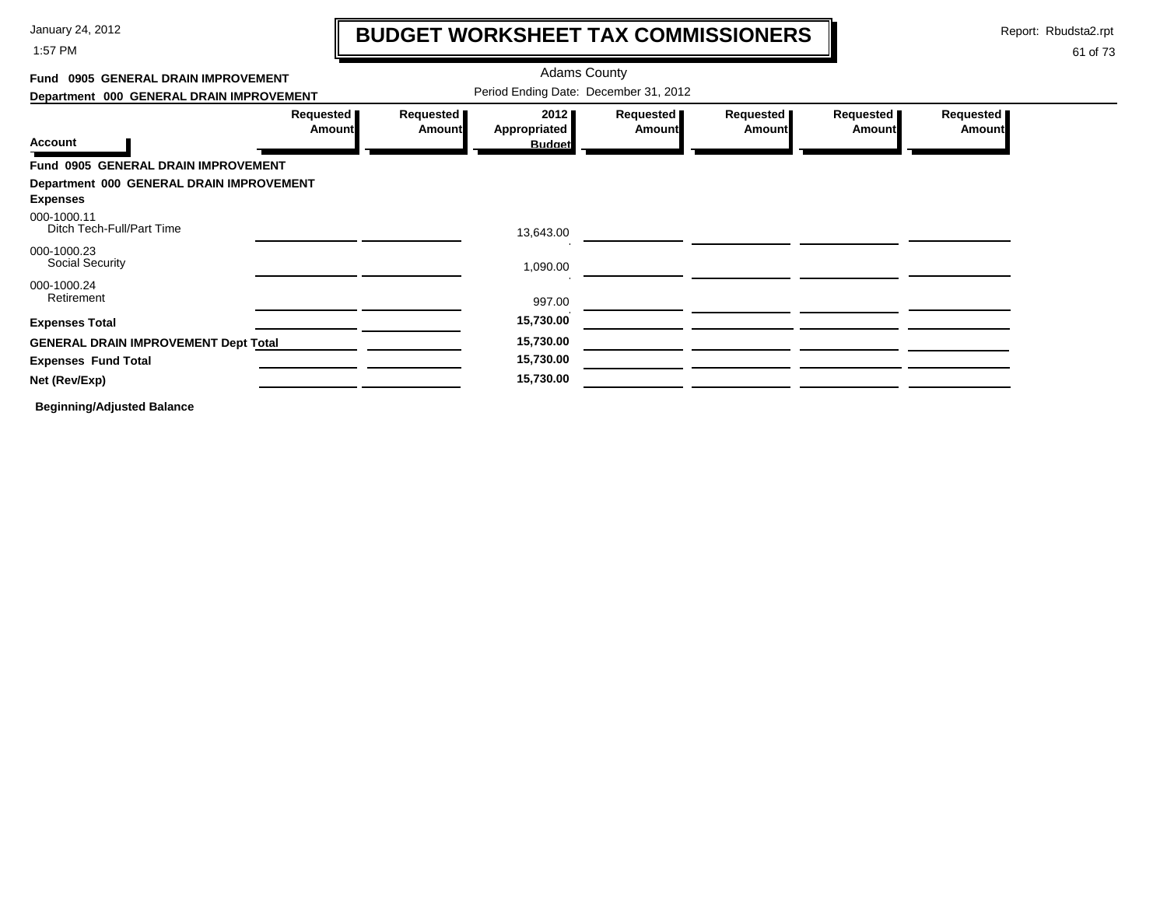1:57 PM

### **BUDGET WORKSHEET TAX COMMISSIONERS**

Report: Rbudsta2.rpt

 $\mathbf I$ 

| Fund 0905 GENERAL DRAIN IMPROVEMENT                         |                            |                            | <b>Adams County</b>                   |                       |                            |                            |                            |
|-------------------------------------------------------------|----------------------------|----------------------------|---------------------------------------|-----------------------|----------------------------|----------------------------|----------------------------|
| Department 000 GENERAL DRAIN IMPROVEMENT                    |                            |                            | Period Ending Date: December 31, 2012 |                       |                            |                            |                            |
| <b>Account</b>                                              | Requested<br><b>Amount</b> | Requested<br><b>Amount</b> | 2012<br>Appropriated<br><b>Budget</b> | Requested  <br>Amount | Requested<br><b>Amount</b> | Requested<br><b>Amount</b> | Requested<br><b>Amount</b> |
| Fund 0905 GENERAL DRAIN IMPROVEMENT                         |                            |                            |                                       |                       |                            |                            |                            |
| Department 000 GENERAL DRAIN IMPROVEMENT<br><b>Expenses</b> |                            |                            |                                       |                       |                            |                            |                            |
| 000-1000.11<br>Ditch Tech-Full/Part Time                    |                            |                            | 13,643.00                             |                       |                            |                            |                            |
| 000-1000.23<br><b>Social Security</b>                       |                            |                            | 1,090.00                              |                       |                            |                            |                            |
| 000-1000.24<br>Retirement                                   |                            |                            | 997.00                                |                       |                            |                            |                            |
| <b>Expenses Total</b>                                       |                            |                            | 15,730.00                             |                       |                            |                            |                            |
| <b>GENERAL DRAIN IMPROVEMENT Dept Total</b>                 |                            |                            | 15,730.00                             |                       |                            |                            |                            |
| <b>Expenses Fund Total</b>                                  |                            |                            | 15,730.00                             |                       |                            |                            |                            |
| Net (Rev/Exp)                                               |                            |                            | 15,730.00                             |                       |                            |                            |                            |
| <b>Beginning/Adjusted Balance</b>                           |                            |                            |                                       |                       |                            |                            |                            |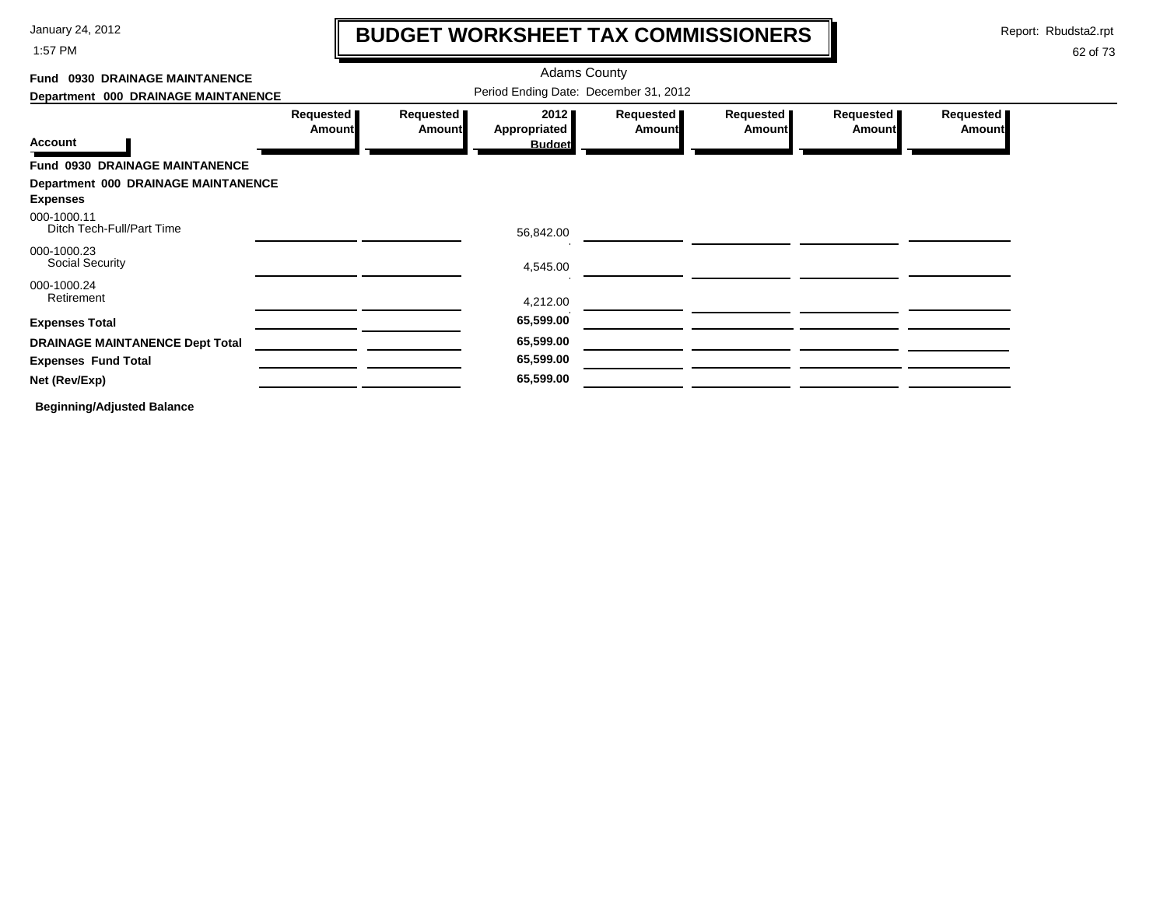1:57 PM

# **BUDGET WORKSHEET TAX COMMISSIONERS**

Report: Rbudsta2.rpt

 $\mathbf l$ 

| Fund 0930 DRAINAGE MAINTANENCE             |                                       | <b>Adams County</b>        |                                       |                            |                            |                            |                            |  |  |
|--------------------------------------------|---------------------------------------|----------------------------|---------------------------------------|----------------------------|----------------------------|----------------------------|----------------------------|--|--|
| Department 000 DRAINAGE MAINTANENCE        | Period Ending Date: December 31, 2012 |                            |                                       |                            |                            |                            |                            |  |  |
| <b>Account</b>                             | Requested<br><b>Amount</b>            | Requested<br><b>Amount</b> | 2012<br>Appropriated<br><b>Budget</b> | Requested<br><b>Amount</b> | Requested<br><b>Amount</b> | Requested<br><b>Amount</b> | Requested<br><b>Amount</b> |  |  |
| Fund 0930 DRAINAGE MAINTANENCE             |                                       |                            |                                       |                            |                            |                            |                            |  |  |
| <b>Department 000 DRAINAGE MAINTANENCE</b> |                                       |                            |                                       |                            |                            |                            |                            |  |  |
| <b>Expenses</b>                            |                                       |                            |                                       |                            |                            |                            |                            |  |  |
| 000-1000.11<br>Ditch Tech-Full/Part Time   |                                       |                            | 56,842.00                             |                            |                            |                            |                            |  |  |
| 000-1000.23<br>Social Security             |                                       |                            | 4,545.00                              |                            |                            |                            |                            |  |  |
| 000-1000.24                                |                                       |                            |                                       |                            |                            |                            |                            |  |  |
| Retirement                                 |                                       |                            | 4,212.00                              |                            |                            |                            |                            |  |  |
| <b>Expenses Total</b>                      |                                       |                            | 65,599.00                             |                            |                            |                            |                            |  |  |
| <b>DRAINAGE MAINTANENCE Dept Total</b>     |                                       |                            | 65,599.00                             |                            |                            |                            |                            |  |  |
| <b>Expenses Fund Total</b>                 |                                       |                            | 65,599.00                             |                            |                            |                            |                            |  |  |
| Net (Rev/Exp)                              |                                       |                            | 65,599.00                             |                            |                            |                            |                            |  |  |
| <b>Beginning/Adjusted Balance</b>          |                                       |                            |                                       |                            |                            |                            |                            |  |  |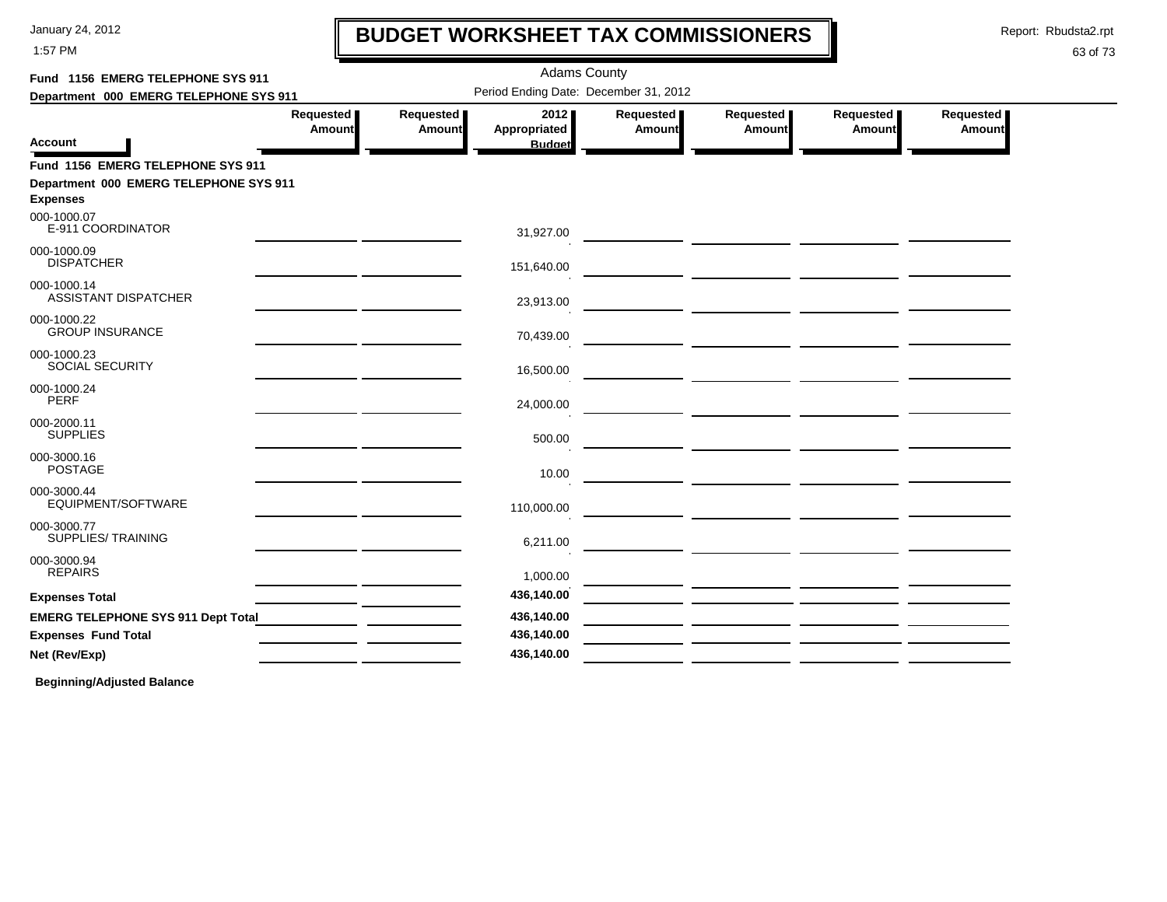1:57 PM

### **BUDGET WORKSHEET TAX COMMISSIONERS**

Report: Rbudsta2.rpt

 $\mathbf l$ 

#### 63 of 73

| Fund 1156 EMERG TELEPHONE SYS 911          |                            |                            | <b>Adams County</b>                   |                     |                     |                     |                            |
|--------------------------------------------|----------------------------|----------------------------|---------------------------------------|---------------------|---------------------|---------------------|----------------------------|
| Department 000 EMERG TELEPHONE SYS 911     |                            |                            | Period Ending Date: December 31, 2012 |                     |                     |                     |                            |
| <b>Account</b>                             | Requested<br><b>Amount</b> | Requested<br><b>Amount</b> | 2012<br>Appropriated<br><b>Budget</b> | Requested<br>Amount | Requested<br>Amount | Requested<br>Amount | Requested<br><b>Amount</b> |
| Fund 1156 EMERG TELEPHONE SYS 911          |                            |                            |                                       |                     |                     |                     |                            |
| Department 000 EMERG TELEPHONE SYS 911     |                            |                            |                                       |                     |                     |                     |                            |
| <b>Expenses</b>                            |                            |                            |                                       |                     |                     |                     |                            |
| 000-1000.07<br>E-911 COORDINATOR           |                            |                            | 31,927.00                             |                     |                     |                     |                            |
| 000-1000.09<br><b>DISPATCHER</b>           |                            |                            | 151,640.00                            |                     |                     |                     |                            |
| 000-1000.14<br><b>ASSISTANT DISPATCHER</b> |                            |                            | 23,913.00                             |                     |                     |                     |                            |
| 000-1000.22<br><b>GROUP INSURANCE</b>      |                            |                            | 70,439.00                             |                     |                     |                     |                            |
| 000-1000.23<br>SOCIAL SECURITY             |                            |                            | 16,500.00                             |                     |                     |                     |                            |
| 000-1000.24<br><b>PERF</b>                 |                            |                            | 24,000.00                             |                     |                     |                     |                            |
| 000-2000.11<br><b>SUPPLIES</b>             |                            |                            | 500.00                                |                     |                     |                     |                            |
| 000-3000.16<br><b>POSTAGE</b>              |                            |                            | 10.00                                 |                     |                     |                     |                            |
| 000-3000.44<br>EQUIPMENT/SOFTWARE          |                            |                            | 110,000.00                            |                     |                     |                     |                            |
| 000-3000.77<br>SUPPLIES/ TRAINING          |                            |                            | 6,211.00                              |                     |                     |                     |                            |
| 000-3000.94<br><b>REPAIRS</b>              |                            |                            | 1,000.00                              |                     |                     |                     |                            |
| <b>Expenses Total</b>                      |                            |                            | 436,140.00                            |                     |                     |                     |                            |
| <b>EMERG TELEPHONE SYS 911 Dept Total</b>  |                            |                            | 436,140.00                            |                     |                     |                     |                            |
| <b>Expenses Fund Total</b>                 |                            |                            | 436,140.00                            |                     |                     |                     |                            |
| Net (Rev/Exp)                              |                            |                            | 436,140.00                            |                     |                     |                     |                            |
|                                            |                            |                            |                                       |                     |                     |                     |                            |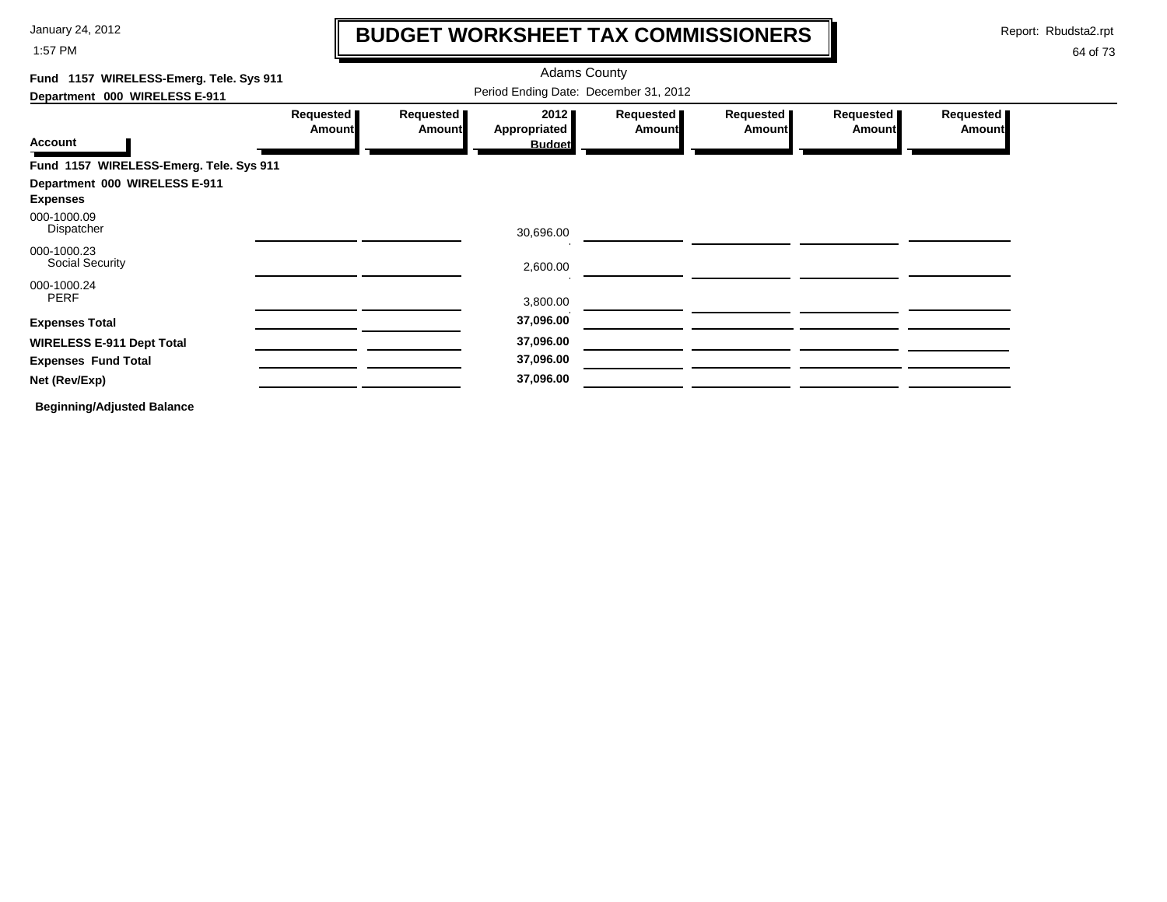1:57 PM

### **BUDGET WORKSHEET TAX COMMISSIONERS**

Report: Rbudsta2.rpt

 $\mathbf \mathbf I$ 

| Fund 1157 WIRELESS-Emerg. Tele. Sys 911          |                                       |                            | <b>Adams County</b>                   |                       |                            |                       |                            |  |  |
|--------------------------------------------------|---------------------------------------|----------------------------|---------------------------------------|-----------------------|----------------------------|-----------------------|----------------------------|--|--|
| Department 000 WIRELESS E-911                    | Period Ending Date: December 31, 2012 |                            |                                       |                       |                            |                       |                            |  |  |
| <b>Account</b>                                   | Requested<br><b>Amount</b>            | Requested<br><b>Amount</b> | 2012<br>Appropriated<br><b>Budget</b> | Requested  <br>Amount | Requested<br><b>Amount</b> | Requested  <br>Amount | Requested<br><b>Amount</b> |  |  |
| Fund 1157 WIRELESS-Emerg. Tele. Sys 911          |                                       |                            |                                       |                       |                            |                       |                            |  |  |
| Department 000 WIRELESS E-911<br><b>Expenses</b> |                                       |                            |                                       |                       |                            |                       |                            |  |  |
| 000-1000.09<br>Dispatcher                        |                                       |                            | 30,696.00                             |                       |                            |                       |                            |  |  |
| 000-1000.23<br>Social Security                   |                                       |                            | 2,600.00                              |                       |                            |                       |                            |  |  |
| 000-1000.24<br>PERF                              |                                       |                            | 3,800.00                              |                       |                            |                       |                            |  |  |
| <b>Expenses Total</b>                            |                                       |                            | 37,096.00                             |                       |                            |                       |                            |  |  |
| <b>WIRELESS E-911 Dept Total</b>                 |                                       |                            | 37,096.00                             |                       |                            |                       |                            |  |  |
| <b>Expenses Fund Total</b>                       |                                       |                            | 37,096.00                             |                       |                            |                       |                            |  |  |
| Net (Rev/Exp)                                    |                                       |                            | 37,096.00                             |                       |                            |                       |                            |  |  |
| <b>Beginning/Adjusted Balance</b>                |                                       |                            |                                       |                       |                            |                       |                            |  |  |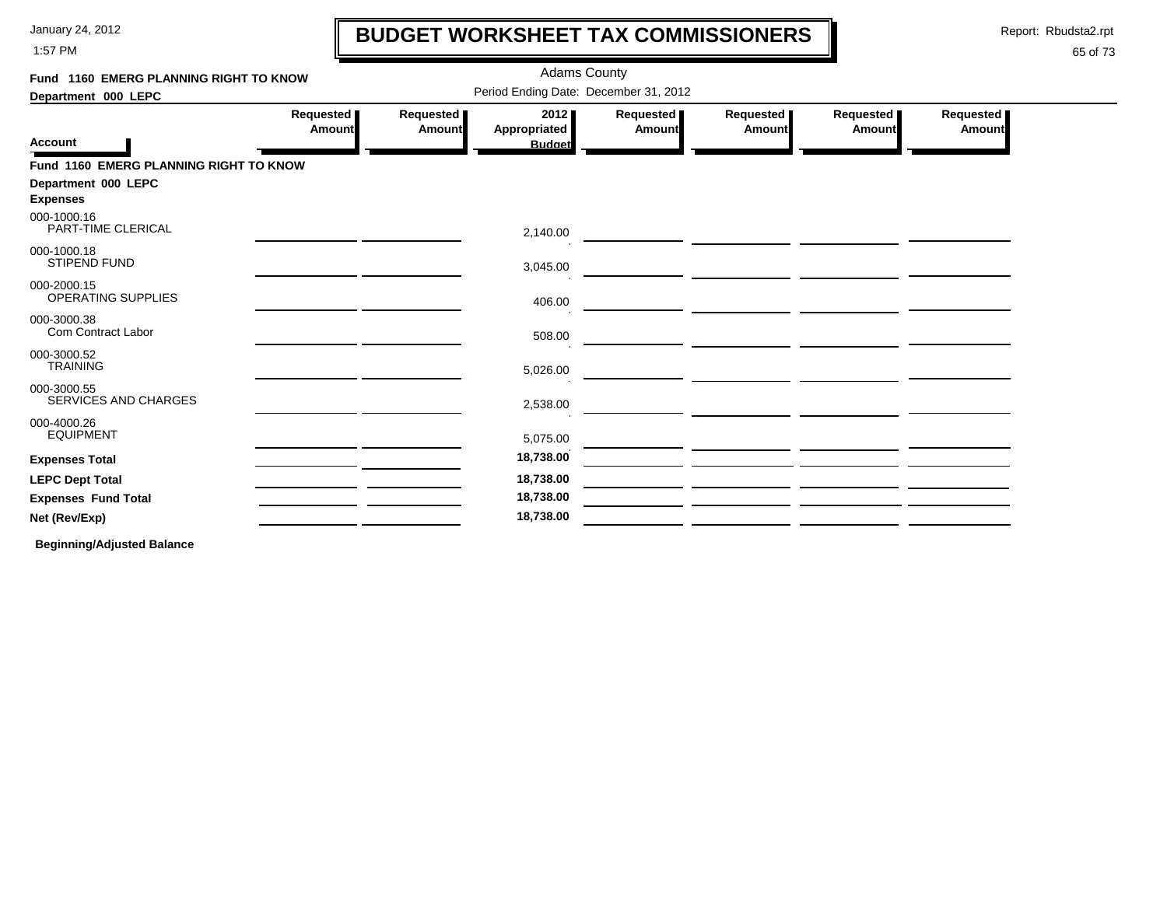1:57 PM

### **BUDGET WORKSHEET TAX COMMISSIONERS**

Report: Rbudsta2.rpt

 $\mathbf l$ 

### 65 of 73

| Fund 1160 EMERG PLANNING RIGHT TO KNOW     |                     |                            | <b>Adams County</b>                   |                     |                            |                     |                     |  |
|--------------------------------------------|---------------------|----------------------------|---------------------------------------|---------------------|----------------------------|---------------------|---------------------|--|
| Department 000 LEPC                        |                     |                            | Period Ending Date: December 31, 2012 |                     |                            |                     |                     |  |
|                                            | Requested<br>Amount | Requested<br><b>Amount</b> | 2012<br>Appropriated                  | Requested<br>Amount | Requested<br><b>Amount</b> | Requested<br>Amount | Requested<br>Amount |  |
| <b>Account</b>                             |                     |                            | <b>Budget</b>                         |                     |                            |                     |                     |  |
| Fund 1160 EMERG PLANNING RIGHT TO KNOW     |                     |                            |                                       |                     |                            |                     |                     |  |
| Department 000 LEPC<br><b>Expenses</b>     |                     |                            |                                       |                     |                            |                     |                     |  |
| 000-1000.16<br>PART-TIME CLERICAL          |                     |                            | 2,140.00                              |                     |                            |                     |                     |  |
| 000-1000.18<br><b>STIPEND FUND</b>         |                     |                            | 3,045.00                              |                     |                            |                     |                     |  |
| 000-2000.15<br><b>OPERATING SUPPLIES</b>   |                     |                            | 406.00                                |                     |                            |                     |                     |  |
| 000-3000.38<br>Com Contract Labor          |                     |                            | 508.00                                |                     |                            |                     |                     |  |
| 000-3000.52<br><b>TRAINING</b>             |                     |                            | 5,026.00                              |                     |                            |                     |                     |  |
| 000-3000.55<br><b>SERVICES AND CHARGES</b> |                     |                            | 2,538.00                              |                     |                            |                     |                     |  |
| 000-4000.26<br><b>EQUIPMENT</b>            |                     |                            | 5,075.00                              |                     |                            |                     |                     |  |
| <b>Expenses Total</b>                      |                     |                            | 18,738.00                             |                     |                            |                     |                     |  |
| <b>LEPC Dept Total</b>                     |                     |                            | 18,738.00                             |                     |                            |                     |                     |  |
| <b>Expenses Fund Total</b>                 |                     |                            | 18,738.00                             |                     |                            |                     |                     |  |
| Net (Rev/Exp)                              |                     |                            | 18,738.00                             |                     |                            |                     |                     |  |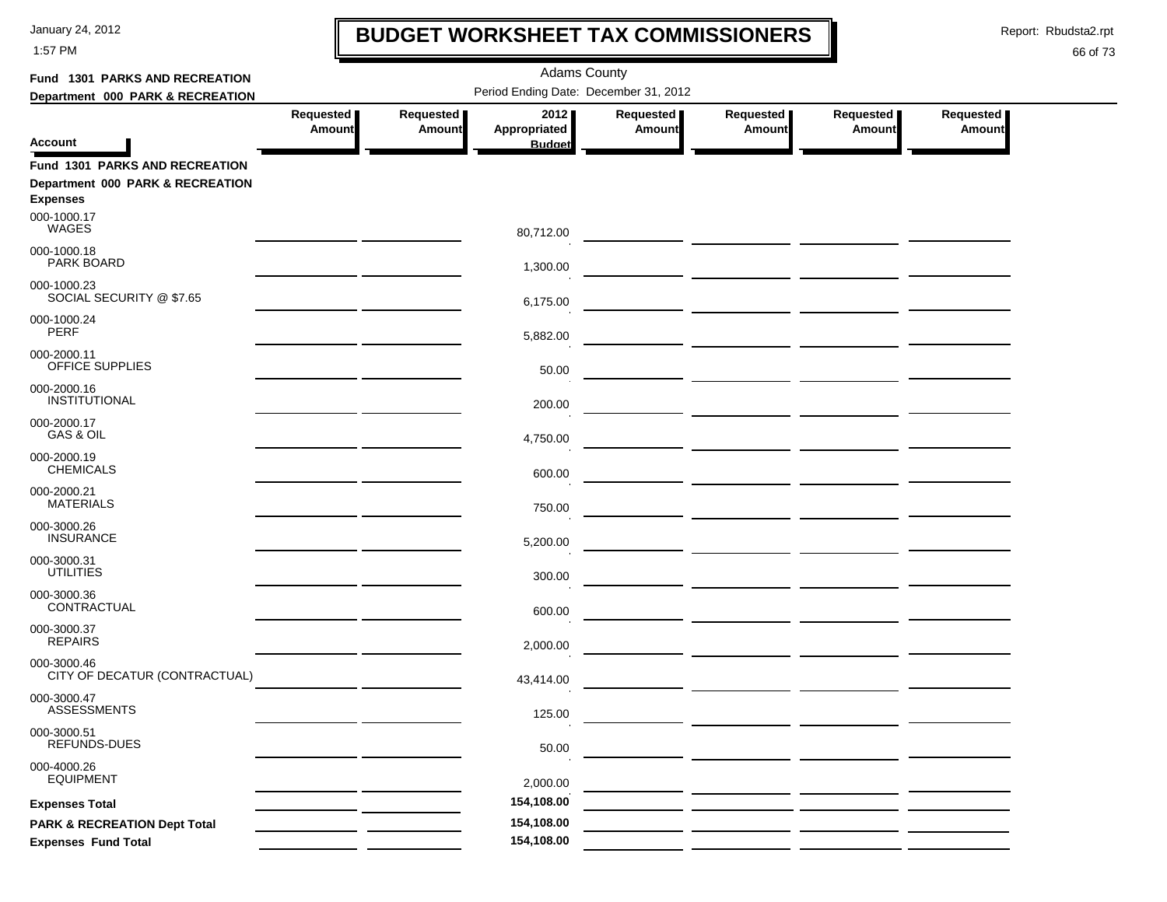1:57 PM

### **BUDGET WORKSHEET TAX COMMISSIONERS**

Report: Rbudsta2.rpt

 $\mathbf l$ 

| Fund 1301 PARKS AND RECREATION               |                                       |                     |                                       |                            |                            |                            |                     |  |  |
|----------------------------------------------|---------------------------------------|---------------------|---------------------------------------|----------------------------|----------------------------|----------------------------|---------------------|--|--|
| Department 000 PARK & RECREATION             | Period Ending Date: December 31, 2012 |                     |                                       |                            |                            |                            |                     |  |  |
| <b>Account</b>                               | <b>Requested</b><br><b>Amount</b>     | Requested<br>Amount | 2012<br>Appropriated<br><b>Budget</b> | Requested<br><b>Amount</b> | Requested<br><b>Amount</b> | Requested<br><b>Amount</b> | Requested<br>Amount |  |  |
| <b>Fund 1301 PARKS AND RECREATION</b>        |                                       |                     |                                       |                            |                            |                            |                     |  |  |
| Department 000 PARK & RECREATION             |                                       |                     |                                       |                            |                            |                            |                     |  |  |
| <b>Expenses</b>                              |                                       |                     |                                       |                            |                            |                            |                     |  |  |
| 000-1000.17<br><b>WAGES</b>                  |                                       |                     | 80,712.00                             |                            |                            |                            |                     |  |  |
| 000-1000.18<br>PARK BOARD                    |                                       |                     | 1,300.00                              |                            |                            |                            |                     |  |  |
| 000-1000.23<br>SOCIAL SECURITY @ \$7.65      |                                       |                     | 6,175.00                              |                            |                            |                            |                     |  |  |
| 000-1000.24<br><b>PERF</b>                   |                                       |                     | 5,882.00                              |                            |                            |                            |                     |  |  |
| 000-2000.11<br>OFFICE SUPPLIES               |                                       |                     | 50.00                                 |                            |                            |                            |                     |  |  |
| 000-2000.16<br>INSTITUTIONAL                 |                                       |                     | 200.00                                |                            |                            |                            |                     |  |  |
| 000-2000.17<br>GAS & OIL                     |                                       |                     | 4,750.00                              |                            |                            |                            |                     |  |  |
| 000-2000.19<br><b>CHEMICALS</b>              |                                       |                     | 600.00                                |                            |                            |                            |                     |  |  |
| 000-2000.21<br><b>MATERIALS</b>              |                                       |                     | 750.00                                |                            |                            |                            |                     |  |  |
| 000-3000.26<br><b>INSURANCE</b>              |                                       |                     | 5,200.00                              |                            |                            |                            |                     |  |  |
| 000-3000.31<br><b>UTILITIES</b>              |                                       |                     | 300.00                                |                            |                            |                            |                     |  |  |
| 000-3000.36<br>CONTRACTUAL                   |                                       |                     | 600.00                                |                            |                            |                            |                     |  |  |
| 000-3000.37<br><b>REPAIRS</b>                |                                       |                     | 2,000.00                              |                            |                            |                            |                     |  |  |
| 000-3000.46<br>CITY OF DECATUR (CONTRACTUAL) |                                       |                     | 43,414.00                             |                            |                            |                            |                     |  |  |
| 000-3000.47<br><b>ASSESSMENTS</b>            |                                       |                     | 125.00                                |                            |                            |                            |                     |  |  |
| 000-3000.51<br>REFUNDS-DUES                  |                                       |                     | 50.00                                 |                            |                            |                            |                     |  |  |
| 000-4000.26<br><b>EQUIPMENT</b>              |                                       |                     | 2,000.00                              |                            |                            |                            |                     |  |  |
| <b>Expenses Total</b>                        |                                       |                     | 154,108.00                            |                            |                            |                            |                     |  |  |
| <b>PARK &amp; RECREATION Dept Total</b>      |                                       |                     | 154,108.00                            |                            |                            |                            |                     |  |  |
| <b>Expenses Fund Total</b>                   |                                       |                     | 154,108.00                            |                            |                            |                            |                     |  |  |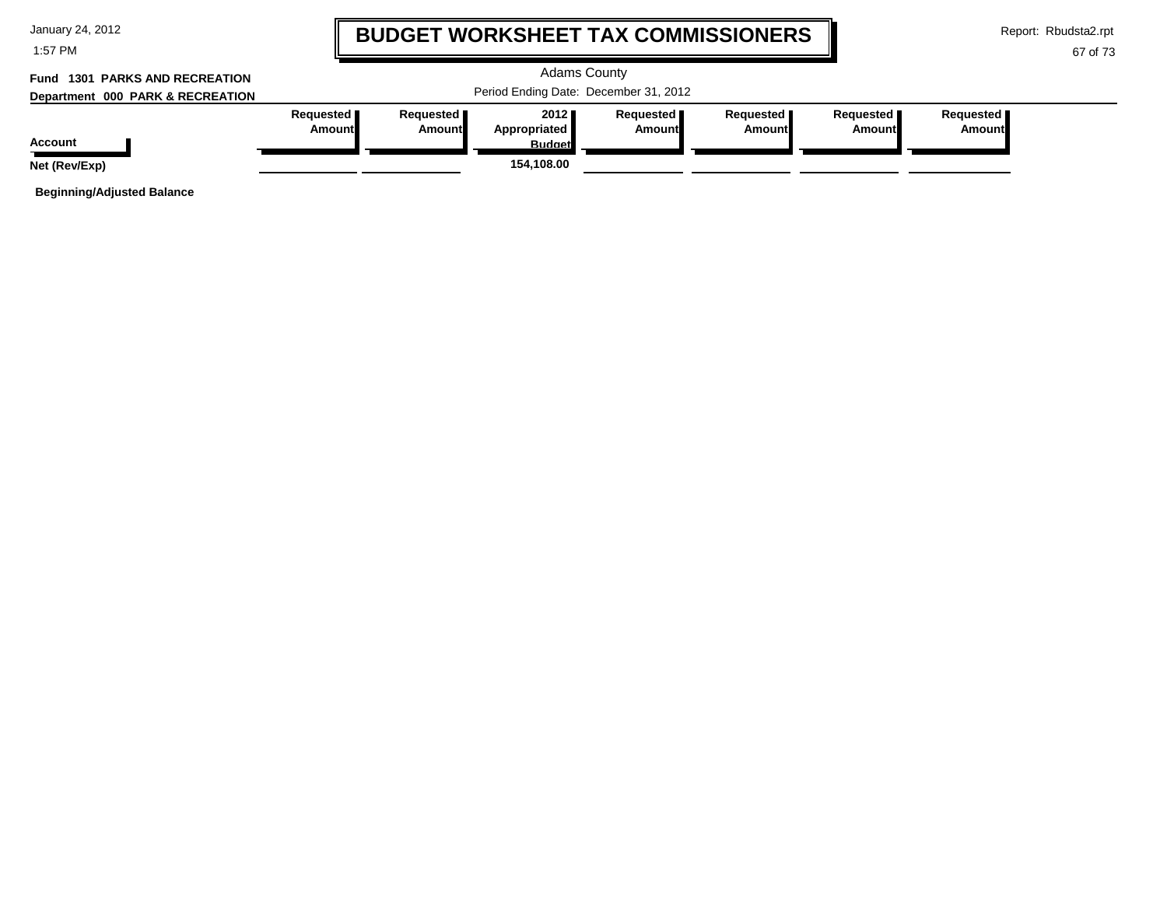| January 24, 2012 |  |  |  |
|------------------|--|--|--|
|------------------|--|--|--|

1:57 PM

### **BUDGET WORKSHEET TAX COMMISSIONERS**

Report: Rbudsta2.rpt

67 of 73

#### Adams County Period Ending Date: December 31, 2012 **Account Department 000 PARK & RECREATION Fund 1301 PARKS AND RECREATIONRequested Amount Requested Amount 2012 Appropriated Budget Requested Amount Requested Amount Requested Amount Requested Amount Net (Rev/Exp) 154,108.00**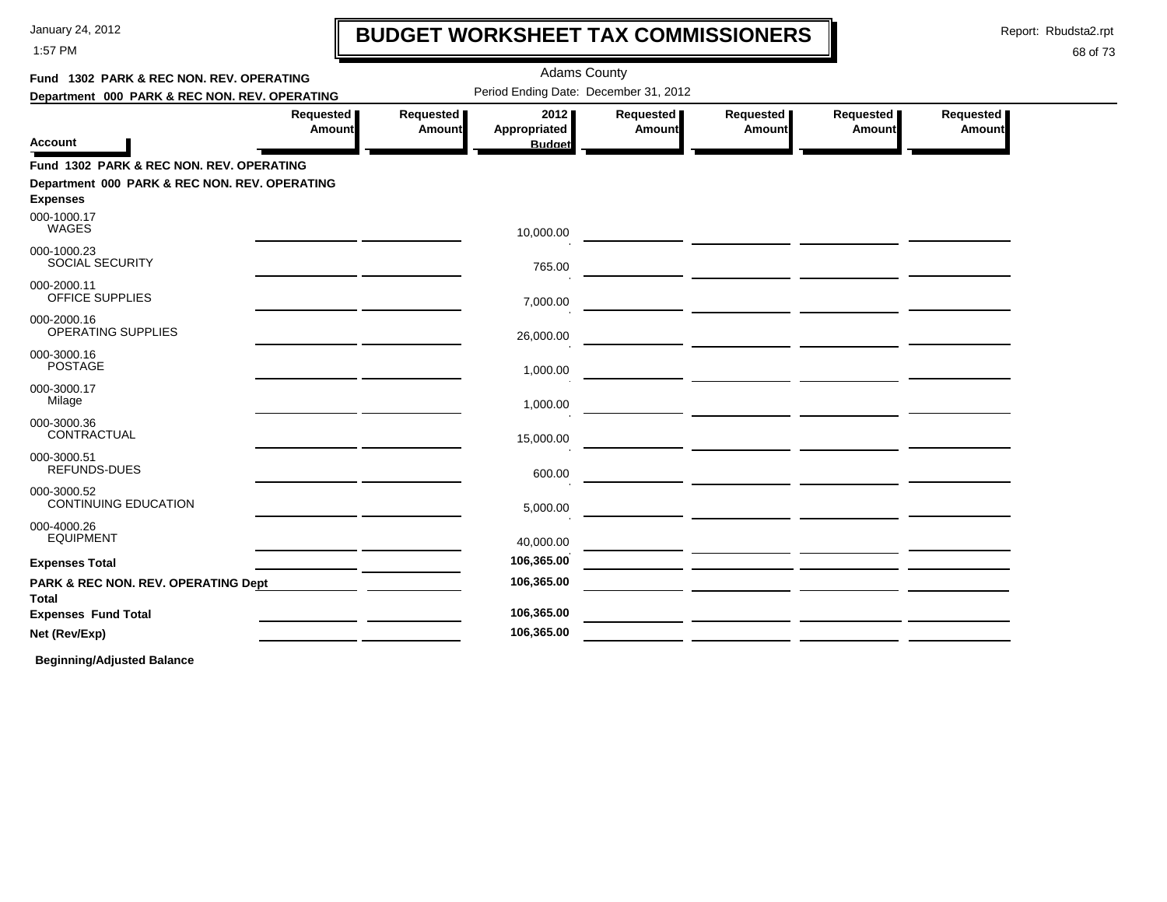1:57 PM

# **BUDGET WORKSHEET TAX COMMISSIONERS**

Report: Rbudsta2.rpt

 $\mathbf l$ 

#### 68 of 73

| Fund 1302 PARK & REC NON. REV. OPERATING                         |                                                                       |                     | <b>Adams County</b>                   |                            |                            |                                                                  |                     |  |
|------------------------------------------------------------------|-----------------------------------------------------------------------|---------------------|---------------------------------------|----------------------------|----------------------------|------------------------------------------------------------------|---------------------|--|
| Department 000 PARK & REC NON. REV. OPERATING                    |                                                                       |                     | Period Ending Date: December 31, 2012 |                            |                            |                                                                  |                     |  |
| <b>Account</b>                                                   | Requested<br><b>Amount</b>                                            | Requested<br>Amount | 2012<br>Appropriated<br><b>Budget</b> | Requested<br><b>Amount</b> | Requested<br><b>Amount</b> | Requested<br>Amount                                              | Requested<br>Amount |  |
| Fund 1302 PARK & REC NON. REV. OPERATING                         |                                                                       |                     |                                       |                            |                            |                                                                  |                     |  |
| Department 000 PARK & REC NON. REV. OPERATING<br><b>Expenses</b> |                                                                       |                     |                                       |                            |                            |                                                                  |                     |  |
| 000-1000.17<br>WAGES                                             |                                                                       |                     | 10,000.00                             |                            |                            |                                                                  |                     |  |
| 000-1000.23<br><b>SOCIAL SECURITY</b>                            |                                                                       |                     | 765.00                                |                            |                            |                                                                  |                     |  |
| 000-2000.11<br><b>OFFICE SUPPLIES</b>                            | <u> 1989 - Johann Harry Barn, mars an t-Amerikaansk kommunister (</u> |                     | 7,000.00                              |                            |                            |                                                                  |                     |  |
| 000-2000.16<br>OPERATING SUPPLIES                                |                                                                       |                     | 26,000.00                             |                            |                            |                                                                  |                     |  |
| 000-3000.16<br><b>POSTAGE</b>                                    |                                                                       |                     | 1,000.00                              |                            |                            |                                                                  |                     |  |
| 000-3000.17<br>Milage                                            |                                                                       |                     | 1,000.00                              |                            |                            |                                                                  |                     |  |
| 000-3000.36<br>CONTRACTUAL                                       |                                                                       |                     | 15,000.00                             |                            |                            |                                                                  |                     |  |
| 000-3000.51<br>REFUNDS-DUES                                      |                                                                       |                     | 600.00                                |                            |                            |                                                                  |                     |  |
| 000-3000.52<br><b>CONTINUING EDUCATION</b>                       |                                                                       |                     | 5,000.00                              |                            |                            | <u> 1989 - Johann John Stone, mars eta industrial (h. 1908).</u> |                     |  |
| 000-4000.26<br><b>EQUIPMENT</b>                                  | <u> 1989 - John Harry Barn, amerikansk politiker (</u>                |                     | 40,000.00                             |                            |                            |                                                                  |                     |  |
| <b>Expenses Total</b>                                            |                                                                       |                     | 106,365.00                            |                            |                            |                                                                  |                     |  |
| PARK & REC NON. REV. OPERATING Dept<br>Total                     |                                                                       |                     | 106,365.00                            |                            |                            |                                                                  |                     |  |
| <b>Expenses Fund Total</b>                                       |                                                                       |                     | 106,365.00                            |                            |                            |                                                                  |                     |  |
| Net (Rev/Exp)                                                    |                                                                       |                     | 106,365.00                            |                            |                            |                                                                  |                     |  |
|                                                                  |                                                                       |                     |                                       |                            |                            |                                                                  |                     |  |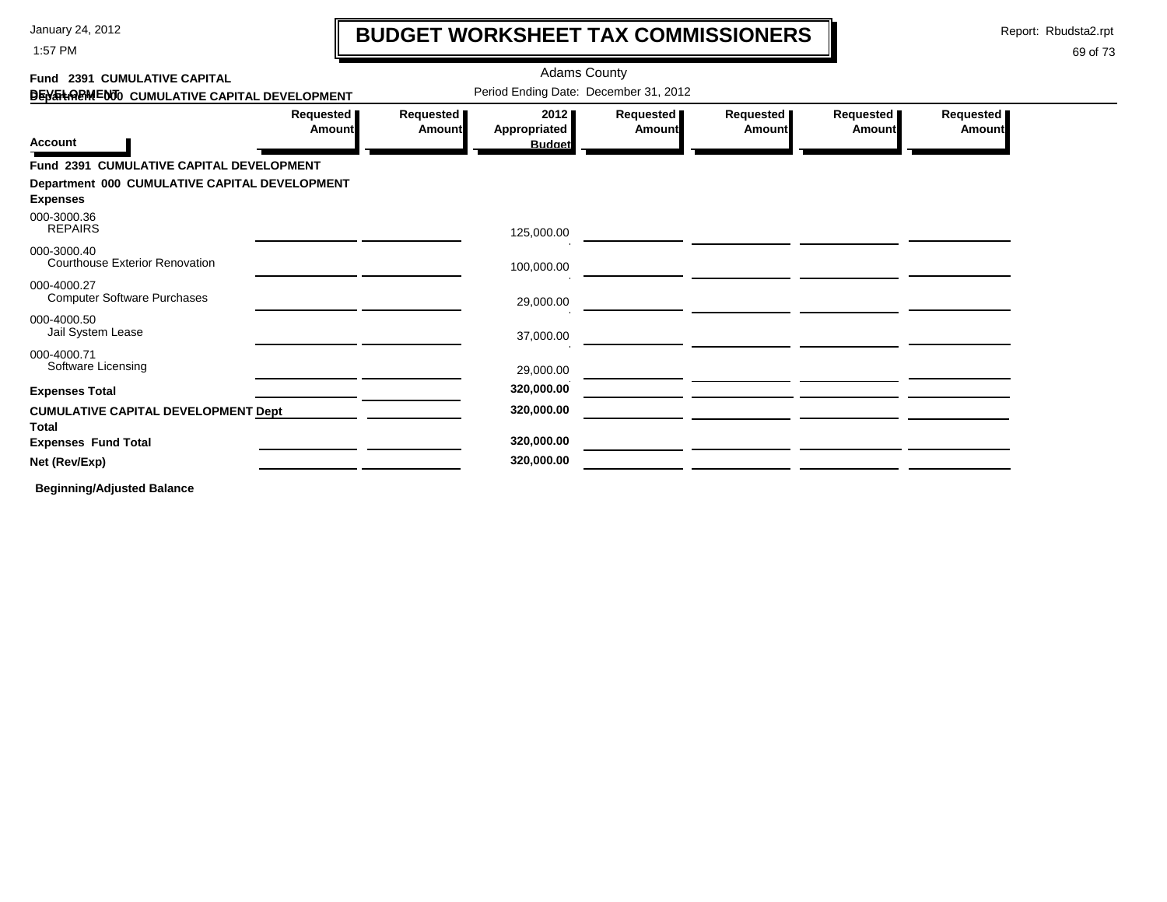1:57 PM

### **BUDGET WORKSHEET TAX COMMISSIONERS**

Report: Rbudsta2.rpt

 $\mathbf l$ 

| Fund 2391 CUMULATIVE CAPITAL                               |                            |                            | <b>Adams County</b>                   |                     |                              |                            |                     |
|------------------------------------------------------------|----------------------------|----------------------------|---------------------------------------|---------------------|------------------------------|----------------------------|---------------------|
| DEN THREM ENTO CUMULATIVE CAPITAL DEVELOPMENT              |                            |                            | Period Ending Date: December 31, 2012 |                     |                              |                            |                     |
|                                                            | Requested<br><b>Amount</b> | Requested<br><b>Amount</b> | 2012<br>Appropriated                  | Requested<br>Amount | <b>Requested</b> ∎<br>Amount | Requested<br><b>Amount</b> | Requested<br>Amount |
| <b>Account</b>                                             |                            |                            | <b>Budget</b>                         |                     |                              |                            |                     |
| Fund 2391 CUMULATIVE CAPITAL DEVELOPMENT                   |                            |                            |                                       |                     |                              |                            |                     |
| Department 000 CUMULATIVE CAPITAL DEVELOPMENT              |                            |                            |                                       |                     |                              |                            |                     |
| <b>Expenses</b>                                            |                            |                            |                                       |                     |                              |                            |                     |
| 000-3000.36<br><b>REPAIRS</b>                              |                            |                            | 125,000.00                            |                     |                              |                            |                     |
| 000-3000.40<br><b>Courthouse Exterior Renovation</b>       |                            |                            | 100,000.00                            |                     |                              |                            |                     |
| 000-4000.27<br><b>Computer Software Purchases</b>          |                            |                            | 29,000.00                             |                     |                              |                            |                     |
| 000-4000.50<br>Jail System Lease                           |                            |                            | 37,000.00                             |                     |                              |                            |                     |
| 000-4000.71<br>Software Licensing                          |                            |                            | 29,000.00                             |                     |                              |                            |                     |
| <b>Expenses Total</b>                                      |                            |                            | 320,000.00                            |                     |                              |                            |                     |
| <b>CUMULATIVE CAPITAL DEVELOPMENT Dept</b><br><b>Total</b> |                            |                            | 320,000.00                            |                     |                              |                            |                     |
| <b>Expenses Fund Total</b>                                 |                            |                            | 320,000.00                            |                     |                              |                            |                     |
| Net (Rev/Exp)                                              |                            |                            | 320,000.00                            |                     |                              |                            |                     |
| <b>Beginning/Adjusted Balance</b>                          |                            |                            |                                       |                     |                              |                            |                     |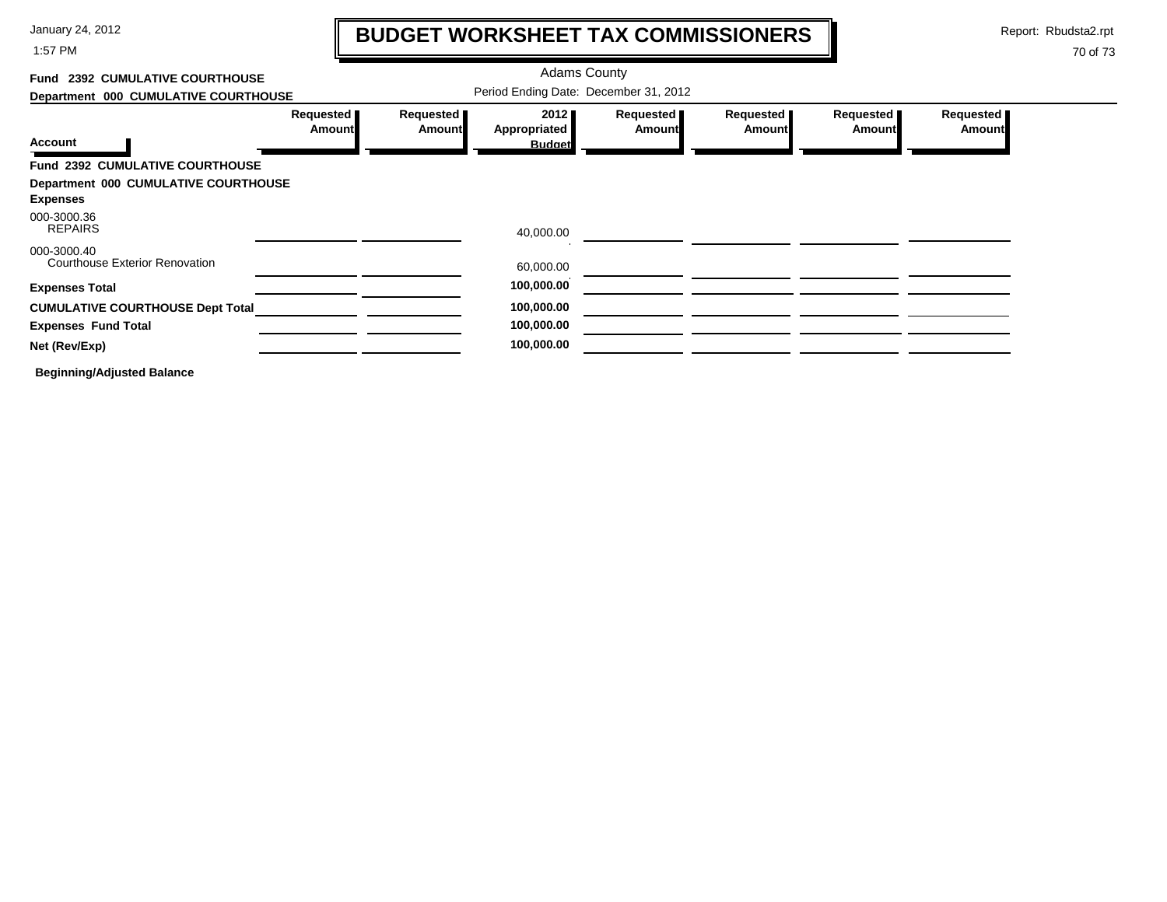1:57 PM

# **BUDGET WORKSHEET TAX COMMISSIONERS**

Report: Rbudsta2.rpt

 $\mathbf l$ 

| Fund 2392 CUMULATIVE COURTHOUSE                      |                            |                     | <b>Adams County</b>                   |                     |                     |                            |                            |  |
|------------------------------------------------------|----------------------------|---------------------|---------------------------------------|---------------------|---------------------|----------------------------|----------------------------|--|
| Department 000 CUMULATIVE COURTHOUSE                 |                            |                     | Period Ending Date: December 31, 2012 |                     |                     |                            |                            |  |
|                                                      | Requested<br><b>Amount</b> | Requested<br>Amount | 2012 ■<br>Appropriated                | Requested<br>Amount | Requested<br>Amount | Requested<br><b>Amount</b> | Requested<br><b>Amount</b> |  |
| <b>Account</b>                                       |                            |                     | <b>Budget</b>                         |                     |                     |                            |                            |  |
| Fund 2392 CUMULATIVE COURTHOUSE                      |                            |                     |                                       |                     |                     |                            |                            |  |
| Department 000 CUMULATIVE COURTHOUSE                 |                            |                     |                                       |                     |                     |                            |                            |  |
| <b>Expenses</b>                                      |                            |                     |                                       |                     |                     |                            |                            |  |
| 000-3000.36<br><b>REPAIRS</b>                        |                            |                     | 40,000.00                             |                     |                     |                            |                            |  |
| 000-3000.40<br><b>Courthouse Exterior Renovation</b> |                            |                     | 60,000.00                             |                     |                     |                            |                            |  |
| <b>Expenses Total</b>                                |                            |                     | 100,000.00                            |                     |                     |                            |                            |  |
| <b>CUMULATIVE COURTHOUSE Dept Total</b>              |                            |                     | 100,000.00                            |                     |                     |                            |                            |  |
| <b>Expenses Fund Total</b>                           |                            |                     | 100,000.00                            |                     |                     |                            |                            |  |
| Net (Rev/Exp)                                        |                            |                     | 100,000.00                            |                     |                     |                            |                            |  |
| <b>Beginning/Adjusted Balance</b>                    |                            |                     |                                       |                     |                     |                            |                            |  |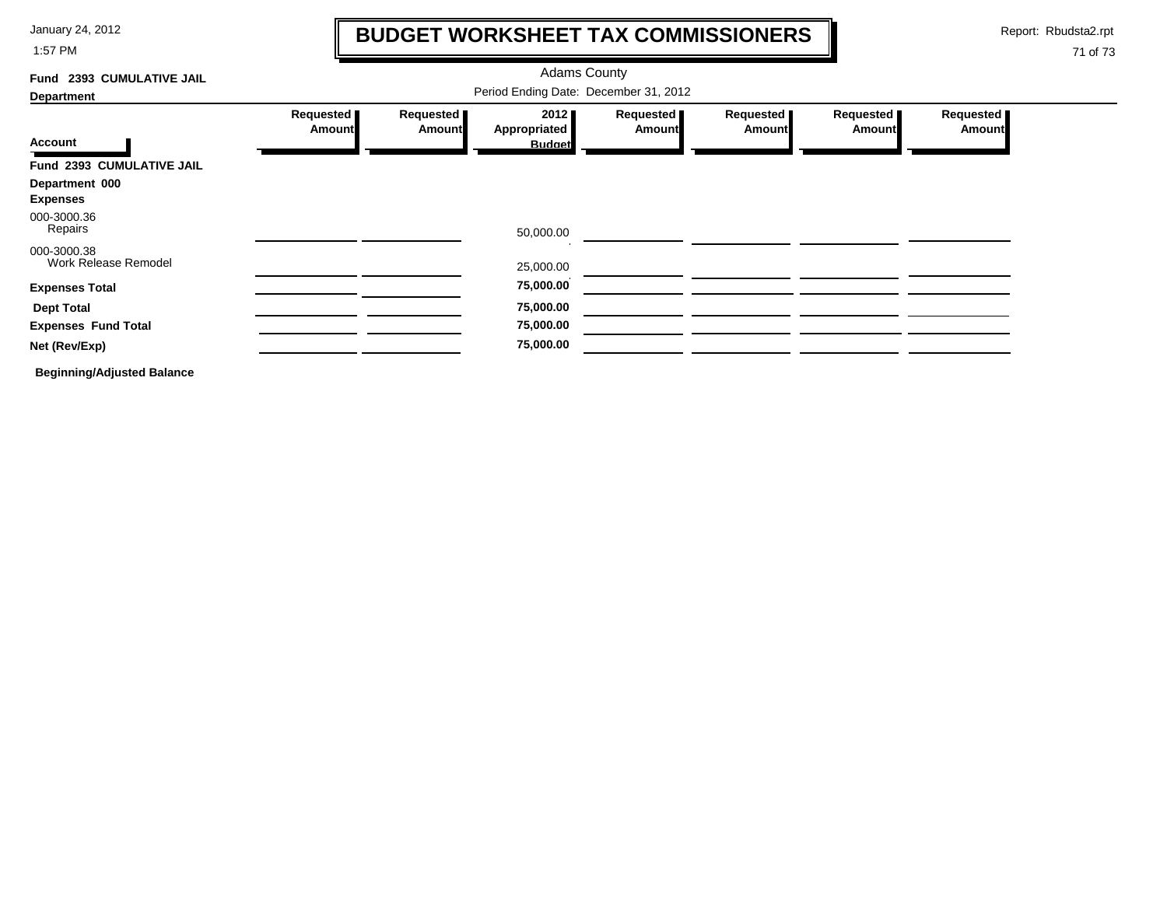1:57 PM

### **BUDGET WORKSHEET TAX COMMISSIONERS**

Report: Rbudsta2.rpt

 $\mathbf I$ 

| 2393 CUMULATIVE JAIL<br>Fund        | <b>Adams County</b>        |                            |                                       |                       |                            |                     |                     |
|-------------------------------------|----------------------------|----------------------------|---------------------------------------|-----------------------|----------------------------|---------------------|---------------------|
| <b>Department</b>                   |                            |                            | Period Ending Date: December 31, 2012 |                       |                            |                     |                     |
|                                     | Requested<br><b>Amount</b> | Requested<br><b>Amount</b> | 2012<br>Appropriated                  | Requested  <br>Amount | Requested<br><b>Amount</b> | Requested<br>Amount | Requested<br>Amount |
| <b>Account</b>                      |                            |                            | <b>Budget</b>                         |                       |                            |                     |                     |
| Fund 2393 CUMULATIVE JAIL           |                            |                            |                                       |                       |                            |                     |                     |
| Department 000<br><b>Expenses</b>   |                            |                            |                                       |                       |                            |                     |                     |
| 000-3000.36<br>Repairs              |                            |                            | 50,000.00                             |                       |                            |                     |                     |
| 000-3000.38<br>Work Release Remodel |                            |                            | 25,000.00                             |                       |                            |                     |                     |
| <b>Expenses Total</b>               |                            |                            | 75,000.00                             |                       |                            |                     |                     |
| <b>Dept Total</b>                   |                            |                            | 75,000.00                             |                       |                            |                     |                     |
| <b>Expenses Fund Total</b>          |                            |                            | 75,000.00                             |                       |                            |                     |                     |
| Net (Rev/Exp)                       |                            |                            | 75,000.00                             |                       |                            |                     |                     |
| <b>Beginning/Adjusted Balance</b>   |                            |                            |                                       |                       |                            |                     |                     |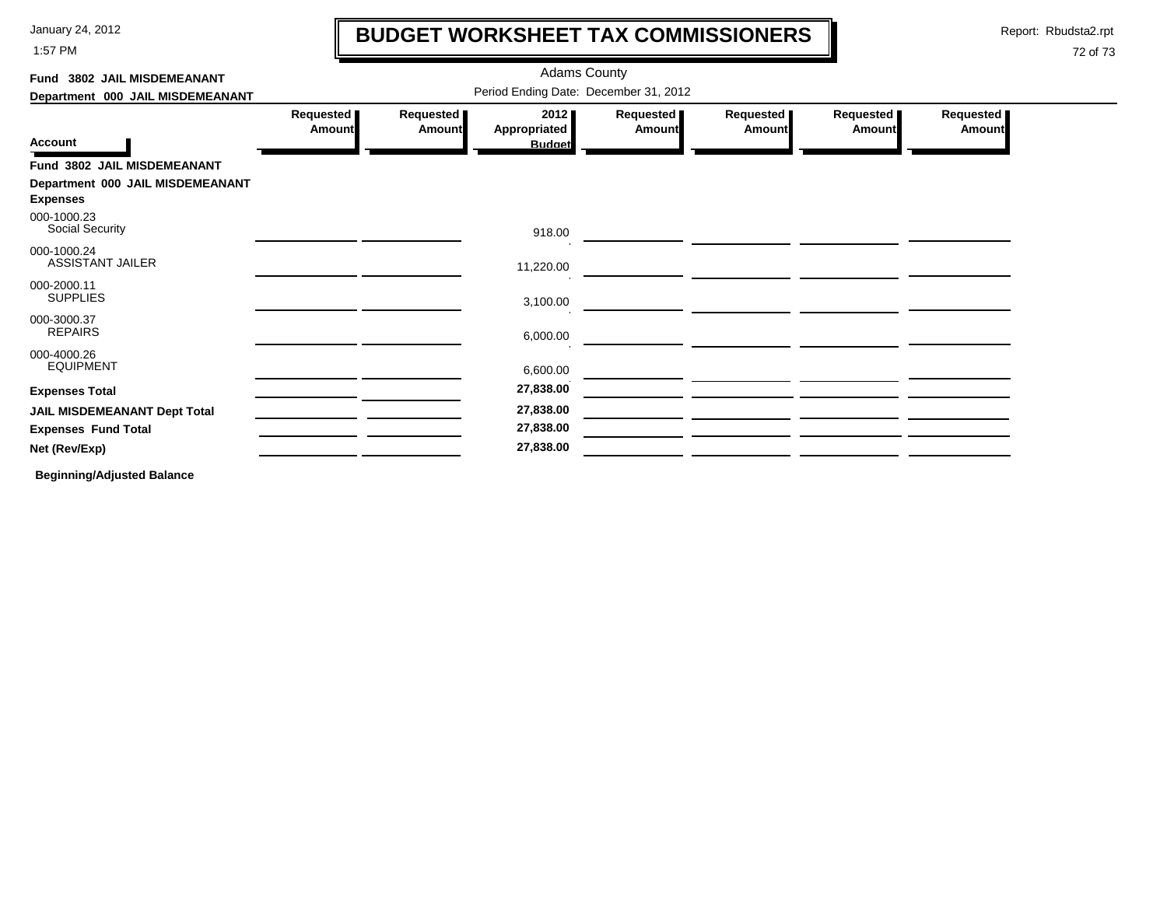1:57 PM

### **BUDGET WORKSHEET TAX COMMISSIONERS**

Report: Rbudsta2.rpt

 $\mathbf l$ 

#### 72 of 73

| Fund 3802 JAIL MISDEMEANANT                         | <b>Adams County</b>                   |                            |                                              |                            |                            |                            |                            |  |  |
|-----------------------------------------------------|---------------------------------------|----------------------------|----------------------------------------------|----------------------------|----------------------------|----------------------------|----------------------------|--|--|
| Department 000 JAIL MISDEMEANANT                    | Period Ending Date: December 31, 2012 |                            |                                              |                            |                            |                            |                            |  |  |
| <b>Account</b>                                      | Requested<br><b>Amount</b>            | Requested<br><b>Amount</b> | 2012<br><b>Appropriated</b><br><b>Budget</b> | Requested<br><b>Amount</b> | Requested<br><b>Amount</b> | Requested<br><b>Amount</b> | Requested<br><b>Amount</b> |  |  |
| Fund 3802 JAIL MISDEMEANANT                         |                                       |                            |                                              |                            |                            |                            |                            |  |  |
| Department 000 JAIL MISDEMEANANT<br><b>Expenses</b> |                                       |                            |                                              |                            |                            |                            |                            |  |  |
| 000-1000.23<br>Social Security                      |                                       |                            | 918.00                                       |                            |                            |                            |                            |  |  |
| 000-1000.24<br><b>ASSISTANT JAILER</b>              |                                       |                            | 11,220.00                                    |                            |                            |                            |                            |  |  |
| 000-2000.11<br><b>SUPPLIES</b>                      |                                       |                            | 3,100.00                                     |                            |                            |                            |                            |  |  |
| 000-3000.37<br><b>REPAIRS</b>                       |                                       |                            | 6,000.00                                     |                            |                            |                            |                            |  |  |
| 000-4000.26<br><b>EQUIPMENT</b>                     |                                       |                            | 6,600.00                                     |                            |                            |                            |                            |  |  |
| <b>Expenses Total</b>                               |                                       |                            | 27,838.00                                    |                            |                            |                            |                            |  |  |
| <b>JAIL MISDEMEANANT Dept Total</b>                 |                                       |                            | 27,838.00                                    |                            |                            |                            |                            |  |  |
| <b>Expenses Fund Total</b>                          |                                       |                            | 27,838.00                                    |                            |                            |                            |                            |  |  |
| Net (Rev/Exp)                                       |                                       |                            | 27,838.00                                    |                            |                            |                            |                            |  |  |
| _                                                   |                                       |                            |                                              |                            |                            |                            |                            |  |  |